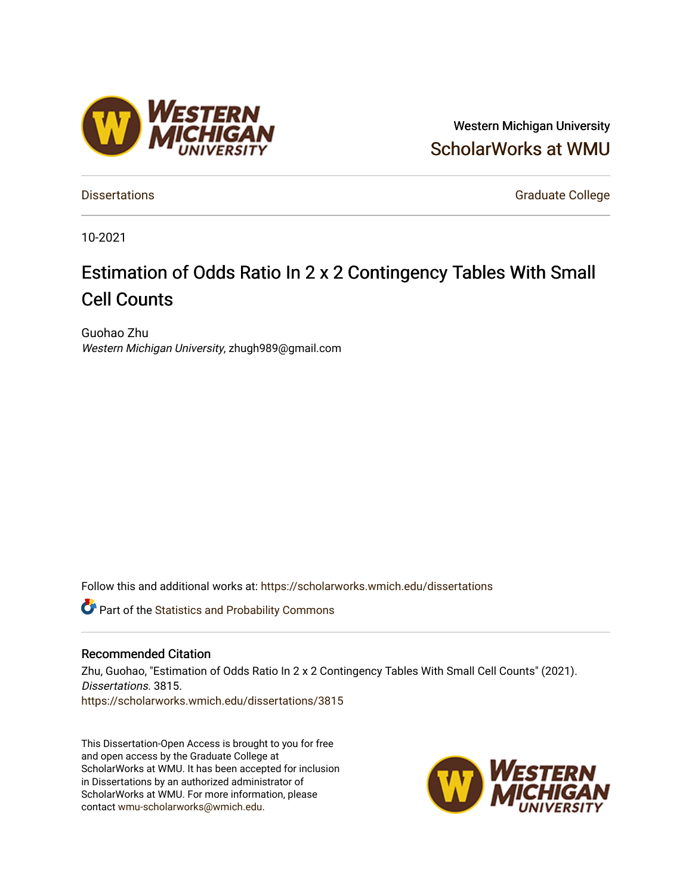#### Western Michigan University [ScholarWorks at WMU](https://scholarworks.wmich.edu/)

[Dissertations](https://scholarworks.wmich.edu/dissertations) **Graduate College** Control of Control of Control of Control of Control of Control of Control of Control of Control of Control of Control of Control of Control of Control of Control of Control of Control of Co

10-2021

### Estimation of Odds Ratio In 2 x 2 Contingency Tables With Small Cell Counts

Guohao Zhu Western Michigan University, zhugh989@gmail.com

Follow this and additional works at: [https://scholarworks.wmich.edu/dissertations](https://scholarworks.wmich.edu/dissertations?utm_source=scholarworks.wmich.edu%2Fdissertations%2F3815&utm_medium=PDF&utm_campaign=PDFCoverPages)

*C* Part of the [Statistics and Probability Commons](http://network.bepress.com/hgg/discipline/208?utm_source=scholarworks.wmich.edu%2Fdissertations%2F3815&utm_medium=PDF&utm_campaign=PDFCoverPages)

#### Recommended Citation

Zhu, Guohao, "Estimation of Odds Ratio In 2 x 2 Contingency Tables With Small Cell Counts" (2021). Dissertations. 3815. [https://scholarworks.wmich.edu/dissertations/3815](https://scholarworks.wmich.edu/dissertations/3815?utm_source=scholarworks.wmich.edu%2Fdissertations%2F3815&utm_medium=PDF&utm_campaign=PDFCoverPages)

This Dissertation-Open Access is brought to you for free and open access by the Graduate College at ScholarWorks at WMU. It has been accepted for inclusion in Dissertations by an authorized administrator of ScholarWorks at WMU. For more information, please contact [wmu-scholarworks@wmich.edu](mailto:wmu-scholarworks@wmich.edu).



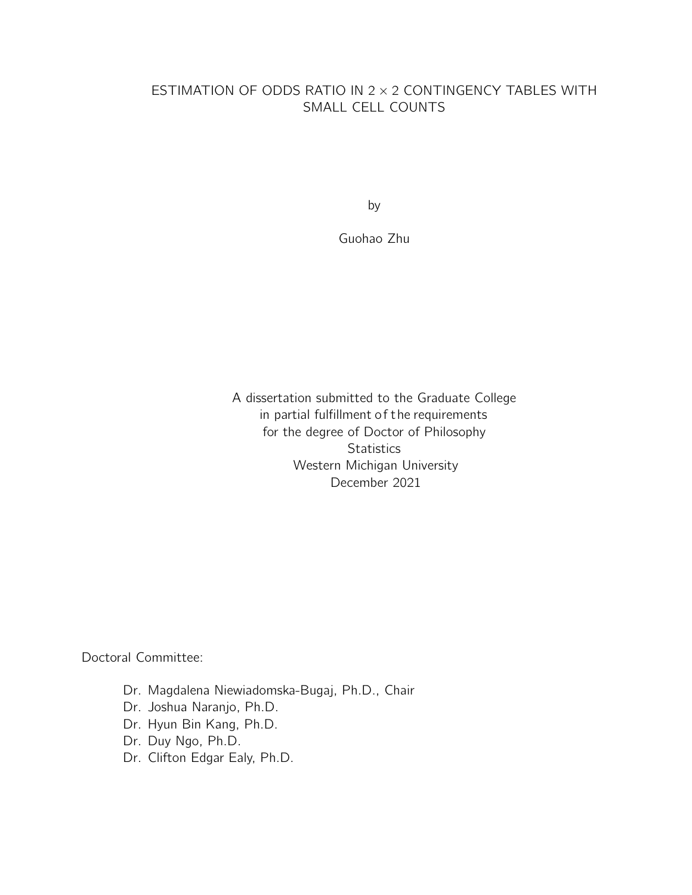#### ESTIMATION OF ODDS RATIO IN 2 × 2 CONTINGENCY TABLES WITH SMALL CELL COUNTS

by

Guohao Zhu

A dissertation submitted to the Graduate College in partial fulfillment of the requirements for the degree of Doctor of Philosophy **Statistics** Western Michigan University December 2021

Doctoral Committee:

- Dr. Magdalena Niewiadomska-Bugaj, Ph.D., Chair
- Dr. Joshua Naranjo, Ph.D.
- Dr. Hyun Bin Kang, Ph.D.
- Dr. Duy Ngo, Ph.D.
- Dr. Clifton Edgar Ealy, Ph.D.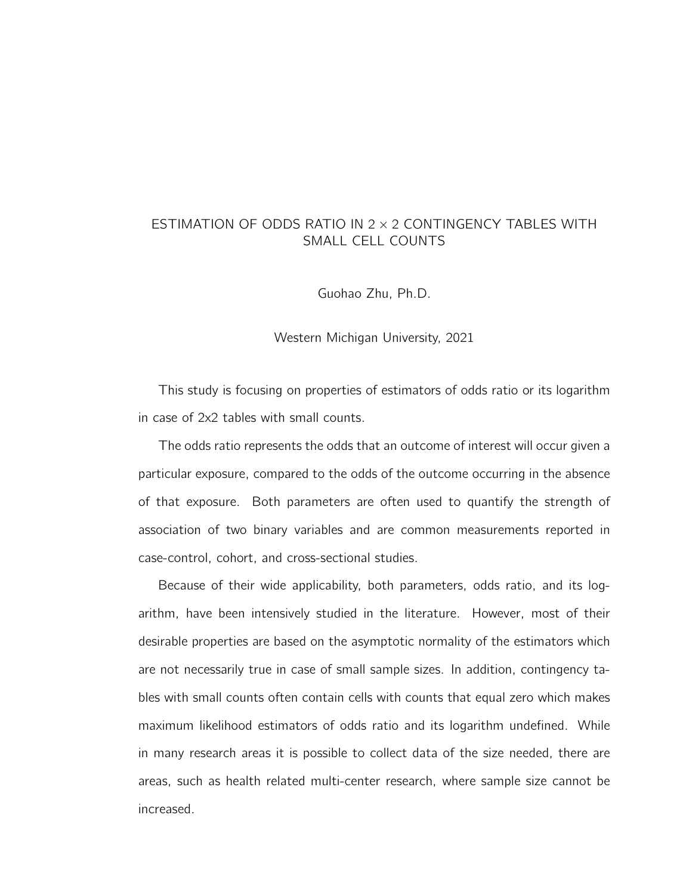#### ESTIMATION OF ODDS RATIO IN 2 × 2 CONTINGENCY TABLES WITH SMALL CELL COUNTS

Guohao Zhu, Ph.D.

#### Western Michigan University, 2021

This study is focusing on properties of estimators of odds ratio or its logarithm in case of 2x2 tables with small counts.

The odds ratio represents the odds that an outcome of interest will occur given a particular exposure, compared to the odds of the outcome occurring in the absence of that exposure. Both parameters are often used to quantify the strength of association of two binary variables and are common measurements reported in case-control, cohort, and cross-sectional studies.

Because of their wide applicability, both parameters, odds ratio, and its logarithm, have been intensively studied in the literature. However, most of their desirable properties are based on the asymptotic normality of the estimators which are not necessarily true in case of small sample sizes. In addition, contingency tables with small counts often contain cells with counts that equal zero which makes maximum likelihood estimators of odds ratio and its logarithm undefined. While in many research areas it is possible to collect data of the size needed, there are areas, such as health related multi-center research, where sample size cannot be increased.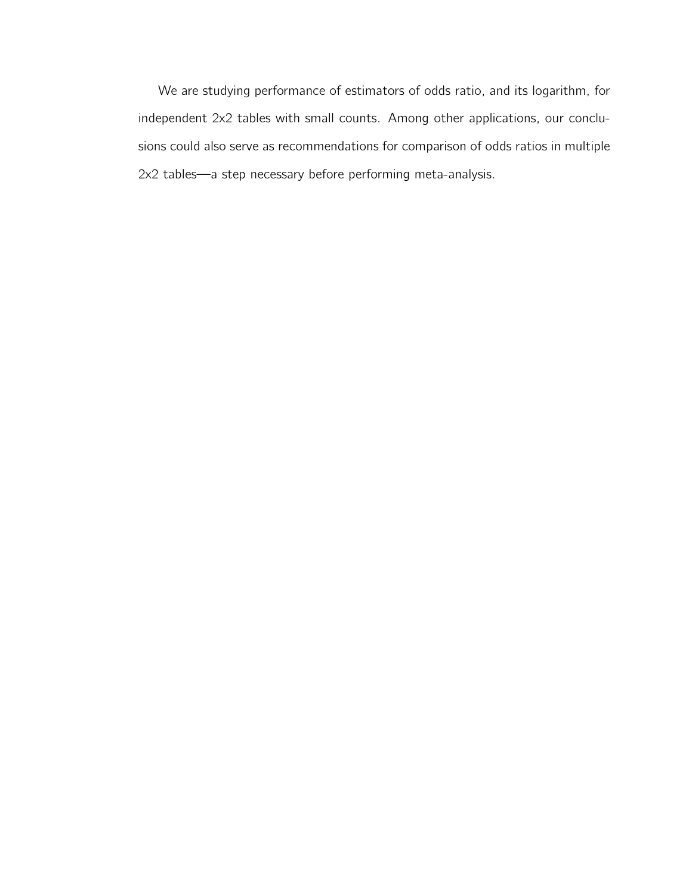We are studying performance of estimators of odds ratio, and its logarithm, for independent 2x2 tables with small counts. Among other applications, our conclusions could also serve as recommendations for comparison of odds ratios in multiple 2x2 tables—a step necessary before performing meta-analysis.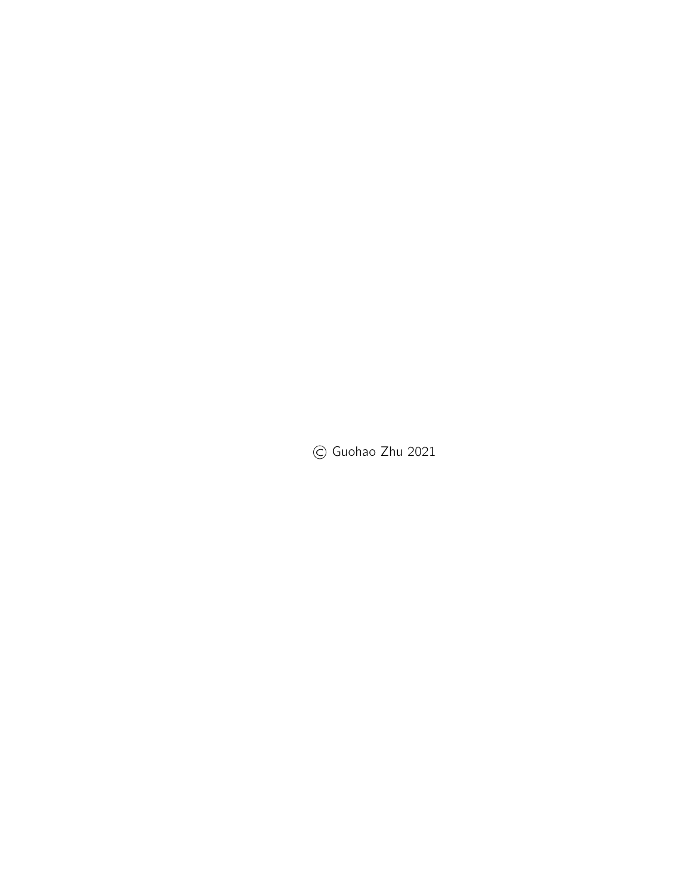© Guohao Zhu 2021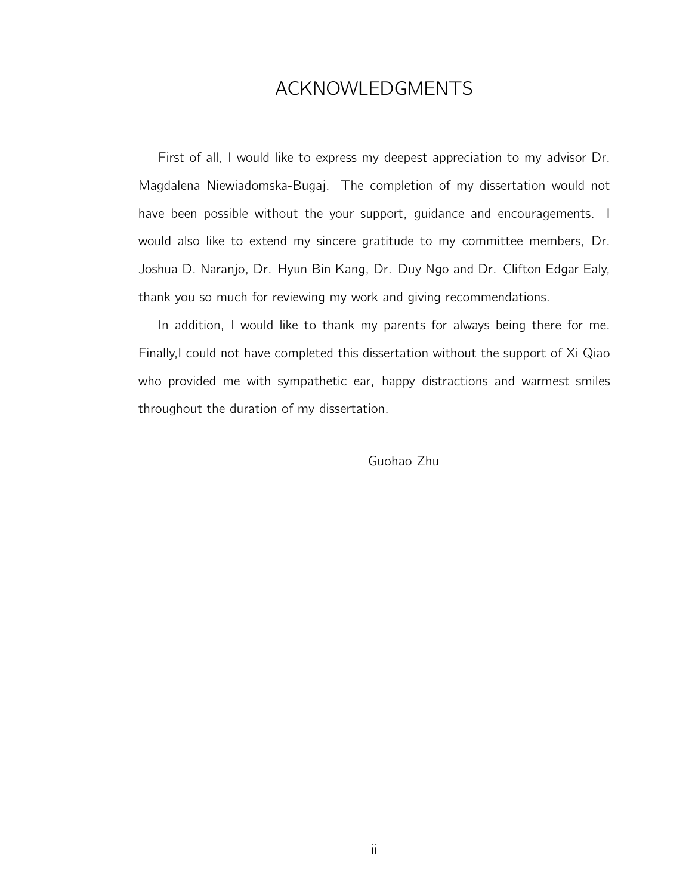#### ACKNOWLEDGMENTS

First of all, I would like to express my deepest appreciation to my advisor Dr. Magdalena Niewiadomska-Bugaj. The completion of my dissertation would not have been possible without the your support, guidance and encouragements. I would also like to extend my sincere gratitude to my committee members, Dr. Joshua D. Naranjo, Dr. Hyun Bin Kang, Dr. Duy Ngo and Dr. Clifton Edgar Ealy, thank you so much for reviewing my work and giving recommendations.

In addition, I would like to thank my parents for always being there for me. Finally,I could not have completed this dissertation without the support of Xi Qiao who provided me with sympathetic ear, happy distractions and warmest smiles throughout the duration of my dissertation.

Guohao Zhu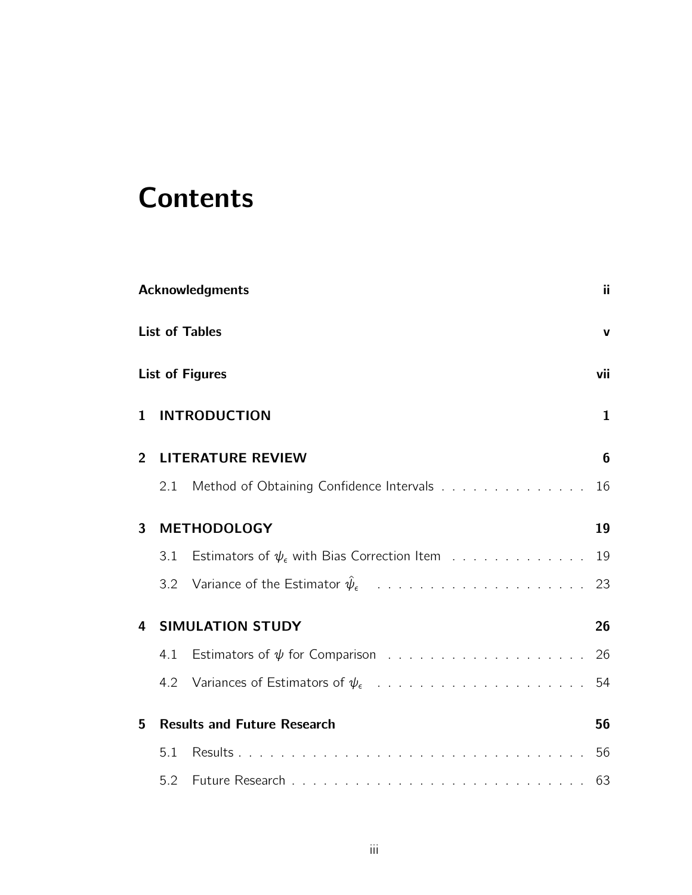# **Contents**

|                |     | <b>Acknowledgments</b>                                       | ji.            |
|----------------|-----|--------------------------------------------------------------|----------------|
|                |     | <b>List of Tables</b>                                        | V              |
|                |     | <b>List of Figures</b>                                       | vii            |
| 1              |     | <b>INTRODUCTION</b>                                          | $\mathbf{1}$   |
| $\overline{2}$ |     | <b>LITERATURE REVIEW</b>                                     | $6\phantom{1}$ |
|                | 2.1 | Method of Obtaining Confidence Intervals                     | 16             |
| 3              |     | <b>METHODOLOGY</b>                                           | 19             |
|                | 3.1 | Estimators of $\psi_{\epsilon}$ with Bias Correction Item 19 |                |
|                | 3.2 |                                                              |                |
| 4              |     | <b>SIMULATION STUDY</b>                                      | 26             |
|                | 4.1 |                                                              | 26             |
|                | 4.2 |                                                              | 54             |
| 5              |     | <b>Results and Future Research</b>                           | 56             |
|                | 5.1 |                                                              |                |
|                | 5.2 |                                                              |                |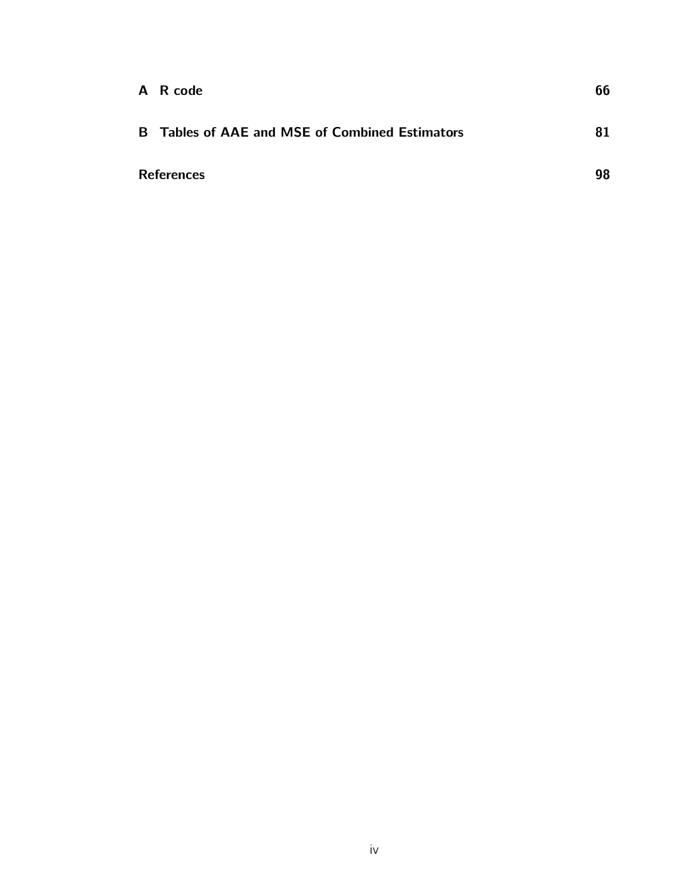| A R code                                              | 66 |
|-------------------------------------------------------|----|
| <b>B</b> Tables of AAE and MSE of Combined Estimators | 81 |
| <b>References</b>                                     | 98 |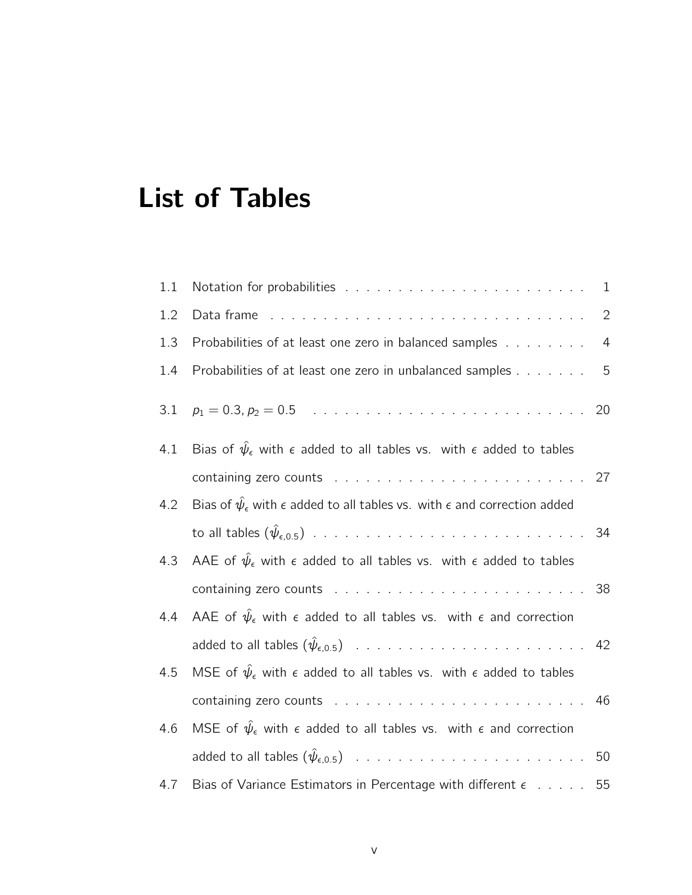# List of Tables

| 1.1 |                                                                                                                                                                                                                                | $\mathbf{1}$   |
|-----|--------------------------------------------------------------------------------------------------------------------------------------------------------------------------------------------------------------------------------|----------------|
| 1.2 | Data frame received and the contract of the contract of the Data frame and the Data frame and the Data frame and the Data frame and the Data frame and the Data frame and the Data frame and the Data frame and the Data frame | $\mathbf{2}$   |
| 1.3 | Probabilities of at least one zero in balanced samples                                                                                                                                                                         | $\overline{4}$ |
| 1.4 | Probabilities of at least one zero in unbalanced samples                                                                                                                                                                       | 5              |
| 3.1 |                                                                                                                                                                                                                                |                |
| 4.1 | Bias of $\hat{\psi}_{\epsilon}$ with $\epsilon$ added to all tables vs. with $\epsilon$ added to tables                                                                                                                        |                |
|     |                                                                                                                                                                                                                                |                |
| 4.2 | Bias of $\hat{\psi}_{\epsilon}$ with $\epsilon$ added to all tables vs. with $\epsilon$ and correction added                                                                                                                   |                |
|     |                                                                                                                                                                                                                                | 34             |
| 4.3 | AAE of $\hat{\psi}_{\epsilon}$ with $\epsilon$ added to all tables vs. with $\epsilon$ added to tables                                                                                                                         |                |
|     |                                                                                                                                                                                                                                |                |
| 4.4 | AAE of $\hat{\psi}_{\epsilon}$ with $\epsilon$ added to all tables vs. with $\epsilon$ and correction                                                                                                                          |                |
|     |                                                                                                                                                                                                                                |                |
| 4.5 | MSE of $\hat{\psi}_{\epsilon}$ with $\epsilon$ added to all tables vs. with $\epsilon$ added to tables                                                                                                                         |                |
|     | containing zero counts research and contained a series and containing zero counts research and contained a series                                                                                                              |                |
| 4.6 | MSE of $\hat{\psi}_{\epsilon}$ with $\epsilon$ added to all tables vs. with $\epsilon$ and correction                                                                                                                          |                |
|     |                                                                                                                                                                                                                                |                |
| 4.7 | Bias of Variance Estimators in Percentage with different $\epsilon$ 55                                                                                                                                                         |                |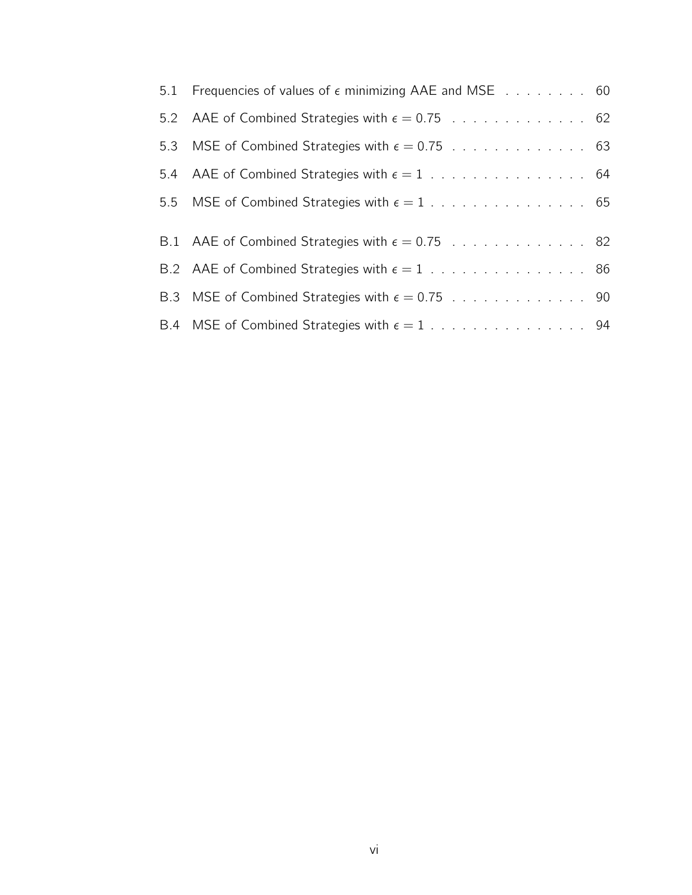| 5.1 Frequencies of values of $\epsilon$ minimizing AAE and MSE 60 |  |
|-------------------------------------------------------------------|--|
|                                                                   |  |
|                                                                   |  |
|                                                                   |  |
|                                                                   |  |
| B.1 AAE of Combined Strategies with $\epsilon = 0.75$ 82          |  |
|                                                                   |  |
|                                                                   |  |
|                                                                   |  |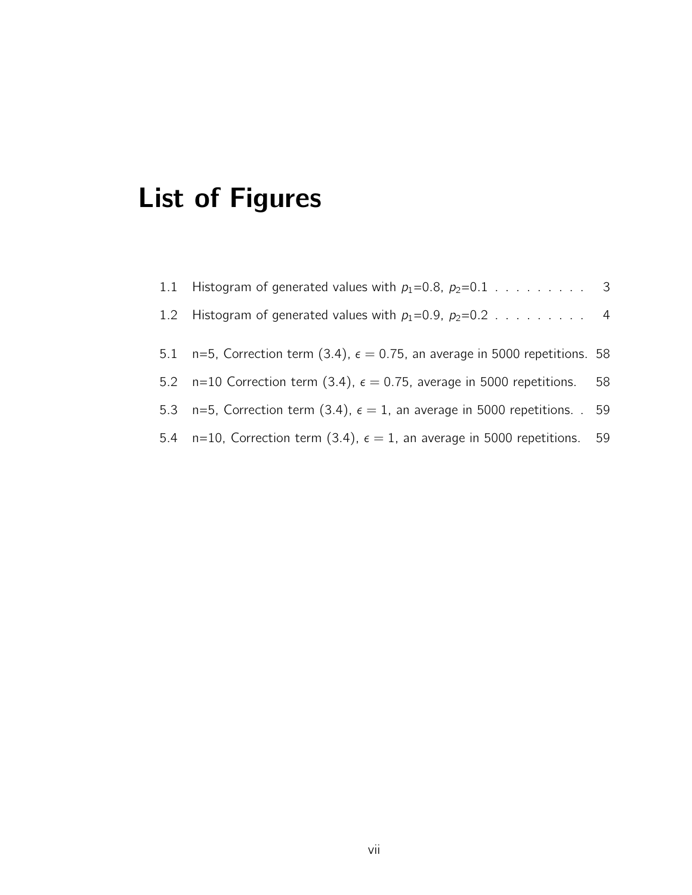# List of Figures

| 1.1 Histogram of generated values with $p_1=0.8$ , $p_2=0.1$ 3                         |  |
|----------------------------------------------------------------------------------------|--|
| 1.2 Histogram of generated values with $p_1=0.9$ , $p_2=0.2$ 4                         |  |
| 5.1 n=5, Correction term (3.4), $\epsilon = 0.75$ , an average in 5000 repetitions. 58 |  |
| 5.2 n=10 Correction term (3.4), $\epsilon = 0.75$ , average in 5000 repetitions. 58    |  |
| 5.3 n=5, Correction term (3.4), $\epsilon = 1$ , an average in 5000 repetitions. 59    |  |
| 5.4 n=10, Correction term (3.4), $\epsilon = 1$ , an average in 5000 repetitions. 59   |  |
|                                                                                        |  |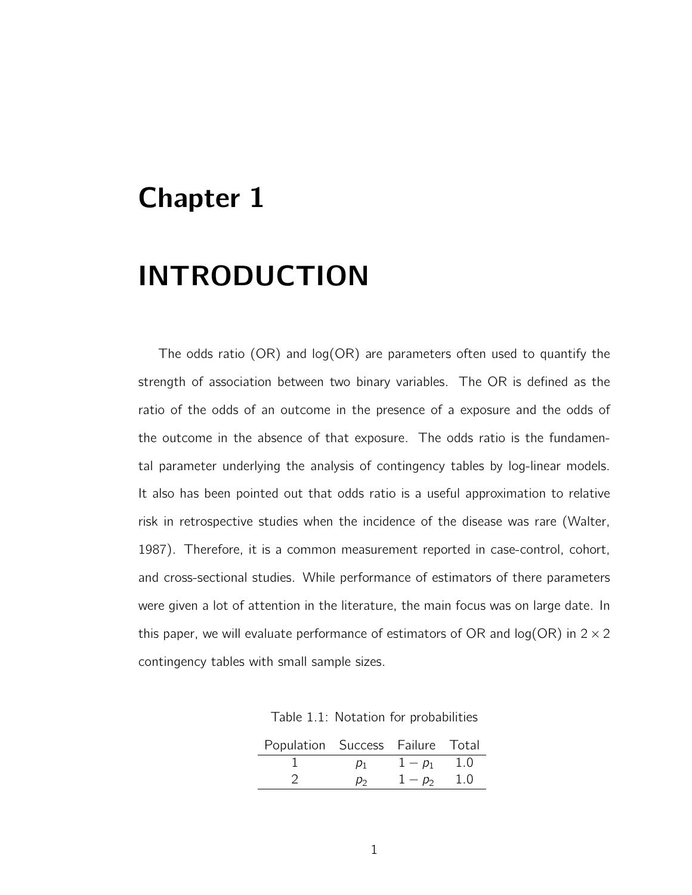## Chapter 1

# INTRODUCTION

The odds ratio (OR) and log(OR) are parameters often used to quantify the strength of association between two binary variables. The OR is defined as the ratio of the odds of an outcome in the presence of a exposure and the odds of the outcome in the absence of that exposure. The odds ratio is the fundamental parameter underlying the analysis of contingency tables by log-linear models. It also has been pointed out that odds ratio is a useful approximation to relative risk in retrospective studies when the incidence of the disease was rare (Walter, 1987). Therefore, it is a common measurement reported in case-control, cohort, and cross-sectional studies. While performance of estimators of there parameters were given a lot of attention in the literature, the main focus was on large date. In this paper, we will evaluate performance of estimators of OR and log(OR) in  $2 \times 2$ contingency tables with small sample sizes.

Table 1.1: Notation for probabilities

| Population Success Failure Total |       |             |  |
|----------------------------------|-------|-------------|--|
|                                  | $D_1$ | $1-p_1$ 1.0 |  |
|                                  | $D_2$ | $1-p_2$ 1.0 |  |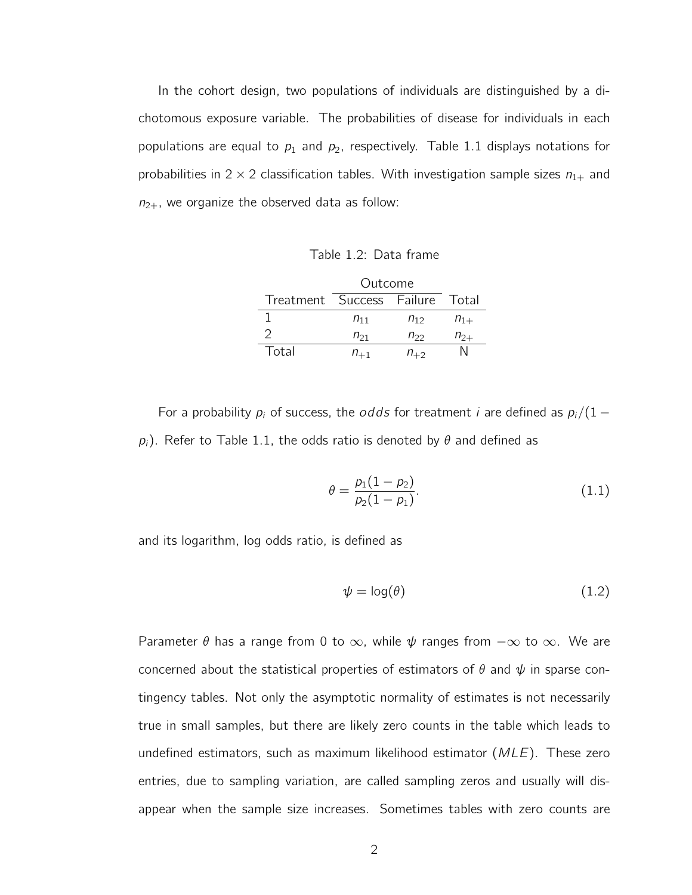In the cohort design, two populations of individuals are distinguished by a dichotomous exposure variable. The probabilities of disease for individuals in each populations are equal to  $p_1$  and  $p_2$ , respectively. Table 1.1 displays notations for probabilities in  $2 \times 2$  classification tables. With investigation sample sizes  $n_{1+}$  and  $n_{2+}$ , we organize the observed data as follow:

Table 1.2: Data frame

|                                 | Outcome  |          |          |
|---------------------------------|----------|----------|----------|
| Treatment Success Failure Total |          |          |          |
|                                 | $n_{11}$ | $n_{12}$ | $n_{1+}$ |
|                                 | $n_{21}$ | $n_{22}$ | $n_{2+}$ |
| Total                           | $n_{+1}$ | $n_{+2}$ |          |

For a probability  $p_i$  of success, the *odds* for treatment *i* are defined as  $p_i/(1$  $p_i$ ). Refer to Table 1.1, the odds ratio is denoted by  $\theta$  and defined as

$$
\theta = \frac{p_1(1 - p_2)}{p_2(1 - p_1)}.\tag{1.1}
$$

and its logarithm, log odds ratio, is defined as

$$
\psi = \log(\theta) \tag{1.2}
$$

Parameter  $\theta$  has a range from 0 to  $\infty$ , while  $\psi$  ranges from  $-\infty$  to  $\infty$ . We are concerned about the statistical properties of estimators of  $\theta$  and  $\psi$  in sparse contingency tables. Not only the asymptotic normality of estimates is not necessarily true in small samples, but there are likely zero counts in the table which leads to undefined estimators, such as maximum likelihood estimator  $(MLE)$ . These zero entries, due to sampling variation, are called sampling zeros and usually will disappear when the sample size increases. Sometimes tables with zero counts are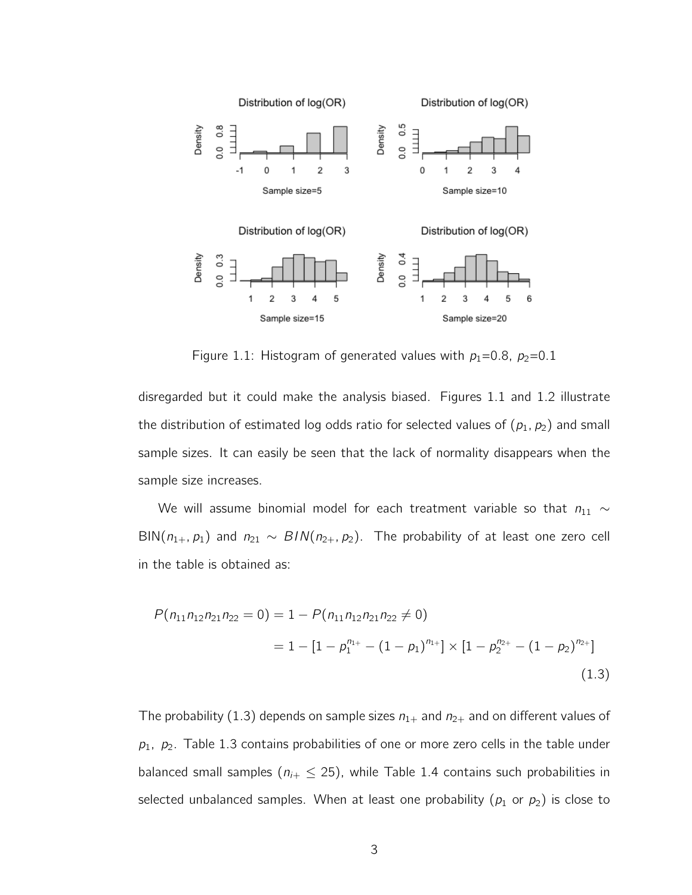

Figure 1.1: Histogram of generated values with  $p_1=0.8$ ,  $p_2=0.1$ 

disregarded but it could make the analysis biased. Figures 1.1 and 1.2 illustrate the distribution of estimated log odds ratio for selected values of  $(p_1, p_2)$  and small sample sizes. It can easily be seen that the lack of normality disappears when the sample size increases.

We will assume binomial model for each treatment variable so that  $n_{11} \sim$ BIN( $n_{1+}$ ,  $p_1$ ) and  $n_{21} \sim BIN(n_{2+}, p_2)$ . The probability of at least one zero cell in the table is obtained as:

$$
P(n_{11}n_{12}n_{21}n_{22} = 0) = 1 - P(n_{11}n_{12}n_{21}n_{22} \neq 0)
$$
  
= 1 - [1 - p<sub>1</sub><sup>n<sub>1+</sub></sup> - (1 - p<sub>1</sub>)<sup>n<sub>1+</sub></sup>] × [1 - p<sub>2</sub><sup>n<sub>2+</sub></sup> - (1 - p<sub>2</sub>)<sup>n<sub>2+</sub></sup>] (1.3)

The probability (1.3) depends on sample sizes  $n_{1+}$  and  $n_{2+}$  and on different values of  $p_1$ ,  $p_2$ . Table 1.3 contains probabilities of one or more zero cells in the table under balanced small samples ( $n_{i+} \leq 25$ ), while Table 1.4 contains such probabilities in selected unbalanced samples. When at least one probability ( $p_1$  or  $p_2$ ) is close to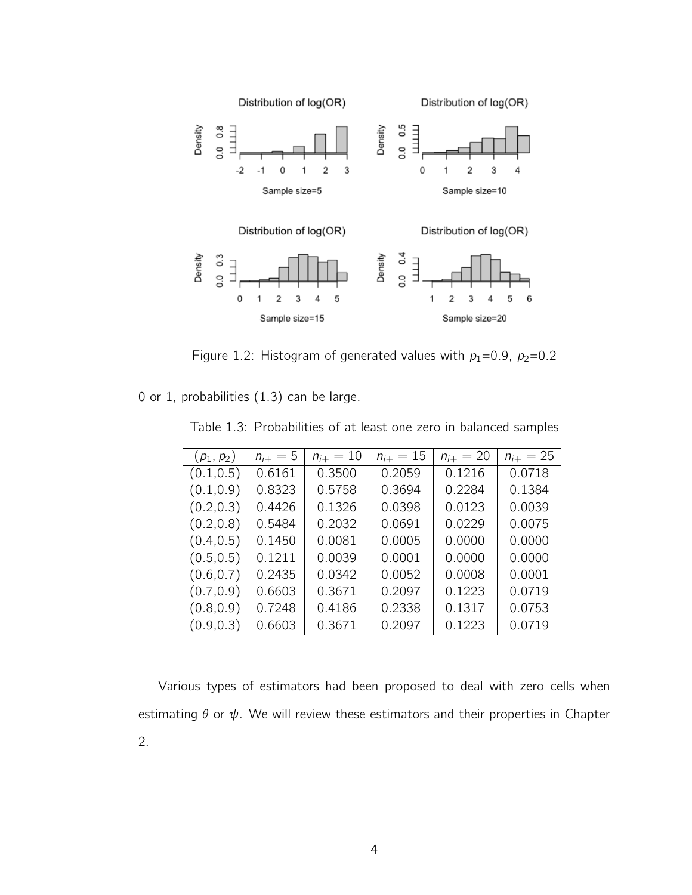

Figure 1.2: Histogram of generated values with  $p_1=0.9$ ,  $p_2=0.2$ 

0 or 1, probabilities (1.3) can be large.

| $(p_1, p_2)$ | $n_{i+} = 5$ | $n_{i+} = 10$ | $n_{i+} = 15$ | $n_{i+} = 20$ | $n_{i+} = 25$ |
|--------------|--------------|---------------|---------------|---------------|---------------|
| (0.1, 0.5)   | 0.6161       | 0.3500        | 0.2059        | 0.1216        | 0.0718        |
| (0.1, 0.9)   | 0.8323       | 0.5758        | 0.3694        | 0.2284        | 0.1384        |
| (0.2, 0.3)   | 0.4426       | 0.1326        | 0.0398        | 0.0123        | 0.0039        |
| (0.2, 0.8)   | 0.5484       | 0.2032        | 0.0691        | 0.0229        | 0.0075        |
| (0.4, 0.5)   | 0.1450       | 0.0081        | 0.0005        | 0.0000        | 0.0000        |
| (0.5, 0.5)   | 0.1211       | 0.0039        | 0.0001        | 0.0000        | 0.0000        |
| (0.6, 0.7)   | 0.2435       | 0.0342        | 0.0052        | 0.0008        | 0.0001        |
| (0.7, 0.9)   | 0.6603       | 0.3671        | 0.2097        | 0.1223        | 0.0719        |
| (0.8, 0.9)   | 0.7248       | 0.4186        | 0.2338        | 0.1317        | 0.0753        |
| (0.9, 0.3)   | 0.6603       | 0.3671        | 0.2097        | 0.1223        | 0.0719        |

Table 1.3: Probabilities of at least one zero in balanced samples

Various types of estimators had been proposed to deal with zero cells when estimating  $\theta$  or  $\psi$ . We will review these estimators and their properties in Chapter 2.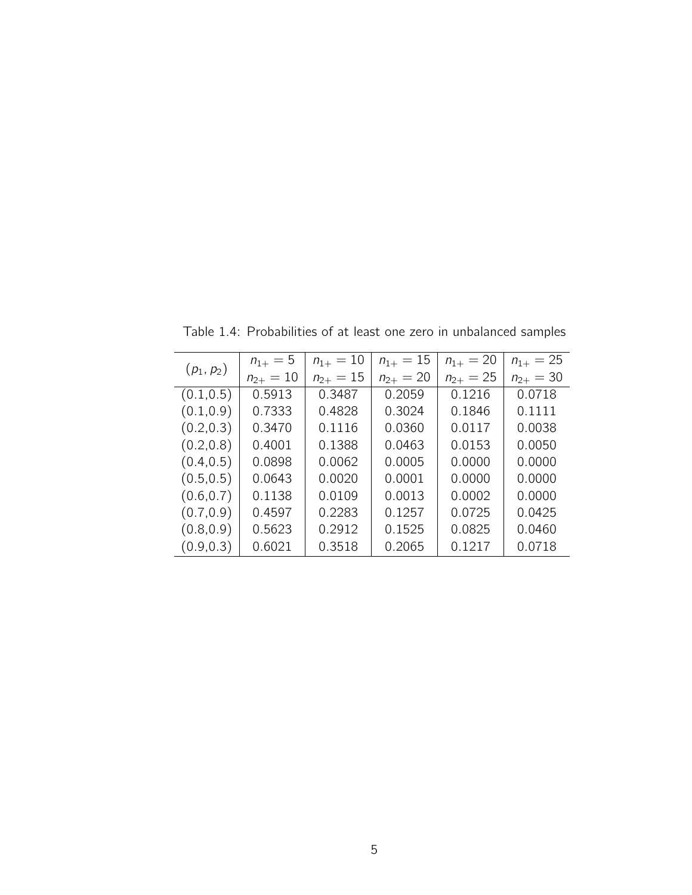|              | $n_{1+} = 5$  | $n_{1+} = 10$ | $n_{1+} = 15$ | $n_{1+} = 20$ | $n_{1+} = 25$ |
|--------------|---------------|---------------|---------------|---------------|---------------|
| $(p_1, p_2)$ | $n_{2+} = 10$ | $n_{2+} = 15$ | $n_{2+} = 20$ | $n_{2+} = 25$ | $n_{2+} = 30$ |
| (0.1, 0.5)   | 0.5913        | 0.3487        | 0.2059        | 0.1216        | 0.0718        |
| (0.1, 0.9)   | 0.7333        | 0.4828        | 0.3024        | 0.1846        | 0.1111        |
| (0.2, 0.3)   | 0.3470        | 0.1116        | 0.0360        | 0.0117        | 0.0038        |
| (0.2, 0.8)   | 0.4001        | 0.1388        | 0.0463        | 0.0153        | 0.0050        |
| (0.4, 0.5)   | 0.0898        | 0.0062        | 0.0005        | 0.0000        | 0.0000        |
| (0.5, 0.5)   | 0.0643        | 0.0020        | 0.0001        | 0.0000        | 0.0000        |
| (0.6, 0.7)   | 0.1138        | 0.0109        | 0.0013        | 0.0002        | 0.0000        |
| (0.7, 0.9)   | 0.4597        | 0.2283        | 0.1257        | 0.0725        | 0.0425        |
| (0.8, 0.9)   | 0.5623        | 0.2912        | 0.1525        | 0.0825        | 0.0460        |
| (0.9, 0.3)   | 0.6021        | 0.3518        | 0.2065        | 0.1217        | 0.0718        |

Table 1.4: Probabilities of at least one zero in unbalanced samples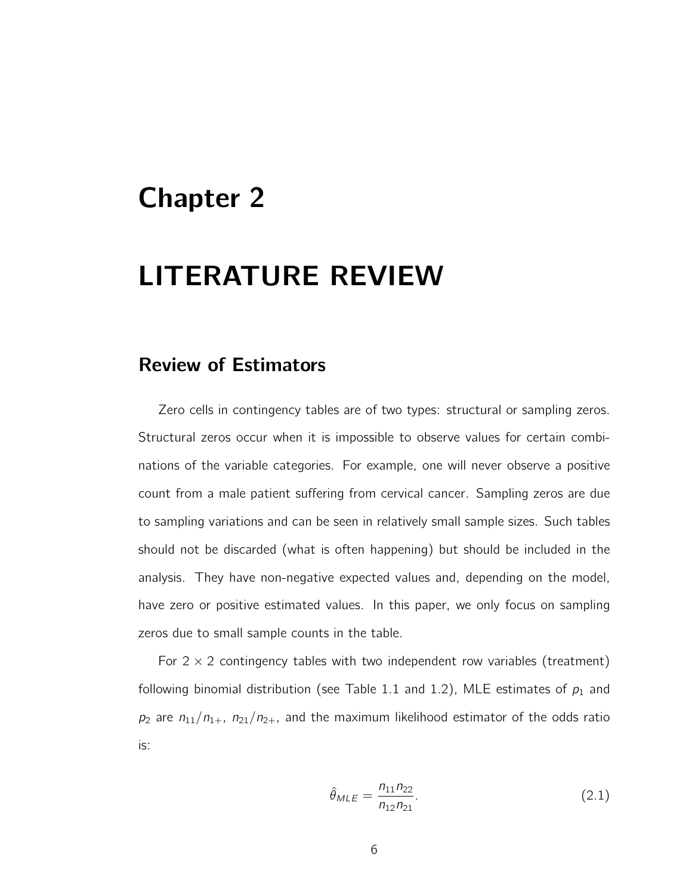## Chapter 2

## LITERATURE REVIEW

#### Review of Estimators

Zero cells in contingency tables are of two types: structural or sampling zeros. Structural zeros occur when it is impossible to observe values for certain combinations of the variable categories. For example, one will never observe a positive count from a male patient suffering from cervical cancer. Sampling zeros are due to sampling variations and can be seen in relatively small sample sizes. Such tables should not be discarded (what is often happening) but should be included in the analysis. They have non-negative expected values and, depending on the model, have zero or positive estimated values. In this paper, we only focus on sampling zeros due to small sample counts in the table.

For  $2 \times 2$  contingency tables with two independent row variables (treatment) following binomial distribution (see Table 1.1 and 1.2), MLE estimates of  $p_1$  and  $p_2$  are  $n_{11}/n_{1+}$ ,  $n_{21}/n_{2+}$ , and the maximum likelihood estimator of the odds ratio is:

$$
\hat{\theta}_{MLE} = \frac{n_{11}n_{22}}{n_{12}n_{21}}.\tag{2.1}
$$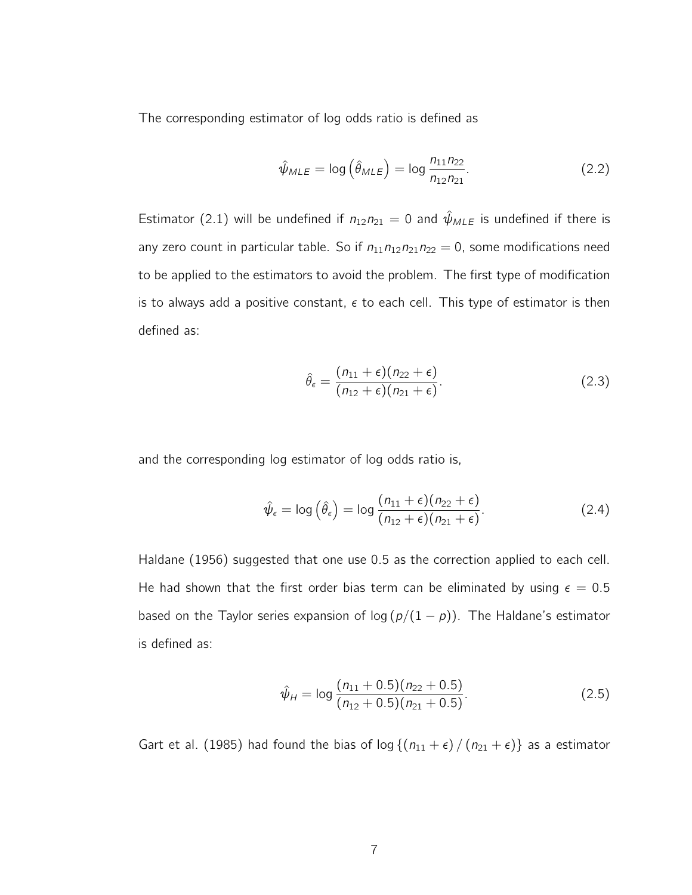The corresponding estimator of log odds ratio is defined as

$$
\hat{\psi}_{MLE} = \log\left(\hat{\theta}_{MLE}\right) = \log\frac{n_{11}n_{22}}{n_{12}n_{21}}.\tag{2.2}
$$

Estimator (2.1) will be undefined if  $n_{12}n_{21} = 0$  and  $\hat{\psi}_{MLE}$  is undefined if there is any zero count in particular table. So if  $n_{11}n_{12}n_{21}n_{22} = 0$ , some modifications need to be applied to the estimators to avoid the problem. The first type of modification is to always add a positive constant,  $\epsilon$  to each cell. This type of estimator is then defined as:

$$
\hat{\theta}_{\epsilon} = \frac{(n_{11} + \epsilon)(n_{22} + \epsilon)}{(n_{12} + \epsilon)(n_{21} + \epsilon)}.
$$
\n(2.3)

and the corresponding log estimator of log odds ratio is,

$$
\hat{\psi}_{\epsilon} = \log\left(\hat{\theta}_{\epsilon}\right) = \log\frac{(n_{11} + \epsilon)(n_{22} + \epsilon)}{(n_{12} + \epsilon)(n_{21} + \epsilon)}.\tag{2.4}
$$

Haldane (1956) suggested that one use 0.5 as the correction applied to each cell. He had shown that the first order bias term can be eliminated by using  $\epsilon = 0.5$ based on the Taylor series expansion of log  $(p/(1-p))$ . The Haldane's estimator is defined as:

$$
\hat{\psi}_H = \log \frac{(n_{11} + 0.5)(n_{22} + 0.5)}{(n_{12} + 0.5)(n_{21} + 0.5)}.
$$
\n(2.5)

Gart et al. (1985) had found the bias of log  $\{(n_{11} + \epsilon) / (n_{21} + \epsilon)\}\)$  as a estimator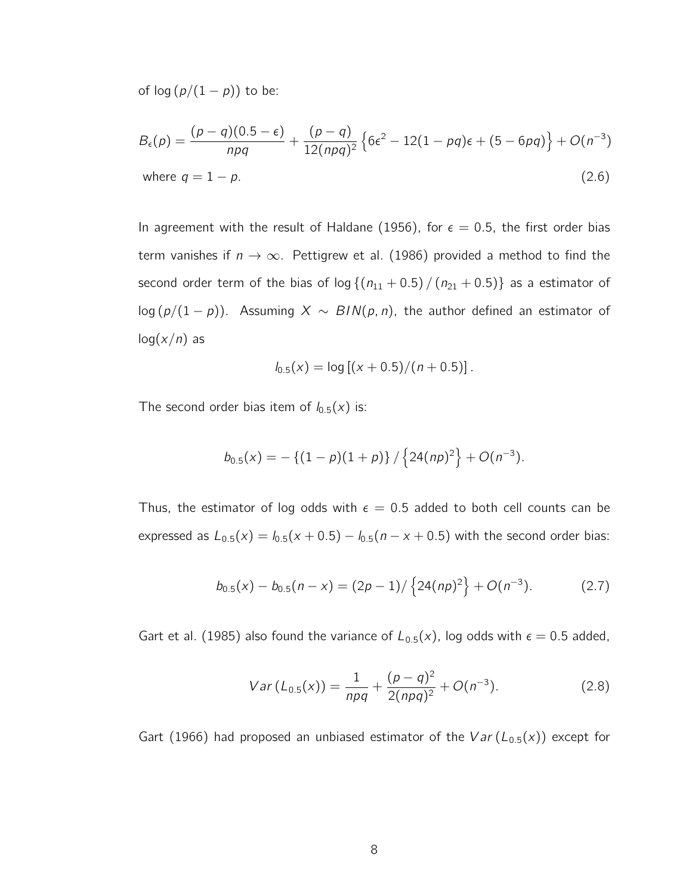of  $log (p/(1-p))$  to be:

$$
B_{\epsilon}(p) = \frac{(p-q)(0.5-\epsilon)}{npq} + \frac{(p-q)}{12(npq)^2} \left\{ 6\epsilon^2 - 12(1-pq)\epsilon + (5-6pq) \right\} + O(n^{-3})
$$
  
where  $q = 1-p$ . (2.6)

In agreement with the result of Haldane (1956), for  $\epsilon = 0.5$ , the first order bias term vanishes if  $n \to \infty$ . Pettigrew et al. (1986) provided a method to find the second order term of the bias of  $\log \{(n_{11} + 0.5) / (n_{21} + 0.5)\}\)$  as a estimator of log  $(p/(1-p))$ . Assuming  $X \sim BIN(p, n)$ , the author defined an estimator of  $log(x/n)$  as

$$
I_{0.5}(x) = \log [(x + 0.5)/(n + 0.5)].
$$

The second order bias item of  $l_{0.5}(x)$  is:

$$
b_{0.5}(x) = -\{(1-p)(1+p)\}/\{24(np)^2\} + O(n^{-3}).
$$

Thus, the estimator of log odds with  $\epsilon = 0.5$  added to both cell counts can be expressed as  $L_{0.5}(x) = I_{0.5}(x + 0.5) - I_{0.5}(n - x + 0.5)$  with the second order bias:

$$
b_{0.5}(x) - b_{0.5}(n - x) = (2p - 1)/\left\{24(np)^2\right\} + O(n^{-3}).\tag{2.7}
$$

Gart et al. (1985) also found the variance of  $L_{0.5}(x)$ , log odds with  $\epsilon = 0.5$  added,

$$
Var(L_{0.5}(x)) = \frac{1}{npq} + \frac{(p-q)^2}{2(npq)^2} + O(n^{-3}).
$$
 (2.8)

Gart (1966) had proposed an unbiased estimator of the  $Var(L_{0.5}(x))$  except for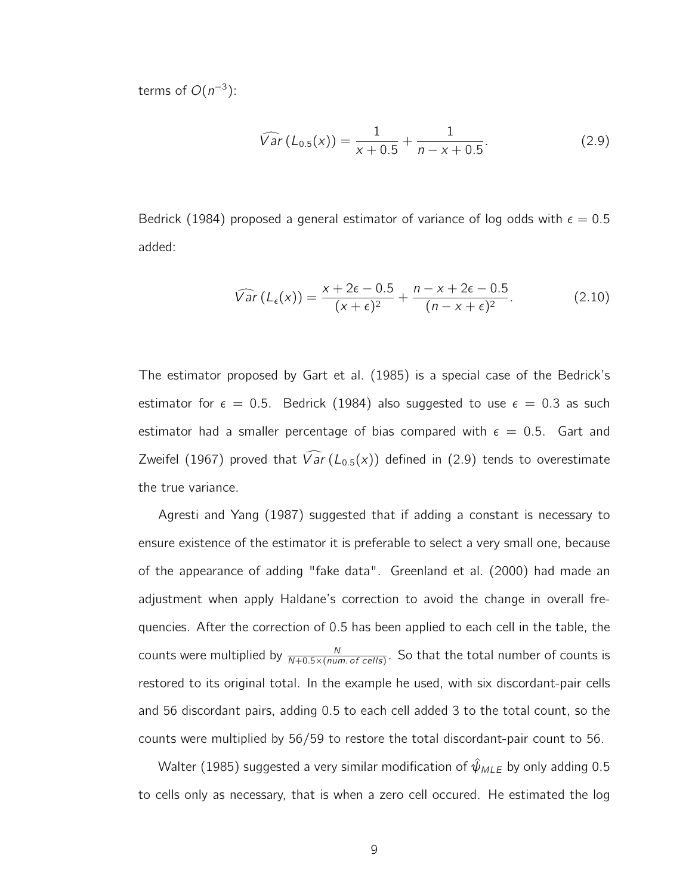terms of  $O(n^{-3})$ :

$$
\widehat{Var}\left(L_{0.5}(x)\right) = \frac{1}{x + 0.5} + \frac{1}{n - x + 0.5}.\tag{2.9}
$$

Bedrick (1984) proposed a general estimator of variance of log odds with  $\epsilon = 0.5$ added:

$$
\widehat{Var}\left(L_{\epsilon}(x)\right) = \frac{x + 2\epsilon - 0.5}{(x + \epsilon)^2} + \frac{n - x + 2\epsilon - 0.5}{(n - x + \epsilon)^2}.
$$
\n(2.10)

The estimator proposed by Gart et al. (1985) is a special case of the Bedrick's estimator for  $\epsilon = 0.5$ . Bedrick (1984) also suggested to use  $\epsilon = 0.3$  as such estimator had a smaller percentage of bias compared with  $\epsilon = 0.5$ . Gart and Zweifel (1967) proved that  $\widehat{Var}(L_{0.5}(x))$  defined in (2.9) tends to overestimate the true variance.

Agresti and Yang (1987) suggested that if adding a constant is necessary to ensure existence of the estimator it is preferable to select a very small one, because of the appearance of adding "fake data". Greenland et al. (2000) had made an adjustment when apply Haldane's correction to avoid the change in overall frequencies. After the correction of 0.5 has been applied to each cell in the table, the counts were multiplied by  $\frac{N}{N+0.5\times(num.\ of\ cells)}$ . So that the total number of counts is restored to its original total. In the example he used, with six discordant-pair cells and 56 discordant pairs, adding 0.5 to each cell added 3 to the total count, so the counts were multiplied by 56/59 to restore the total discordant-pair count to 56.

Walter (1985) suggested a very similar modification of  $\hat{\psi}_{MLE}$  by only adding 0.5 to cells only as necessary, that is when a zero cell occured. He estimated the log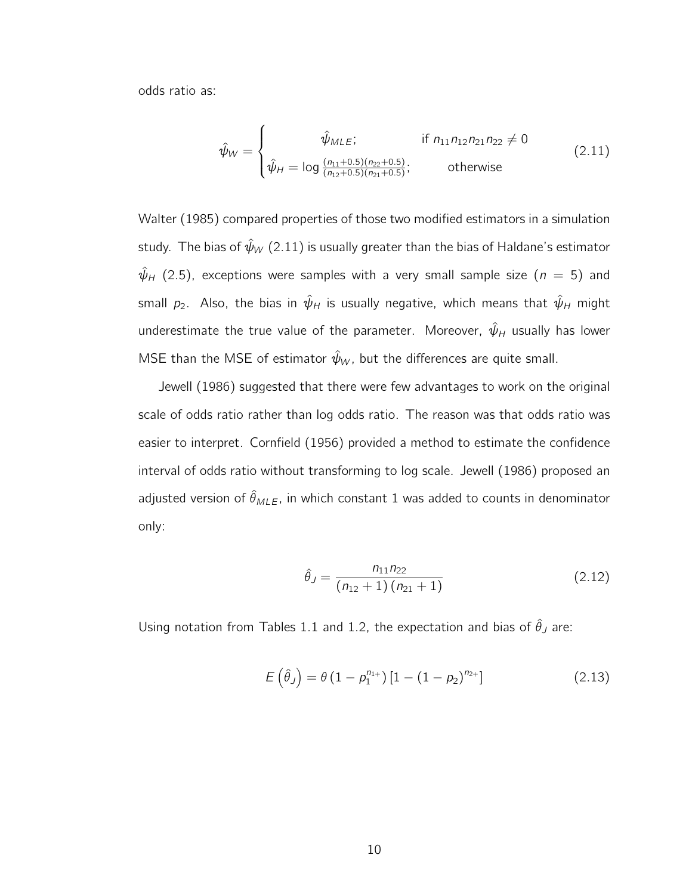odds ratio as:

$$
\hat{\psi}_W = \begin{cases}\n\hat{\psi}_{MLE}; & \text{if } n_{11}n_{12}n_{21}n_{22} \neq 0 \\
\hat{\psi}_H = \log \frac{(n_{11} + 0.5)(n_{22} + 0.5)}{(n_{12} + 0.5)(n_{21} + 0.5)}; & \text{otherwise}\n\end{cases}
$$
\n(2.11)

Walter (1985) compared properties of those two modified estimators in a simulation study. The bias of  $\hat{\psi}_W$  (2.11) is usually greater than the bias of Haldane's estimator  $\hat{\psi}_H$  (2.5), exceptions were samples with a very small sample size ( $n = 5$ ) and small  $p_2$ . Also, the bias in  $\hat{\psi}_H$  is usually negative, which means that  $\hat{\psi}_H$  might underestimate the true value of the parameter. Moreover,  $\hat{\psi}_H$  usually has lower MSE than the MSE of estimator  $\hat{\psi}_W$ , but the differences are quite small.

Jewell (1986) suggested that there were few advantages to work on the original scale of odds ratio rather than log odds ratio. The reason was that odds ratio was easier to interpret. Cornfield (1956) provided a method to estimate the confidence interval of odds ratio without transforming to log scale. Jewell (1986) proposed an adjusted version of  $\hat{\theta}_{MLE}$ , in which constant 1 was added to counts in denominator only:

$$
\hat{\theta}_J = \frac{n_{11}n_{22}}{(n_{12}+1)(n_{21}+1)}
$$
(2.12)

Using notation from Tables 1.1 and 1.2, the expectation and bias of  $\hat{\theta}_J$  are:

$$
E(\hat{\theta}_J) = \theta (1 - p_1^{n_{1+}}) [1 - (1 - p_2)^{n_{2+}}]
$$
\n(2.13)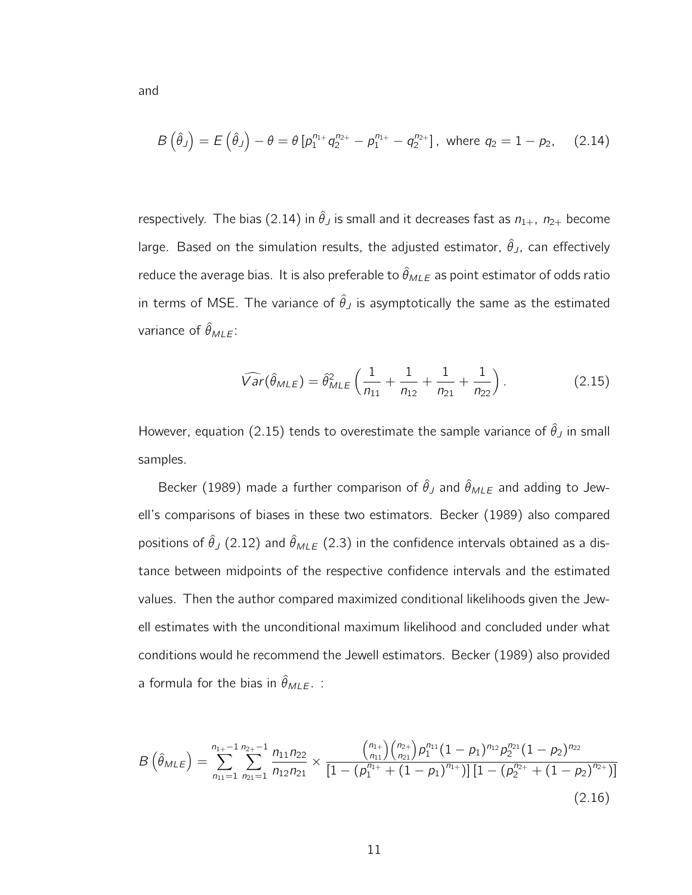$$
B(\hat{\theta}_J) = E(\hat{\theta}_J) - \theta = \theta \left[ p_1^{n_{1+}} q_2^{n_{2+}} - p_1^{n_{1+}} - q_2^{n_{2+}} \right], \text{ where } q_2 = 1 - p_2, \quad (2.14)
$$

respectively. The bias (2.14) in  $\hat{\theta}_J$  is small and it decreases fast as  $n_{1+}$ ,  $n_{2+}$  become large. Based on the simulation results, the adjusted estimator,  $\hat{\theta}_J$ , can effectively reduce the average bias. It is also preferable to  $\hat{\theta}_{MLE}$  as point estimator of odds ratio in terms of MSE. The variance of  $\hat{\theta}_J$  is asymptotically the same as the estimated variance of  $\hat{\theta}_{MLE}$ :

$$
\widehat{Var}(\hat{\theta}_{MLE}) = \hat{\theta}_{MLE}^2 \left(\frac{1}{n_{11}} + \frac{1}{n_{12}} + \frac{1}{n_{21}} + \frac{1}{n_{22}}\right). \tag{2.15}
$$

However, equation (2.15) tends to overestimate the sample variance of  $\hat{\theta}_J$  in small samples.

Becker (1989) made a further comparison of  $\hat{\theta}_J$  and  $\hat{\theta}_{MLE}$  and adding to Jewell's comparisons of biases in these two estimators. Becker (1989) also compared positions of  $\hat{\theta}_J$  (2.12) and  $\hat{\theta}_{MLE}$  (2.3) in the confidence intervals obtained as a distance between midpoints of the respective confidence intervals and the estimated values. Then the author compared maximized conditional likelihoods given the Jewell estimates with the unconditional maximum likelihood and concluded under what conditions would he recommend the Jewell estimators. Becker (1989) also provided a formula for the bias in  $\hat{\theta}_{MLE}$ . :

$$
B\left(\hat{\theta}_{MLE}\right) = \sum_{n_{11}=1}^{n_{1+}-1} \sum_{n_{21}=1}^{n_{2+}-1} \frac{n_{11}n_{22}}{n_{12}n_{21}} \times \frac{\binom{n_{1+}}{n_{11}}\binom{n_{2+}}{n_{21}}p_1^{n_{11}}(1-p_1)^{n_{12}}p_2^{n_{21}}(1-p_2)^{n_{22}}}{\left[1-\left(p_1^{n_{1+}}+(1-p_1)^{n_{1+}}\right)\right]\left[1-\left(p_2^{n_{2+}}+(1-p_2)^{n_{2+}}\right)\right]}
$$
\n(2.16)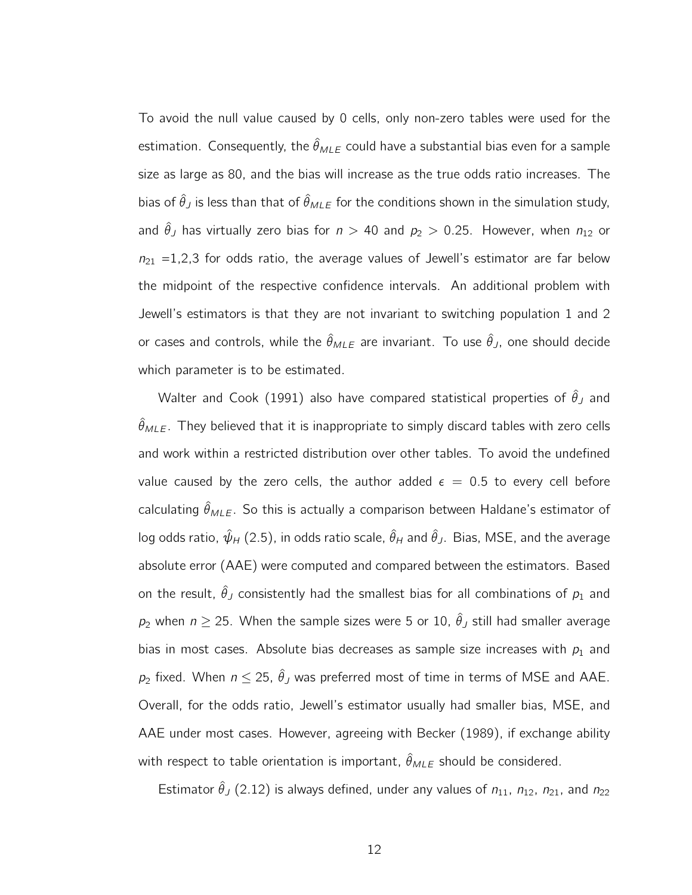To avoid the null value caused by 0 cells, only non-zero tables were used for the estimation. Consequently, the  $\hat{\theta}_{MLE}$  could have a substantial bias even for a sample size as large as 80, and the bias will increase as the true odds ratio increases. The bias of  $\hat{\theta}_J$  is less than that of  $\hat{\theta}_{MLE}$  for the conditions shown in the simulation study, and  $\hat{\theta}_J$  has virtually zero bias for  $n > 40$  and  $p_2 > 0.25$ . However, when  $n_{12}$  or  $n_{21}$  =1,2,3 for odds ratio, the average values of Jewell's estimator are far below the midpoint of the respective confidence intervals. An additional problem with Jewell's estimators is that they are not invariant to switching population 1 and 2 or cases and controls, while the  $\hat{\theta}_{MLE}$  are invariant. To use  $\hat{\theta}_J$ , one should decide which parameter is to be estimated.

Walter and Cook (1991) also have compared statistical properties of  $\hat{\theta}_J$  and  $\hat{\theta}_{MLE}$ . They believed that it is inappropriate to simply discard tables with zero cells and work within a restricted distribution over other tables. To avoid the undefined value caused by the zero cells, the author added  $\epsilon = 0.5$  to every cell before calculating  $\hat{\theta}_{MLE}$ . So this is actually a comparison between Haldane's estimator of log odds ratio,  $\hat{\psi}_H$  (2.5), in odds ratio scale,  $\hat{\theta}_H$  and  $\hat{\theta}_J$ . Bias, MSE, and the average absolute error (AAE) were computed and compared between the estimators. Based on the result,  $\hat{\theta}_J$  consistently had the smallest bias for all combinations of  $p_1$  and  $p_2$  when  $n \geq 25$ . When the sample sizes were 5 or 10,  $\hat{\theta}_J$  still had smaller average bias in most cases. Absolute bias decreases as sample size increases with  $p_1$  and  $p_2$  fixed. When  $n \le 25$ ,  $\hat{\theta}_J$  was preferred most of time in terms of MSE and AAE. Overall, for the odds ratio, Jewell's estimator usually had smaller bias, MSE, and AAE under most cases. However, agreeing with Becker (1989), if exchange ability with respect to table orientation is important,  $\hat{\theta}_{MLE}$  should be considered.

Estimator  $\hat{\theta}_J$  (2.12) is always defined, under any values of  $n_{11}$ ,  $n_{12}$ ,  $n_{21}$ , and  $n_{22}$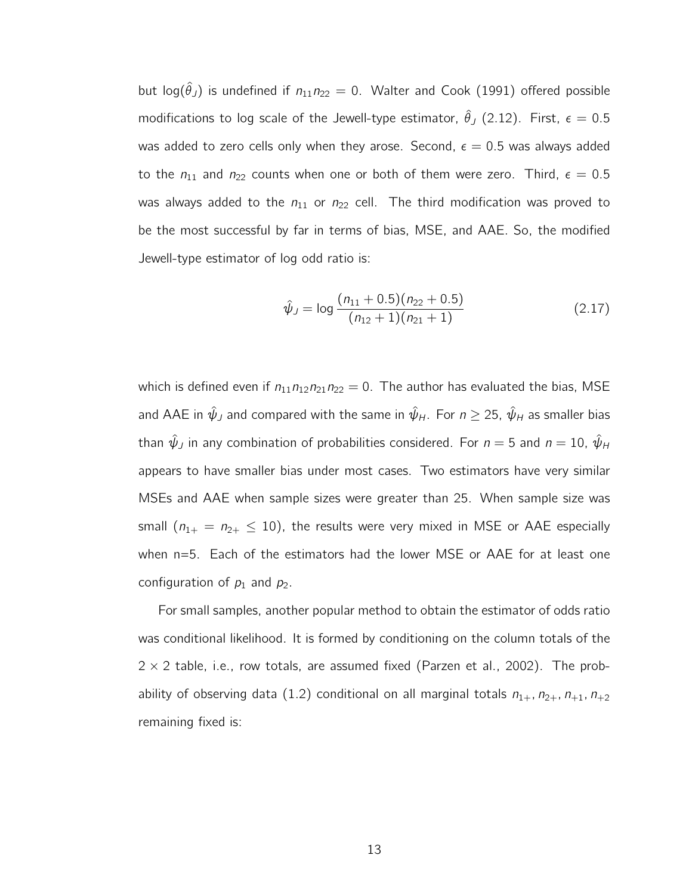but log( $\hat{\theta}_J$ ) is undefined if  $n_{11}n_{22} = 0$ . Walter and Cook (1991) offered possible modifications to log scale of the Jewell-type estimator,  $\hat{\theta}_J$  (2.12). First,  $\epsilon = 0.5$ was added to zero cells only when they arose. Second,  $\epsilon = 0.5$  was always added to the  $n_{11}$  and  $n_{22}$  counts when one or both of them were zero. Third,  $\epsilon = 0.5$ was always added to the  $n_{11}$  or  $n_{22}$  cell. The third modification was proved to be the most successful by far in terms of bias, MSE, and AAE. So, the modified Jewell-type estimator of log odd ratio is:

$$
\hat{\psi}_J = \log \frac{(n_{11} + 0.5)(n_{22} + 0.5)}{(n_{12} + 1)(n_{21} + 1)}
$$
(2.17)

which is defined even if  $n_{11}n_{12}n_{21}n_{22} = 0$ . The author has evaluated the bias, MSE and AAE in  $\hat{\psi}_J$  and compared with the same in  $\hat{\psi}_H$ . For  $n \geq 25$ ,  $\hat{\psi}_H$  as smaller bias than  $\hat{\psi}_J$  in any combination of probabilities considered. For  $n = 5$  and  $n = 10$ ,  $\hat{\psi}_H$ appears to have smaller bias under most cases. Two estimators have very similar MSEs and AAE when sample sizes were greater than 25. When sample size was small  $(n_{1+} = n_{2+} \le 10)$ , the results were very mixed in MSE or AAE especially when n=5. Each of the estimators had the lower MSE or AAE for at least one configuration of  $p_1$  and  $p_2$ .

For small samples, another popular method to obtain the estimator of odds ratio was conditional likelihood. It is formed by conditioning on the column totals of the  $2 \times 2$  table, i.e., row totals, are assumed fixed (Parzen et al., 2002). The probability of observing data (1.2) conditional on all marginal totals  $n_{1+}$ ,  $n_{2+}$ ,  $n_{+1}$ ,  $n_{+2}$ remaining fixed is: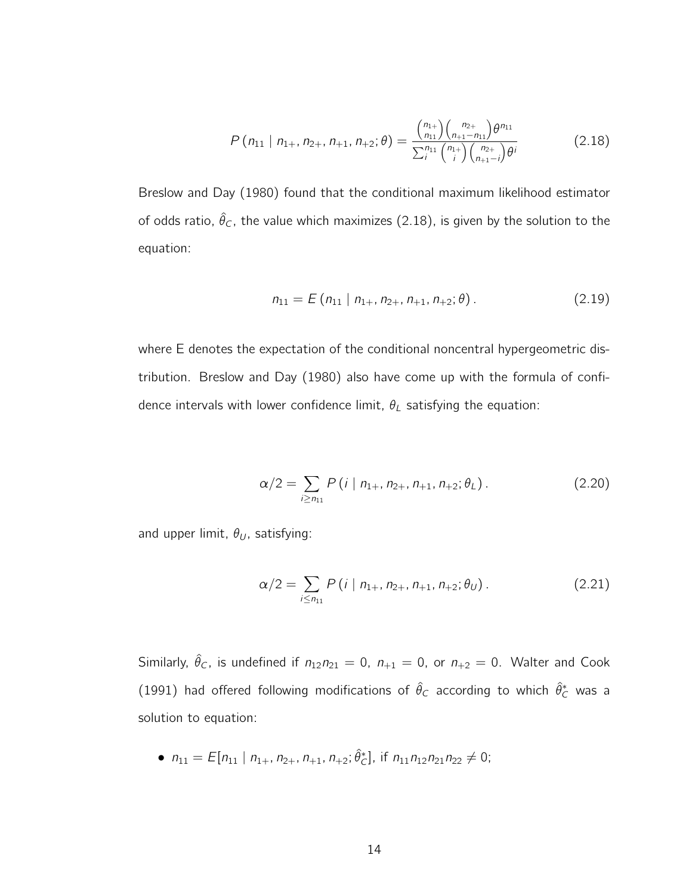$$
P(n_{11} | n_{1+}, n_{2+}, n_{+1}, n_{+2}; \theta) = \frac{\binom{n_{1+}}{n_{11}} \binom{n_{2+}}{n_{1+1}-n_{11}} \theta^{n_{11}}}{\sum_{i}^{n_{11}} \binom{n_{1+}}{i} \binom{n_{2+}}{n_{1+1}-i} \theta^{i}}
$$
(2.18)

Breslow and Day (1980) found that the conditional maximum likelihood estimator of odds ratio,  $\hat{\theta}_C$ , the value which maximizes (2.18), is given by the solution to the equation:

$$
n_{11} = E(n_{11} | n_{1+}, n_{2+}, n_{+1}, n_{+2}; \theta). \tag{2.19}
$$

where E denotes the expectation of the conditional noncentral hypergeometric distribution. Breslow and Day (1980) also have come up with the formula of confidence intervals with lower confidence limit,  $\theta_L$  satisfying the equation:

$$
\alpha/2 = \sum_{i \ge n_{11}} P(i \mid n_{1+}, n_{2+}, n_{+1}, n_{+2}; \theta_L).
$$
 (2.20)

and upper limit,  $\theta_U$ , satisfying:

$$
\alpha/2 = \sum_{i \le n_{11}} P(i \mid n_{1+}, n_{2+}, n_{+1}, n_{+2}; \theta_U).
$$
 (2.21)

Similarly,  $\hat{\theta}_C$ , is undefined if  $n_{12}n_{21} = 0$ ,  $n_{+1} = 0$ , or  $n_{+2} = 0$ . Walter and Cook (1991) had offered following modifications of  $\hat{\theta}_C$  according to which  $\hat{\theta}_C^*$  was a solution to equation:

• 
$$
n_{11} = E[n_{11} | n_{1+}, n_{2+}, n_{+1}, n_{+2}; \hat{\theta}_C^*]
$$
, if  $n_{11}n_{12}n_{21}n_{22} \neq 0$ ;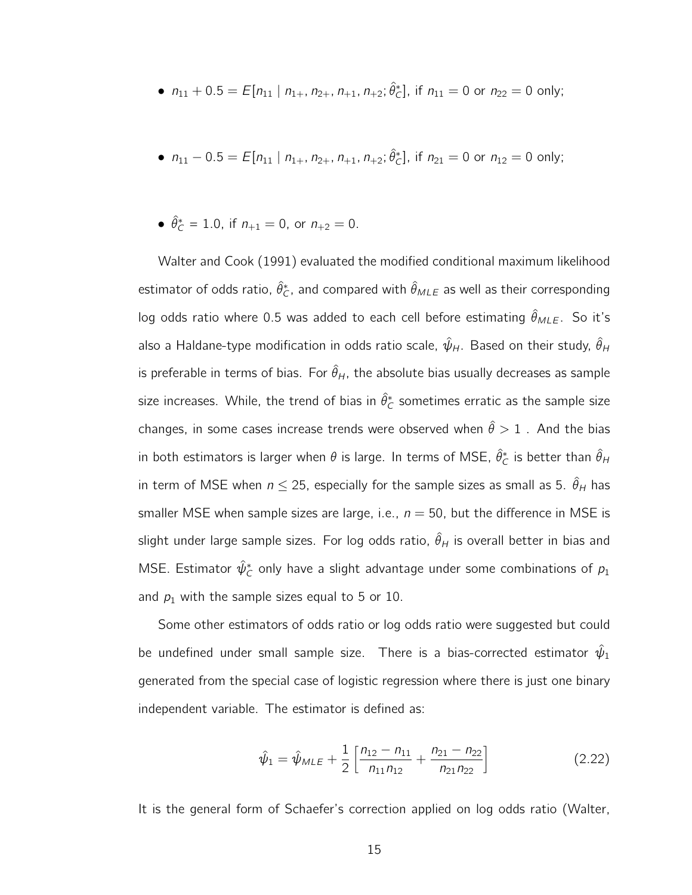• 
$$
n_{11} + 0.5 = E[n_{11} | n_{1+}, n_{2+}, n_{+1}, n_{+2}; \hat{\theta}_C^*]
$$
, if  $n_{11} = 0$  or  $n_{22} = 0$  only;

• 
$$
n_{11} - 0.5 = E[n_{11} | n_{1+}, n_{2+}, n_{+1}, n_{+2}; \hat{\theta}_C^*]
$$
, if  $n_{21} = 0$  or  $n_{12} = 0$  only;

• 
$$
\hat{\theta}_C^* = 1.0
$$
, if  $n_{+1} = 0$ , or  $n_{+2} = 0$ .

Walter and Cook (1991) evaluated the modified conditional maximum likelihood estimator of odds ratio,  $\hat{\theta}_{\mathcal{C}}^*$ , and compared with  $\hat{\theta}_{MLE}$  as well as their corresponding log odds ratio where 0.5 was added to each cell before estimating  $\hat{\theta}_{MLE}$ . So it's also a Haldane-type modification in odds ratio scale,  $\hat{\psi}_H$ . Based on their study,  $\hat{\theta}_H$ is preferable in terms of bias. For  $\hat{\theta}_H$ , the absolute bias usually decreases as sample size increases. While, the trend of bias in  $\hat{\theta}_{\mathsf{C}}^*$  sometimes erratic as the sample size changes, in some cases increase trends were observed when  $\hat{\theta} > 1$ . And the bias in both estimators is larger when  $\theta$  is large. In terms of MSE,  $\hat{\theta}_{\mathsf{C}}^*$  is better than  $\hat{\theta}_{\mathsf{H}}$ in term of MSE when  $n \le 25$ , especially for the sample sizes as small as 5.  $\hat{\theta}_H$  has smaller MSE when sample sizes are large, i.e.,  $n = 50$ , but the difference in MSE is slight under large sample sizes. For log odds ratio,  $\hat{\theta}_H$  is overall better in bias and MSE. Estimator  $\hat{\psi}_\mathcal{C}^*$  only have a slight advantage under some combinations of  $\rho_1$ and  $p_1$  with the sample sizes equal to 5 or 10.

Some other estimators of odds ratio or log odds ratio were suggested but could be undefined under small sample size. There is a bias-corrected estimator  $\hat{\psi}_1$ generated from the special case of logistic regression where there is just one binary independent variable. The estimator is defined as:

$$
\hat{\psi}_1 = \hat{\psi}_{MLE} + \frac{1}{2} \left[ \frac{n_{12} - n_{11}}{n_{11} n_{12}} + \frac{n_{21} - n_{22}}{n_{21} n_{22}} \right]
$$
(2.22)

It is the general form of Schaefer's correction applied on log odds ratio (Walter,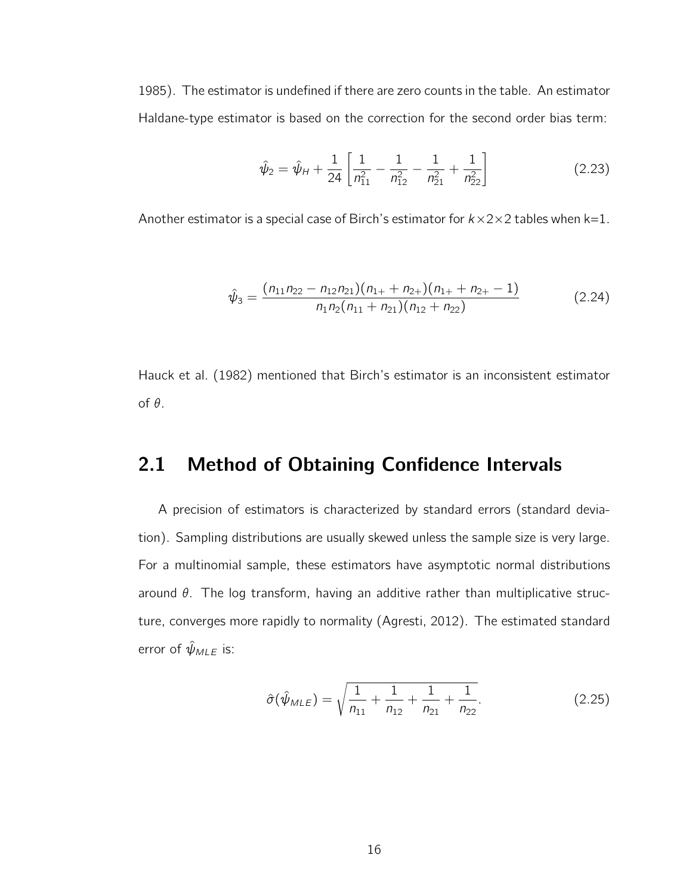1985). The estimator is undefined if there are zero counts in the table. An estimator Haldane-type estimator is based on the correction for the second order bias term:

$$
\hat{\psi}_2 = \hat{\psi}_H + \frac{1}{24} \left[ \frac{1}{n_{11}^2} - \frac{1}{n_{12}^2} - \frac{1}{n_{21}^2} + \frac{1}{n_{22}^2} \right]
$$
(2.23)

Another estimator is a special case of Birch's estimator for  $k \times 2 \times 2$  tables when  $k=1$ .

$$
\hat{\psi}_3 = \frac{(n_{11}n_{22} - n_{12}n_{21})(n_{1+} + n_{2+})(n_{1+} + n_{2+} - 1)}{n_1n_2(n_{11} + n_{21})(n_{12} + n_{22})}
$$
(2.24)

Hauck et al. (1982) mentioned that Birch's estimator is an inconsistent estimator of θ.

### 2.1 Method of Obtaining Confidence Intervals

A precision of estimators is characterized by standard errors (standard deviation). Sampling distributions are usually skewed unless the sample size is very large. For a multinomial sample, these estimators have asymptotic normal distributions around  $\theta$ . The log transform, having an additive rather than multiplicative structure, converges more rapidly to normality (Agresti, 2012). The estimated standard error of  $\hat{\psi}_{MLE}$  is:

$$
\hat{\sigma}(\hat{\psi}_{MLE}) = \sqrt{\frac{1}{n_{11}} + \frac{1}{n_{12}} + \frac{1}{n_{21}} + \frac{1}{n_{22}}}.
$$
\n(2.25)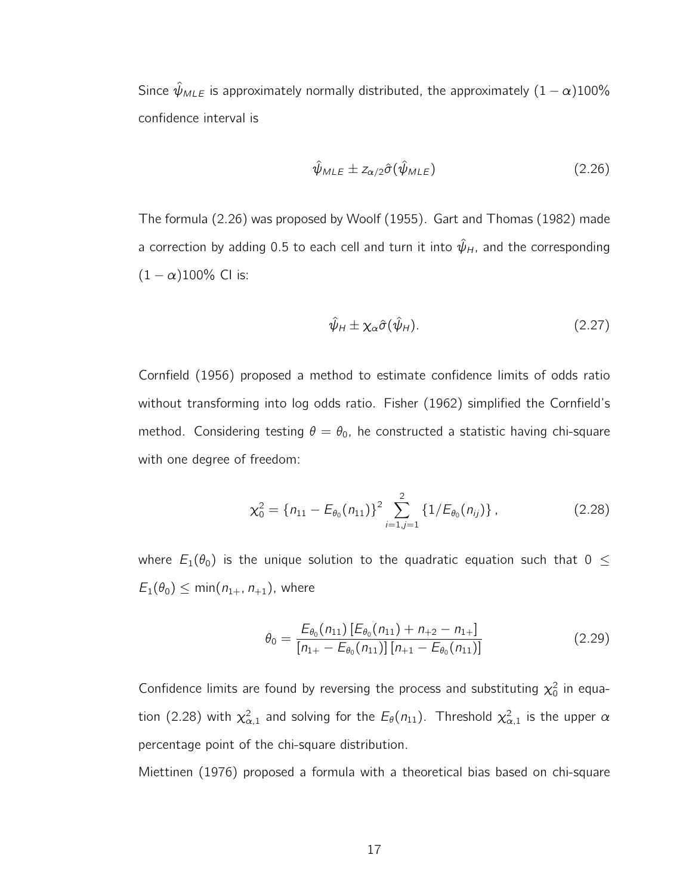Since  $\hat{\psi}_{MLE}$  is approximately normally distributed, the approximately  $(1 - \alpha)100\%$ confidence interval is

$$
\hat{\psi}_{MLE} \pm z_{\alpha/2} \hat{\sigma}(\hat{\psi}_{MLE}) \tag{2.26}
$$

The formula (2.26) was proposed by Woolf (1955). Gart and Thomas (1982) made a correction by adding 0.5 to each cell and turn it into  $\hat{\psi}_H$ , and the corresponding  $(1 - \alpha)100\%$  CI is:

$$
\hat{\psi}_H \pm \chi_\alpha \hat{\sigma}(\hat{\psi}_H). \tag{2.27}
$$

Cornfield (1956) proposed a method to estimate confidence limits of odds ratio without transforming into log odds ratio. Fisher (1962) simplified the Cornfield's method. Considering testing  $\theta = \theta_0$ , he constructed a statistic having chi-square with one degree of freedom:

$$
\chi_0^2 = \{n_{11} - E_{\theta_0}(n_{11})\}^2 \sum_{i=1,j=1}^2 \{1/E_{\theta_0}(n_{ij})\},\tag{2.28}
$$

where  $E_1(\theta_0)$  is the unique solution to the quadratic equation such that  $0 \leq$  $E_1(\theta_0) \leq \min(n_{1+}, n_{+1})$ , where

$$
\theta_0 = \frac{E_{\theta_0}(n_{11}) \left[ E_{\theta_0}(n_{11}) + n_{+2} - n_{1+} \right]}{[n_{1+} - E_{\theta_0}(n_{11})] \left[ n_{+1} - E_{\theta_0}(n_{11}) \right]}
$$
(2.29)

Confidence limits are found by reversing the process and substituting  $\chi_0^2$  in equation (2.28) with  $\chi^2_{\alpha,1}$  and solving for the  $E_\theta(n_{11})$ . Threshold  $\chi^2_{\alpha,1}$  is the upper  $\alpha$ percentage point of the chi-square distribution.

Miettinen (1976) proposed a formula with a theoretical bias based on chi-square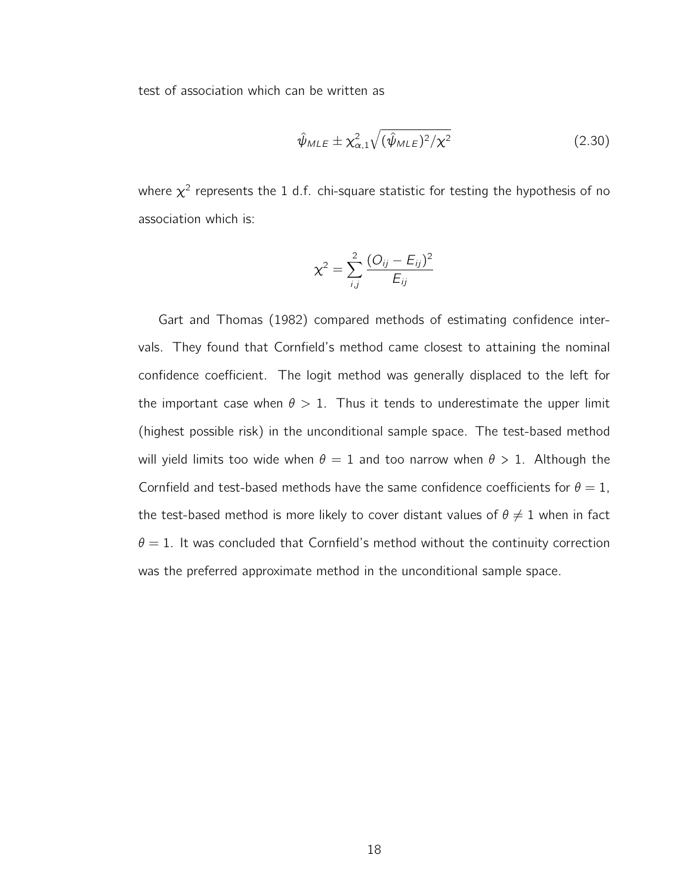test of association which can be written as

$$
\hat{\psi}_{MLE} \pm \chi_{\alpha,1}^2 \sqrt{(\hat{\psi}_{MLE})^2/\chi^2}
$$
 (2.30)

where  $\chi^2$  represents the 1 d.f. chi-square statistic for testing the hypothesis of no association which is:

$$
\chi^2 = \sum_{i,j}^2 \frac{(O_{ij} - E_{ij})^2}{E_{ij}}
$$

Gart and Thomas (1982) compared methods of estimating confidence intervals. They found that Cornfield's method came closest to attaining the nominal confidence coefficient. The logit method was generally displaced to the left for the important case when  $\theta > 1$ . Thus it tends to underestimate the upper limit (highest possible risk) in the unconditional sample space. The test-based method will yield limits too wide when  $\theta = 1$  and too narrow when  $\theta > 1$ . Although the Cornfield and test-based methods have the same confidence coefficients for  $\theta = 1$ , the test-based method is more likely to cover distant values of  $\theta \neq 1$  when in fact  $\theta = 1$ . It was concluded that Cornfield's method without the continuity correction was the preferred approximate method in the unconditional sample space.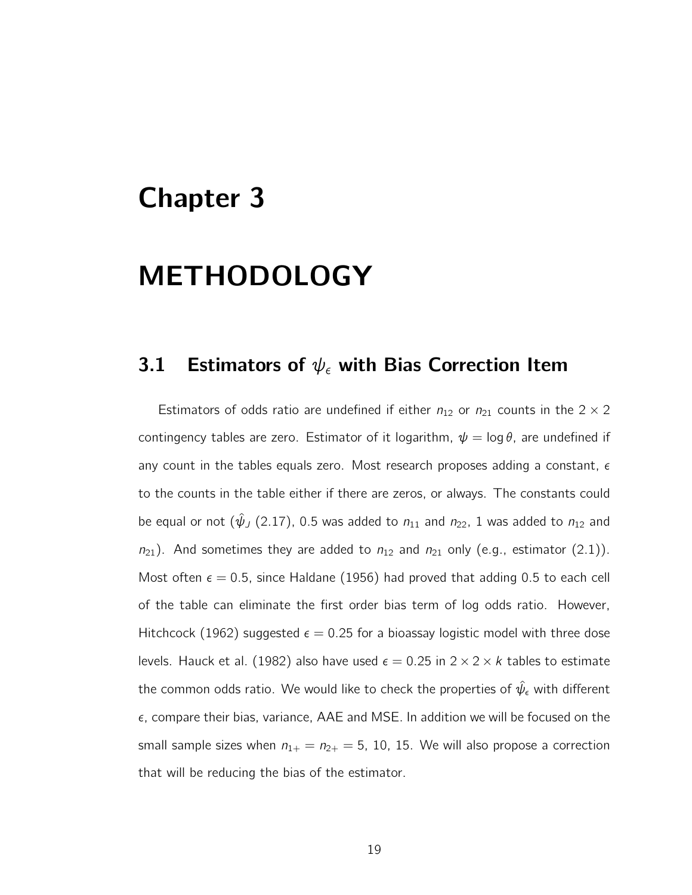## Chapter 3

## METHODOLOGY

### 3.1 Estimators of  $\psi_{\epsilon}$  with Bias Correction Item

Estimators of odds ratio are undefined if either  $n_{12}$  or  $n_{21}$  counts in the 2  $\times$  2 contingency tables are zero. Estimator of it logarithm,  $\psi = \log \theta$ , are undefined if any count in the tables equals zero. Most research proposes adding a constant,  $\epsilon$ to the counts in the table either if there are zeros, or always. The constants could be equal or not  $(\hat{\psi}_J (2.17), 0.5$  was added to  $n_{11}$  and  $n_{22}$ , 1 was added to  $n_{12}$  and  $n_{21}$ ). And sometimes they are added to  $n_{12}$  and  $n_{21}$  only (e.g., estimator (2.1)). Most often  $\epsilon = 0.5$ , since Haldane (1956) had proved that adding 0.5 to each cell of the table can eliminate the first order bias term of log odds ratio. However, Hitchcock (1962) suggested  $\epsilon = 0.25$  for a bioassay logistic model with three dose levels. Hauck et al. (1982) also have used  $\epsilon = 0.25$  in  $2 \times 2 \times k$  tables to estimate the common odds ratio. We would like to check the properties of  $\hat{\psi}_{\epsilon}$  with different  $\epsilon$ , compare their bias, variance, AAE and MSE. In addition we will be focused on the small sample sizes when  $n_{1+} = n_{2+} = 5$ , 10, 15. We will also propose a correction that will be reducing the bias of the estimator.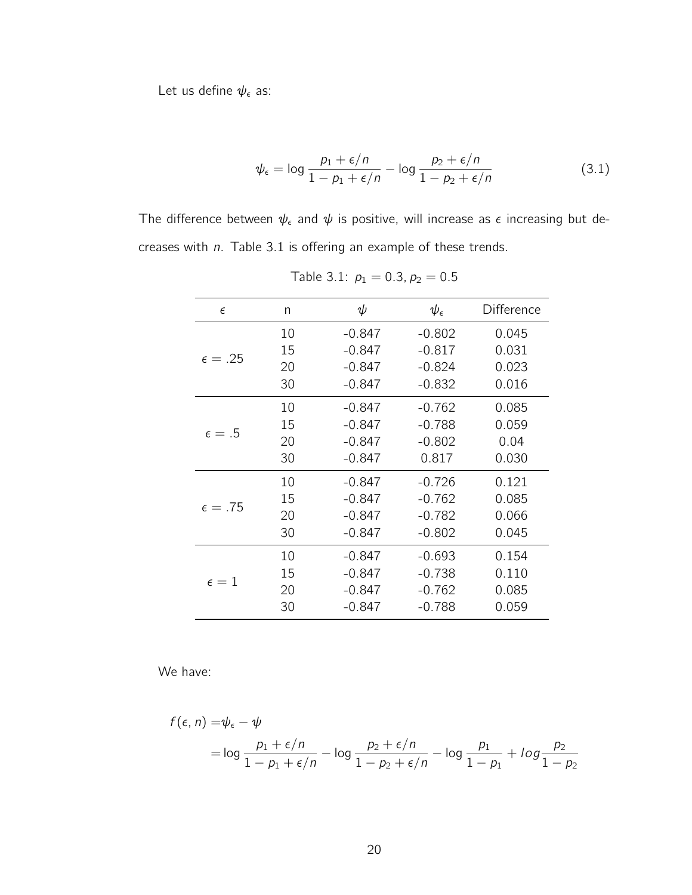Let us define  $\psi_{\epsilon}$  as:

$$
\psi_{\epsilon} = \log \frac{p_1 + \epsilon/n}{1 - p_1 + \epsilon/n} - \log \frac{p_2 + \epsilon/n}{1 - p_2 + \epsilon/n}
$$
(3.1)

The difference between  $\psi_{\epsilon}$  and  $\psi$  is positive, will increase as  $\epsilon$  increasing but decreases with  $n$ . Table 3.1 is offering an example of these trends.

| $\epsilon$       | n  | ψ        | $\psi_{\epsilon}$ | Difference |
|------------------|----|----------|-------------------|------------|
|                  | 10 | $-0.847$ | $-0.802$          | 0.045      |
|                  | 15 | $-0.847$ | $-0.817$          | 0.031      |
| $\epsilon = .25$ | 20 | $-0.847$ | $-0.824$          | 0.023      |
|                  | 30 | $-0.847$ | $-0.832$          | 0.016      |
|                  | 10 | $-0.847$ | $-0.762$          | 0.085      |
|                  | 15 | $-0.847$ | $-0.788$          | 0.059      |
| $\epsilon = .5$  | 20 | $-0.847$ | $-0.802$          | 0.04       |
|                  | 30 | $-0.847$ | 0.817             | 0.030      |
|                  | 10 | $-0.847$ | $-0.726$          | 0.121      |
| $\epsilon = .75$ | 15 | $-0.847$ | $-0.762$          | 0.085      |
|                  | 20 | $-0.847$ | $-0.782$          | 0.066      |
|                  | 30 | $-0.847$ | $-0.802$          | 0.045      |
|                  | 10 | -0.847   | $-0.693$          | 0.154      |
| $\epsilon = 1$   | 15 | $-0.847$ | $-0.738$          | 0.110      |
|                  | 20 | $-0.847$ | $-0.762$          | 0.085      |
|                  | 30 | $-0.847$ | $-0.788$          | 0.059      |
|                  |    |          |                   |            |

Table 3.1:  $p_1 = 0.3$ ,  $p_2 = 0.5$ 

We have:

$$
f(\epsilon, n) = \psi_{\epsilon} - \psi
$$
  
= 
$$
\log \frac{p_1 + \epsilon/n}{1 - p_1 + \epsilon/n} - \log \frac{p_2 + \epsilon/n}{1 - p_2 + \epsilon/n} - \log \frac{p_1}{1 - p_1} + \log \frac{p_2}{1 - p_2}
$$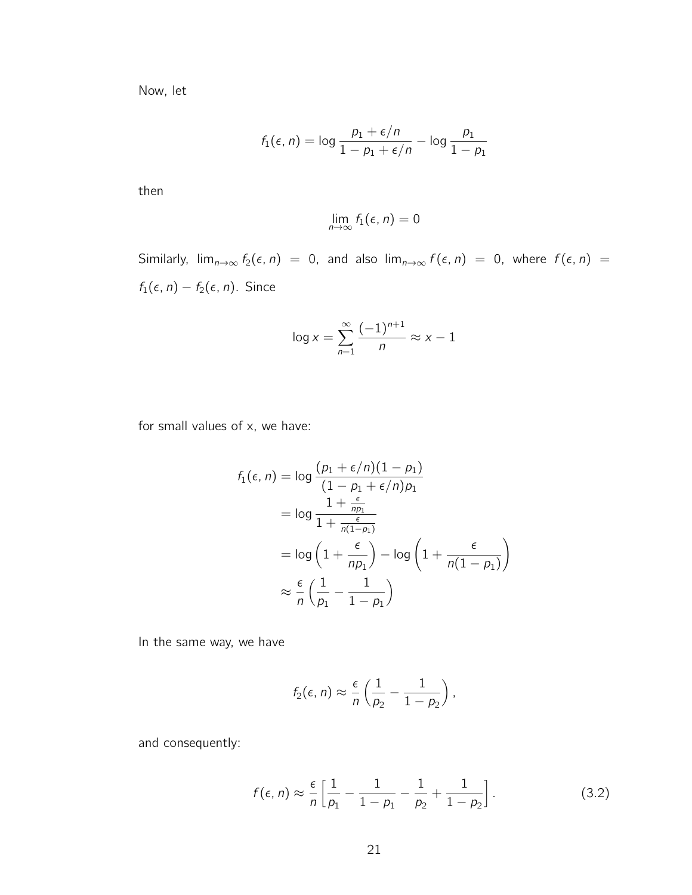Now, let

$$
f_1(\epsilon, n) = \log \frac{p_1 + \epsilon/n}{1 - p_1 + \epsilon/n} - \log \frac{p_1}{1 - p_1}
$$

then

$$
\lim_{n\to\infty}f_1(\epsilon,n)=0
$$

Similarly,  $\lim_{n\to\infty} f_2(\epsilon, n) = 0$ , and also  $\lim_{n\to\infty} f(\epsilon, n) = 0$ , where  $f(\epsilon, n) =$  $f_1(\epsilon, n) - f_2(\epsilon, n)$ . Since

$$
\log x = \sum_{n=1}^{\infty} \frac{(-1)^{n+1}}{n} \approx x - 1
$$

for small values of x, we have:

$$
f_1(\epsilon, n) = \log \frac{(p_1 + \epsilon/n)(1 - p_1)}{(1 - p_1 + \epsilon/n)p_1}
$$
  
= 
$$
\log \frac{1 + \frac{\epsilon}{np_1}}{1 + \frac{\epsilon}{n(1 - p_1)}}
$$
  
= 
$$
\log \left(1 + \frac{\epsilon}{np_1}\right) - \log \left(1 + \frac{\epsilon}{n(1 - p_1)}\right)
$$
  

$$
\approx \frac{\epsilon}{n} \left(\frac{1}{p_1} - \frac{1}{1 - p_1}\right)
$$

In the same way, we have

$$
f_2(\epsilon, n) \approx \frac{\epsilon}{n} \left( \frac{1}{p_2} - \frac{1}{1-p_2} \right),
$$

and consequently:

$$
f(\epsilon, n) \approx \frac{\epsilon}{n} \left[ \frac{1}{p_1} - \frac{1}{1 - p_1} - \frac{1}{p_2} + \frac{1}{1 - p_2} \right].
$$
 (3.2)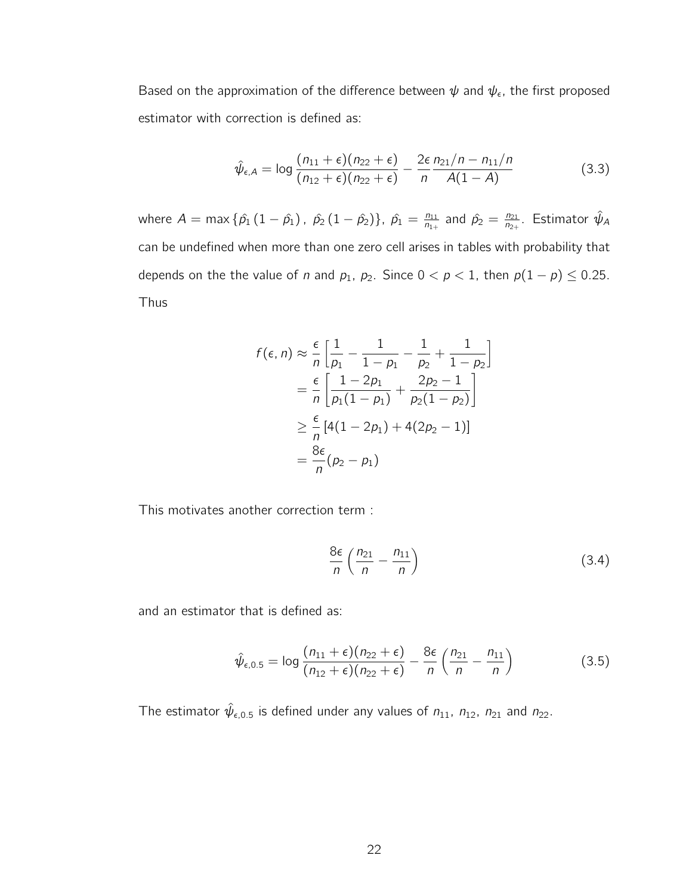Based on the approximation of the difference between  $\psi$  and  $\psi_{\epsilon}$ , the first proposed estimator with correction is defined as:

$$
\hat{\psi}_{\epsilon,A} = \log \frac{(n_{11} + \epsilon)(n_{22} + \epsilon)}{(n_{12} + \epsilon)(n_{22} + \epsilon)} - \frac{2\epsilon}{n} \frac{n_{21}/n - n_{11}/n}{A(1 - A)}
$$
(3.3)

where  $A = \max \{ \hat{p}_1 (1 - \hat{p}_1), \ \hat{p}_2 (1 - \hat{p}_2) \}, \ \hat{p}_1 = \frac{n_{11}}{n_{11}}$  $\frac{n_{11}}{n_{1+}}$  and  $\hat{p}_2 = \frac{n_{21}}{n_{2+}}$  $\frac{n_{21}}{n_{2+}}$ . Estimator  $\hat{\psi}_A$ can be undefined when more than one zero cell arises in tables with probability that depends on the the value of n and  $p_1$ ,  $p_2$ . Since  $0 < p < 1$ , then  $p(1 - p) \le 0.25$ . Thus

$$
f(\epsilon, n) \approx \frac{\epsilon}{n} \left[ \frac{1}{p_1} - \frac{1}{1 - p_1} - \frac{1}{p_2} + \frac{1}{1 - p_2} \right]
$$
  
=  $\frac{\epsilon}{n} \left[ \frac{1 - 2p_1}{p_1(1 - p_1)} + \frac{2p_2 - 1}{p_2(1 - p_2)} \right]$   
 $\geq \frac{\epsilon}{n} [4(1 - 2p_1) + 4(2p_2 - 1)]$   
=  $\frac{8\epsilon}{n} (p_2 - p_1)$ 

This motivates another correction term :

$$
\frac{8\epsilon}{n} \left( \frac{n_{21}}{n} - \frac{n_{11}}{n} \right) \tag{3.4}
$$

and an estimator that is defined as:

$$
\hat{\psi}_{\epsilon,0.5} = \log \frac{(n_{11} + \epsilon)(n_{22} + \epsilon)}{(n_{12} + \epsilon)(n_{22} + \epsilon)} - \frac{8\epsilon}{n} \left(\frac{n_{21}}{n} - \frac{n_{11}}{n}\right)
$$
(3.5)

The estimator  $\hat{\psi}_{\epsilon,0.5}$  is defined under any values of  $n_{11}$ ,  $n_{12}$ ,  $n_{21}$  and  $n_{22}$ .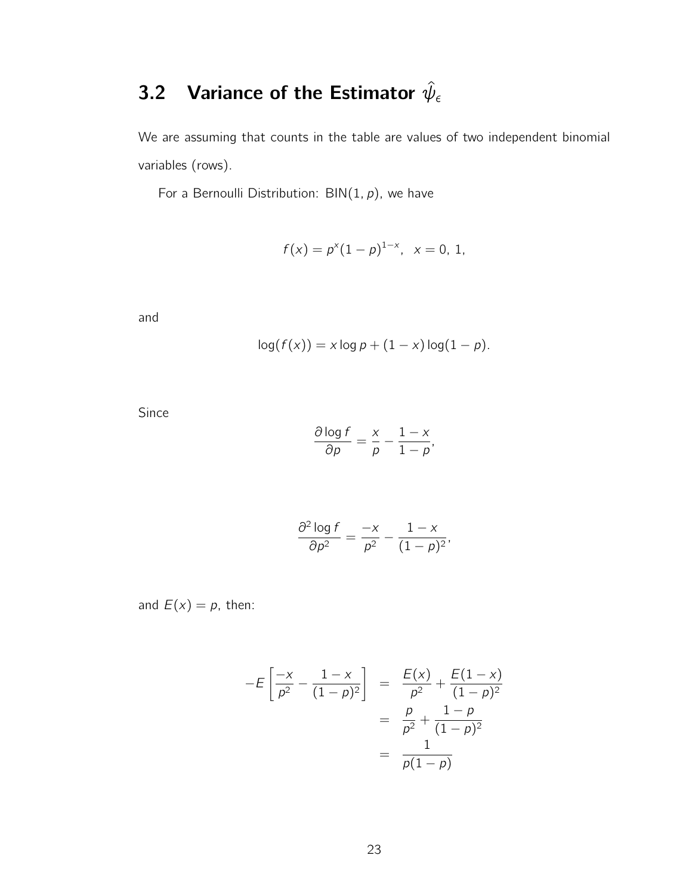### 3.2 Variance of the Estimator  $\hat{\psi}_{\epsilon}$

We are assuming that counts in the table are values of two independent binomial variables (rows).

For a Bernoulli Distribution:  $BIN(1, p)$ , we have

$$
f(x) = p^{x}(1-p)^{1-x}, \quad x = 0, 1,
$$

and

$$
log(f(x)) = x log p + (1 - x) log(1 - p).
$$

Since

$$
\frac{\partial \log f}{\partial p} = \frac{x}{p} - \frac{1-x}{1-p},
$$

$$
\frac{\partial^2 \log f}{\partial p^2} = \frac{-x}{p^2} - \frac{1-x}{(1-p)^2},
$$

and  $E(x) = p$ , then:

$$
-E\left[\frac{-x}{p^2} - \frac{1-x}{(1-p)^2}\right] = \frac{E(x)}{p^2} + \frac{E(1-x)}{(1-p)^2}
$$

$$
= \frac{p}{p^2} + \frac{1-p}{(1-p)^2}
$$

$$
= \frac{1}{p(1-p)}
$$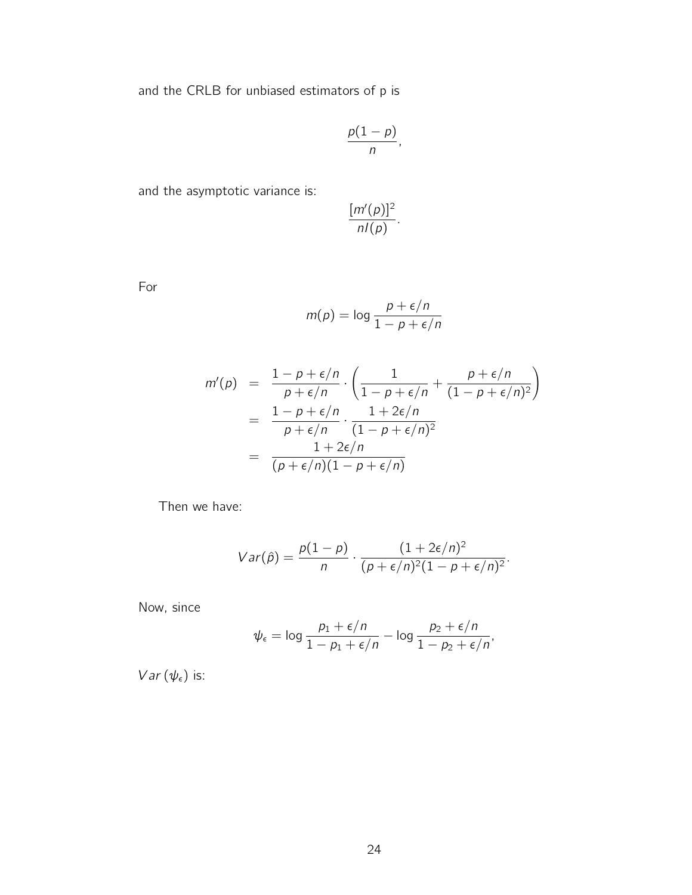and the CRLB for unbiased estimators of p is

$$
\frac{p(1-p)}{n},
$$

and the asymptotic variance is:

$$
\frac{[m'(p)]^2}{n!(p)}
$$

.

For

$$
m(p) = \log \frac{p + \epsilon/n}{1 - p + \epsilon/n}
$$

$$
m'(p) = \frac{1 - p + \epsilon/n}{p + \epsilon/n} \cdot \left(\frac{1}{1 - p + \epsilon/n} + \frac{p + \epsilon/n}{(1 - p + \epsilon/n)^2}\right)
$$
  
= 
$$
\frac{1 - p + \epsilon/n}{p + \epsilon/n} \cdot \frac{1 + 2\epsilon/n}{(1 - p + \epsilon/n)^2}
$$
  
= 
$$
\frac{1 + 2\epsilon/n}{(p + \epsilon/n)(1 - p + \epsilon/n)}
$$

Then we have:

$$
Var(\hat{p}) = \frac{p(1-p)}{n} \cdot \frac{(1+2\epsilon/n)^2}{(p+\epsilon/n)^2(1-p+\epsilon/n)^2}.
$$

Now, since

$$
\psi_{\epsilon} = \log \frac{p_1 + \epsilon/n}{1 - p_1 + \epsilon/n} - \log \frac{p_2 + \epsilon/n}{1 - p_2 + \epsilon/n},
$$

 $Var(\psi_{\epsilon})$  is: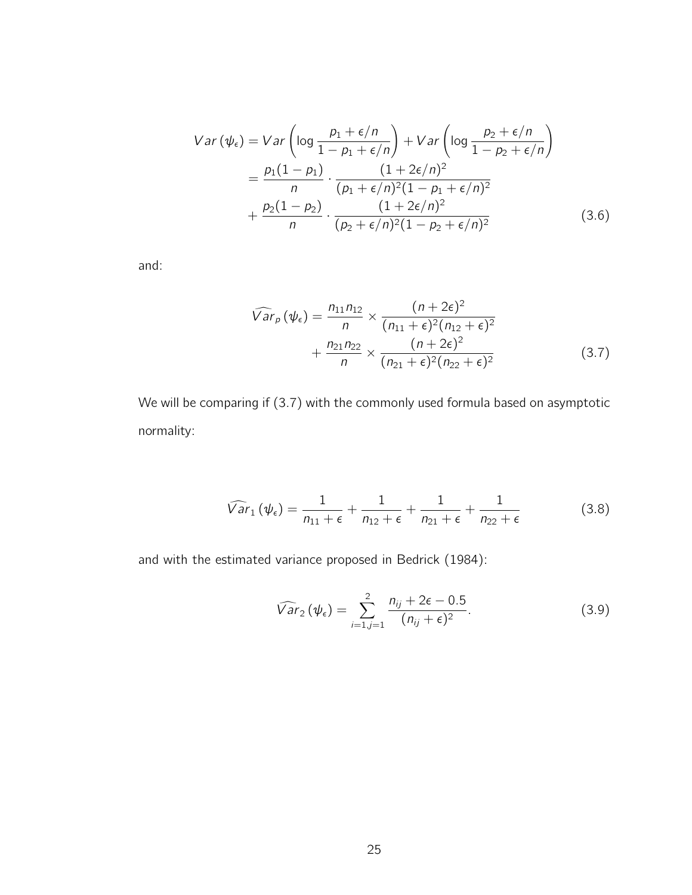$$
Var (\psi_{\epsilon}) = Var \left( \log \frac{p_1 + \epsilon/n}{1 - p_1 + \epsilon/n} \right) + Var \left( \log \frac{p_2 + \epsilon/n}{1 - p_2 + \epsilon/n} \right)
$$
  
=  $\frac{p_1(1 - p_1)}{n} \cdot \frac{(1 + 2\epsilon/n)^2}{(p_1 + \epsilon/n)^2 (1 - p_1 + \epsilon/n)^2}$   
+  $\frac{p_2(1 - p_2)}{n} \cdot \frac{(1 + 2\epsilon/n)^2}{(p_2 + \epsilon/n)^2 (1 - p_2 + \epsilon/n)^2}$  (3.6)

and:

$$
\widehat{Var}_p(\psi_\epsilon) = \frac{n_{11}n_{12}}{n} \times \frac{(n+2\epsilon)^2}{(n_{11}+\epsilon)^2(n_{12}+\epsilon)^2} + \frac{n_{21}n_{22}}{n} \times \frac{(n+2\epsilon)^2}{(n_{21}+\epsilon)^2(n_{22}+\epsilon)^2}
$$
(3.7)

We will be comparing if (3.7) with the commonly used formula based on asymptotic normality:

$$
\widehat{Var}_1(\psi_{\epsilon}) = \frac{1}{n_{11} + \epsilon} + \frac{1}{n_{12} + \epsilon} + \frac{1}{n_{21} + \epsilon} + \frac{1}{n_{22} + \epsilon}
$$
(3.8)

and with the estimated variance proposed in Bedrick (1984):

$$
\widehat{Var}_2(\psi_{\epsilon}) = \sum_{i=1, j=1}^2 \frac{n_{ij} + 2\epsilon - 0.5}{(n_{ij} + \epsilon)^2}.
$$
\n(3.9)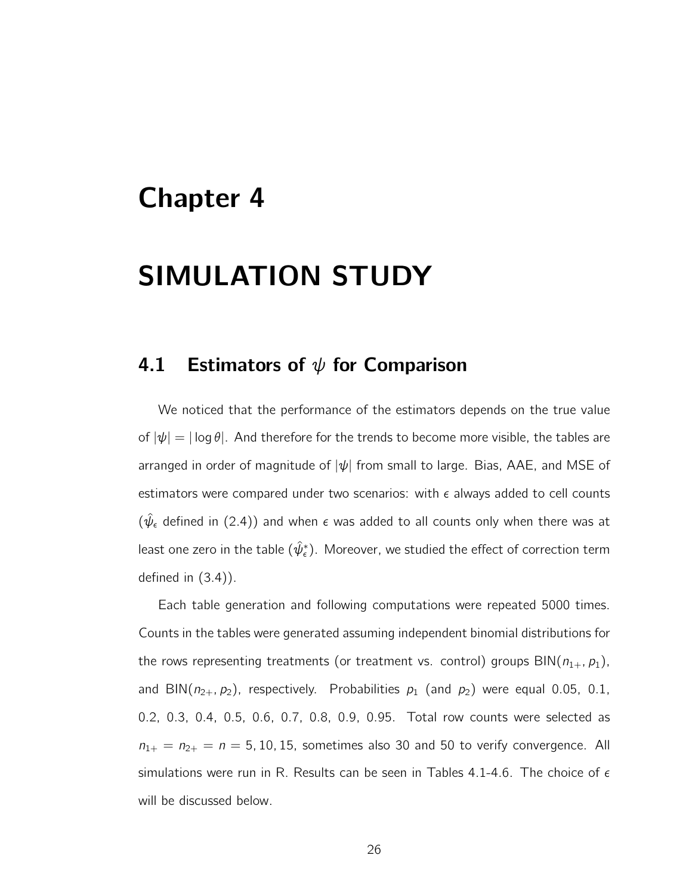## Chapter 4

# SIMULATION STUDY

#### 4.1 Estimators of  $\psi$  for Comparison

We noticed that the performance of the estimators depends on the true value of  $|\psi| = |\log \theta|$ . And therefore for the trends to become more visible, the tables are arranged in order of magnitude of  $|\psi|$  from small to large. Bias, AAE, and MSE of estimators were compared under two scenarios: with  $\epsilon$  always added to cell counts  $(\hat{\psi}_{\epsilon})$  defined in (2.4)) and when  $\epsilon$  was added to all counts only when there was at least one zero in the table  $(\hat \psi_\epsilon^*)$ . Moreover, we studied the effect of correction term defined in (3.4)).

Each table generation and following computations were repeated 5000 times. Counts in the tables were generated assuming independent binomial distributions for the rows representing treatments (or treatment vs. control) groups  $\text{BIN}(n_{1+}, p_1)$ , and BIN( $n_{2+}$ ,  $p_2$ ), respectively. Probabilities  $p_1$  (and  $p_2$ ) were equal 0.05, 0.1, 0.2, 0.3, 0.4, 0.5, 0.6, 0.7, 0.8, 0.9, 0.95. Total row counts were selected as  $n_{1+} = n_{2+} = n = 5, 10, 15$ , sometimes also 30 and 50 to verify convergence. All simulations were run in R. Results can be seen in Tables 4.1-4.6. The choice of  $\epsilon$ will be discussed below.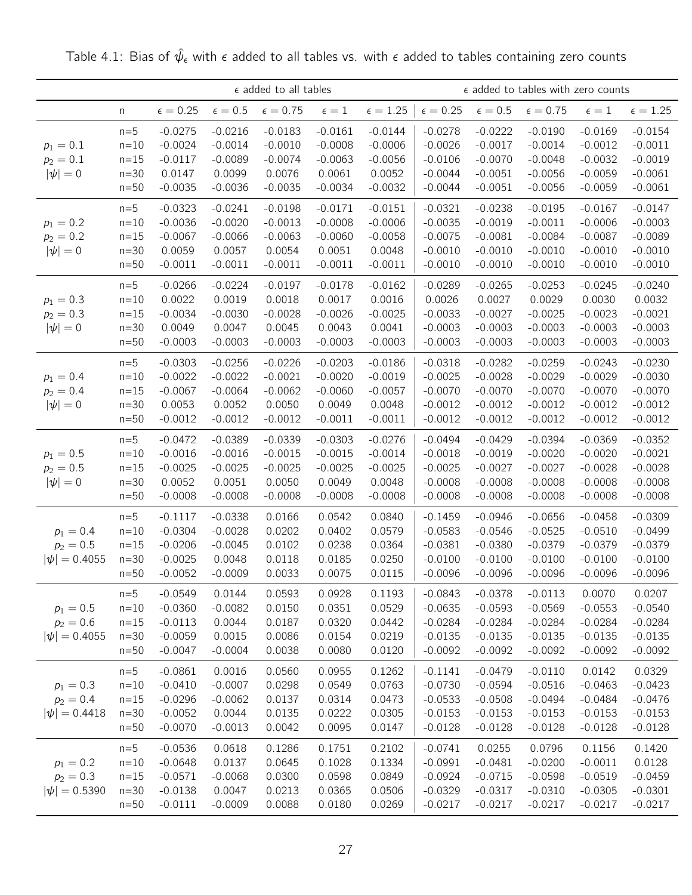|                   |          |                 |                | $\epsilon$ added to all tables |              | $\epsilon$ added to tables with zero counts<br>$\epsilon = 0.25$<br>$\epsilon=0.5$<br>$\epsilon=0.75$<br>$\epsilon = 1.25$<br>$\epsilon=1$<br>$-0.0144$<br>$-0.0278$<br>$-0.0222$<br>$-0.0190$<br>$-0.0169$<br>$-0.0006$<br>$-0.0026$<br>$-0.0017$<br>$-0.0014$<br>$-0.0012$<br>$-0.0056$<br>$-0.0106$<br>$-0.0070$<br>$-0.0048$<br>$-0.0032$ |           |           |           |           |                 |
|-------------------|----------|-----------------|----------------|--------------------------------|--------------|-----------------------------------------------------------------------------------------------------------------------------------------------------------------------------------------------------------------------------------------------------------------------------------------------------------------------------------------------|-----------|-----------|-----------|-----------|-----------------|
|                   | n        | $\epsilon=0.25$ | $\epsilon=0.5$ | $\epsilon = 0.75$              | $\epsilon=1$ |                                                                                                                                                                                                                                                                                                                                               |           |           |           |           | $\epsilon=1.25$ |
|                   | $n=5$    | $-0.0275$       | $-0.0216$      | $-0.0183$                      | $-0.0161$    |                                                                                                                                                                                                                                                                                                                                               |           |           |           |           | $-0.0154$       |
| $p_1 = 0.1$       | $n=10$   | $-0.0024$       | $-0.0014$      | $-0.0010$                      | $-0.0008$    |                                                                                                                                                                                                                                                                                                                                               |           |           |           |           | $-0.0011$       |
| $p_2 = 0.1$       | $n=15$   | $-0.0117$       | $-0.0089$      | $-0.0074$                      | $-0.0063$    |                                                                                                                                                                                                                                                                                                                                               |           |           |           |           | $-0.0019$       |
| $ \psi =0$        | $n=30$   | 0.0147          | 0.0099         | 0.0076                         | 0.0061       | 0.0052                                                                                                                                                                                                                                                                                                                                        | $-0.0044$ | $-0.0051$ | $-0.0056$ | $-0.0059$ | $-0.0061$       |
|                   | $n=50$   | $-0.0035$       | $-0.0036$      | $-0.0035$                      | $-0.0034$    | $-0.0032$                                                                                                                                                                                                                                                                                                                                     | $-0.0044$ | $-0.0051$ | $-0.0056$ | $-0.0059$ | $-0.0061$       |
|                   | $n=5$    | $-0.0323$       | $-0.0241$      | $-0.0198$                      | $-0.0171$    | $-0.0151$                                                                                                                                                                                                                                                                                                                                     | $-0.0321$ | $-0.0238$ | $-0.0195$ | $-0.0167$ | $-0.0147$       |
| $p_1 = 0.2$       | $n=10$   | $-0.0036$       | $-0.0020$      | $-0.0013$                      | $-0.0008$    | $-0.0006$                                                                                                                                                                                                                                                                                                                                     | $-0.0035$ | $-0.0019$ | $-0.0011$ | $-0.0006$ | $-0.0003$       |
| $p_2 = 0.2$       | $n=15$   | $-0.0067$       | $-0.0066$      | $-0.0063$                      | $-0.0060$    | $-0.0058$                                                                                                                                                                                                                                                                                                                                     | $-0.0075$ | $-0.0081$ | $-0.0084$ | $-0.0087$ | $-0.0089$       |
| $ \psi =0$        | $n=30$   | 0.0059          | 0.0057         | 0.0054                         | 0.0051       | 0.0048                                                                                                                                                                                                                                                                                                                                        | $-0.0010$ | $-0.0010$ | $-0.0010$ | $-0.0010$ | $-0.0010$       |
|                   | $n=50$   | $-0.0011$       | $-0.0011$      | $-0.0011$                      | $-0.0011$    | $-0.0011$                                                                                                                                                                                                                                                                                                                                     | $-0.0010$ | $-0.0010$ | $-0.0010$ | $-0.0010$ | $-0.0010$       |
|                   | $n=5$    | $-0.0266$       | $-0.0224$      | $-0.0197$                      | $-0.0178$    | $-0.0162$                                                                                                                                                                                                                                                                                                                                     | $-0.0289$ | $-0.0265$ | $-0.0253$ | $-0.0245$ | $-0.0240$       |
| $p_1 = 0.3$       | $n=10$   | 0.0022          | 0.0019         | 0.0018                         | 0.0017       | 0.0016                                                                                                                                                                                                                                                                                                                                        | 0.0026    | 0.0027    | 0.0029    | 0.0030    | 0.0032          |
| $p_2 = 0.3$       | $n = 15$ | $-0.0034$       | $-0.0030$      | $-0.0028$                      | $-0.0026$    | $-0.0025$                                                                                                                                                                                                                                                                                                                                     | $-0.0033$ | $-0.0027$ | $-0.0025$ | $-0.0023$ | $-0.0021$       |
| $ \psi =0$        | $n=30$   | 0.0049          | 0.0047         | 0.0045                         | 0.0043       | 0.0041                                                                                                                                                                                                                                                                                                                                        | $-0.0003$ | $-0.0003$ | $-0.0003$ | $-0.0003$ | $-0.0003$       |
|                   | $n=50$   | $-0.0003$       | $-0.0003$      | $-0.0003$                      | $-0.0003$    | $-0.0003$                                                                                                                                                                                                                                                                                                                                     | $-0.0003$ | $-0.0003$ | $-0.0003$ | $-0.0003$ | $-0.0003$       |
|                   | $n=5$    | $-0.0303$       | $-0.0256$      | $-0.0226$                      | $-0.0203$    | $-0.0186$                                                                                                                                                                                                                                                                                                                                     | $-0.0318$ | $-0.0282$ | $-0.0259$ | $-0.0243$ | $-0.0230$       |
| $p_1 = 0.4$       | $n=10$   | $-0.0022$       | $-0.0022$      | $-0.0021$                      | $-0.0020$    | $-0.0019$                                                                                                                                                                                                                                                                                                                                     | $-0.0025$ | $-0.0028$ | $-0.0029$ | $-0.0029$ | $-0.0030$       |
| $p_2 = 0.4$       | $n=15$   | $-0.0067$       | $-0.0064$      | $-0.0062$                      | $-0.0060$    | $-0.0057$                                                                                                                                                                                                                                                                                                                                     | $-0.0070$ | $-0.0070$ | $-0.0070$ | $-0.0070$ | $-0.0070$       |
| $ \psi =0$        | $n=30$   | 0.0053          | 0.0052         | 0.0050                         | 0.0049       | 0.0048                                                                                                                                                                                                                                                                                                                                        | $-0.0012$ | $-0.0012$ | $-0.0012$ | $-0.0012$ | $-0.0012$       |
|                   | $n=50$   | $-0.0012$       | $-0.0012$      | $-0.0012$                      | $-0.0011$    | $-0.0011$                                                                                                                                                                                                                                                                                                                                     | $-0.0012$ | $-0.0012$ | $-0.0012$ | $-0.0012$ | $-0.0012$       |
|                   | $n=5$    | $-0.0472$       | $-0.0389$      | $-0.0339$                      | $-0.0303$    | $-0.0276$                                                                                                                                                                                                                                                                                                                                     | $-0.0494$ | $-0.0429$ | $-0.0394$ | $-0.0369$ | $-0.0352$       |
| $p_1 = 0.5$       | $n=10$   | $-0.0016$       | $-0.0016$      | $-0.0015$                      | $-0.0015$    | $-0.0014$                                                                                                                                                                                                                                                                                                                                     | $-0.0018$ | $-0.0019$ | $-0.0020$ | $-0.0020$ | $-0.0021$       |
| $p_2 = 0.5$       | $n=15$   | $-0.0025$       | $-0.0025$      | $-0.0025$                      | $-0.0025$    | $-0.0025$                                                                                                                                                                                                                                                                                                                                     | $-0.0025$ | $-0.0027$ | $-0.0027$ | $-0.0028$ | $-0.0028$       |
| $ \psi =0$        | $n=30$   | 0.0052          | 0.0051         | 0.0050                         | 0.0049       | 0.0048                                                                                                                                                                                                                                                                                                                                        | $-0.0008$ | $-0.0008$ | $-0.0008$ | $-0.0008$ | $-0.0008$       |
|                   | $n=50$   | $-0.0008$       | $-0.0008$      | $-0.0008$                      | $-0.0008$    | $-0.0008$                                                                                                                                                                                                                                                                                                                                     | $-0.0008$ | $-0.0008$ | $-0.0008$ | $-0.0008$ | $-0.0008$       |
|                   | $n=5$    | $-0.1117$       | $-0.0338$      | 0.0166                         | 0.0542       | 0.0840                                                                                                                                                                                                                                                                                                                                        | $-0.1459$ | $-0.0946$ | $-0.0656$ | $-0.0458$ | $-0.0309$       |
| $p_1 = 0.4$       | $n=10$   | $-0.0304$       | $-0.0028$      | 0.0202                         | 0.0402       | 0.0579                                                                                                                                                                                                                                                                                                                                        | $-0.0583$ | $-0.0546$ | $-0.0525$ | $-0.0510$ | $-0.0499$       |
| $p_2 = 0.5$       | $n=15$   | $-0.0206$       | $-0.0045$      | 0.0102                         | 0.0238       | 0.0364                                                                                                                                                                                                                                                                                                                                        | $-0.0381$ | $-0.0380$ | $-0.0379$ | $-0.0379$ | $-0.0379$       |
| $ \psi  = 0.4055$ | $n=30$   | $-0.0025$       | 0.0048         | 0.0118                         | 0.0185       | 0.0250                                                                                                                                                                                                                                                                                                                                        | $-0.0100$ | $-0.0100$ | $-0.0100$ | $-0.0100$ | $-0.0100$       |
|                   | $n=50$   | $-0.0052$       | $-0.0009$      | 0.0033                         | 0.0075       | 0.0115                                                                                                                                                                                                                                                                                                                                        | $-0.0096$ | $-0.0096$ | $-0.0096$ | $-0.0096$ | $-0.0096$       |
|                   | $n=5$    | $-0.0549$       | 0.0144         | 0.0593                         | 0.0928       | 0.1193                                                                                                                                                                                                                                                                                                                                        | $-0.0843$ | $-0.0378$ | $-0.0113$ | 0.0070    | 0.0207          |
| $p_1 = 0.5$       | $n=10$   | $-0.0360$       | $-0.0082$      | 0.0150                         | 0.0351       | 0.0529                                                                                                                                                                                                                                                                                                                                        | $-0.0635$ | $-0.0593$ | $-0.0569$ | $-0.0553$ | $-0.0540$       |
| $p_2 = 0.6$       | $n=15$   | $-0.0113$       | 0.0044         | 0.0187                         | 0.0320       | 0.0442                                                                                                                                                                                                                                                                                                                                        | $-0.0284$ | $-0.0284$ | $-0.0284$ | $-0.0284$ | $-0.0284$       |
| $ \psi  = 0.4055$ | $n=30$   | $-0.0059$       | 0.0015         | 0.0086                         | 0.0154       | 0.0219                                                                                                                                                                                                                                                                                                                                        | $-0.0135$ | $-0.0135$ | $-0.0135$ | $-0.0135$ | $-0.0135$       |
|                   | $n=50$   | $-0.0047$       | $-0.0004$      | 0.0038                         | 0.0080       | 0.0120                                                                                                                                                                                                                                                                                                                                        | $-0.0092$ | $-0.0092$ | $-0.0092$ | $-0.0092$ | $-0.0092$       |
|                   | $n=5$    | $-0.0861$       | 0.0016         | 0.0560                         | 0.0955       | 0.1262                                                                                                                                                                                                                                                                                                                                        | $-0.1141$ | $-0.0479$ | $-0.0110$ | 0.0142    | 0.0329          |
| $p_1 = 0.3$       | $n=10$   | $-0.0410$       | $-0.0007$      | 0.0298                         | 0.0549       | 0.0763                                                                                                                                                                                                                                                                                                                                        | $-0.0730$ | $-0.0594$ | $-0.0516$ | $-0.0463$ | $-0.0423$       |
| $p_2 = 0.4$       | $n=15$   | $-0.0296$       | $-0.0062$      | 0.0137                         | 0.0314       | 0.0473                                                                                                                                                                                                                                                                                                                                        | $-0.0533$ | $-0.0508$ | $-0.0494$ | $-0.0484$ | $-0.0476$       |
| $ \psi  = 0.4418$ | $n=30$   | $-0.0052$       | 0.0044         | 0.0135                         | 0.0222       | 0.0305                                                                                                                                                                                                                                                                                                                                        | $-0.0153$ | $-0.0153$ | $-0.0153$ | $-0.0153$ | $-0.0153$       |
|                   | $n=50$   | $-0.0070$       | $-0.0013$      | 0.0042                         | 0.0095       | 0.0147                                                                                                                                                                                                                                                                                                                                        | $-0.0128$ | $-0.0128$ | $-0.0128$ | $-0.0128$ | $-0.0128$       |
|                   | $n=5$    | $-0.0536$       | 0.0618         | 0.1286                         | 0.1751       | 0.2102                                                                                                                                                                                                                                                                                                                                        | $-0.0741$ | 0.0255    | 0.0796    | 0.1156    | 0.1420          |
| $p_1 = 0.2$       | $n=10$   | $-0.0648$       | 0.0137         | 0.0645                         | 0.1028       | 0.1334                                                                                                                                                                                                                                                                                                                                        | $-0.0991$ | $-0.0481$ | $-0.0200$ | $-0.0011$ | 0.0128          |
| $p_2 = 0.3$       | $n=15$   | $-0.0571$       | $-0.0068$      | 0.0300                         | 0.0598       | 0.0849                                                                                                                                                                                                                                                                                                                                        | $-0.0924$ | $-0.0715$ | $-0.0598$ | $-0.0519$ | $-0.0459$       |
| $ \psi  = 0.5390$ | $n=30$   | $-0.0138$       | 0.0047         | 0.0213                         | 0.0365       | 0.0506                                                                                                                                                                                                                                                                                                                                        | $-0.0329$ | $-0.0317$ | $-0.0310$ | $-0.0305$ | $-0.0301$       |
|                   | $n=50$   | $-0.0111$       | $-0.0009$      | 0.0088                         | 0.0180       | 0.0269                                                                                                                                                                                                                                                                                                                                        | $-0.0217$ | $-0.0217$ | $-0.0217$ | $-0.0217$ | $-0.0217$       |

Table 4.1: Bias of  $\hat{\psi}_{\epsilon}$  with  $\epsilon$  added to all tables vs. with  $\epsilon$  added to tables containing zero counts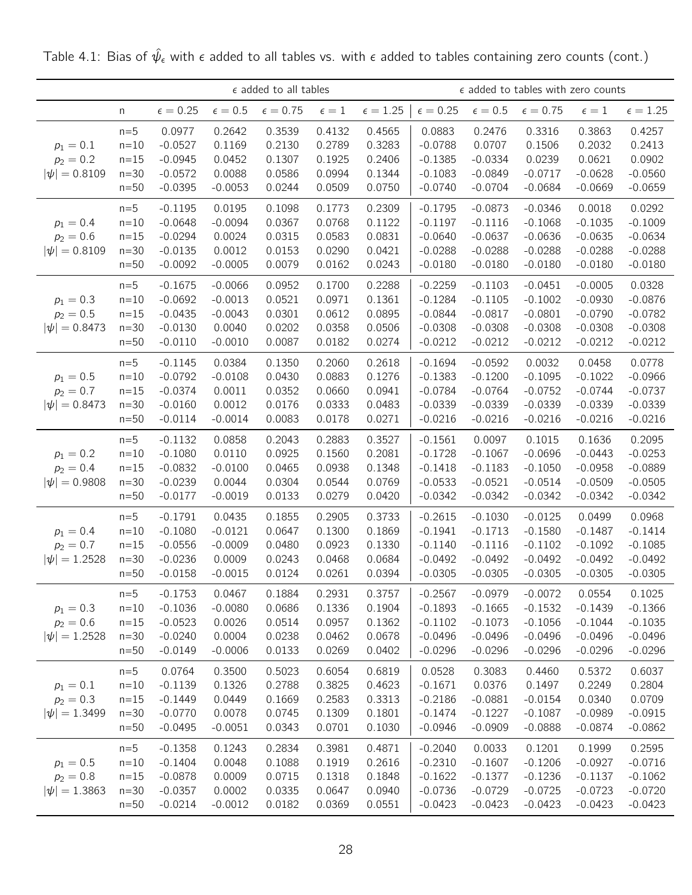|                                                 |                                                 |                                                               |                                                            | $\epsilon$ added to all tables                 |                                                |                                                |                                                               |                                                               | $\epsilon$ added to tables with zero counts                   |                                                               |                                                            |
|-------------------------------------------------|-------------------------------------------------|---------------------------------------------------------------|------------------------------------------------------------|------------------------------------------------|------------------------------------------------|------------------------------------------------|---------------------------------------------------------------|---------------------------------------------------------------|---------------------------------------------------------------|---------------------------------------------------------------|------------------------------------------------------------|
|                                                 | n                                               | $\epsilon = 0.25$                                             | $\epsilon = 0.5$                                           | $\epsilon = 0.75$                              | $\epsilon=1$                                   | $\epsilon = 1.25$                              | $\epsilon = 0.25$                                             | $\epsilon = 0.5$                                              | $\epsilon = 0.75$                                             | $\epsilon=1$                                                  | $\epsilon=1.25$                                            |
| $p_1 = 0.1$<br>$p_2 = 0.2$<br>$ \psi  = 0.8109$ | $n=5$<br>$n=10$<br>$n = 15$<br>$n=30$<br>$n=50$ | 0.0977<br>$-0.0527$<br>$-0.0945$<br>$-0.0572$<br>$-0.0395$    | 0.2642<br>0.1169<br>0.0452<br>0.0088<br>$-0.0053$          | 0.3539<br>0.2130<br>0.1307<br>0.0586<br>0.0244 | 0.4132<br>0.2789<br>0.1925<br>0.0994<br>0.0509 | 0.4565<br>0.3283<br>0.2406<br>0.1344<br>0.0750 | 0.0883<br>$-0.0788$<br>$-0.1385$<br>$-0.1083$<br>$-0.0740$    | 0.2476<br>0.0707<br>$-0.0334$<br>$-0.0849$<br>$-0.0704$       | 0.3316<br>0.1506<br>0.0239<br>$-0.0717$<br>$-0.0684$          | 0.3863<br>0.2032<br>0.0621<br>$-0.0628$<br>$-0.0669$          | 0.4257<br>0.2413<br>0.0902<br>$-0.0560$<br>$-0.0659$       |
| $p_1 = 0.4$<br>$p_2 = 0.6$<br>$ \psi  = 0.8109$ | $n=5$<br>$n=10$<br>$n = 15$<br>$n=30$<br>$n=50$ | $-0.1195$<br>$-0.0648$<br>$-0.0294$<br>$-0.0135$<br>$-0.0092$ | 0.0195<br>$-0.0094$<br>0.0024<br>0.0012<br>$-0.0005$       | 0.1098<br>0.0367<br>0.0315<br>0.0153<br>0.0079 | 0.1773<br>0.0768<br>0.0583<br>0.0290<br>0.0162 | 0.2309<br>0.1122<br>0.0831<br>0.0421<br>0.0243 | $-0.1795$<br>$-0.1197$<br>$-0.0640$<br>$-0.0288$<br>$-0.0180$ | $-0.0873$<br>$-0.1116$<br>$-0.0637$<br>$-0.0288$<br>$-0.0180$ | $-0.0346$<br>$-0.1068$<br>$-0.0636$<br>$-0.0288$<br>$-0.0180$ | 0.0018<br>$-0.1035$<br>$-0.0635$<br>$-0.0288$<br>$-0.0180$    | 0.0292<br>$-0.1009$<br>$-0.0634$<br>$-0.0288$<br>$-0.0180$ |
| $p_1 = 0.3$<br>$p_2 = 0.5$<br>$ \psi  = 0.8473$ | $n=5$<br>$n=10$<br>$n = 15$<br>$n=30$<br>$n=50$ | $-0.1675$<br>$-0.0692$<br>$-0.0435$<br>$-0.0130$<br>$-0.0110$ | $-0.0066$<br>$-0.0013$<br>$-0.0043$<br>0.0040<br>$-0.0010$ | 0.0952<br>0.0521<br>0.0301<br>0.0202<br>0.0087 | 0.1700<br>0.0971<br>0.0612<br>0.0358<br>0.0182 | 0.2288<br>0.1361<br>0.0895<br>0.0506<br>0.0274 | $-0.2259$<br>$-0.1284$<br>$-0.0844$<br>$-0.0308$<br>$-0.0212$ | $-0.1103$<br>$-0.1105$<br>$-0.0817$<br>$-0.0308$<br>$-0.0212$ | $-0.0451$<br>$-0.1002$<br>$-0.0801$<br>$-0.0308$<br>$-0.0212$ | $-0.0005$<br>$-0.0930$<br>$-0.0790$<br>$-0.0308$<br>$-0.0212$ | 0.0328<br>$-0.0876$<br>$-0.0782$<br>$-0.0308$<br>$-0.0212$ |
| $p_1 = 0.5$<br>$p_2 = 0.7$<br>$ \psi  = 0.8473$ | $n=5$<br>$n=10$<br>$n = 15$<br>$n=30$<br>$n=50$ | $-0.1145$<br>$-0.0792$<br>$-0.0374$<br>$-0.0160$<br>$-0.0114$ | 0.0384<br>$-0.0108$<br>0.0011<br>0.0012<br>$-0.0014$       | 0.1350<br>0.0430<br>0.0352<br>0.0176<br>0.0083 | 0.2060<br>0.0883<br>0.0660<br>0.0333<br>0.0178 | 0.2618<br>0.1276<br>0.0941<br>0.0483<br>0.0271 | $-0.1694$<br>$-0.1383$<br>$-0.0784$<br>$-0.0339$<br>$-0.0216$ | $-0.0592$<br>$-0.1200$<br>$-0.0764$<br>$-0.0339$<br>$-0.0216$ | 0.0032<br>$-0.1095$<br>$-0.0752$<br>$-0.0339$<br>$-0.0216$    | 0.0458<br>$-0.1022$<br>$-0.0744$<br>$-0.0339$<br>$-0.0216$    | 0.0778<br>$-0.0966$<br>$-0.0737$<br>$-0.0339$<br>$-0.0216$ |
| $p_1 = 0.2$<br>$p_2 = 0.4$<br>$ \psi  = 0.9808$ | $n=5$<br>$n=10$<br>$n = 15$<br>$n=30$<br>$n=50$ | $-0.1132$<br>$-0.1080$<br>$-0.0832$<br>$-0.0239$<br>$-0.0177$ | 0.0858<br>0.0110<br>$-0.0100$<br>0.0044<br>$-0.0019$       | 0.2043<br>0.0925<br>0.0465<br>0.0304<br>0.0133 | 0.2883<br>0.1560<br>0.0938<br>0.0544<br>0.0279 | 0.3527<br>0.2081<br>0.1348<br>0.0769<br>0.0420 | $-0.1561$<br>$-0.1728$<br>$-0.1418$<br>$-0.0533$<br>$-0.0342$ | 0.0097<br>$-0.1067$<br>$-0.1183$<br>$-0.0521$<br>$-0.0342$    | 0.1015<br>$-0.0696$<br>$-0.1050$<br>$-0.0514$<br>$-0.0342$    | 0.1636<br>$-0.0443$<br>$-0.0958$<br>$-0.0509$<br>$-0.0342$    | 0.2095<br>$-0.0253$<br>$-0.0889$<br>$-0.0505$<br>$-0.0342$ |
| $p_1 = 0.4$<br>$p_2 = 0.7$<br>$ \psi  = 1.2528$ | $n=5$<br>$n=10$<br>$n = 15$<br>$n=30$<br>$n=50$ | $-0.1791$<br>$-0.1080$<br>$-0.0556$<br>$-0.0236$<br>$-0.0158$ | 0.0435<br>$-0.0121$<br>$-0.0009$<br>0.0009<br>$-0.0015$    | 0.1855<br>0.0647<br>0.0480<br>0.0243<br>0.0124 | 0.2905<br>0.1300<br>0.0923<br>0.0468<br>0.0261 | 0.3733<br>0.1869<br>0.1330<br>0.0684<br>0.0394 | $-0.2615$<br>$-0.1941$<br>$-0.1140$<br>$-0.0492$<br>$-0.0305$ | $-0.1030$<br>$-0.1713$<br>$-0.1116$<br>$-0.0492$<br>$-0.0305$ | $-0.0125$<br>$-0.1580$<br>$-0.1102$<br>$-0.0492$<br>$-0.0305$ | 0.0499<br>$-0.1487$<br>$-0.1092$<br>$-0.0492$<br>$-0.0305$    | 0.0968<br>$-0.1414$<br>$-0.1085$<br>$-0.0492$<br>$-0.0305$ |
| $p_1 = 0.3$<br>$p_2 = 0.6$<br>$ \psi  = 1.2528$ | $n=5$<br>$n=10$<br>$n=15$<br>$n=30$<br>$n=50$   | $-0.1753$<br>$-0.1036$<br>$-0.0523$<br>$-0.0240$<br>$-0.0149$ | 0.0467<br>$-0.0080$<br>0.0026<br>0.0004<br>$-0.0006$       | 0.1884<br>0.0686<br>0.0514<br>0.0238<br>0.0133 | 0.2931<br>0.1336<br>0.0957<br>0.0462<br>0.0269 | 0.3757<br>0.1904<br>0.1362<br>0.0678<br>0.0402 | $-0.2567$<br>$-0.1893$<br>$-0.1102$<br>$-0.0496$<br>$-0.0296$ | $-0.0979$<br>$-0.1665$<br>$-0.1073$<br>$-0.0496$<br>$-0.0296$ | $-0.0072$<br>$-0.1532$<br>$-0.1056$<br>$-0.0496$<br>$-0.0296$ | 0.0554<br>$-0.1439$<br>$-0.1044$<br>$-0.0496$<br>$-0.0296$    | 0.1025<br>$-0.1366$<br>$-0.1035$<br>$-0.0496$<br>$-0.0296$ |
| $p_1 = 0.1$<br>$p_2 = 0.3$<br>$ \psi  = 1.3499$ | $n=5$<br>$n=10$<br>$n = 15$<br>$n=30$<br>$n=50$ | 0.0764<br>$-0.1139$<br>$-0.1449$<br>$-0.0770$<br>$-0.0495$    | 0.3500<br>0.1326<br>0.0449<br>0.0078<br>$-0.0051$          | 0.5023<br>0.2788<br>0.1669<br>0.0745<br>0.0343 | 0.6054<br>0.3825<br>0.2583<br>0.1309<br>0.0701 | 0.6819<br>0.4623<br>0.3313<br>0.1801<br>0.1030 | 0.0528<br>$-0.1671$<br>$-0.2186$<br>$-0.1474$<br>$-0.0946$    | 0.3083<br>0.0376<br>$-0.0881$<br>$-0.1227$<br>$-0.0909$       | 0.4460<br>0.1497<br>$-0.0154$<br>$-0.1087$<br>$-0.0888$       | 0.5372<br>0.2249<br>0.0340<br>$-0.0989$<br>$-0.0874$          | 0.6037<br>0.2804<br>0.0709<br>$-0.0915$<br>$-0.0862$       |
| $p_1 = 0.5$<br>$p_2 = 0.8$<br>$ \psi  = 1.3863$ | $n=5$<br>$n=10$<br>$n=15$<br>$n=30$<br>$n=50$   | $-0.1358$<br>$-0.1404$<br>$-0.0878$<br>$-0.0357$<br>$-0.0214$ | 0.1243<br>0.0048<br>0.0009<br>0.0002<br>$-0.0012$          | 0.2834<br>0.1088<br>0.0715<br>0.0335<br>0.0182 | 0.3981<br>0.1919<br>0.1318<br>0.0647<br>0.0369 | 0.4871<br>0.2616<br>0.1848<br>0.0940<br>0.0551 | $-0.2040$<br>$-0.2310$<br>$-0.1622$<br>$-0.0736$<br>$-0.0423$ | 0.0033<br>$-0.1607$<br>$-0.1377$<br>$-0.0729$<br>$-0.0423$    | 0.1201<br>$-0.1206$<br>$-0.1236$<br>$-0.0725$<br>$-0.0423$    | 0.1999<br>$-0.0927$<br>$-0.1137$<br>$-0.0723$<br>$-0.0423$    | 0.2595<br>$-0.0716$<br>$-0.1062$<br>$-0.0720$<br>$-0.0423$ |

Table 4.1: Bias of  $\hat{\psi}_{\epsilon}$  with  $\epsilon$  added to all tables vs. with  $\epsilon$  added to tables containing zero counts (cont.)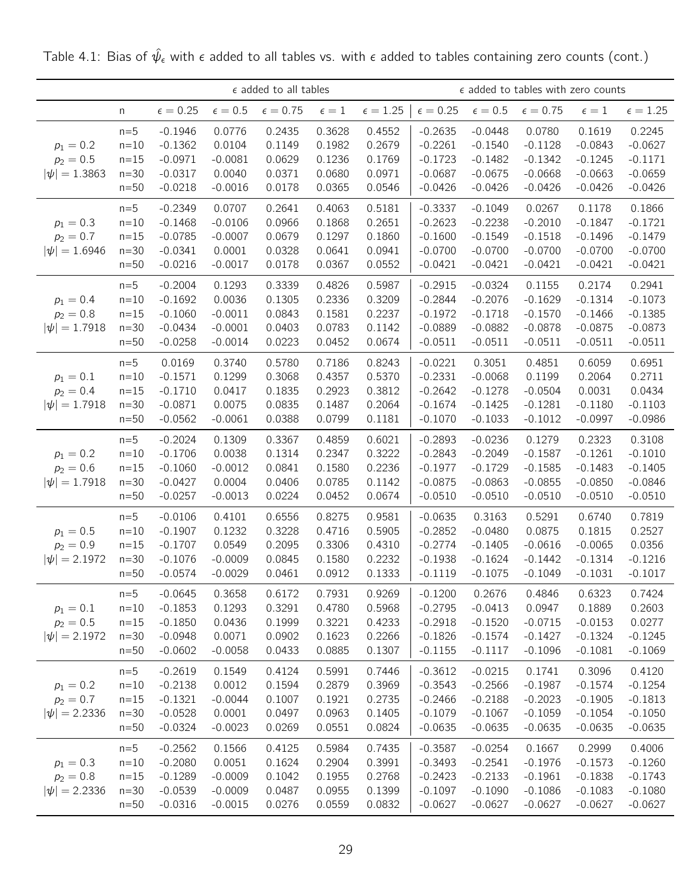|                   |          |                   |                | $\epsilon$ added to all tables |              |                   |                   |                  | $\epsilon$ added to tables with zero counts |                |                   |
|-------------------|----------|-------------------|----------------|--------------------------------|--------------|-------------------|-------------------|------------------|---------------------------------------------|----------------|-------------------|
|                   | n        | $\epsilon = 0.25$ | $\epsilon=0.5$ | $\epsilon = 0.75$              | $\epsilon=1$ | $\epsilon = 1.25$ | $\epsilon = 0.25$ | $\epsilon = 0.5$ | $\epsilon = 0.75$                           | $\epsilon = 1$ | $\epsilon = 1.25$ |
|                   | $n=5$    | $-0.1946$         | 0.0776         | 0.2435                         | 0.3628       | 0.4552            | $-0.2635$         | $-0.0448$        | 0.0780                                      | 0.1619         | 0.2245            |
| $p_1 = 0.2$       | $n=10$   | $-0.1362$         | 0.0104         | 0.1149                         | 0.1982       | 0.2679            | $-0.2261$         | $-0.1540$        | $-0.1128$                                   | $-0.0843$      | $-0.0627$         |
| $p_2 = 0.5$       | $n = 15$ | $-0.0971$         | $-0.0081$      | 0.0629                         | 0.1236       | 0.1769            | $-0.1723$         | $-0.1482$        | $-0.1342$                                   | $-0.1245$      | $-0.1171$         |
| $ \psi  = 1.3863$ | $n=30$   | $-0.0317$         | 0.0040         | 0.0371                         | 0.0680       | 0.0971            | $-0.0687$         | $-0.0675$        | $-0.0668$                                   | $-0.0663$      | $-0.0659$         |
|                   | $n=50$   | $-0.0218$         | $-0.0016$      | 0.0178                         | 0.0365       | 0.0546            | $-0.0426$         | $-0.0426$        | $-0.0426$                                   | $-0.0426$      | $-0.0426$         |
|                   | $n=5$    | $-0.2349$         | 0.0707         | 0.2641                         | 0.4063       | 0.5181            | $-0.3337$         | $-0.1049$        | 0.0267                                      | 0.1178         | 0.1866            |
| $p_1 = 0.3$       | $n=10$   | $-0.1468$         | $-0.0106$      | 0.0966                         | 0.1868       | 0.2651            | $-0.2623$         | $-0.2238$        | $-0.2010$                                   | $-0.1847$      | $-0.1721$         |
| $p_2 = 0.7$       | $n = 15$ | $-0.0785$         | $-0.0007$      | 0.0679                         | 0.1297       | 0.1860            | $-0.1600$         | $-0.1549$        | $-0.1518$                                   | $-0.1496$      | $-0.1479$         |
| $ \psi  = 1.6946$ | $n=30$   | $-0.0341$         | 0.0001         | 0.0328                         | 0.0641       | 0.0941            | $-0.0700$         | $-0.0700$        | $-0.0700$                                   | $-0.0700$      | $-0.0700$         |
|                   | $n=50$   | $-0.0216$         | $-0.0017$      | 0.0178                         | 0.0367       | 0.0552            | $-0.0421$         | $-0.0421$        | $-0.0421$                                   | $-0.0421$      | $-0.0421$         |
|                   | $n=5$    | $-0.2004$         | 0.1293         | 0.3339                         | 0.4826       | 0.5987            | $-0.2915$         | $-0.0324$        | 0.1155                                      | 0.2174         | 0.2941            |
| $p_1 = 0.4$       | $n=10$   | $-0.1692$         | 0.0036         | 0.1305                         | 0.2336       | 0.3209            | $-0.2844$         | $-0.2076$        | $-0.1629$                                   | $-0.1314$      | $-0.1073$         |
| $p_2 = 0.8$       | $n = 15$ | $-0.1060$         | $-0.0011$      | 0.0843                         | 0.1581       | 0.2237            | $-0.1972$         | $-0.1718$        | $-0.1570$                                   | $-0.1466$      | $-0.1385$         |
| $ \psi  = 1.7918$ | $n=30$   | $-0.0434$         | $-0.0001$      | 0.0403                         | 0.0783       | 0.1142            | $-0.0889$         | $-0.0882$        | $-0.0878$                                   | $-0.0875$      | $-0.0873$         |
|                   | $n=50$   | $-0.0258$         | $-0.0014$      | 0.0223                         | 0.0452       | 0.0674            | $-0.0511$         | $-0.0511$        | $-0.0511$                                   | $-0.0511$      | $-0.0511$         |
|                   | $n=5$    | 0.0169            | 0.3740         | 0.5780                         | 0.7186       | 0.8243            | $-0.0221$         | 0.3051           | 0.4851                                      | 0.6059         | 0.6951            |
| $p_1 = 0.1$       | $n=10$   | $-0.1571$         | 0.1299         | 0.3068                         | 0.4357       | 0.5370            | $-0.2331$         | $-0.0068$        | 0.1199                                      | 0.2064         | 0.2711            |
| $p_2 = 0.4$       | $n=15$   | $-0.1710$         | 0.0417         | 0.1835                         | 0.2923       | 0.3812            | $-0.2642$         | $-0.1278$        | $-0.0504$                                   | 0.0031         | 0.0434            |
| $ \psi  = 1.7918$ | $n=30$   | $-0.0871$         | 0.0075         | 0.0835                         | 0.1487       | 0.2064            | $-0.1674$         | $-0.1425$        | $-0.1281$                                   | $-0.1180$      | $-0.1103$         |
|                   | $n=50$   | $-0.0562$         | $-0.0061$      | 0.0388                         | 0.0799       | 0.1181            | $-0.1070$         | $-0.1033$        | $-0.1012$                                   | $-0.0997$      | $-0.0986$         |
|                   | $n=5$    | $-0.2024$         | 0.1309         | 0.3367                         | 0.4859       | 0.6021            | $-0.2893$         | $-0.0236$        | 0.1279                                      | 0.2323         | 0.3108            |
| $p_1 = 0.2$       | $n=10$   | $-0.1706$         | 0.0038         | 0.1314                         | 0.2347       | 0.3222            | $-0.2843$         | $-0.2049$        | $-0.1587$                                   | $-0.1261$      | $-0.1010$         |
| $p_2 = 0.6$       | $n = 15$ | $-0.1060$         | $-0.0012$      | 0.0841                         | 0.1580       | 0.2236            | $-0.1977$         | $-0.1729$        | $-0.1585$                                   | $-0.1483$      | $-0.1405$         |
| $ \psi  = 1.7918$ | $n=30$   | $-0.0427$         | 0.0004         | 0.0406                         | 0.0785       | 0.1142            | $-0.0875$         | $-0.0863$        | $-0.0855$                                   | $-0.0850$      | $-0.0846$         |
|                   | $n=50$   | $-0.0257$         | $-0.0013$      | 0.0224                         | 0.0452       | 0.0674            | $-0.0510$         | $-0.0510$        | $-0.0510$                                   | $-0.0510$      | $-0.0510$         |
|                   | $n=5$    | $-0.0106$         | 0.4101         | 0.6556                         | 0.8275       | 0.9581            | $-0.0635$         | 0.3163           | 0.5291                                      | 0.6740         | 0.7819            |
| $p_1 = 0.5$       | $n=10$   | $-0.1907$         | 0.1232         | 0.3228                         | 0.4716       | 0.5905            | $-0.2852$         | $-0.0480$        | 0.0875                                      | 0.1815         | 0.2527            |
| $p_2 = 0.9$       | $n = 15$ | $-0.1707$         | 0.0549         | 0.2095                         | 0.3306       | 0.4310            | $-0.2774$         | $-0.1405$        | $-0.0616$                                   | $-0.0065$      | 0.0356            |
| $ \psi  = 2.1972$ | $n=30$   | $-0.1076$         | $-0.0009$      | 0.0845                         | 0.1580       | 0.2232            | $-0.1938$         | $-0.1624$        | $-0.1442$                                   | $-0.1314$      | $-0.1216$         |
|                   | $n=50$   | $-0.0574$         | $-0.0029$      | 0.0461                         | 0.0912       | 0.1333            | $-0.1119$         | $-0.1075$        | $-0.1049$                                   | $-0.1031$      | $-0.1017$         |
|                   | $n=5$    | $-0.0645$         | 0.3658         | 0.6172                         | 0.7931       | 0.9269            | $-0.1200$         | 0.2676           | 0.4846                                      | 0.6323         | 0.7424            |
| $p_1 = 0.1$       | $n=10$   | $-0.1853$         | 0.1293         | 0.3291                         | 0.4780       | 0.5968            | $-0.2795$         | $-0.0413$        | 0.0947                                      | 0.1889         | 0.2603            |
| $p_2 = 0.5$       | $n=15$   | $-0.1850$         | 0.0436         | 0.1999                         | 0.3221       | 0.4233            | $-0.2918$         | $-0.1520$        | $-0.0715$                                   | $-0.0153$      | 0.0277            |
| $ \psi  = 2.1972$ | $n=30$   | $-0.0948$         | 0.0071         | 0.0902                         | 0.1623       | 0.2266            | $-0.1826$         | $-0.1574$        | $-0.1427$                                   | $-0.1324$      | $-0.1245$         |
|                   | $n=50$   | $-0.0602$         | $-0.0058$      | 0.0433                         | 0.0885       | 0.1307            | $-0.1155$         | $-0.1117$        | $-0.1096$                                   | $-0.1081$      | $-0.1069$         |
|                   | $n=5$    | $-0.2619$         | 0.1549         | 0.4124                         | 0.5991       | 0.7446            | $-0.3612$         | $-0.0215$        | 0.1741                                      | 0.3096         | 0.4120            |
| $p_1 = 0.2$       | $n=10$   | $-0.2138$         | 0.0012         | 0.1594                         | 0.2879       | 0.3969            | $-0.3543$         | $-0.2566$        | $-0.1987$                                   | $-0.1574$      | $-0.1254$         |
| $p_2 = 0.7$       | $n = 15$ | $-0.1321$         | $-0.0044$      | 0.1007                         | 0.1921       | 0.2735            | $-0.2466$         | $-0.2188$        | $-0.2023$                                   | $-0.1905$      | $-0.1813$         |
| $ \psi  = 2.2336$ | $n=30$   | $-0.0528$         | 0.0001         | 0.0497                         | 0.0963       | 0.1405            | $-0.1079$         | $-0.1067$        | $-0.1059$                                   | $-0.1054$      | $-0.1050$         |
|                   | $n=50$   | $-0.0324$         | $-0.0023$      | 0.0269                         | 0.0551       | 0.0824            | $-0.0635$         | $-0.0635$        | $-0.0635$                                   | $-0.0635$      | $-0.0635$         |
|                   | $n=5$    | $-0.2562$         | 0.1566         | 0.4125                         | 0.5984       | 0.7435            | $-0.3587$         | $-0.0254$        | 0.1667                                      | 0.2999         | 0.4006            |
| $p_1 = 0.3$       | $n=10$   | $-0.2080$         | 0.0051         | 0.1624                         | 0.2904       | 0.3991            | $-0.3493$         | $-0.2541$        | $-0.1976$                                   | $-0.1573$      | $-0.1260$         |
| $p_2 = 0.8$       | $n=15$   | $-0.1289$         | $-0.0009$      | 0.1042                         | 0.1955       | 0.2768            | $-0.2423$         | $-0.2133$        | $-0.1961$                                   | $-0.1838$      | $-0.1743$         |
| $ \psi  = 2.2336$ | $n=30$   | $-0.0539$         | $-0.0009$      | 0.0487                         | 0.0955       | 0.1399            | $-0.1097$         | $-0.1090$        | $-0.1086$                                   | $-0.1083$      | $-0.1080$         |
|                   | $n=50$   | $-0.0316$         | $-0.0015$      | 0.0276                         | 0.0559       | 0.0832            | $-0.0627$         | $-0.0627$        | $-0.0627$                                   | $-0.0627$      | $-0.0627$         |

Table 4.1: Bias of  $\hat{\psi}_{\epsilon}$  with  $\epsilon$  added to all tables vs. with  $\epsilon$  added to tables containing zero counts (cont.)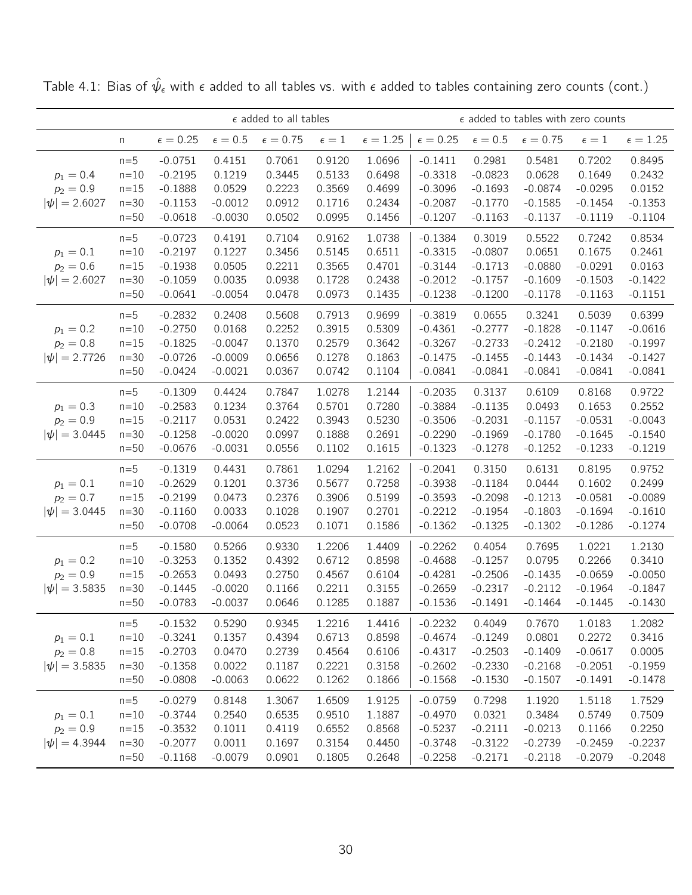|                                                 |                                                   | $\epsilon$ added to all tables<br>$\epsilon=0.25$<br>$\epsilon=0.5$<br>$\epsilon = 0.75$<br>$\epsilon=1$<br>$-0.0751$<br>0.7061<br>0.4151<br>0.9120<br>$-0.2195$<br>0.1219<br>0.3445<br>0.5133<br>$-0.1888$<br>0.0529<br>0.2223<br>0.3569<br>$-0.0012$<br>0.0912<br>0.1716<br>$-0.1153$ |                                                         |                                                |                                                |                                                |                                                               |                                                            | $\epsilon$ added to tables with zero counts                |                                                            |                                                            |
|-------------------------------------------------|---------------------------------------------------|-----------------------------------------------------------------------------------------------------------------------------------------------------------------------------------------------------------------------------------------------------------------------------------------|---------------------------------------------------------|------------------------------------------------|------------------------------------------------|------------------------------------------------|---------------------------------------------------------------|------------------------------------------------------------|------------------------------------------------------------|------------------------------------------------------------|------------------------------------------------------------|
|                                                 | n                                                 |                                                                                                                                                                                                                                                                                         |                                                         |                                                |                                                | $\epsilon = 1.25$                              | $\epsilon=0.25$                                               | $\epsilon=0.5$                                             | $\epsilon = 0.75$                                          | $\epsilon = 1$                                             | $\epsilon = 1.25$                                          |
| $p_1 = 0.4$<br>$p_2 = 0.9$<br>$ \psi  = 2.6027$ | $n=5$<br>$n = 10$<br>$n = 15$<br>$n=30$<br>$n=50$ | $-0.0618$                                                                                                                                                                                                                                                                               | $-0.0030$                                               | 0.0502                                         | 0.0995                                         | 1.0696<br>0.6498<br>0.4699<br>0.2434<br>0.1456 | $-0.1411$<br>$-0.3318$<br>$-0.3096$<br>$-0.2087$<br>$-0.1207$ | 0.2981<br>$-0.0823$<br>$-0.1693$<br>$-0.1770$<br>$-0.1163$ | 0.5481<br>0.0628<br>$-0.0874$<br>$-0.1585$<br>$-0.1137$    | 0.7202<br>0.1649<br>$-0.0295$<br>$-0.1454$<br>$-0.1119$    | 0.8495<br>0.2432<br>0.0152<br>$-0.1353$<br>$-0.1104$       |
| $p_1 = 0.1$<br>$p_2 = 0.6$<br>$ \psi  = 2.6027$ | $n=5$<br>$n = 10$<br>$n=15$<br>$n=30$<br>$n=50$   | $-0.0723$<br>$-0.2197$<br>$-0.1938$<br>$-0.1059$<br>$-0.0641$                                                                                                                                                                                                                           | 0.4191<br>0.1227<br>0.0505<br>0.0035<br>$-0.0054$       | 0.7104<br>0.3456<br>0.2211<br>0.0938<br>0.0478 | 0.9162<br>0.5145<br>0.3565<br>0.1728<br>0.0973 | 1.0738<br>0.6511<br>0.4701<br>0.2438<br>0.1435 | $-0.1384$<br>$-0.3315$<br>$-0.3144$<br>$-0.2012$<br>$-0.1238$ | 0.3019<br>$-0.0807$<br>$-0.1713$<br>$-0.1757$<br>$-0.1200$ | 0.5522<br>0.0651<br>$-0.0880$<br>$-0.1609$<br>$-0.1178$    | 0.7242<br>0.1675<br>$-0.0291$<br>$-0.1503$<br>$-0.1163$    | 0.8534<br>0.2461<br>0.0163<br>$-0.1422$<br>$-0.1151$       |
| $p_1 = 0.2$<br>$p_2 = 0.8$<br>$ \psi  = 2.7726$ | $n=5$<br>$n=10$<br>$n = 15$<br>$n=30$<br>$n=50$   | $-0.2832$<br>$-0.2750$<br>$-0.1825$<br>$-0.0726$<br>$-0.0424$                                                                                                                                                                                                                           | 0.2408<br>0.0168<br>$-0.0047$<br>$-0.0009$<br>$-0.0021$ | 0.5608<br>0.2252<br>0.1370<br>0.0656<br>0.0367 | 0.7913<br>0.3915<br>0.2579<br>0.1278<br>0.0742 | 0.9699<br>0.5309<br>0.3642<br>0.1863<br>0.1104 | $-0.3819$<br>$-0.4361$<br>$-0.3267$<br>$-0.1475$<br>$-0.0841$ | 0.0655<br>$-0.2777$<br>$-0.2733$<br>$-0.1455$<br>$-0.0841$ | 0.3241<br>$-0.1828$<br>$-0.2412$<br>$-0.1443$<br>$-0.0841$ | 0.5039<br>$-0.1147$<br>$-0.2180$<br>$-0.1434$<br>$-0.0841$ | 0.6399<br>$-0.0616$<br>$-0.1997$<br>$-0.1427$<br>$-0.0841$ |
| $p_1 = 0.3$<br>$p_2 = 0.9$<br>$ \psi  = 3.0445$ | $n=5$<br>$n = 10$<br>$n = 15$<br>$n=30$<br>$n=50$ | $-0.1309$<br>$-0.2583$<br>$-0.2117$<br>$-0.1258$<br>$-0.0676$                                                                                                                                                                                                                           | 0.4424<br>0.1234<br>0.0531<br>$-0.0020$<br>$-0.0031$    | 0.7847<br>0.3764<br>0.2422<br>0.0997<br>0.0556 | 1.0278<br>0.5701<br>0.3943<br>0.1888<br>0.1102 | 1.2144<br>0.7280<br>0.5230<br>0.2691<br>0.1615 | $-0.2035$<br>$-0.3884$<br>$-0.3506$<br>$-0.2290$<br>$-0.1323$ | 0.3137<br>$-0.1135$<br>$-0.2031$<br>$-0.1969$<br>$-0.1278$ | 0.6109<br>0.0493<br>$-0.1157$<br>$-0.1780$<br>$-0.1252$    | 0.8168<br>0.1653<br>$-0.0531$<br>$-0.1645$<br>$-0.1233$    | 0.9722<br>0.2552<br>$-0.0043$<br>$-0.1540$<br>$-0.1219$    |
| $p_1 = 0.1$<br>$p_2 = 0.7$<br>$ \psi  = 3.0445$ | $n=5$<br>$n=10$<br>$n = 15$<br>$n = 30$<br>$n=50$ | $-0.1319$<br>$-0.2629$<br>$-0.2199$<br>$-0.1160$<br>$-0.0708$                                                                                                                                                                                                                           | 0.4431<br>0.1201<br>0.0473<br>0.0033<br>$-0.0064$       | 0.7861<br>0.3736<br>0.2376<br>0.1028<br>0.0523 | 1.0294<br>0.5677<br>0.3906<br>0.1907<br>0.1071 | 1.2162<br>0.7258<br>0.5199<br>0.2701<br>0.1586 | $-0.2041$<br>$-0.3938$<br>$-0.3593$<br>$-0.2212$<br>$-0.1362$ | 0.3150<br>$-0.1184$<br>$-0.2098$<br>$-0.1954$<br>$-0.1325$ | 0.6131<br>0.0444<br>$-0.1213$<br>$-0.1803$<br>$-0.1302$    | 0.8195<br>0.1602<br>$-0.0581$<br>$-0.1694$<br>$-0.1286$    | 0.9752<br>0.2499<br>$-0.0089$<br>$-0.1610$<br>$-0.1274$    |
| $p_1 = 0.2$<br>$p_2 = 0.9$<br>$ \psi  = 3.5835$ | $n=5$<br>$n=10$<br>$n = 15$<br>$n=30$<br>$n=50$   | $-0.1580$<br>$-0.3253$<br>$-0.2653$<br>$-0.1445$<br>$-0.0783$                                                                                                                                                                                                                           | 0.5266<br>0.1352<br>0.0493<br>$-0.0020$<br>$-0.0037$    | 0.9330<br>0.4392<br>0.2750<br>0.1166<br>0.0646 | 1.2206<br>0.6712<br>0.4567<br>0.2211<br>0.1285 | 1.4409<br>0.8598<br>0.6104<br>0.3155<br>0.1887 | $-0.2262$<br>$-0.4688$<br>$-0.4281$<br>$-0.2659$<br>$-0.1536$ | 0.4054<br>$-0.1257$<br>$-0.2506$<br>$-0.2317$<br>$-0.1491$ | 0.7695<br>0.0795<br>$-0.1435$<br>$-0.2112$<br>$-0.1464$    | 1.0221<br>0.2266<br>$-0.0659$<br>$-0.1964$<br>$-0.1445$    | 1.2130<br>0.3410<br>$-0.0050$<br>$-0.1847$<br>$-0.1430$    |
| $p_1 = 0.1$<br>$p_2 = 0.8$<br>$ \psi  = 3.5835$ | $n=5$<br>$n=10$<br>$n=15$<br>$n=30$<br>$n=50$     | $-0.1532$<br>$-0.3241$<br>$-0.2703$<br>$-0.1358$<br>$-0.0808$                                                                                                                                                                                                                           | 0.5290<br>0.1357<br>0.0470<br>0.0022<br>$-0.0063$       | 0.9345<br>0.4394<br>0.2739<br>0.1187<br>0.0622 | 1.2216<br>0.6713<br>0.4564<br>0.2221<br>0.1262 | 1.4416<br>0.8598<br>0.6106<br>0.3158<br>0.1866 | $-0.2232$<br>$-0.4674$<br>$-0.4317$<br>$-0.2602$<br>$-0.1568$ | 0.4049<br>$-0.1249$<br>$-0.2503$<br>$-0.2330$<br>$-0.1530$ | 0.7670<br>0.0801<br>$-0.1409$<br>$-0.2168$<br>$-0.1507$    | 1.0183<br>0.2272<br>$-0.0617$<br>$-0.2051$<br>$-0.1491$    | 1.2082<br>0.3416<br>0.0005<br>$-0.1959$<br>$-0.1478$       |
| $p_1 = 0.1$<br>$p_2 = 0.9$<br>$ \psi  = 4.3944$ | $n=5$<br>$n=10$<br>$n=15$<br>$n=30$<br>$n=50$     | $-0.0279$<br>$-0.3744$<br>$-0.3532$<br>$-0.2077$<br>$-0.1168$                                                                                                                                                                                                                           | 0.8148<br>0.2540<br>0.1011<br>0.0011<br>$-0.0079$       | 1.3067<br>0.6535<br>0.4119<br>0.1697<br>0.0901 | 1.6509<br>0.9510<br>0.6552<br>0.3154<br>0.1805 | 1.9125<br>1.1887<br>0.8568<br>0.4450<br>0.2648 | $-0.0759$<br>$-0.4970$<br>$-0.5237$<br>$-0.3748$<br>$-0.2258$ | 0.7298<br>0.0321<br>$-0.2111$<br>$-0.3122$<br>$-0.2171$    | 1.1920<br>0.3484<br>$-0.0213$<br>$-0.2739$<br>$-0.2118$    | 1.5118<br>0.5749<br>0.1166<br>$-0.2459$<br>$-0.2079$       | 1.7529<br>0.7509<br>0.2250<br>$-0.2237$<br>$-0.2048$       |

Table 4.1: Bias of  $\hat{\psi}_{\epsilon}$  with  $\epsilon$  added to all tables vs. with  $\epsilon$  added to tables containing zero counts (cont.)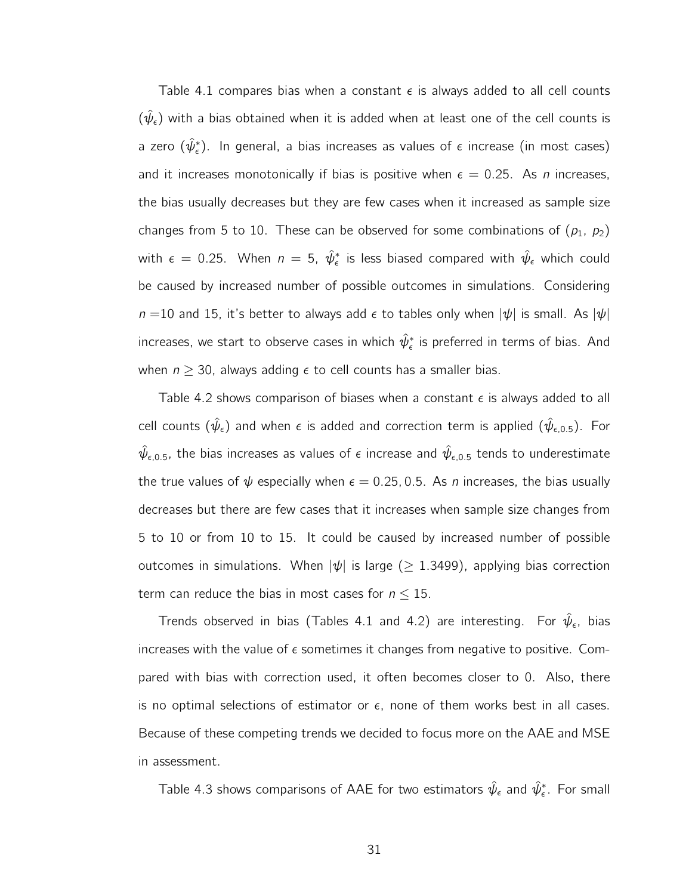Table 4.1 compares bias when a constant  $\epsilon$  is always added to all cell counts  $(\hat{\psi}_{\epsilon})$  with a bias obtained when it is added when at least one of the cell counts is a zero  $(\hat \psi_\epsilon^*)$ . In general, a bias increases as values of  $\epsilon$  increase (in most cases) and it increases monotonically if bias is positive when  $\epsilon = 0.25$ . As *n* increases, the bias usually decreases but they are few cases when it increased as sample size changes from 5 to 10. These can be observed for some combinations of  $(p_1, p_2)$ with  $\epsilon\,=\,0.25.$  When  $n\,=\,5,\,\,\hat{\psi}_\epsilon^*$  is less biased compared with  $\hat{\psi}_\epsilon$  which could be caused by increased number of possible outcomes in simulations. Considering  $n = 10$  and 15, it's better to always add  $\epsilon$  to tables only when  $|\psi|$  is small. As  $|\psi|$ increases, we start to observe cases in which  $\hat \psi_\epsilon^*$  is preferred in terms of bias. And when  $n \geq 30$ , always adding  $\epsilon$  to cell counts has a smaller bias.

Table 4.2 shows comparison of biases when a constant  $\epsilon$  is always added to all cell counts  $(\hat{\psi}_{\epsilon})$  and when  $\epsilon$  is added and correction term is applied  $(\hat{\psi}_{\epsilon,0.5})$ . For  $\hat\psi_{\epsilon,0.5}$ , the bias increases as values of  $\epsilon$  increase and  $\hat\psi_{\epsilon,0.5}$  tends to underestimate the true values of  $\psi$  especially when  $\epsilon = 0.25, 0.5$ . As *n* increases, the bias usually decreases but there are few cases that it increases when sample size changes from 5 to 10 or from 10 to 15. It could be caused by increased number of possible outcomes in simulations. When  $|\psi|$  is large ( $\geq$  1.3499), applying bias correction term can reduce the bias in most cases for  $n \leq 15$ .

Trends observed in bias (Tables 4.1 and 4.2) are interesting. For  $\hat{\psi}_{\epsilon}$ , bias increases with the value of  $\epsilon$  sometimes it changes from negative to positive. Compared with bias with correction used, it often becomes closer to 0. Also, there is no optimal selections of estimator or  $\epsilon$ , none of them works best in all cases. Because of these competing trends we decided to focus more on the AAE and MSE in assessment.

Table 4.3 shows comparisons of AAE for two estimators  $\hat{\psi}_{\epsilon}$  and  $\hat{\psi}_{\epsilon}^*$ . For small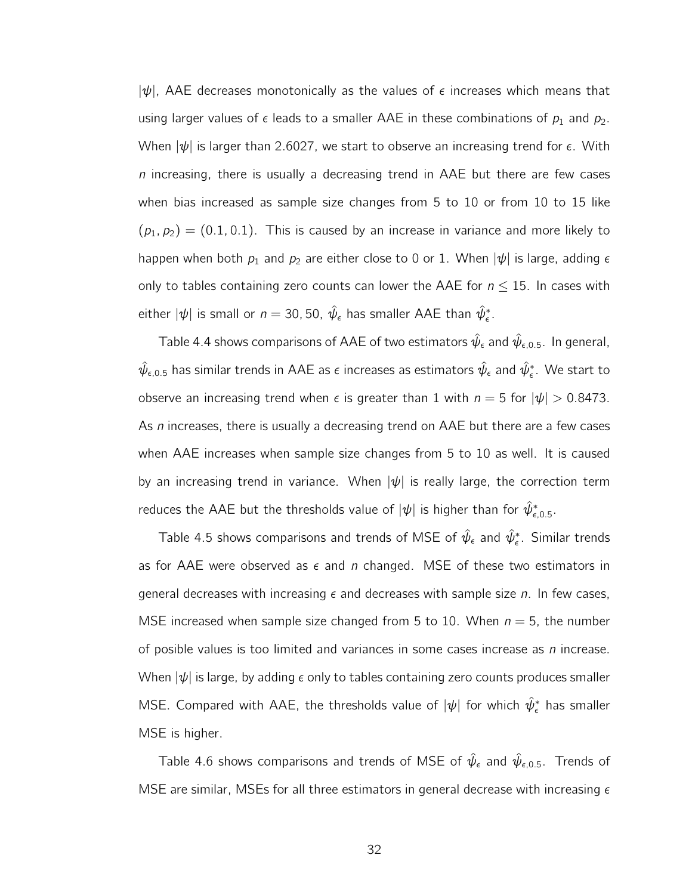$|\psi|$ , AAE decreases monotonically as the values of  $\epsilon$  increases which means that using larger values of  $\epsilon$  leads to a smaller AAE in these combinations of  $p_1$  and  $p_2$ . When  $|\psi|$  is larger than 2.6027, we start to observe an increasing trend for  $\epsilon$ . With n increasing, there is usually a decreasing trend in AAE but there are few cases when bias increased as sample size changes from 5 to 10 or from 10 to 15 like  $(p_1, p_2) = (0.1, 0.1)$ . This is caused by an increase in variance and more likely to happen when both  $p_1$  and  $p_2$  are either close to 0 or 1. When  $|\psi|$  is large, adding  $\epsilon$ only to tables containing zero counts can lower the AAE for  $n \leq 15$ . In cases with either  $|\psi|$  is small or  $n=$  30, 50,  $\hat{\psi}_{\epsilon}$  has smaller AAE than  $\hat{\psi}_{\epsilon}^*$ .

Table 4.4 shows comparisons of AAE of two estimators  $\hat{\psi}_{\epsilon}$  and  $\hat{\psi}_{\epsilon,0.5}$ . In general,  $\hat\psi_{\epsilon,0.5}$  has similar trends in AAE as  $\epsilon$  increases as estimators  $\hat\psi_\epsilon$  and  $\hat\psi_\epsilon^*$ . We start to observe an increasing trend when  $\epsilon$  is greater than 1 with  $n = 5$  for  $|\psi| > 0.8473$ . As n increases, there is usually a decreasing trend on AAE but there are a few cases when AAE increases when sample size changes from 5 to 10 as well. It is caused by an increasing trend in variance. When  $|\psi|$  is really large, the correction term reduces the AAE but the thresholds value of  $|\psi|$  is higher than for  $\hat\psi^*_{\epsilon,0.5}.$ 

Table 4.5 shows comparisons and trends of MSE of  $\hat\psi_\epsilon$  and  $\hat\psi_\epsilon^*$ . Similar trends as for AAE were observed as  $\epsilon$  and n changed. MSE of these two estimators in general decreases with increasing  $\epsilon$  and decreases with sample size n. In few cases, MSE increased when sample size changed from 5 to 10. When  $n = 5$ , the number of posible values is too limited and variances in some cases increase as  $n$  increase. When  $|\psi|$  is large, by adding  $\epsilon$  only to tables containing zero counts produces smaller MSE. Compared with AAE, the thresholds value of  $|\psi|$  for which  $\hat{\psi}_{\epsilon}^*$  has smaller MSE is higher.

Table 4.6 shows comparisons and trends of MSE of  $\hat{\psi}_{\epsilon}$  and  $\hat{\psi}_{\epsilon,0.5}$ . Trends of MSE are similar, MSEs for all three estimators in general decrease with increasing  $\epsilon$ 

32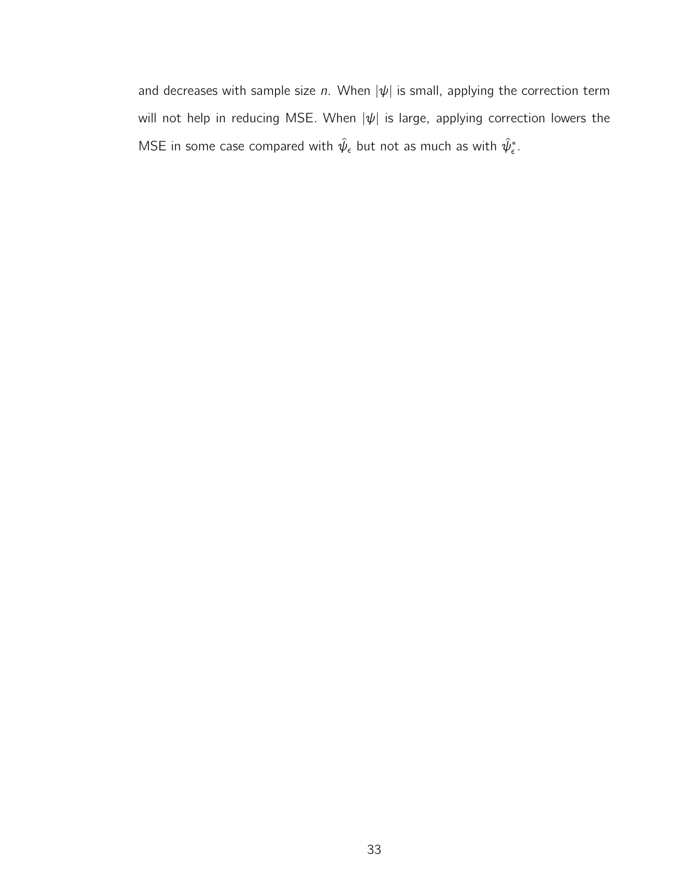and decreases with sample size n. When  $|\psi|$  is small, applying the correction term will not help in reducing MSE. When  $|\psi|$  is large, applying correction lowers the MSE in some case compared with  $\hat\psi_\epsilon$  but not as much as with  $\hat\psi_\epsilon^*.$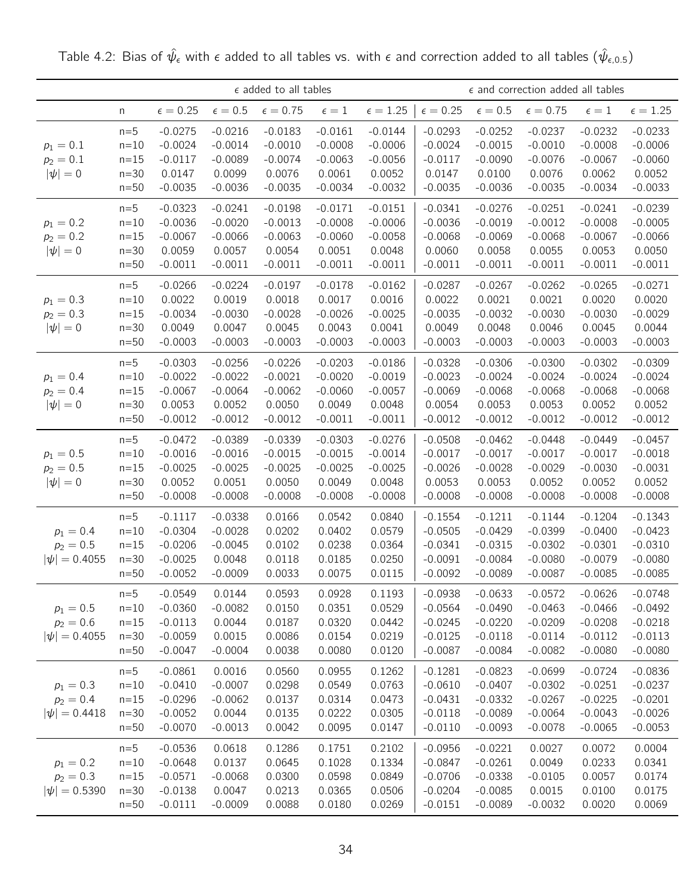$\epsilon$  added to all tables  $\epsilon$  and correction added all tables n  $\epsilon = 0.25$   $\epsilon = 0.5$   $\epsilon = 0.75$   $\epsilon = 1$   $\epsilon = 1.25$   $\epsilon = 0.25$   $\epsilon = 0.5$   $\epsilon = 0.75$   $\epsilon = 1$   $\epsilon = 1.25$  $p_1 = 0.1$  $p_2 = 0.1$  $|\psi| = 0$ n=5 -0.0275 -0.0216 -0.0183 -0.0161 -0.0144 -0.0293 -0.0252 -0.0237 -0.0232 -0.0233 n=10 -0.0024 -0.0014 -0.0010 -0.0008 -0.0006 -0.0024 -0.0015 -0.0010 -0.0008 -0.0006 n=15 -0.0117 -0.0089 -0.0074 -0.0063 -0.0056 -0.0117 -0.0090 -0.0076 -0.0067 -0.0060 n=30 0.0147 0.0099 0.0076 0.0061 0.0052 0.0147 0.0100 0.0076 0.0062 0.0052 n=50 -0.0035 -0.0036 -0.0035 -0.0034 -0.0032 -0.0035 -0.0036 -0.0035 -0.0034 -0.0033  $p_1 = 0.2$  $p_2 = 0.2$  $|\psi| = 0$ n=5 -0.0323 -0.0241 -0.0198 -0.0171 -0.0151 -0.0341 -0.0276 -0.0251 -0.0241 -0.0239 n=10 -0.0036 -0.0020 -0.0013 -0.0008 -0.0006 -0.0036 -0.0019 -0.0012 -0.0008 -0.0005 n=15 -0.0067 -0.0066 -0.0063 -0.0060 -0.0058 -0.0068 -0.0069 -0.0068 -0.0067 -0.0066 n=30 0.0059 0.0057 0.0054 0.0051 0.0048 0.0060 0.0058 0.0055 0.0053 0.0050 n=50 -0.0011 -0.0011 -0.0011 -0.0011 -0.0011 -0.0011 -0.0011 -0.0011 -0.0011 -0.0011  $p_1 = 0.3$  $p_2 = 0.3$  $|\psi| = 0$ n=5 -0.0266 -0.0224 -0.0197 -0.0178 -0.0162 -0.0287 -0.0267 -0.0262 -0.0265 -0.0271 n=10 0.0022 0.0019 0.0018 0.0017 0.0016 0.0022 0.0021 0.0021 0.0020 0.0020 n=15 -0.0034 -0.0030 -0.0028 -0.0026 -0.0025 -0.0035 -0.0032 -0.0030 -0.0030 -0.0029 n=30 0.0049 0.0047 0.0045 0.0043 0.0041 0.0049 0.0048 0.0046 0.0045 0.0044 n=50 -0.0003 -0.0003 -0.0003 -0.0003 -0.0003 -0.0003 -0.0003 -0.0003 -0.0003 -0.0003  $p_1 = 0.4$  $p_2 = 0.4$  $|\psi| = 0$ n=5 -0.0303 -0.0256 -0.0226 -0.0203 -0.0186 -0.0328 -0.0306 -0.0300 -0.0302 -0.0309 n=10 -0.0022 -0.0022 -0.0021 -0.0020 -0.0019 -0.0023 -0.0024 -0.0024 -0.0024 -0.0024 n=15 -0.0067 -0.0064 -0.0062 -0.0060 -0.0057 -0.0069 -0.0068 -0.0068 -0.0068 -0.0068 n=30 0.0053 0.0052 0.0050 0.0049 0.0048 0.0054 0.0053 0.0053 0.0052 0.0052 n=50 -0.0012 -0.0012 -0.0012 -0.0011 -0.0011 -0.0012 -0.0012 -0.0012 -0.0012 -0.0012  $p_1 = 0.5$  $p_2 = 0.5$  $|\psi| = 0$ n=5 -0.0472 -0.0389 -0.0339 -0.0303 -0.0276 -0.0508 -0.0462 -0.0448 -0.0449 -0.0457 n=10 -0.0016 -0.0016 -0.0015 -0.0015 -0.0014 -0.0017 -0.0017 -0.0017 -0.0017 -0.0018 n=15 -0.0025 -0.0025 -0.0025 -0.0025 -0.0025 -0.0026 -0.0028 -0.0029 -0.0030 -0.0031 n=30 0.0052 0.0051 0.0050 0.0049 0.0048 0.0053 0.0053 0.0052 0.0052 0.0052 n=50 -0.0008 -0.0008 -0.0008 -0.0008 -0.0008 -0.0008 -0.0008 -0.0008 -0.0008 -0.0008  $p_1 = 0.4$  $p_2 = 0.5$  $|\psi| = 0.4055$ n=5 -0.1117 -0.0338 0.0166 0.0542 0.0840 -0.1554 -0.1211 -0.1144 -0.1204 -0.1343 n=10 -0.0304 -0.0028 0.0202 0.0402 0.0579 -0.0505 -0.0429 -0.0399 -0.0400 -0.0423 n=15 -0.0206 -0.0045 0.0102 0.0238 0.0364 -0.0341 -0.0315 -0.0302 -0.0301 -0.0310 n=30 -0.0025 0.0048 0.0118 0.0185 0.0250 | -0.0091 -0.0084 -0.0080 -0.0079 -0.0080 n=50 -0.0052 -0.0009 0.0033 0.0075 0.0115 -0.0092 -0.0089 -0.0087 -0.0085 -0.0085  $p_1 = 0.5$  $p_2 = 0.6$  $|\psi| = 0.4055$ n=5 -0.0549 0.0144 0.0593 0.0928 0.1193 -0.0938 -0.0633 -0.0572 -0.0626 -0.0748 n=10 -0.0360 -0.0082 0.0150 0.0351 0.0529 -0.0564 -0.0490 -0.0463 -0.0466 -0.0492 n=15 -0.0113 0.0044 0.0187 0.0320 0.0442 -0.0245 -0.0220 -0.0209 -0.0208 -0.0218 n=30 -0.0059 0.0015 0.0086 0.0154 0.0219 -0.0125 -0.0118 -0.0114 -0.0112 -0.0113 n=50 -0.0047 -0.0004 0.0038 0.0080 0.0120 -0.0087 -0.0084 -0.0082 -0.0080 -0.0080  $p_1 = 0.3$  $p_2 = 0.4$  $|\psi| = 0.4418$ n=5 -0.0861 0.0016 0.0560 0.0955 0.1262 -0.1281 -0.0823 -0.0699 -0.0724 -0.0836 n=10 -0.0410 -0.0007 0.0298 0.0549 0.0763 |-0.0610 -0.0407 -0.0302 -0.0251 -0.0237 n=15 -0.0296 -0.0062 0.0137 0.0314 0.0473 -0.0431 -0.0332 -0.0267 -0.0225 -0.0201 n=30 -0.0052 0.0044 0.0135 0.0222 0.0305 -0.0118 -0.0089 -0.0064 -0.0043 -0.0026 n=50 -0.0070 -0.0013 0.0042 0.0095 0.0147 -0.0110 -0.0093 -0.0078 -0.0065 -0.0053  $p_1 = 0.2$  $p_2 = 0.3$  $|\psi| = 0.5390$ n=5 -0.0536 0.0618 0.1286 0.1751 0.2102 -0.0956 -0.0221 0.0027 0.0072 0.0004 n=10 -0.0648 0.0137 0.0645 0.1028 0.1334 -0.0847 -0.0261 0.0049 0.0233 0.0341 n=15 -0.0571 -0.0068 0.0300 0.0598 0.0849 -0.0706 -0.0338 -0.0105 0.0057 0.0174 n=30 -0.0138 0.0047 0.0213 0.0365 0.0506 -0.0204 -0.0085 0.0015 0.0100 0.0175 n=50 -0.0111 -0.0009 0.0088 0.0180 0.0269 -0.0151 -0.0089 -0.0032 0.0020 0.0069

Table 4.2: Bias of  $\hat{\psi}_{\epsilon}$  with  $\epsilon$  added to all tables vs. with  $\epsilon$  and correction added to all tables  $(\hat{\psi}_{\epsilon,0.5})$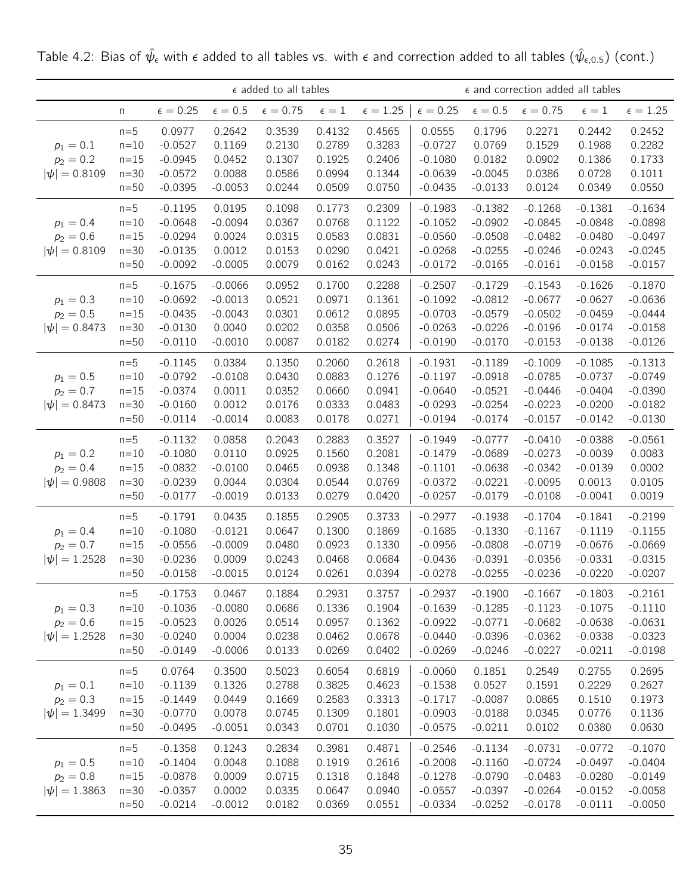|                                                 |                                               |                                                               |                                                            | $\epsilon$ added to all tables                 |                                                |                                                |                                                               |                                                               | $\epsilon$ and correction added all tables                    |                                                               |                                                               |
|-------------------------------------------------|-----------------------------------------------|---------------------------------------------------------------|------------------------------------------------------------|------------------------------------------------|------------------------------------------------|------------------------------------------------|---------------------------------------------------------------|---------------------------------------------------------------|---------------------------------------------------------------|---------------------------------------------------------------|---------------------------------------------------------------|
|                                                 | n                                             | $\epsilon = 0.25$                                             | $\epsilon=0.5$                                             | $\epsilon=0.75$                                | $\epsilon=1$                                   | $\epsilon = 1.25$                              | $\epsilon = 0.25$                                             | $\epsilon=0.5$                                                | $\epsilon = 0.75$                                             | $\epsilon=1$                                                  | $\epsilon = 1.25$                                             |
| $p_1 = 0.1$<br>$p_2 = 0.2$<br>$ \psi  = 0.8109$ | $n=5$<br>$n=10$<br>$n=15$<br>$n=30$<br>$n=50$ | 0.0977<br>$-0.0527$<br>$-0.0945$<br>$-0.0572$<br>$-0.0395$    | 0.2642<br>0.1169<br>0.0452<br>0.0088<br>$-0.0053$          | 0.3539<br>0.2130<br>0.1307<br>0.0586<br>0.0244 | 0.4132<br>0.2789<br>0.1925<br>0.0994<br>0.0509 | 0.4565<br>0.3283<br>0.2406<br>0.1344<br>0.0750 | 0.0555<br>$-0.0727$<br>$-0.1080$<br>$-0.0639$<br>$-0.0435$    | 0.1796<br>0.0769<br>0.0182<br>$-0.0045$<br>$-0.0133$          | 0.2271<br>0.1529<br>0.0902<br>0.0386<br>0.0124                | 0.2442<br>0.1988<br>0.1386<br>0.0728<br>0.0349                | 0.2452<br>0.2282<br>0.1733<br>0.1011<br>0.0550                |
| $p_1 = 0.4$<br>$p_2 = 0.6$<br>$ \psi  = 0.8109$ | $n=5$<br>$n=10$<br>$n=15$<br>$n=30$<br>$n=50$ | $-0.1195$<br>$-0.0648$<br>$-0.0294$<br>$-0.0135$<br>$-0.0092$ | 0.0195<br>$-0.0094$<br>0.0024<br>0.0012<br>$-0.0005$       | 0.1098<br>0.0367<br>0.0315<br>0.0153<br>0.0079 | 0.1773<br>0.0768<br>0.0583<br>0.0290<br>0.0162 | 0.2309<br>0.1122<br>0.0831<br>0.0421<br>0.0243 | $-0.1983$<br>$-0.1052$<br>$-0.0560$<br>$-0.0268$<br>$-0.0172$ | $-0.1382$<br>$-0.0902$<br>$-0.0508$<br>$-0.0255$<br>$-0.0165$ | $-0.1268$<br>$-0.0845$<br>$-0.0482$<br>$-0.0246$<br>$-0.0161$ | $-0.1381$<br>$-0.0848$<br>$-0.0480$<br>$-0.0243$<br>$-0.0158$ | $-0.1634$<br>$-0.0898$<br>$-0.0497$<br>$-0.0245$<br>$-0.0157$ |
| $p_1 = 0.3$<br>$p_2 = 0.5$<br>$ \psi  = 0.8473$ | $n=5$<br>$n=10$<br>$n=15$<br>$n=30$<br>$n=50$ | $-0.1675$<br>$-0.0692$<br>$-0.0435$<br>$-0.0130$<br>$-0.0110$ | $-0.0066$<br>$-0.0013$<br>$-0.0043$<br>0.0040<br>$-0.0010$ | 0.0952<br>0.0521<br>0.0301<br>0.0202<br>0.0087 | 0.1700<br>0.0971<br>0.0612<br>0.0358<br>0.0182 | 0.2288<br>0.1361<br>0.0895<br>0.0506<br>0.0274 | $-0.2507$<br>$-0.1092$<br>$-0.0703$<br>$-0.0263$<br>$-0.0190$ | $-0.1729$<br>$-0.0812$<br>$-0.0579$<br>$-0.0226$<br>$-0.0170$ | $-0.1543$<br>$-0.0677$<br>$-0.0502$<br>$-0.0196$<br>$-0.0153$ | $-0.1626$<br>$-0.0627$<br>$-0.0459$<br>$-0.0174$<br>$-0.0138$ | $-0.1870$<br>$-0.0636$<br>$-0.0444$<br>$-0.0158$<br>$-0.0126$ |
| $p_1 = 0.5$<br>$p_2 = 0.7$<br>$ \psi  = 0.8473$ | $n=5$<br>$n=10$<br>$n=15$<br>$n=30$<br>$n=50$ | $-0.1145$<br>$-0.0792$<br>$-0.0374$<br>$-0.0160$<br>$-0.0114$ | 0.0384<br>$-0.0108$<br>0.0011<br>0.0012<br>$-0.0014$       | 0.1350<br>0.0430<br>0.0352<br>0.0176<br>0.0083 | 0.2060<br>0.0883<br>0.0660<br>0.0333<br>0.0178 | 0.2618<br>0.1276<br>0.0941<br>0.0483<br>0.0271 | $-0.1931$<br>$-0.1197$<br>$-0.0640$<br>$-0.0293$<br>$-0.0194$ | $-0.1189$<br>$-0.0918$<br>$-0.0521$<br>$-0.0254$<br>$-0.0174$ | $-0.1009$<br>$-0.0785$<br>$-0.0446$<br>$-0.0223$<br>$-0.0157$ | $-0.1085$<br>$-0.0737$<br>$-0.0404$<br>$-0.0200$<br>$-0.0142$ | $-0.1313$<br>$-0.0749$<br>$-0.0390$<br>$-0.0182$<br>$-0.0130$ |
| $p_1 = 0.2$<br>$p_2 = 0.4$<br>$ \psi  = 0.9808$ | $n=5$<br>$n=10$<br>$n=15$<br>$n=30$<br>$n=50$ | $-0.1132$<br>$-0.1080$<br>$-0.0832$<br>$-0.0239$<br>$-0.0177$ | 0.0858<br>0.0110<br>$-0.0100$<br>0.0044<br>$-0.0019$       | 0.2043<br>0.0925<br>0.0465<br>0.0304<br>0.0133 | 0.2883<br>0.1560<br>0.0938<br>0.0544<br>0.0279 | 0.3527<br>0.2081<br>0.1348<br>0.0769<br>0.0420 | $-0.1949$<br>$-0.1479$<br>$-0.1101$<br>$-0.0372$<br>$-0.0257$ | $-0.0777$<br>$-0.0689$<br>$-0.0638$<br>$-0.0221$<br>$-0.0179$ | $-0.0410$<br>$-0.0273$<br>$-0.0342$<br>$-0.0095$<br>$-0.0108$ | $-0.0388$<br>$-0.0039$<br>$-0.0139$<br>0.0013<br>$-0.0041$    | $-0.0561$<br>0.0083<br>0.0002<br>0.0105<br>0.0019             |
| $p_1 = 0.4$<br>$p_2 = 0.7$<br>$ \psi  = 1.2528$ | $n=5$<br>$n=10$<br>$n=15$<br>$n=30$<br>$n=50$ | $-0.1791$<br>$-0.1080$<br>$-0.0556$<br>$-0.0236$<br>$-0.0158$ | 0.0435<br>$-0.0121$<br>$-0.0009$<br>0.0009<br>$-0.0015$    | 0.1855<br>0.0647<br>0.0480<br>0.0243<br>0.0124 | 0.2905<br>0.1300<br>0.0923<br>0.0468<br>0.0261 | 0.3733<br>0.1869<br>0.1330<br>0.0684<br>0.0394 | $-0.2977$<br>$-0.1685$<br>$-0.0956$<br>$-0.0436$<br>$-0.0278$ | $-0.1938$<br>$-0.1330$<br>$-0.0808$<br>$-0.0391$<br>$-0.0255$ | $-0.1704$<br>$-0.1167$<br>$-0.0719$<br>$-0.0356$<br>$-0.0236$ | $-0.1841$<br>$-0.1119$<br>$-0.0676$<br>$-0.0331$<br>$-0.0220$ | $-0.2199$<br>$-0.1155$<br>$-0.0669$<br>$-0.0315$<br>$-0.0207$ |
| $p_1 = 0.3$<br>$p_2 = 0.6$<br>$ \psi  = 1.2528$ | $n=5$<br>$n=10$<br>$n=15$<br>$n=30$<br>$n=50$ | $-0.1753$<br>$-0.1036$<br>$-0.0523$<br>$-0.0240$<br>$-0.0149$ | 0.0467<br>$-0.0080$<br>0.0026<br>0.0004<br>$-0.0006$       | 0.1884<br>0.0686<br>0.0514<br>0.0238<br>0.0133 | 0.2931<br>0.1336<br>0.0957<br>0.0462<br>0.0269 | 0.3757<br>0.1904<br>0.1362<br>0.0678<br>0.0402 | $-0.2937$<br>$-0.1639$<br>$-0.0922$<br>$-0.0440$<br>$-0.0269$ | $-0.1900$<br>$-0.1285$<br>$-0.0771$<br>$-0.0396$<br>$-0.0246$ | $-0.1667$<br>$-0.1123$<br>$-0.0682$<br>$-0.0362$<br>$-0.0227$ | $-0.1803$<br>$-0.1075$<br>$-0.0638$<br>$-0.0338$<br>$-0.0211$ | $-0.2161$<br>$-0.1110$<br>$-0.0631$<br>$-0.0323$<br>$-0.0198$ |
| $p_1 = 0.1$<br>$p_2 = 0.3$<br>$ \psi  = 1.3499$ | $n=5$<br>$n=10$<br>$n=15$<br>$n=30$<br>$n=50$ | 0.0764<br>$-0.1139$<br>$-0.1449$<br>$-0.0770$<br>$-0.0495$    | 0.3500<br>0.1326<br>0.0449<br>0.0078<br>$-0.0051$          | 0.5023<br>0.2788<br>0.1669<br>0.0745<br>0.0343 | 0.6054<br>0.3825<br>0.2583<br>0.1309<br>0.0701 | 0.6819<br>0.4623<br>0.3313<br>0.1801<br>0.1030 | $-0.0060$<br>$-0.1538$<br>$-0.1717$<br>$-0.0903$<br>$-0.0575$ | 0.1851<br>0.0527<br>$-0.0087$<br>$-0.0188$<br>$-0.0211$       | 0.2549<br>0.1591<br>0.0865<br>0.0345<br>0.0102                | 0.2755<br>0.2229<br>0.1510<br>0.0776<br>0.0380                | 0.2695<br>0.2627<br>0.1973<br>0.1136<br>0.0630                |
| $p_1 = 0.5$<br>$p_2 = 0.8$<br>$ \psi  = 1.3863$ | $n=5$<br>$n=10$<br>$n=15$<br>$n=30$<br>$n=50$ | $-0.1358$<br>$-0.1404$<br>$-0.0878$<br>$-0.0357$<br>$-0.0214$ | 0.1243<br>0.0048<br>0.0009<br>0.0002<br>$-0.0012$          | 0.2834<br>0.1088<br>0.0715<br>0.0335<br>0.0182 | 0.3981<br>0.1919<br>0.1318<br>0.0647<br>0.0369 | 0.4871<br>0.2616<br>0.1848<br>0.0940<br>0.0551 | $-0.2546$<br>$-0.2008$<br>$-0.1278$<br>$-0.0557$<br>$-0.0334$ | $-0.1134$<br>$-0.1160$<br>$-0.0790$<br>$-0.0397$<br>$-0.0252$ | $-0.0731$<br>$-0.0724$<br>$-0.0483$<br>$-0.0264$<br>$-0.0178$ | $-0.0772$<br>$-0.0497$<br>$-0.0280$<br>$-0.0152$<br>$-0.0111$ | $-0.1070$<br>$-0.0404$<br>$-0.0149$<br>$-0.0058$<br>$-0.0050$ |

Table 4.2: Bias of  $\hat\psi_\epsilon$  with  $\epsilon$  added to all tables vs. with  $\epsilon$  and correction added to all tables  $(\hat\psi_{\epsilon,0.5})$  (cont.)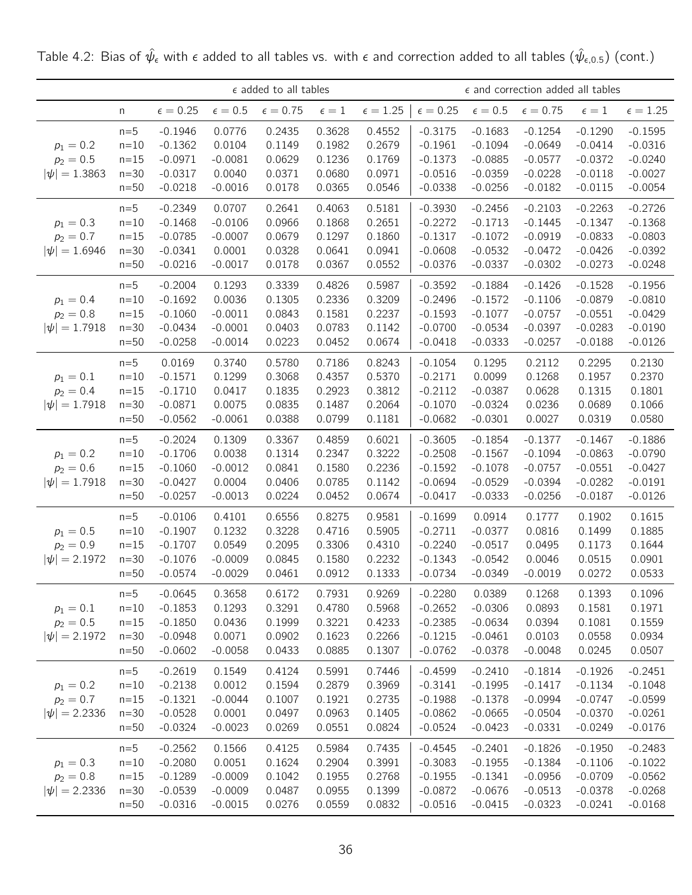|                                                 |                                               |                                                               |                                                         | $\epsilon$ added to all tables                 |                                                |                                                |                                                               |                                                               | $\epsilon$ and correction added all tables                    |                                                               |                                                               |
|-------------------------------------------------|-----------------------------------------------|---------------------------------------------------------------|---------------------------------------------------------|------------------------------------------------|------------------------------------------------|------------------------------------------------|---------------------------------------------------------------|---------------------------------------------------------------|---------------------------------------------------------------|---------------------------------------------------------------|---------------------------------------------------------------|
|                                                 | n                                             | $\epsilon = 0.25$                                             | $\epsilon=0.5$                                          | $\epsilon = 0.75$                              | $\epsilon=1$                                   | $\epsilon=1.25$                                | $\epsilon = 0.25$                                             | $\epsilon=0.5$                                                | $\epsilon = 0.75$                                             | $\epsilon=1$                                                  | $\epsilon=1.25$                                               |
| $p_1 = 0.2$<br>$p_2 = 0.5$<br>$ \psi  = 1.3863$ | $n=5$<br>$n=10$<br>$n=15$<br>$n=30$<br>$n=50$ | $-0.1946$<br>$-0.1362$<br>$-0.0971$<br>$-0.0317$<br>$-0.0218$ | 0.0776<br>0.0104<br>$-0.0081$<br>0.0040<br>$-0.0016$    | 0.2435<br>0.1149<br>0.0629<br>0.0371<br>0.0178 | 0.3628<br>0.1982<br>0.1236<br>0.0680<br>0.0365 | 0.4552<br>0.2679<br>0.1769<br>0.0971<br>0.0546 | $-0.3175$<br>$-0.1961$<br>$-0.1373$<br>$-0.0516$<br>$-0.0338$ | $-0.1683$<br>$-0.1094$<br>$-0.0885$<br>$-0.0359$<br>$-0.0256$ | $-0.1254$<br>$-0.0649$<br>$-0.0577$<br>$-0.0228$<br>$-0.0182$ | $-0.1290$<br>$-0.0414$<br>$-0.0372$<br>$-0.0118$<br>$-0.0115$ | $-0.1595$<br>$-0.0316$<br>$-0.0240$<br>$-0.0027$<br>$-0.0054$ |
| $p_1 = 0.3$<br>$p_2 = 0.7$<br>$ \psi  = 1.6946$ | $n=5$<br>$n=10$<br>$n=15$<br>$n=30$<br>$n=50$ | $-0.2349$<br>$-0.1468$<br>$-0.0785$<br>$-0.0341$<br>$-0.0216$ | 0.0707<br>$-0.0106$<br>$-0.0007$<br>0.0001<br>$-0.0017$ | 0.2641<br>0.0966<br>0.0679<br>0.0328<br>0.0178 | 0.4063<br>0.1868<br>0.1297<br>0.0641<br>0.0367 | 0.5181<br>0.2651<br>0.1860<br>0.0941<br>0.0552 | $-0.3930$<br>$-0.2272$<br>$-0.1317$<br>$-0.0608$<br>$-0.0376$ | $-0.2456$<br>$-0.1713$<br>$-0.1072$<br>$-0.0532$<br>$-0.0337$ | $-0.2103$<br>$-0.1445$<br>$-0.0919$<br>$-0.0472$<br>$-0.0302$ | $-0.2263$<br>$-0.1347$<br>$-0.0833$<br>$-0.0426$<br>$-0.0273$ | $-0.2726$<br>$-0.1368$<br>$-0.0803$<br>$-0.0392$<br>$-0.0248$ |
| $p_1 = 0.4$<br>$p_2 = 0.8$<br>$ \psi  = 1.7918$ | $n=5$<br>$n=10$<br>$n=15$<br>$n=30$<br>$n=50$ | $-0.2004$<br>$-0.1692$<br>$-0.1060$<br>$-0.0434$<br>$-0.0258$ | 0.1293<br>0.0036<br>$-0.0011$<br>$-0.0001$<br>$-0.0014$ | 0.3339<br>0.1305<br>0.0843<br>0.0403<br>0.0223 | 0.4826<br>0.2336<br>0.1581<br>0.0783<br>0.0452 | 0.5987<br>0.3209<br>0.2237<br>0.1142<br>0.0674 | $-0.3592$<br>$-0.2496$<br>$-0.1593$<br>$-0.0700$<br>$-0.0418$ | $-0.1884$<br>$-0.1572$<br>$-0.1077$<br>$-0.0534$<br>$-0.0333$ | $-0.1426$<br>$-0.1106$<br>$-0.0757$<br>$-0.0397$<br>$-0.0257$ | $-0.1528$<br>$-0.0879$<br>$-0.0551$<br>$-0.0283$<br>$-0.0188$ | $-0.1956$<br>$-0.0810$<br>$-0.0429$<br>$-0.0190$<br>$-0.0126$ |
| $p_1 = 0.1$<br>$p_2 = 0.4$<br>$ \psi  = 1.7918$ | $n=5$<br>$n=10$<br>$n=15$<br>$n=30$<br>$n=50$ | 0.0169<br>$-0.1571$<br>$-0.1710$<br>$-0.0871$<br>$-0.0562$    | 0.3740<br>0.1299<br>0.0417<br>0.0075<br>$-0.0061$       | 0.5780<br>0.3068<br>0.1835<br>0.0835<br>0.0388 | 0.7186<br>0.4357<br>0.2923<br>0.1487<br>0.0799 | 0.8243<br>0.5370<br>0.3812<br>0.2064<br>0.1181 | $-0.1054$<br>$-0.2171$<br>$-0.2112$<br>$-0.1070$<br>$-0.0682$ | 0.1295<br>0.0099<br>$-0.0387$<br>$-0.0324$<br>$-0.0301$       | 0.2112<br>0.1268<br>0.0628<br>0.0236<br>0.0027                | 0.2295<br>0.1957<br>0.1315<br>0.0689<br>0.0319                | 0.2130<br>0.2370<br>0.1801<br>0.1066<br>0.0580                |
| $p_1 = 0.2$<br>$p_2 = 0.6$<br>$ \psi  = 1.7918$ | $n=5$<br>$n=10$<br>$n=15$<br>$n=30$<br>$n=50$ | $-0.2024$<br>$-0.1706$<br>$-0.1060$<br>$-0.0427$<br>$-0.0257$ | 0.1309<br>0.0038<br>$-0.0012$<br>0.0004<br>$-0.0013$    | 0.3367<br>0.1314<br>0.0841<br>0.0406<br>0.0224 | 0.4859<br>0.2347<br>0.1580<br>0.0785<br>0.0452 | 0.6021<br>0.3222<br>0.2236<br>0.1142<br>0.0674 | $-0.3605$<br>$-0.2508$<br>$-0.1592$<br>$-0.0694$<br>$-0.0417$ | $-0.1854$<br>$-0.1567$<br>$-0.1078$<br>$-0.0529$<br>$-0.0333$ | $-0.1377$<br>$-0.1094$<br>$-0.0757$<br>$-0.0394$<br>$-0.0256$ | $-0.1467$<br>$-0.0863$<br>$-0.0551$<br>$-0.0282$<br>$-0.0187$ | $-0.1886$<br>$-0.0790$<br>$-0.0427$<br>$-0.0191$<br>$-0.0126$ |
| $p_1 = 0.5$<br>$p_2 = 0.9$<br>$ \psi  = 2.1972$ | $n=5$<br>$n=10$<br>$n=15$<br>$n=30$<br>$n=50$ | $-0.0106$<br>$-0.1907$<br>$-0.1707$<br>$-0.1076$<br>$-0.0574$ | 0.4101<br>0.1232<br>0.0549<br>$-0.0009$<br>$-0.0029$    | 0.6556<br>0.3228<br>0.2095<br>0.0845<br>0.0461 | 0.8275<br>0.4716<br>0.3306<br>0.1580<br>0.0912 | 0.9581<br>0.5905<br>0.4310<br>0.2232<br>0.1333 | $-0.1699$<br>$-0.2711$<br>$-0.2240$<br>$-0.1343$<br>$-0.0734$ | 0.0914<br>$-0.0377$<br>$-0.0517$<br>$-0.0542$<br>$-0.0349$    | 0.1777<br>0.0816<br>0.0495<br>0.0046<br>$-0.0019$             | 0.1902<br>0.1499<br>0.1173<br>0.0515<br>0.0272                | 0.1615<br>0.1885<br>0.1644<br>0.0901<br>0.0533                |
| $p_1 = 0.1$<br>$p_2 = 0.5$<br>$ \psi  = 2.1972$ | $n=5$<br>$n=10$<br>$n=15$<br>$n=30$<br>$n=50$ | $-0.0645$<br>$-0.1853$<br>$-0.1850$<br>$-0.0948$<br>$-0.0602$ | 0.3658<br>0.1293<br>0.0436<br>0.0071<br>$-0.0058$       | 0.6172<br>0.3291<br>0.1999<br>0.0902<br>0.0433 | 0.7931<br>0.4780<br>0.3221<br>0.1623<br>0.0885 | 0.9269<br>0.5968<br>0.4233<br>0.2266<br>0.1307 | $-0.2280$<br>$-0.2652$<br>$-0.2385$<br>$-0.1215$<br>$-0.0762$ | 0.0389<br>$-0.0306$<br>$-0.0634$<br>$-0.0461$<br>$-0.0378$    | 0.1268<br>0.0893<br>0.0394<br>0.0103<br>$-0.0048$             | 0.1393<br>0.1581<br>0.1081<br>0.0558<br>0.0245                | 0.1096<br>0.1971<br>0.1559<br>0.0934<br>0.0507                |
| $p_1 = 0.2$<br>$p_2 = 0.7$<br>$ \psi  = 2.2336$ | $n=5$<br>$n=10$<br>$n=15$<br>$n=30$<br>$n=50$ | $-0.2619$<br>$-0.2138$<br>$-0.1321$<br>$-0.0528$<br>$-0.0324$ | 0.1549<br>0.0012<br>$-0.0044$<br>0.0001<br>$-0.0023$    | 0.4124<br>0.1594<br>0.1007<br>0.0497<br>0.0269 | 0.5991<br>0.2879<br>0.1921<br>0.0963<br>0.0551 | 0.7446<br>0.3969<br>0.2735<br>0.1405<br>0.0824 | $-0.4599$<br>$-0.3141$<br>$-0.1988$<br>$-0.0862$<br>$-0.0524$ | $-0.2410$<br>$-0.1995$<br>$-0.1378$<br>$-0.0665$<br>$-0.0423$ | $-0.1814$<br>$-0.1417$<br>$-0.0994$<br>$-0.0504$<br>$-0.0331$ | $-0.1926$<br>$-0.1134$<br>$-0.0747$<br>$-0.0370$<br>$-0.0249$ | $-0.2451$<br>$-0.1048$<br>$-0.0599$<br>$-0.0261$<br>$-0.0176$ |
| $p_1 = 0.3$<br>$p_2 = 0.8$<br>$ \psi  = 2.2336$ | $n=5$<br>$n=10$<br>$n=15$<br>$n=30$<br>$n=50$ | $-0.2562$<br>$-0.2080$<br>$-0.1289$<br>$-0.0539$<br>$-0.0316$ | 0.1566<br>0.0051<br>$-0.0009$<br>$-0.0009$<br>$-0.0015$ | 0.4125<br>0.1624<br>0.1042<br>0.0487<br>0.0276 | 0.5984<br>0.2904<br>0.1955<br>0.0955<br>0.0559 | 0.7435<br>0.3991<br>0.2768<br>0.1399<br>0.0832 | $-0.4545$<br>$-0.3083$<br>$-0.1955$<br>$-0.0872$<br>$-0.0516$ | $-0.2401$<br>$-0.1955$<br>$-0.1341$<br>$-0.0676$<br>$-0.0415$ | $-0.1826$<br>$-0.1384$<br>$-0.0956$<br>$-0.0513$<br>$-0.0323$ | $-0.1950$<br>$-0.1106$<br>$-0.0709$<br>$-0.0378$<br>$-0.0241$ | $-0.2483$<br>$-0.1022$<br>$-0.0562$<br>$-0.0268$<br>$-0.0168$ |

Table 4.2: Bias of  $\hat\psi_\epsilon$  with  $\epsilon$  added to all tables vs. with  $\epsilon$  and correction added to all tables  $(\hat\psi_{\epsilon,0.5})$  (cont.)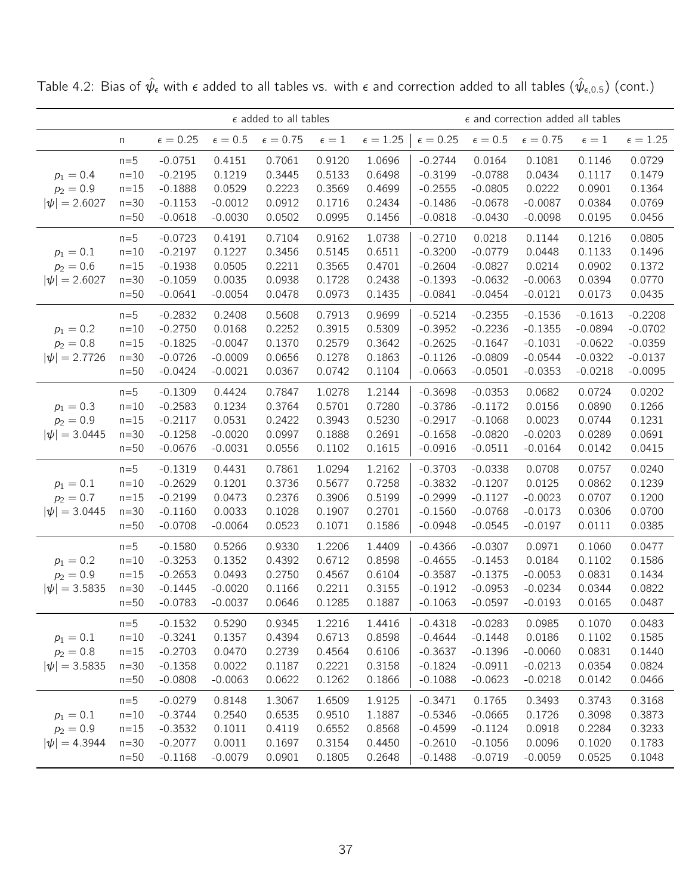|                                                 |                                                 |                                                               | $\epsilon$ added to all tables                          |                                                |                                                |                                                | $\epsilon$ and correction added all tables                    |                                                               |                                                               |                                                               |                                                               |
|-------------------------------------------------|-------------------------------------------------|---------------------------------------------------------------|---------------------------------------------------------|------------------------------------------------|------------------------------------------------|------------------------------------------------|---------------------------------------------------------------|---------------------------------------------------------------|---------------------------------------------------------------|---------------------------------------------------------------|---------------------------------------------------------------|
|                                                 | n                                               | $\epsilon = 0.25$                                             | $\epsilon = 0.5$                                        | $\epsilon = 0.75$                              | $\epsilon=1$                                   | $\epsilon = 1.25$                              | $\epsilon = 0.25$                                             | $\epsilon = 0.5$                                              | $\epsilon = 0.75$                                             | $\epsilon = 1$                                                | $\epsilon = 1.25$                                             |
| $p_1 = 0.4$<br>$p_2 = 0.9$<br>$ \psi  = 2.6027$ | $n=5$<br>$n=10$<br>$n=15$<br>$n=30$<br>$n=50$   | $-0.0751$<br>$-0.2195$<br>$-0.1888$<br>$-0.1153$<br>$-0.0618$ | 0.4151<br>0.1219<br>0.0529<br>$-0.0012$<br>$-0.0030$    | 0.7061<br>0.3445<br>0.2223<br>0.0912<br>0.0502 | 0.9120<br>0.5133<br>0.3569<br>0.1716<br>0.0995 | 1.0696<br>0.6498<br>0.4699<br>0.2434<br>0.1456 | $-0.2744$<br>$-0.3199$<br>$-0.2555$<br>$-0.1486$<br>$-0.0818$ | 0.0164<br>$-0.0788$<br>$-0.0805$<br>$-0.0678$<br>$-0.0430$    | 0.1081<br>0.0434<br>0.0222<br>$-0.0087$<br>$-0.0098$          | 0.1146<br>0.1117<br>0.0901<br>0.0384<br>0.0195                | 0.0729<br>0.1479<br>0.1364<br>0.0769<br>0.0456                |
| $p_1 = 0.1$<br>$p_2 = 0.6$<br>$ \psi  = 2.6027$ | $n=5$<br>$n=10$<br>$n=15$<br>$n=30$<br>$n=50$   | $-0.0723$<br>$-0.2197$<br>$-0.1938$<br>$-0.1059$<br>$-0.0641$ | 0.4191<br>0.1227<br>0.0505<br>0.0035<br>$-0.0054$       | 0.7104<br>0.3456<br>0.2211<br>0.0938<br>0.0478 | 0.9162<br>0.5145<br>0.3565<br>0.1728<br>0.0973 | 1.0738<br>0.6511<br>0.4701<br>0.2438<br>0.1435 | $-0.2710$<br>$-0.3200$<br>$-0.2604$<br>$-0.1393$<br>$-0.0841$ | 0.0218<br>$-0.0779$<br>$-0.0827$<br>$-0.0632$<br>$-0.0454$    | 0.1144<br>0.0448<br>0.0214<br>$-0.0063$<br>$-0.0121$          | 0.1216<br>0.1133<br>0.0902<br>0.0394<br>0.0173                | 0.0805<br>0.1496<br>0.1372<br>0.0770<br>0.0435                |
| $p_1 = 0.2$<br>$p_2 = 0.8$<br>$ \psi  = 2.7726$ | $n=5$<br>$n=10$<br>$n = 15$<br>$n=30$<br>$n=50$ | $-0.2832$<br>$-0.2750$<br>$-0.1825$<br>$-0.0726$<br>$-0.0424$ | 0.2408<br>0.0168<br>$-0.0047$<br>$-0.0009$<br>$-0.0021$ | 0.5608<br>0.2252<br>0.1370<br>0.0656<br>0.0367 | 0.7913<br>0.3915<br>0.2579<br>0.1278<br>0.0742 | 0.9699<br>0.5309<br>0.3642<br>0.1863<br>0.1104 | $-0.5214$<br>$-0.3952$<br>$-0.2625$<br>$-0.1126$<br>$-0.0663$ | $-0.2355$<br>$-0.2236$<br>$-0.1647$<br>$-0.0809$<br>$-0.0501$ | $-0.1536$<br>$-0.1355$<br>$-0.1031$<br>$-0.0544$<br>$-0.0353$ | $-0.1613$<br>$-0.0894$<br>$-0.0622$<br>$-0.0322$<br>$-0.0218$ | $-0.2208$<br>$-0.0702$<br>$-0.0359$<br>$-0.0137$<br>$-0.0095$ |
| $p_1 = 0.3$<br>$p_2 = 0.9$<br>$ \psi  = 3.0445$ | $n=5$<br>$n=10$<br>$n=15$<br>$n=30$<br>$n=50$   | $-0.1309$<br>$-0.2583$<br>$-0.2117$<br>$-0.1258$<br>$-0.0676$ | 0.4424<br>0.1234<br>0.0531<br>$-0.0020$<br>$-0.0031$    | 0.7847<br>0.3764<br>0.2422<br>0.0997<br>0.0556 | 1.0278<br>0.5701<br>0.3943<br>0.1888<br>0.1102 | 1.2144<br>0.7280<br>0.5230<br>0.2691<br>0.1615 | $-0.3698$<br>$-0.3786$<br>$-0.2917$<br>$-0.1658$<br>$-0.0916$ | $-0.0353$<br>$-0.1172$<br>$-0.1068$<br>$-0.0820$<br>$-0.0511$ | 0.0682<br>0.0156<br>0.0023<br>$-0.0203$<br>$-0.0164$          | 0.0724<br>0.0890<br>0.0744<br>0.0289<br>0.0142                | 0.0202<br>0.1266<br>0.1231<br>0.0691<br>0.0415                |
| $p_1 = 0.1$<br>$p_2 = 0.7$<br>$ \psi  = 3.0445$ | $n=5$<br>$n=10$<br>$n = 15$<br>$n=30$<br>$n=50$ | $-0.1319$<br>$-0.2629$<br>$-0.2199$<br>$-0.1160$<br>$-0.0708$ | 0.4431<br>0.1201<br>0.0473<br>0.0033<br>$-0.0064$       | 0.7861<br>0.3736<br>0.2376<br>0.1028<br>0.0523 | 1.0294<br>0.5677<br>0.3906<br>0.1907<br>0.1071 | 1.2162<br>0.7258<br>0.5199<br>0.2701<br>0.1586 | $-0.3703$<br>$-0.3832$<br>$-0.2999$<br>$-0.1560$<br>$-0.0948$ | $-0.0338$<br>$-0.1207$<br>$-0.1127$<br>$-0.0768$<br>$-0.0545$ | 0.0708<br>0.0125<br>$-0.0023$<br>$-0.0173$<br>$-0.0197$       | 0.0757<br>0.0862<br>0.0707<br>0.0306<br>0.0111                | 0.0240<br>0.1239<br>0.1200<br>0.0700<br>0.0385                |
| $p_1 = 0.2$<br>$p_2 = 0.9$<br>$ \psi  = 3.5835$ | $n=5$<br>$n=10$<br>$n=15$<br>$n=30$<br>$n=50$   | $-0.1580$<br>$-0.3253$<br>$-0.2653$<br>$-0.1445$<br>$-0.0783$ | 0.5266<br>0.1352<br>0.0493<br>$-0.0020$<br>$-0.0037$    | 0.9330<br>0.4392<br>0.2750<br>0.1166<br>0.0646 | 1.2206<br>0.6712<br>0.4567<br>0.2211<br>0.1285 | 1.4409<br>0.8598<br>0.6104<br>0.3155<br>0.1887 | $-0.4366$<br>$-0.4655$<br>$-0.3587$<br>$-0.1912$<br>$-0.1063$ | $-0.0307$<br>$-0.1453$<br>$-0.1375$<br>$-0.0953$<br>$-0.0597$ | 0.0971<br>0.0184<br>$-0.0053$<br>$-0.0234$<br>$-0.0193$       | 0.1060<br>0.1102<br>0.0831<br>0.0344<br>0.0165                | 0.0477<br>0.1586<br>0.1434<br>0.0822<br>0.0487                |
| $p_1 = 0.1$<br>$p_2 = 0.8$<br>$ \psi  = 3.5835$ | $n=5$<br>$n=10$<br>$n = 15$<br>$n=30$<br>$n=50$ | $-0.1532$<br>$-0.3241$<br>$-0.2703$<br>$-0.1358$<br>$-0.0808$ | 0.5290<br>0.1357<br>0.0470<br>0.0022<br>$-0.0063$       | 0.9345<br>0.4394<br>0.2739<br>0.1187<br>0.0622 | 1.2216<br>0.6713<br>0.4564<br>0.2221<br>0.1262 | 1.4416<br>0.8598<br>0.6106<br>0.3158<br>0.1866 | $-0.4318$<br>$-0.4644$<br>$-0.3637$<br>$-0.1824$<br>$-0.1088$ | $-0.0283$<br>$-0.1448$<br>$-0.1396$<br>$-0.0911$<br>$-0.0623$ | 0.0985<br>0.0186<br>$-0.0060$<br>$-0.0213$<br>$-0.0218$       | 0.1070<br>0.1102<br>0.0831<br>0.0354<br>0.0142                | 0.0483<br>0.1585<br>0.1440<br>0.0824<br>0.0466                |
| $p_1 = 0.1$<br>$p_2 = 0.9$<br>$ \psi  = 4.3944$ | $n=5$<br>$n=10$<br>$n=15$<br>$n=30$<br>$n=50$   | $-0.0279$<br>$-0.3744$<br>$-0.3532$<br>$-0.2077$<br>$-0.1168$ | 0.8148<br>0.2540<br>0.1011<br>0.0011<br>$-0.0079$       | 1.3067<br>0.6535<br>0.4119<br>0.1697<br>0.0901 | 1.6509<br>0.9510<br>0.6552<br>0.3154<br>0.1805 | 1.9125<br>1.1887<br>0.8568<br>0.4450<br>0.2648 | $-0.3471$<br>$-0.5346$<br>$-0.4599$<br>$-0.2610$<br>$-0.1488$ | 0.1765<br>$-0.0665$<br>$-0.1124$<br>$-0.1056$<br>$-0.0719$    | 0.3493<br>0.1726<br>0.0918<br>0.0096<br>$-0.0059$             | 0.3743<br>0.3098<br>0.2284<br>0.1020<br>0.0525                | 0.3168<br>0.3873<br>0.3233<br>0.1783<br>0.1048                |

Table 4.2: Bias of  $\hat\psi_\epsilon$  with  $\epsilon$  added to all tables vs. with  $\epsilon$  and correction added to all tables  $(\hat\psi_{\epsilon,0.5})$  (cont.)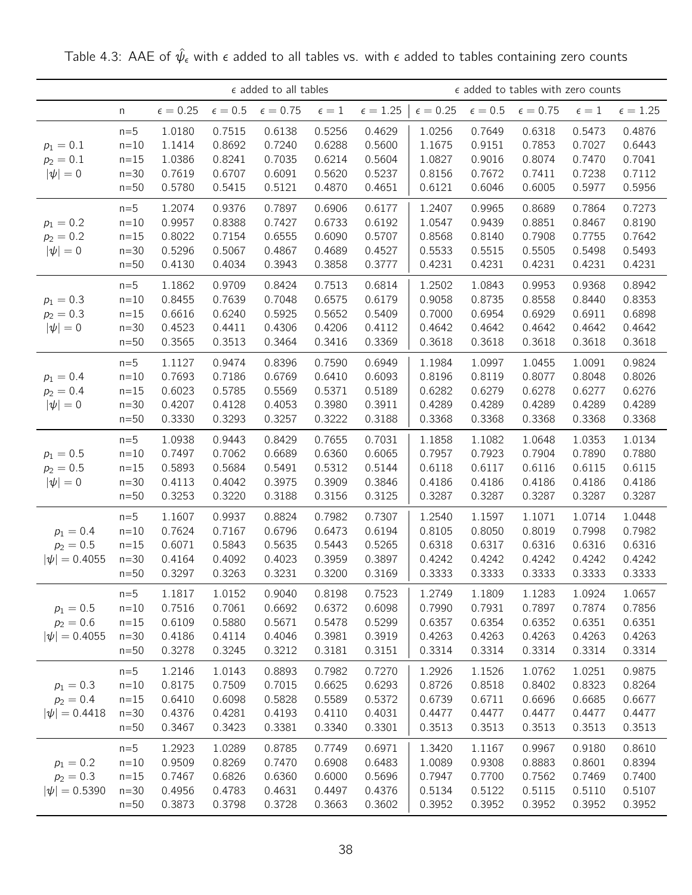|                                                 |                                               |                                                |                                                | $\epsilon$ added to all tables                 |                                                |                                                |                                                |                                                | $\epsilon$ added to tables with zero counts    |                                                |                                                |
|-------------------------------------------------|-----------------------------------------------|------------------------------------------------|------------------------------------------------|------------------------------------------------|------------------------------------------------|------------------------------------------------|------------------------------------------------|------------------------------------------------|------------------------------------------------|------------------------------------------------|------------------------------------------------|
|                                                 | n                                             | $\epsilon = 0.25$                              | $\epsilon = 0.5$                               | $\epsilon = 0.75$                              | $\epsilon=1$                                   | $\epsilon = 1.25$                              | $\epsilon = 0.25$                              | $\epsilon = 0.5$                               | $\epsilon = 0.75$                              | $\epsilon=1$                                   | $\epsilon = 1.25$                              |
| $p_1 = 0.1$<br>$p_2 = 0.1$<br>$ \psi =0$        | $n=5$<br>$n=10$<br>$n=15$<br>$n=30$<br>$n=50$ | 1.0180<br>1.1414<br>1.0386<br>0.7619<br>0.5780 | 0.7515<br>0.8692<br>0.8241<br>0.6707<br>0.5415 | 0.6138<br>0.7240<br>0.7035<br>0.6091<br>0.5121 | 0.5256<br>0.6288<br>0.6214<br>0.5620<br>0.4870 | 0.4629<br>0.5600<br>0.5604<br>0.5237<br>0.4651 | 1.0256<br>1.1675<br>1.0827<br>0.8156<br>0.6121 | 0.7649<br>0.9151<br>0.9016<br>0.7672<br>0.6046 | 0.6318<br>0.7853<br>0.8074<br>0.7411<br>0.6005 | 0.5473<br>0.7027<br>0.7470<br>0.7238<br>0.5977 | 0.4876<br>0.6443<br>0.7041<br>0.7112<br>0.5956 |
| $p_1 = 0.2$<br>$p_2 = 0.2$<br>$ \psi =0$        | $n=5$<br>$n=10$<br>$n=15$<br>$n=30$<br>$n=50$ | 1.2074<br>0.9957<br>0.8022<br>0.5296<br>0.4130 | 0.9376<br>0.8388<br>0.7154<br>0.5067<br>0.4034 | 0.7897<br>0.7427<br>0.6555<br>0.4867<br>0.3943 | 0.6906<br>0.6733<br>0.6090<br>0.4689<br>0.3858 | 0.6177<br>0.6192<br>0.5707<br>0.4527<br>0.3777 | 1.2407<br>1.0547<br>0.8568<br>0.5533<br>0.4231 | 0.9965<br>0.9439<br>0.8140<br>0.5515<br>0.4231 | 0.8689<br>0.8851<br>0.7908<br>0.5505<br>0.4231 | 0.7864<br>0.8467<br>0.7755<br>0.5498<br>0.4231 | 0.7273<br>0.8190<br>0.7642<br>0.5493<br>0.4231 |
| $p_1 = 0.3$<br>$p_2 = 0.3$<br>$ \psi =0$        | $n=5$<br>$n=10$<br>$n=15$<br>$n=30$<br>$n=50$ | 1.1862<br>0.8455<br>0.6616<br>0.4523<br>0.3565 | 0.9709<br>0.7639<br>0.6240<br>0.4411<br>0.3513 | 0.8424<br>0.7048<br>0.5925<br>0.4306<br>0.3464 | 0.7513<br>0.6575<br>0.5652<br>0.4206<br>0.3416 | 0.6814<br>0.6179<br>0.5409<br>0.4112<br>0.3369 | 1.2502<br>0.9058<br>0.7000<br>0.4642<br>0.3618 | 1.0843<br>0.8735<br>0.6954<br>0.4642<br>0.3618 | 0.9953<br>0.8558<br>0.6929<br>0.4642<br>0.3618 | 0.9368<br>0.8440<br>0.6911<br>0.4642<br>0.3618 | 0.8942<br>0.8353<br>0.6898<br>0.4642<br>0.3618 |
| $p_1 = 0.4$<br>$p_2 = 0.4$<br>$ \psi =0$        | $n=5$<br>$n=10$<br>$n=15$<br>$n=30$<br>$n=50$ | 1.1127<br>0.7693<br>0.6023<br>0.4207<br>0.3330 | 0.9474<br>0.7186<br>0.5785<br>0.4128<br>0.3293 | 0.8396<br>0.6769<br>0.5569<br>0.4053<br>0.3257 | 0.7590<br>0.6410<br>0.5371<br>0.3980<br>0.3222 | 0.6949<br>0.6093<br>0.5189<br>0.3911<br>0.3188 | 1.1984<br>0.8196<br>0.6282<br>0.4289<br>0.3368 | 1.0997<br>0.8119<br>0.6279<br>0.4289<br>0.3368 | 1.0455<br>0.8077<br>0.6278<br>0.4289<br>0.3368 | 1.0091<br>0.8048<br>0.6277<br>0.4289<br>0.3368 | 0.9824<br>0.8026<br>0.6276<br>0.4289<br>0.3368 |
| $p_1 = 0.5$<br>$p_2 = 0.5$<br>$ \psi =0$        | $n=5$<br>$n=10$<br>$n=15$<br>$n=30$<br>$n=50$ | 1.0938<br>0.7497<br>0.5893<br>0.4113<br>0.3253 | 0.9443<br>0.7062<br>0.5684<br>0.4042<br>0.3220 | 0.8429<br>0.6689<br>0.5491<br>0.3975<br>0.3188 | 0.7655<br>0.6360<br>0.5312<br>0.3909<br>0.3156 | 0.7031<br>0.6065<br>0.5144<br>0.3846<br>0.3125 | 1.1858<br>0.7957<br>0.6118<br>0.4186<br>0.3287 | 1.1082<br>0.7923<br>0.6117<br>0.4186<br>0.3287 | 1.0648<br>0.7904<br>0.6116<br>0.4186<br>0.3287 | 1.0353<br>0.7890<br>0.6115<br>0.4186<br>0.3287 | 1.0134<br>0.7880<br>0.6115<br>0.4186<br>0.3287 |
| $p_1 = 0.4$<br>$p_2 = 0.5$<br>$ \psi  = 0.4055$ | $n=5$<br>$n=10$<br>$n=15$<br>$n=30$<br>$n=50$ | 1.1607<br>0.7624<br>0.6071<br>0.4164<br>0.3297 | 0.9937<br>0.7167<br>0.5843<br>0.4092<br>0.3263 | 0.8824<br>0.6796<br>0.5635<br>0.4023<br>0.3231 | 0.7982<br>0.6473<br>0.5443<br>0.3959<br>0.3200 | 0.7307<br>0.6194<br>0.5265<br>0.3897<br>0.3169 | 1.2540<br>0.8105<br>0.6318<br>0.4242<br>0.3333 | 1.1597<br>0.8050<br>0.6317<br>0.4242<br>0.3333 | 1.1071<br>0.8019<br>0.6316<br>0.4242<br>0.3333 | 1.0714<br>0.7998<br>0.6316<br>0.4242<br>0.3333 | 1.0448<br>0.7982<br>0.6316<br>0.4242<br>0.3333 |
| $p_1 = 0.5$<br>$p_2 = 0.6$<br>$ \psi  = 0.4055$ | $n=5$<br>$n=10$<br>$n=15$<br>$n=30$<br>$n=50$ | 1.1817<br>0.7516<br>0.6109<br>0.4186<br>0.3278 | 1.0152<br>0.7061<br>0.5880<br>0.4114<br>0.3245 | 0.9040<br>0.6692<br>0.5671<br>0.4046<br>0.3212 | 0.8198<br>0.6372<br>0.5478<br>0.3981<br>0.3181 | 0.7523<br>0.6098<br>0.5299<br>0.3919<br>0.3151 | 1.2749<br>0.7990<br>0.6357<br>0.4263<br>0.3314 | 1.1809<br>0.7931<br>0.6354<br>0.4263<br>0.3314 | 1.1283<br>0.7897<br>0.6352<br>0.4263<br>0.3314 | 1.0924<br>0.7874<br>0.6351<br>0.4263<br>0.3314 | 1.0657<br>0.7856<br>0.6351<br>0.4263<br>0.3314 |
| $p_1 = 0.3$<br>$p_2 = 0.4$<br>$ \psi  = 0.4418$ | $n=5$<br>$n=10$<br>$n=15$<br>$n=30$<br>$n=50$ | 1.2146<br>0.8175<br>0.6410<br>0.4376<br>0.3467 | 1.0143<br>0.7509<br>0.6098<br>0.4281<br>0.3423 | 0.8893<br>0.7015<br>0.5828<br>0.4193<br>0.3381 | 0.7982<br>0.6625<br>0.5589<br>0.4110<br>0.3340 | 0.7270<br>0.6293<br>0.5372<br>0.4031<br>0.3301 | 1.2926<br>0.8726<br>0.6739<br>0.4477<br>0.3513 | 1.1526<br>0.8518<br>0.6711<br>0.4477<br>0.3513 | 1.0762<br>0.8402<br>0.6696<br>0.4477<br>0.3513 | 1.0251<br>0.8323<br>0.6685<br>0.4477<br>0.3513 | 0.9875<br>0.8264<br>0.6677<br>0.4477<br>0.3513 |
| $p_1 = 0.2$<br>$p_2 = 0.3$<br>$ \psi  = 0.5390$ | $n=5$<br>$n=10$<br>$n=15$<br>$n=30$<br>$n=50$ | 1.2923<br>0.9509<br>0.7467<br>0.4956<br>0.3873 | 1.0289<br>0.8269<br>0.6826<br>0.4783<br>0.3798 | 0.8785<br>0.7470<br>0.6360<br>0.4631<br>0.3728 | 0.7749<br>0.6908<br>0.6000<br>0.4497<br>0.3663 | 0.6971<br>0.6483<br>0.5696<br>0.4376<br>0.3602 | 1.3420<br>1.0089<br>0.7947<br>0.5134<br>0.3952 | 1.1167<br>0.9308<br>0.7700<br>0.5122<br>0.3952 | 0.9967<br>0.8883<br>0.7562<br>0.5115<br>0.3952 | 0.9180<br>0.8601<br>0.7469<br>0.5110<br>0.3952 | 0.8610<br>0.8394<br>0.7400<br>0.5107<br>0.3952 |

Table 4.3: AAE of  $\hat{\psi}_{\epsilon}$  with  $\epsilon$  added to all tables vs. with  $\epsilon$  added to tables containing zero counts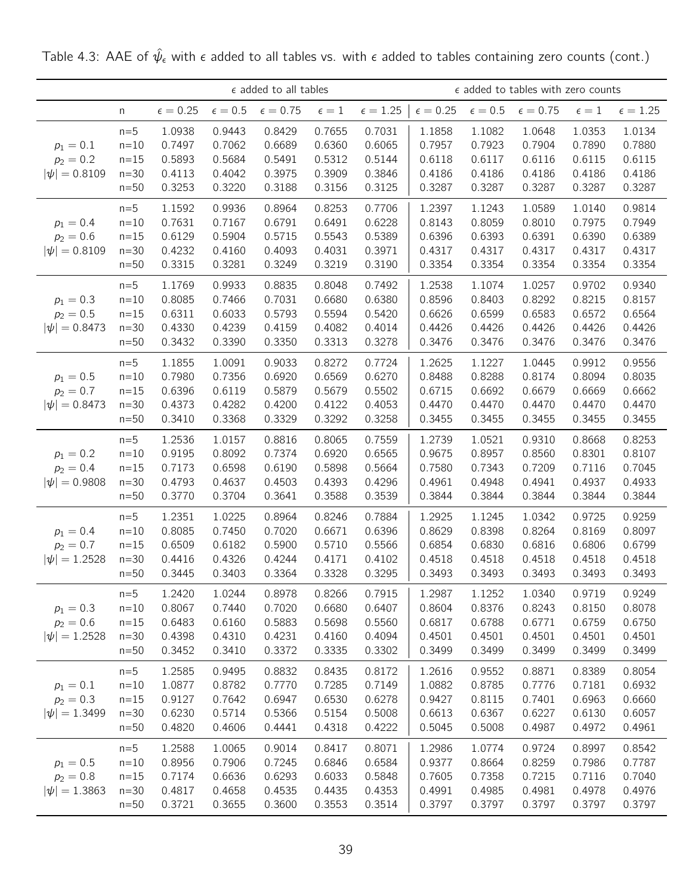|                                                 |                                               | $\epsilon$ added to all tables<br>$\epsilon=0.5$<br>$\epsilon=0.75$<br>$\epsilon=1$<br>$\epsilon = 0.25$<br>n<br>1.0938<br>0.9443<br>0.8429<br>0.7655<br>$n=5$<br>$n=10$<br>0.7497<br>0.7062<br>0.6689<br>0.6360<br>$n=15$<br>0.5893<br>0.5684<br>0.5491<br>0.5312 |                                                |                                                |                                                |                                                |                                                |                                                | $\epsilon$ added to tables with zero counts    |                                                |                                                |
|-------------------------------------------------|-----------------------------------------------|--------------------------------------------------------------------------------------------------------------------------------------------------------------------------------------------------------------------------------------------------------------------|------------------------------------------------|------------------------------------------------|------------------------------------------------|------------------------------------------------|------------------------------------------------|------------------------------------------------|------------------------------------------------|------------------------------------------------|------------------------------------------------|
|                                                 |                                               |                                                                                                                                                                                                                                                                    |                                                |                                                |                                                | $\epsilon = 1.25$                              | $\epsilon = 0.25$                              | $\epsilon=0.5$                                 | $\epsilon = 0.75$                              | $\epsilon=1$                                   | $\epsilon = 1.25$                              |
| $p_1 = 0.1$<br>$p_2 = 0.2$<br>$ \psi  = 0.8109$ | $n=30$<br>$n=50$                              | 0.4113<br>0.3253                                                                                                                                                                                                                                                   | 0.4042<br>0.3220                               | 0.3975<br>0.3188                               | 0.3909<br>0.3156                               | 0.7031<br>0.6065<br>0.5144<br>0.3846<br>0.3125 | 1.1858<br>0.7957<br>0.6118<br>0.4186<br>0.3287 | 1.1082<br>0.7923<br>0.6117<br>0.4186<br>0.3287 | 1.0648<br>0.7904<br>0.6116<br>0.4186<br>0.3287 | 1.0353<br>0.7890<br>0.6115<br>0.4186<br>0.3287 | 1.0134<br>0.7880<br>0.6115<br>0.4186<br>0.3287 |
| $p_1 = 0.4$<br>$p_2 = 0.6$<br>$ \psi  = 0.8109$ | $n=5$<br>$n=10$<br>$n=15$<br>$n=30$<br>$n=50$ | 1.1592<br>0.7631<br>0.6129<br>0.4232<br>0.3315                                                                                                                                                                                                                     | 0.9936<br>0.7167<br>0.5904<br>0.4160<br>0.3281 | 0.8964<br>0.6791<br>0.5715<br>0.4093<br>0.3249 | 0.8253<br>0.6491<br>0.5543<br>0.4031<br>0.3219 | 0.7706<br>0.6228<br>0.5389<br>0.3971<br>0.3190 | 1.2397<br>0.8143<br>0.6396<br>0.4317<br>0.3354 | 1.1243<br>0.8059<br>0.6393<br>0.4317<br>0.3354 | 1.0589<br>0.8010<br>0.6391<br>0.4317<br>0.3354 | 1.0140<br>0.7975<br>0.6390<br>0.4317<br>0.3354 | 0.9814<br>0.7949<br>0.6389<br>0.4317<br>0.3354 |
| $p_1 = 0.3$<br>$p_2 = 0.5$<br>$ \psi  = 0.8473$ | $n=5$<br>$n=10$<br>$n=15$<br>$n=30$<br>$n=50$ | 1.1769<br>0.8085<br>0.6311<br>0.4330<br>0.3432                                                                                                                                                                                                                     | 0.9933<br>0.7466<br>0.6033<br>0.4239<br>0.3390 | 0.8835<br>0.7031<br>0.5793<br>0.4159<br>0.3350 | 0.8048<br>0.6680<br>0.5594<br>0.4082<br>0.3313 | 0.7492<br>0.6380<br>0.5420<br>0.4014<br>0.3278 | 1.2538<br>0.8596<br>0.6626<br>0.4426<br>0.3476 | 1.1074<br>0.8403<br>0.6599<br>0.4426<br>0.3476 | 1.0257<br>0.8292<br>0.6583<br>0.4426<br>0.3476 | 0.9702<br>0.8215<br>0.6572<br>0.4426<br>0.3476 | 0.9340<br>0.8157<br>0.6564<br>0.4426<br>0.3476 |
| $p_1 = 0.5$<br>$p_2 = 0.7$<br>$ \psi  = 0.8473$ | $n=5$<br>$n=10$<br>$n=15$<br>$n=30$<br>$n=50$ | 1.1855<br>0.7980<br>0.6396<br>0.4373<br>0.3410                                                                                                                                                                                                                     | 1.0091<br>0.7356<br>0.6119<br>0.4282<br>0.3368 | 0.9033<br>0.6920<br>0.5879<br>0.4200<br>0.3329 | 0.8272<br>0.6569<br>0.5679<br>0.4122<br>0.3292 | 0.7724<br>0.6270<br>0.5502<br>0.4053<br>0.3258 | 1.2625<br>0.8488<br>0.6715<br>0.4470<br>0.3455 | 1.1227<br>0.8288<br>0.6692<br>0.4470<br>0.3455 | 1.0445<br>0.8174<br>0.6679<br>0.4470<br>0.3455 | 0.9912<br>0.8094<br>0.6669<br>0.4470<br>0.3455 | 0.9556<br>0.8035<br>0.6662<br>0.4470<br>0.3455 |
| $p_1 = 0.2$<br>$p_2 = 0.4$<br>$ \psi  = 0.9808$ | $n=5$<br>$n=10$<br>$n=15$<br>$n=30$<br>$n=50$ | 1.2536<br>0.9195<br>0.7173<br>0.4793<br>0.3770                                                                                                                                                                                                                     | 1.0157<br>0.8092<br>0.6598<br>0.4637<br>0.3704 | 0.8816<br>0.7374<br>0.6190<br>0.4503<br>0.3641 | 0.8065<br>0.6920<br>0.5898<br>0.4393<br>0.3588 | 0.7559<br>0.6565<br>0.5664<br>0.4296<br>0.3539 | 1.2739<br>0.9675<br>0.7580<br>0.4961<br>0.3844 | 1.0521<br>0.8957<br>0.7343<br>0.4948<br>0.3844 | 0.9310<br>0.8560<br>0.7209<br>0.4941<br>0.3844 | 0.8668<br>0.8301<br>0.7116<br>0.4937<br>0.3844 | 0.8253<br>0.8107<br>0.7045<br>0.4933<br>0.3844 |
| $p_1 = 0.4$<br>$p_2 = 0.7$<br>$ \psi  = 1.2528$ | $n=5$<br>$n=10$<br>$n=15$<br>$n=30$<br>$n=50$ | 1.2351<br>0.8085<br>0.6509<br>0.4416<br>0.3445                                                                                                                                                                                                                     | 1.0225<br>0.7450<br>0.6182<br>0.4326<br>0.3403 | 0.8964<br>0.7020<br>0.5900<br>0.4244<br>0.3364 | 0.8246<br>0.6671<br>0.5710<br>0.4171<br>0.3328 | 0.7884<br>0.6396<br>0.5566<br>0.4102<br>0.3295 | 1.2925<br>0.8629<br>0.6854<br>0.4518<br>0.3493 | 1.1245<br>0.8398<br>0.6830<br>0.4518<br>0.3493 | 1.0342<br>0.8264<br>0.6816<br>0.4518<br>0.3493 | 0.9725<br>0.8169<br>0.6806<br>0.4518<br>0.3493 | 0.9259<br>0.8097<br>0.6799<br>0.4518<br>0.3493 |
| $p_1 = 0.3$<br>$p_2 = 0.6$<br>$ \psi  = 1.2528$ | $n=5$<br>$n=10$<br>$n=15$<br>$n=30$<br>$n=50$ | 1.2420<br>0.8067<br>0.6483<br>0.4398<br>0.3452                                                                                                                                                                                                                     | 1.0244<br>0.7440<br>0.6160<br>0.4310<br>0.3410 | 0.8978<br>0.7020<br>0.5883<br>0.4231<br>0.3372 | 0.8266<br>0.6680<br>0.5698<br>0.4160<br>0.3335 | 0.7915<br>0.6407<br>0.5560<br>0.4094<br>0.3302 | 1.2987<br>0.8604<br>0.6817<br>0.4501<br>0.3499 | 1.1252<br>0.8376<br>0.6788<br>0.4501<br>0.3499 | 1.0340<br>0.8243<br>0.6771<br>0.4501<br>0.3499 | 0.9719<br>0.8150<br>0.6759<br>0.4501<br>0.3499 | 0.9249<br>0.8078<br>0.6750<br>0.4501<br>0.3499 |
| $p_1 = 0.1$<br>$p_2 = 0.3$<br>$ \psi  = 1.3499$ | $n=5$<br>$n=10$<br>$n=15$<br>$n=30$<br>$n=50$ | 1.2585<br>1.0877<br>0.9127<br>0.6230<br>0.4820                                                                                                                                                                                                                     | 0.9495<br>0.8782<br>0.7642<br>0.5714<br>0.4606 | 0.8832<br>0.7770<br>0.6947<br>0.5366<br>0.4441 | 0.8435<br>0.7285<br>0.6530<br>0.5154<br>0.4318 | 0.8172<br>0.7149<br>0.6278<br>0.5008<br>0.4222 | 1.2616<br>1.0882<br>0.9427<br>0.6613<br>0.5045 | 0.9552<br>0.8785<br>0.8115<br>0.6367<br>0.5008 | 0.8871<br>0.7776<br>0.7401<br>0.6227<br>0.4987 | 0.8389<br>0.7181<br>0.6963<br>0.6130<br>0.4972 | 0.8054<br>0.6932<br>0.6660<br>0.6057<br>0.4961 |
| $p_1 = 0.5$<br>$p_2 = 0.8$<br>$ \psi  = 1.3863$ | $n=5$<br>$n=10$<br>$n=15$<br>$n=30$<br>$n=50$ | 1.2588<br>0.8956<br>0.7174<br>0.4817<br>0.3721                                                                                                                                                                                                                     | 1.0065<br>0.7906<br>0.6636<br>0.4658<br>0.3655 | 0.9014<br>0.7245<br>0.6293<br>0.4535<br>0.3600 | 0.8417<br>0.6846<br>0.6033<br>0.4435<br>0.3553 | 0.8071<br>0.6584<br>0.5848<br>0.4353<br>0.3514 | 1.2986<br>0.9377<br>0.7605<br>0.4991<br>0.3797 | 1.0774<br>0.8664<br>0.7358<br>0.4985<br>0.3797 | 0.9724<br>0.8259<br>0.7215<br>0.4981<br>0.3797 | 0.8997<br>0.7986<br>0.7116<br>0.4978<br>0.3797 | 0.8542<br>0.7787<br>0.7040<br>0.4976<br>0.3797 |

Table 4.3: AAE of  $\hat{\psi}_{\epsilon}$  with  $\epsilon$  added to all tables vs. with  $\epsilon$  added to tables containing zero counts (cont.)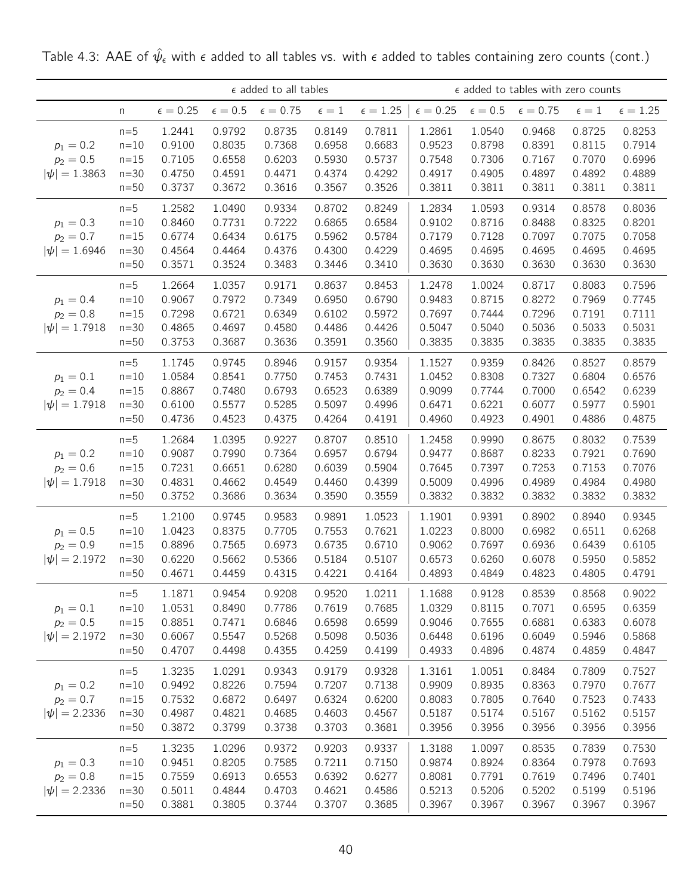|                                                 |                                                 |                                                | $\epsilon$ added to all tables                 |                                                |                                                |                                                | $\epsilon$ added to tables with zero counts    |                                                |                                                |                                                |                                                |
|-------------------------------------------------|-------------------------------------------------|------------------------------------------------|------------------------------------------------|------------------------------------------------|------------------------------------------------|------------------------------------------------|------------------------------------------------|------------------------------------------------|------------------------------------------------|------------------------------------------------|------------------------------------------------|
|                                                 | n                                               | $\epsilon = 0.25$                              | $\epsilon=0.5$                                 | $\epsilon=0.75$                                | $\epsilon=1$                                   | $\epsilon=1.25$                                | $\epsilon = 0.25$                              | $\epsilon=0.5$                                 | $\epsilon=0.75$                                | $\epsilon=1$                                   | $\epsilon=1.25$                                |
| $p_1 = 0.2$<br>$p_2 = 0.5$<br>$ \psi  = 1.3863$ | $n=5$<br>$n=10$<br>$n=15$<br>$n=30$<br>$n=50$   | 1.2441<br>0.9100<br>0.7105<br>0.4750<br>0.3737 | 0.9792<br>0.8035<br>0.6558<br>0.4591<br>0.3672 | 0.8735<br>0.7368<br>0.6203<br>0.4471<br>0.3616 | 0.8149<br>0.6958<br>0.5930<br>0.4374<br>0.3567 | 0.7811<br>0.6683<br>0.5737<br>0.4292<br>0.3526 | 1.2861<br>0.9523<br>0.7548<br>0.4917<br>0.3811 | 1.0540<br>0.8798<br>0.7306<br>0.4905<br>0.3811 | 0.9468<br>0.8391<br>0.7167<br>0.4897<br>0.3811 | 0.8725<br>0.8115<br>0.7070<br>0.4892<br>0.3811 | 0.8253<br>0.7914<br>0.6996<br>0.4889<br>0.3811 |
| $p_1 = 0.3$<br>$p_2 = 0.7$<br>$ \psi  = 1.6946$ | $n=5$<br>$n=10$<br>$n=15$<br>$n = 30$<br>$n=50$ | 1.2582<br>0.8460<br>0.6774<br>0.4564<br>0.3571 | 1.0490<br>0.7731<br>0.6434<br>0.4464<br>0.3524 | 0.9334<br>0.7222<br>0.6175<br>0.4376<br>0.3483 | 0.8702<br>0.6865<br>0.5962<br>0.4300<br>0.3446 | 0.8249<br>0.6584<br>0.5784<br>0.4229<br>0.3410 | 1.2834<br>0.9102<br>0.7179<br>0.4695<br>0.3630 | 1.0593<br>0.8716<br>0.7128<br>0.4695<br>0.3630 | 0.9314<br>0.8488<br>0.7097<br>0.4695<br>0.3630 | 0.8578<br>0.8325<br>0.7075<br>0.4695<br>0.3630 | 0.8036<br>0.8201<br>0.7058<br>0.4695<br>0.3630 |
| $p_1 = 0.4$<br>$p_2 = 0.8$<br>$ \psi  = 1.7918$ | $n=5$<br>$n=10$<br>$n=15$<br>$n=30$<br>$n=50$   | 1.2664<br>0.9067<br>0.7298<br>0.4865<br>0.3753 | 1.0357<br>0.7972<br>0.6721<br>0.4697<br>0.3687 | 0.9171<br>0.7349<br>0.6349<br>0.4580<br>0.3636 | 0.8637<br>0.6950<br>0.6102<br>0.4486<br>0.3591 | 0.8453<br>0.6790<br>0.5972<br>0.4426<br>0.3560 | 1.2478<br>0.9483<br>0.7697<br>0.5047<br>0.3835 | 1.0024<br>0.8715<br>0.7444<br>0.5040<br>0.3835 | 0.8717<br>0.8272<br>0.7296<br>0.5036<br>0.3835 | 0.8083<br>0.7969<br>0.7191<br>0.5033<br>0.3835 | 0.7596<br>0.7745<br>0.7111<br>0.5031<br>0.3835 |
| $p_1 = 0.1$<br>$p_2 = 0.4$<br>$ \psi  = 1.7918$ | $n=5$<br>$n=10$<br>$n=15$<br>$n=30$<br>$n=50$   | 1.1745<br>1.0584<br>0.8867<br>0.6100<br>0.4736 | 0.9745<br>0.8541<br>0.7480<br>0.5577<br>0.4523 | 0.8946<br>0.7750<br>0.6793<br>0.5285<br>0.4375 | 0.9157<br>0.7453<br>0.6523<br>0.5097<br>0.4264 | 0.9354<br>0.7431<br>0.6389<br>0.4996<br>0.4191 | 1.1527<br>1.0452<br>0.9099<br>0.6471<br>0.4960 | 0.9359<br>0.8308<br>0.7744<br>0.6221<br>0.4923 | 0.8426<br>0.7327<br>0.7000<br>0.6077<br>0.4901 | 0.8527<br>0.6804<br>0.6542<br>0.5977<br>0.4886 | 0.8579<br>0.6576<br>0.6239<br>0.5901<br>0.4875 |
| $p_1 = 0.2$<br>$p_2 = 0.6$<br>$ \psi  = 1.7918$ | $n=5$<br>$n=10$<br>$n=15$<br>$n=30$<br>$n=50$   | 1.2684<br>0.9087<br>0.7231<br>0.4831<br>0.3752 | 1.0395<br>0.7990<br>0.6651<br>0.4662<br>0.3686 | 0.9227<br>0.7364<br>0.6280<br>0.4549<br>0.3634 | 0.8707<br>0.6957<br>0.6039<br>0.4460<br>0.3590 | 0.8510<br>0.6794<br>0.5904<br>0.4399<br>0.3559 | 1.2458<br>0.9477<br>0.7645<br>0.5009<br>0.3832 | 0.9990<br>0.8687<br>0.7397<br>0.4996<br>0.3832 | 0.8675<br>0.8233<br>0.7253<br>0.4989<br>0.3832 | 0.8032<br>0.7921<br>0.7153<br>0.4984<br>0.3832 | 0.7539<br>0.7690<br>0.7076<br>0.4980<br>0.3832 |
| $p_1 = 0.5$<br>$p_2 = 0.9$<br>$ \psi  = 2.1972$ | $n=5$<br>$n=10$<br>$n=15$<br>$n=30$<br>$n=50$   | 1.2100<br>1.0423<br>0.8896<br>0.6220<br>0.4671 | 0.9745<br>0.8375<br>0.7565<br>0.5662<br>0.4459 | 0.9583<br>0.7705<br>0.6973<br>0.5366<br>0.4315 | 0.9891<br>0.7553<br>0.6735<br>0.5184<br>0.4221 | 1.0523<br>0.7621<br>0.6710<br>0.5107<br>0.4164 | 1.1901<br>1.0223<br>0.9062<br>0.6573<br>0.4893 | 0.9391<br>0.8000<br>0.7697<br>0.6260<br>0.4849 | 0.8902<br>0.6982<br>0.6936<br>0.6078<br>0.4823 | 0.8940<br>0.6511<br>0.6439<br>0.5950<br>0.4805 | 0.9345<br>0.6268<br>0.6105<br>0.5852<br>0.4791 |
| $p_1 = 0.1$<br>$p_2 = 0.5$<br>$ \psi  = 2.1972$ | $n=5$<br>$n=10$<br>$n=15$<br>$n=30$<br>$n=50$   | 1.1871<br>1.0531<br>0.8851<br>0.6067<br>0.4707 | 0.9454<br>0.8490<br>0.7471<br>0.5547<br>0.4498 | 0.9208<br>0.7786<br>0.6846<br>0.5268<br>0.4355 | 0.9520<br>0.7619<br>0.6598<br>0.5098<br>0.4259 | 1.0211<br>0.7685<br>0.6599<br>0.5036<br>0.4199 | 1.1688<br>1.0329<br>0.9046<br>0.6448<br>0.4933 | 0.9128<br>0.8115<br>0.7655<br>0.6196<br>0.4896 | 0.8539<br>0.7071<br>0.6881<br>0.6049<br>0.4874 | 0.8568<br>0.6595<br>0.6383<br>0.5946<br>0.4859 | 0.9022<br>0.6359<br>0.6078<br>0.5868<br>0.4847 |
| $p_1 = 0.2$<br>$p_2 = 0.7$<br>$ \psi  = 2.2336$ | $n=5$<br>$n=10$<br>$n=15$<br>$n=30$<br>$n=50$   | 1.3235<br>0.9492<br>0.7532<br>0.4987<br>0.3872 | 1.0291<br>0.8226<br>0.6872<br>0.4821<br>0.3799 | 0.9343<br>0.7594<br>0.6497<br>0.4685<br>0.3738 | 0.9179<br>0.7207<br>0.6324<br>0.4603<br>0.3703 | 0.9328<br>0.7138<br>0.6200<br>0.4567<br>0.3681 | 1.3161<br>0.9909<br>0.8083<br>0.5187<br>0.3956 | 1.0051<br>0.8935<br>0.7805<br>0.5174<br>0.3956 | 0.8484<br>0.8363<br>0.7640<br>0.5167<br>0.3956 | 0.7809<br>0.7970<br>0.7523<br>0.5162<br>0.3956 | 0.7527<br>0.7677<br>0.7433<br>0.5157<br>0.3956 |
| $p_1 = 0.3$<br>$p_2 = 0.8$<br>$ \psi  = 2.2336$ | $n=5$<br>$n=10$<br>$n=15$<br>$n=30$<br>$n=50$   | 1.3235<br>0.9451<br>0.7559<br>0.5011<br>0.3881 | 1.0296<br>0.8205<br>0.6913<br>0.4844<br>0.3805 | 0.9372<br>0.7585<br>0.6553<br>0.4703<br>0.3744 | 0.9203<br>0.7211<br>0.6392<br>0.4621<br>0.3707 | 0.9337<br>0.7150<br>0.6277<br>0.4586<br>0.3685 | 1.3188<br>0.9874<br>0.8081<br>0.5213<br>0.3967 | 1.0097<br>0.8924<br>0.7791<br>0.5206<br>0.3967 | 0.8535<br>0.8364<br>0.7619<br>0.5202<br>0.3967 | 0.7839<br>0.7978<br>0.7496<br>0.5199<br>0.3967 | 0.7530<br>0.7693<br>0.7401<br>0.5196<br>0.3967 |

Table 4.3: AAE of  $\hat{\psi}_{\epsilon}$  with  $\epsilon$  added to all tables vs. with  $\epsilon$  added to tables containing zero counts (cont.)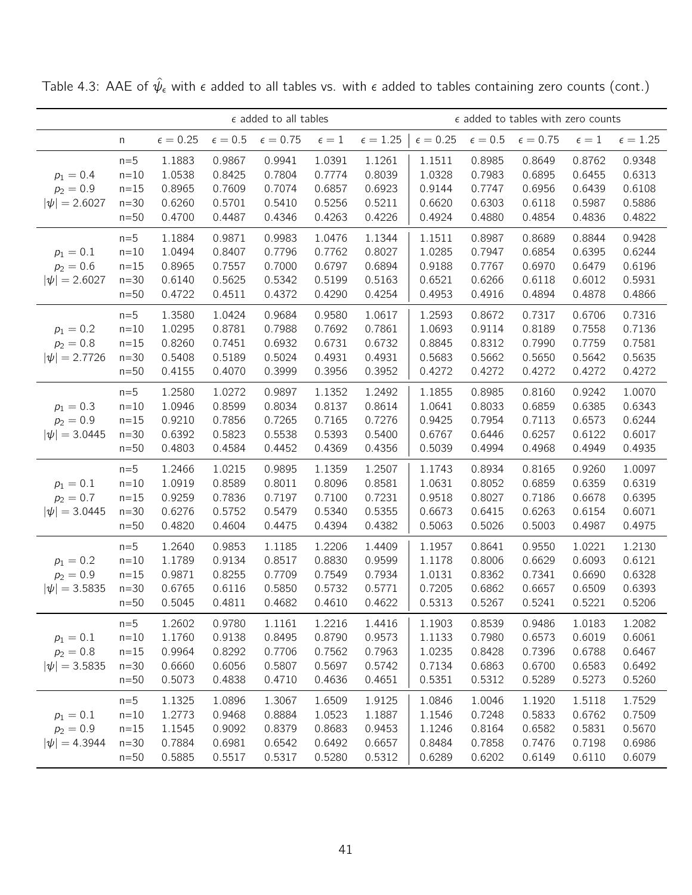|                                                 |                                                   | $\epsilon$ added to all tables<br>$\epsilon=0.25$<br>$\epsilon=0.5$<br>$\epsilon=0.75$<br>$\epsilon=1$<br>0.9941<br>1.1883<br>0.9867<br>1.0391<br>1.0538<br>0.8425<br>0.7804<br>0.7774<br>0.8965<br>0.7609<br>0.7074<br>0.6857<br>0.6260<br>0.5701<br>0.5410<br>0.5256 |                                                |                                                |                                                |                                                |                                                |                                                | $\epsilon$ added to tables with zero counts    |                                                |                                                |
|-------------------------------------------------|---------------------------------------------------|------------------------------------------------------------------------------------------------------------------------------------------------------------------------------------------------------------------------------------------------------------------------|------------------------------------------------|------------------------------------------------|------------------------------------------------|------------------------------------------------|------------------------------------------------|------------------------------------------------|------------------------------------------------|------------------------------------------------|------------------------------------------------|
|                                                 | n                                                 |                                                                                                                                                                                                                                                                        |                                                |                                                |                                                | $\epsilon = 1.25$                              | $\epsilon = 0.25$                              | $\epsilon=0.5$                                 | $\epsilon = 0.75$                              | $\epsilon=1$                                   | $\epsilon=1.25$                                |
| $p_1 = 0.4$<br>$p_2 = 0.9$<br>$ \psi  = 2.6027$ | $n=5$<br>$n=10$<br>$n=15$<br>$n = 30$<br>$n=50$   | 0.4700                                                                                                                                                                                                                                                                 | 0.4487                                         | 0.4346                                         | 0.4263                                         | 1.1261<br>0.8039<br>0.6923<br>0.5211<br>0.4226 | 1.1511<br>1.0328<br>0.9144<br>0.6620<br>0.4924 | 0.8985<br>0.7983<br>0.7747<br>0.6303<br>0.4880 | 0.8649<br>0.6895<br>0.6956<br>0.6118<br>0.4854 | 0.8762<br>0.6455<br>0.6439<br>0.5987<br>0.4836 | 0.9348<br>0.6313<br>0.6108<br>0.5886<br>0.4822 |
| $p_1 = 0.1$<br>$p_2 = 0.6$<br>$ \psi  = 2.6027$ | $n=5$<br>$n=10$<br>$n=15$<br>$n=30$<br>$n=50$     | 1.1884<br>1.0494<br>0.8965<br>0.6140<br>0.4722                                                                                                                                                                                                                         | 0.9871<br>0.8407<br>0.7557<br>0.5625<br>0.4511 | 0.9983<br>0.7796<br>0.7000<br>0.5342<br>0.4372 | 1.0476<br>0.7762<br>0.6797<br>0.5199<br>0.4290 | 1.1344<br>0.8027<br>0.6894<br>0.5163<br>0.4254 | 1.1511<br>1.0285<br>0.9188<br>0.6521<br>0.4953 | 0.8987<br>0.7947<br>0.7767<br>0.6266<br>0.4916 | 0.8689<br>0.6854<br>0.6970<br>0.6118<br>0.4894 | 0.8844<br>0.6395<br>0.6479<br>0.6012<br>0.4878 | 0.9428<br>0.6244<br>0.6196<br>0.5931<br>0.4866 |
| $p_1 = 0.2$<br>$p_2 = 0.8$<br>$ \psi  = 2.7726$ | $n=5$<br>$n=10$<br>$n = 15$<br>$n = 30$<br>$n=50$ | 1.3580<br>1.0295<br>0.8260<br>0.5408<br>0.4155                                                                                                                                                                                                                         | 1.0424<br>0.8781<br>0.7451<br>0.5189<br>0.4070 | 0.9684<br>0.7988<br>0.6932<br>0.5024<br>0.3999 | 0.9580<br>0.7692<br>0.6731<br>0.4931<br>0.3956 | 1.0617<br>0.7861<br>0.6732<br>0.4931<br>0.3952 | 1.2593<br>1.0693<br>0.8845<br>0.5683<br>0.4272 | 0.8672<br>0.9114<br>0.8312<br>0.5662<br>0.4272 | 0.7317<br>0.8189<br>0.7990<br>0.5650<br>0.4272 | 0.6706<br>0.7558<br>0.7759<br>0.5642<br>0.4272 | 0.7316<br>0.7136<br>0.7581<br>0.5635<br>0.4272 |
| $p_1 = 0.3$<br>$p_2 = 0.9$<br>$ \psi  = 3.0445$ | $n=5$<br>$n=10$<br>$n=15$<br>$n=30$<br>$n=50$     | 1.2580<br>1.0946<br>0.9210<br>0.6392<br>0.4803                                                                                                                                                                                                                         | 1.0272<br>0.8599<br>0.7856<br>0.5823<br>0.4584 | 0.9897<br>0.8034<br>0.7265<br>0.5538<br>0.4452 | 1.1352<br>0.8137<br>0.7165<br>0.5393<br>0.4369 | 1.2492<br>0.8614<br>0.7276<br>0.5400<br>0.4356 | 1.1855<br>1.0641<br>0.9425<br>0.6767<br>0.5039 | 0.8985<br>0.8033<br>0.7954<br>0.6446<br>0.4994 | 0.8160<br>0.6859<br>0.7113<br>0.6257<br>0.4968 | 0.9242<br>0.6385<br>0.6573<br>0.6122<br>0.4949 | 1.0070<br>0.6343<br>0.6244<br>0.6017<br>0.4935 |
| $p_1 = 0.1$<br>$p_2 = 0.7$<br>$ \psi  = 3.0445$ | $n=5$<br>$n=10$<br>$n=15$<br>$n=30$<br>$n=50$     | 1.2466<br>1.0919<br>0.9259<br>0.6276<br>0.4820                                                                                                                                                                                                                         | 1.0215<br>0.8589<br>0.7836<br>0.5752<br>0.4604 | 0.9895<br>0.8011<br>0.7197<br>0.5479<br>0.4475 | 1.1359<br>0.8096<br>0.7100<br>0.5340<br>0.4394 | 1.2507<br>0.8581<br>0.7231<br>0.5355<br>0.4382 | 1.1743<br>1.0631<br>0.9518<br>0.6673<br>0.5063 | 0.8934<br>0.8052<br>0.8027<br>0.6415<br>0.5026 | 0.8165<br>0.6859<br>0.7186<br>0.6263<br>0.5003 | 0.9260<br>0.6359<br>0.6678<br>0.6154<br>0.4987 | 1.0097<br>0.6319<br>0.6395<br>0.6071<br>0.4975 |
| $p_1 = 0.2$<br>$p_2 = 0.9$<br>$ \psi  = 3.5835$ | $n=5$<br>$n=10$<br>$n=15$<br>$n = 30$<br>$n=50$   | 1.2640<br>1.1789<br>0.9871<br>0.6765<br>0.5045                                                                                                                                                                                                                         | 0.9853<br>0.9134<br>0.8255<br>0.6116<br>0.4811 | 1.1185<br>0.8517<br>0.7709<br>0.5850<br>0.4682 | 1.2206<br>0.8830<br>0.7549<br>0.5732<br>0.4610 | 1.4409<br>0.9599<br>0.7934<br>0.5771<br>0.4622 | 1.1957<br>1.1178<br>1.0131<br>0.7205<br>0.5313 | 0.8641<br>0.8006<br>0.8362<br>0.6862<br>0.5267 | 0.9550<br>0.6629<br>0.7341<br>0.6657<br>0.5241 | 1.0221<br>0.6093<br>0.6690<br>0.6509<br>0.5221 | 1.2130<br>0.6121<br>0.6328<br>0.6393<br>0.5206 |
| $p_1 = 0.1$<br>$p_2 = 0.8$<br>$ \psi  = 3.5835$ | $n=5$<br>$n=10$<br>$n=15$<br>$n=30$<br>$n=50$     | 1.2602<br>1.1760<br>0.9964<br>0.6660<br>0.5073                                                                                                                                                                                                                         | 0.9780<br>0.9138<br>0.8292<br>0.6056<br>0.4838 | 1.1161<br>0.8495<br>0.7706<br>0.5807<br>0.4710 | 1.2216<br>0.8790<br>0.7562<br>0.5697<br>0.4636 | 1.4416<br>0.9573<br>0.7963<br>0.5742<br>0.4651 | 1.1903<br>1.1133<br>1.0235<br>0.7134<br>0.5351 | 0.8539<br>0.7980<br>0.8428<br>0.6863<br>0.5312 | 0.9486<br>0.6573<br>0.7396<br>0.6700<br>0.5289 | 1.0183<br>0.6019<br>0.6788<br>0.6583<br>0.5273 | 1.2082<br>0.6061<br>0.6467<br>0.6492<br>0.5260 |
| $p_1 = 0.1$<br>$p_2 = 0.9$<br>$ \psi  = 4.3944$ | $n=5$<br>$n=10$<br>$n=15$<br>$n=30$<br>$n=50$     | 1.1325<br>1.2773<br>1.1545<br>0.7884<br>0.5885                                                                                                                                                                                                                         | 1.0896<br>0.9468<br>0.9092<br>0.6981<br>0.5517 | 1.3067<br>0.8884<br>0.8379<br>0.6542<br>0.5317 | 1.6509<br>1.0523<br>0.8683<br>0.6492<br>0.5280 | 1.9125<br>1.1887<br>0.9453<br>0.6657<br>0.5312 | 1.0846<br>1.1546<br>1.1246<br>0.8484<br>0.6289 | 1.0046<br>0.7248<br>0.8164<br>0.7858<br>0.6202 | 1.1920<br>0.5833<br>0.6582<br>0.7476<br>0.6149 | 1.5118<br>0.6762<br>0.5831<br>0.7198<br>0.6110 | 1.7529<br>0.7509<br>0.5670<br>0.6986<br>0.6079 |

Table 4.3: AAE of  $\hat{\psi}_{\epsilon}$  with  $\epsilon$  added to all tables vs. with  $\epsilon$  added to tables containing zero counts (cont.)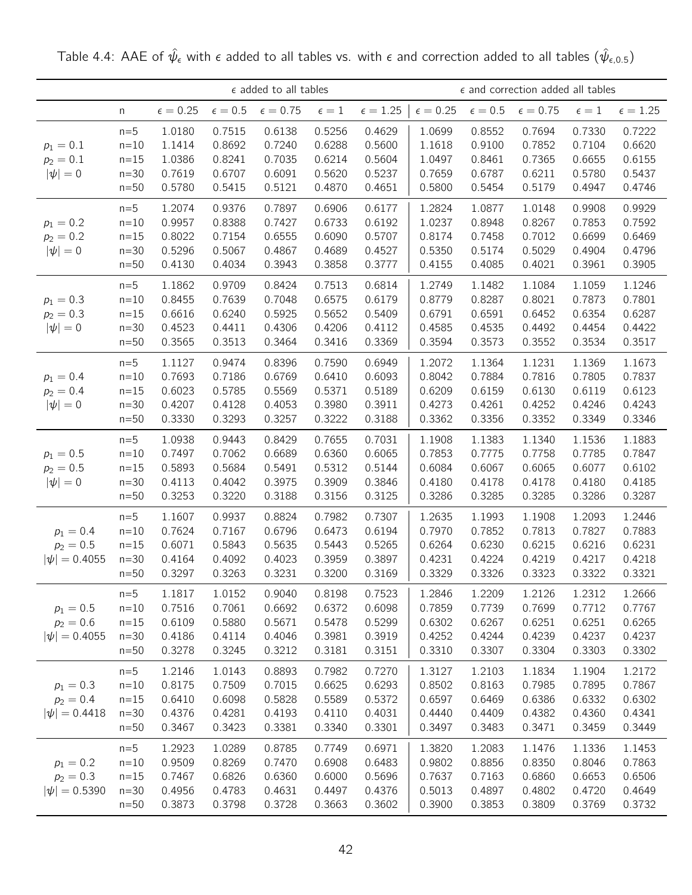|                                                 | $\epsilon$ added to all tables<br>$\epsilon=0.75$<br>$\epsilon = 0.25$<br>$\epsilon=0.5$<br>$\epsilon=1$<br>n<br>0.6138<br>1.0180<br>0.7515<br>0.5256<br>$n=5$ |                                                |                                                |                                                |                                                |                                                |                                                |                                                | $\epsilon$ and correction added all tables     |                                                |                                                |
|-------------------------------------------------|----------------------------------------------------------------------------------------------------------------------------------------------------------------|------------------------------------------------|------------------------------------------------|------------------------------------------------|------------------------------------------------|------------------------------------------------|------------------------------------------------|------------------------------------------------|------------------------------------------------|------------------------------------------------|------------------------------------------------|
|                                                 |                                                                                                                                                                |                                                |                                                |                                                |                                                | $\epsilon = 1.25$                              | $\epsilon = 0.25$                              | $\epsilon=0.5$                                 | $\epsilon = 0.75$                              | $\epsilon=1$                                   | $\epsilon = 1.25$                              |
| $p_1 = 0.1$<br>$p_2 = 0.1$<br>$ \psi =0$        | $n=10$<br>$n=15$<br>$n=30$<br>$n=50$                                                                                                                           | 1.1414<br>1.0386<br>0.7619<br>0.5780           | 0.8692<br>0.8241<br>0.6707<br>0.5415           | 0.7240<br>0.7035<br>0.6091<br>0.5121           | 0.6288<br>0.6214<br>0.5620<br>0.4870           | 0.4629<br>0.5600<br>0.5604<br>0.5237<br>0.4651 | 1.0699<br>1.1618<br>1.0497<br>0.7659<br>0.5800 | 0.8552<br>0.9100<br>0.8461<br>0.6787<br>0.5454 | 0.7694<br>0.7852<br>0.7365<br>0.6211<br>0.5179 | 0.7330<br>0.7104<br>0.6655<br>0.5780<br>0.4947 | 0.7222<br>0.6620<br>0.6155<br>0.5437<br>0.4746 |
| $p_1 = 0.2$<br>$p_2 = 0.2$<br>$ \psi =0$        | $n=5$<br>$n=10$<br>$n=15$<br>$n=30$<br>$n=50$                                                                                                                  | 1.2074<br>0.9957<br>0.8022<br>0.5296<br>0.4130 | 0.9376<br>0.8388<br>0.7154<br>0.5067<br>0.4034 | 0.7897<br>0.7427<br>0.6555<br>0.4867<br>0.3943 | 0.6906<br>0.6733<br>0.6090<br>0.4689<br>0.3858 | 0.6177<br>0.6192<br>0.5707<br>0.4527<br>0.3777 | 1.2824<br>1.0237<br>0.8174<br>0.5350<br>0.4155 | 1.0877<br>0.8948<br>0.7458<br>0.5174<br>0.4085 | 1.0148<br>0.8267<br>0.7012<br>0.5029<br>0.4021 | 0.9908<br>0.7853<br>0.6699<br>0.4904<br>0.3961 | 0.9929<br>0.7592<br>0.6469<br>0.4796<br>0.3905 |
| $p_1 = 0.3$<br>$p_2 = 0.3$<br>$ \psi =0$        | $n=5$<br>$n=10$<br>$n=15$<br>$n=30$<br>$n=50$                                                                                                                  | 1.1862<br>0.8455<br>0.6616<br>0.4523<br>0.3565 | 0.9709<br>0.7639<br>0.6240<br>0.4411<br>0.3513 | 0.8424<br>0.7048<br>0.5925<br>0.4306<br>0.3464 | 0.7513<br>0.6575<br>0.5652<br>0.4206<br>0.3416 | 0.6814<br>0.6179<br>0.5409<br>0.4112<br>0.3369 | 1.2749<br>0.8779<br>0.6791<br>0.4585<br>0.3594 | 1.1482<br>0.8287<br>0.6591<br>0.4535<br>0.3573 | 1.1084<br>0.8021<br>0.6452<br>0.4492<br>0.3552 | 1.1059<br>0.7873<br>0.6354<br>0.4454<br>0.3534 | 1.1246<br>0.7801<br>0.6287<br>0.4422<br>0.3517 |
| $p_1 = 0.4$<br>$p_2 = 0.4$<br>$ \psi =0$        | $n=5$<br>$n=10$<br>$n=15$<br>$n=30$<br>$n=50$                                                                                                                  | 1.1127<br>0.7693<br>0.6023<br>0.4207<br>0.3330 | 0.9474<br>0.7186<br>0.5785<br>0.4128<br>0.3293 | 0.8396<br>0.6769<br>0.5569<br>0.4053<br>0.3257 | 0.7590<br>0.6410<br>0.5371<br>0.3980<br>0.3222 | 0.6949<br>0.6093<br>0.5189<br>0.3911<br>0.3188 | 1.2072<br>0.8042<br>0.6209<br>0.4273<br>0.3362 | 1.1364<br>0.7884<br>0.6159<br>0.4261<br>0.3356 | 1.1231<br>0.7816<br>0.6130<br>0.4252<br>0.3352 | 1.1369<br>0.7805<br>0.6119<br>0.4246<br>0.3349 | 1.1673<br>0.7837<br>0.6123<br>0.4243<br>0.3346 |
| $p_1 = 0.5$<br>$p_2 = 0.5$<br>$ \psi =0$        | $n=5$<br>$n=10$<br>$n=15$<br>$n=30$<br>$n=50$                                                                                                                  | 1.0938<br>0.7497<br>0.5893<br>0.4113<br>0.3253 | 0.9443<br>0.7062<br>0.5684<br>0.4042<br>0.3220 | 0.8429<br>0.6689<br>0.5491<br>0.3975<br>0.3188 | 0.7655<br>0.6360<br>0.5312<br>0.3909<br>0.3156 | 0.7031<br>0.6065<br>0.5144<br>0.3846<br>0.3125 | 1.1908<br>0.7853<br>0.6084<br>0.4180<br>0.3286 | 1.1383<br>0.7775<br>0.6067<br>0.4178<br>0.3285 | 1.1340<br>0.7758<br>0.6065<br>0.4178<br>0.3285 | 1.1536<br>0.7785<br>0.6077<br>0.4180<br>0.3286 | 1.1883<br>0.7847<br>0.6102<br>0.4185<br>0.3287 |
| $p_1 = 0.4$<br>$p_2 = 0.5$<br>$ \psi  = 0.4055$ | $n=5$<br>$n=10$<br>$n=15$<br>$n=30$<br>$n=50$                                                                                                                  | 1.1607<br>0.7624<br>0.6071<br>0.4164<br>0.3297 | 0.9937<br>0.7167<br>0.5843<br>0.4092<br>0.3263 | 0.8824<br>0.6796<br>0.5635<br>0.4023<br>0.3231 | 0.7982<br>0.6473<br>0.5443<br>0.3959<br>0.3200 | 0.7307<br>0.6194<br>0.5265<br>0.3897<br>0.3169 | 1.2635<br>0.7970<br>0.6264<br>0.4231<br>0.3329 | 1.1993<br>0.7852<br>0.6230<br>0.4224<br>0.3326 | 1.1908<br>0.7813<br>0.6215<br>0.4219<br>0.3323 | 1.2093<br>0.7827<br>0.6216<br>0.4217<br>0.3322 | 1.2446<br>0.7883<br>0.6231<br>0.4218<br>0.3321 |
| $p_1 = 0.5$<br>$p_2 = 0.6$<br>$ \psi  = 0.4055$ | $n=5$<br>$n=10$<br>$n=15$<br>$n = 30$<br>$n=50$                                                                                                                | 1.1817<br>0.7516<br>0.6109<br>0.4186<br>0.3278 | 1.0152<br>0.7061<br>0.5880<br>0.4114<br>0.3245 | 0.9040<br>0.6692<br>0.5671<br>0.4046<br>0.3212 | 0.8198<br>0.6372<br>0.5478<br>0.3981<br>0.3181 | 0.7523<br>0.6098<br>0.5299<br>0.3919<br>0.3151 | 1.2846<br>0.7859<br>0.6302<br>0.4252<br>0.3310 | 1.2209<br>0.7739<br>0.6267<br>0.4244<br>0.3307 | 1.2126<br>0.7699<br>0.6251<br>0.4239<br>0.3304 | 1.2312<br>0.7712<br>0.6251<br>0.4237<br>0.3303 | 1.2666<br>0.7767<br>0.6265<br>0.4237<br>0.3302 |
| $p_1 = 0.3$<br>$p_2 = 0.4$<br>$ \psi  = 0.4418$ | $n=5$<br>$n=10$<br>$n=15$<br>$n=30$<br>$n=50$                                                                                                                  | 1.2146<br>0.8175<br>0.6410<br>0.4376<br>0.3467 | 1.0143<br>0.7509<br>0.6098<br>0.4281<br>0.3423 | 0.8893<br>0.7015<br>0.5828<br>0.4193<br>0.3381 | 0.7982<br>0.6625<br>0.5589<br>0.4110<br>0.3340 | 0.7270<br>0.6293<br>0.5372<br>0.4031<br>0.3301 | 1.3127<br>0.8502<br>0.6597<br>0.4440<br>0.3497 | 1.2103<br>0.8163<br>0.6469<br>0.4409<br>0.3483 | 1.1834<br>0.7985<br>0.6386<br>0.4382<br>0.3471 | 1.1904<br>0.7895<br>0.6332<br>0.4360<br>0.3459 | 1.2172<br>0.7867<br>0.6302<br>0.4341<br>0.3449 |
| $p_1 = 0.2$<br>$p_2 = 0.3$<br>$ \psi  = 0.5390$ | $n=5$<br>$n=10$<br>$n=15$<br>$n=30$<br>$n=50$                                                                                                                  | 1.2923<br>0.9509<br>0.7467<br>0.4956<br>0.3873 | 1.0289<br>0.8269<br>0.6826<br>0.4783<br>0.3798 | 0.8785<br>0.7470<br>0.6360<br>0.4631<br>0.3728 | 0.7749<br>0.6908<br>0.6000<br>0.4497<br>0.3663 | 0.6971<br>0.6483<br>0.5696<br>0.4376<br>0.3602 | 1.3820<br>0.9802<br>0.7637<br>0.5013<br>0.3900 | 1.2083<br>0.8856<br>0.7163<br>0.4897<br>0.3853 | 1.1476<br>0.8350<br>0.6860<br>0.4802<br>0.3809 | 1.1336<br>0.8046<br>0.6653<br>0.4720<br>0.3769 | 1.1453<br>0.7863<br>0.6506<br>0.4649<br>0.3732 |

Table 4.4: AAE of  $\hat{\psi}_{\epsilon}$  with  $\epsilon$  added to all tables vs. with  $\epsilon$  and correction added to all tables  $(\hat{\psi}_{\epsilon,0.5})$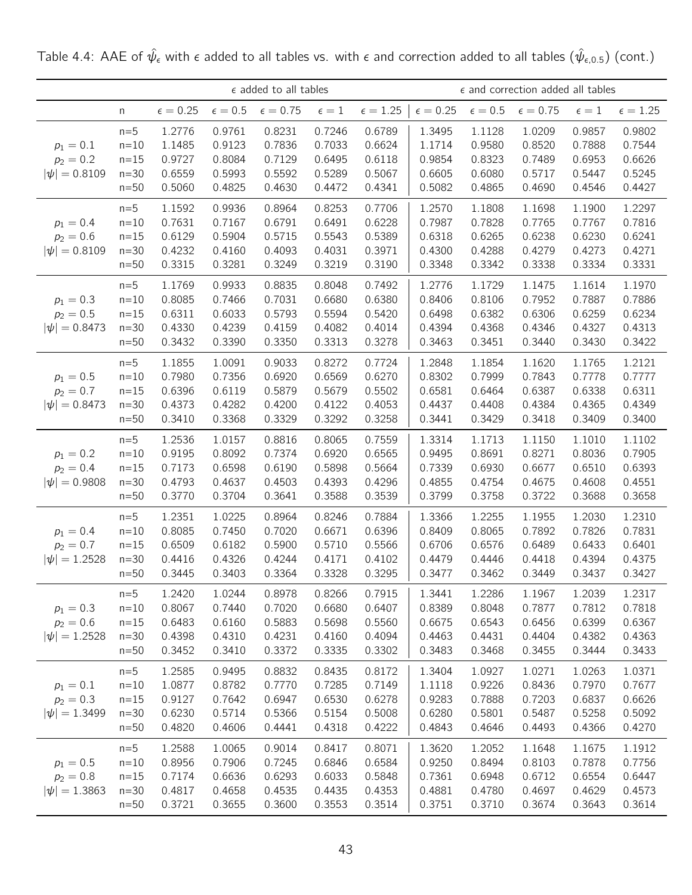|                                                 |                                               |                                                |                                                | $\epsilon$ added to all tables                 |                                                |                                                | $\epsilon$ and correction added all tables     |                                                |                                                |                                                |                                                |
|-------------------------------------------------|-----------------------------------------------|------------------------------------------------|------------------------------------------------|------------------------------------------------|------------------------------------------------|------------------------------------------------|------------------------------------------------|------------------------------------------------|------------------------------------------------|------------------------------------------------|------------------------------------------------|
|                                                 | n                                             | $\epsilon = 0.25$                              | $\epsilon=0.5$                                 | $\epsilon=0.75$                                | $\epsilon=1$                                   | $\epsilon = 1.25$                              | $\epsilon = 0.25$                              | $\epsilon=0.5$                                 | $\epsilon = 0.75$                              | $\epsilon=1$                                   | $\epsilon = 1.25$                              |
| $p_1 = 0.1$<br>$p_2 = 0.2$<br>$ \psi  = 0.8109$ | $n=5$<br>$n=10$<br>$n=15$<br>$n=30$<br>$n=50$ | 1.2776<br>1.1485<br>0.9727<br>0.6559<br>0.5060 | 0.9761<br>0.9123<br>0.8084<br>0.5993<br>0.4825 | 0.8231<br>0.7836<br>0.7129<br>0.5592<br>0.4630 | 0.7246<br>0.7033<br>0.6495<br>0.5289<br>0.4472 | 0.6789<br>0.6624<br>0.6118<br>0.5067<br>0.4341 | 1.3495<br>1.1714<br>0.9854<br>0.6605<br>0.5082 | 1.1128<br>0.9580<br>0.8323<br>0.6080<br>0.4865 | 1.0209<br>0.8520<br>0.7489<br>0.5717<br>0.4690 | 0.9857<br>0.7888<br>0.6953<br>0.5447<br>0.4546 | 0.9802<br>0.7544<br>0.6626<br>0.5245<br>0.4427 |
| $p_1 = 0.4$<br>$p_2 = 0.6$<br>$ \psi  = 0.8109$ | $n=5$<br>$n=10$<br>$n=15$<br>$n=30$<br>$n=50$ | 1.1592<br>0.7631<br>0.6129<br>0.4232<br>0.3315 | 0.9936<br>0.7167<br>0.5904<br>0.4160<br>0.3281 | 0.8964<br>0.6791<br>0.5715<br>0.4093<br>0.3249 | 0.8253<br>0.6491<br>0.5543<br>0.4031<br>0.3219 | 0.7706<br>0.6228<br>0.5389<br>0.3971<br>0.3190 | 1.2570<br>0.7987<br>0.6318<br>0.4300<br>0.3348 | 1.1808<br>0.7828<br>0.6265<br>0.4288<br>0.3342 | 1.1698<br>0.7765<br>0.6238<br>0.4279<br>0.3338 | 1.1900<br>0.7767<br>0.6230<br>0.4273<br>0.3334 | 1.2297<br>0.7816<br>0.6241<br>0.4271<br>0.3331 |
| $p_1 = 0.3$<br>$p_2 = 0.5$<br>$ \psi  = 0.8473$ | $n=5$<br>$n=10$<br>$n=15$<br>$n=30$<br>$n=50$ | 1.1769<br>0.8085<br>0.6311<br>0.4330<br>0.3432 | 0.9933<br>0.7466<br>0.6033<br>0.4239<br>0.3390 | 0.8835<br>0.7031<br>0.5793<br>0.4159<br>0.3350 | 0.8048<br>0.6680<br>0.5594<br>0.4082<br>0.3313 | 0.7492<br>0.6380<br>0.5420<br>0.4014<br>0.3278 | 1.2776<br>0.8406<br>0.6498<br>0.4394<br>0.3463 | 1.1729<br>0.8106<br>0.6382<br>0.4368<br>0.3451 | 1.1475<br>0.7952<br>0.6306<br>0.4346<br>0.3440 | 1.1614<br>0.7887<br>0.6259<br>0.4327<br>0.3430 | 1.1970<br>0.7886<br>0.6234<br>0.4313<br>0.3422 |
| $p_1 = 0.5$<br>$p_2 = 0.7$<br>$ \psi  = 0.8473$ | $n=5$<br>$n=10$<br>$n=15$<br>$n=30$<br>$n=50$ | 1.1855<br>0.7980<br>0.6396<br>0.4373<br>0.3410 | 1.0091<br>0.7356<br>0.6119<br>0.4282<br>0.3368 | 0.9033<br>0.6920<br>0.5879<br>0.4200<br>0.3329 | 0.8272<br>0.6569<br>0.5679<br>0.4122<br>0.3292 | 0.7724<br>0.6270<br>0.5502<br>0.4053<br>0.3258 | 1.2848<br>0.8302<br>0.6581<br>0.4437<br>0.3441 | 1.1854<br>0.7999<br>0.6464<br>0.4408<br>0.3429 | 1.1620<br>0.7843<br>0.6387<br>0.4384<br>0.3418 | 1.1765<br>0.7778<br>0.6338<br>0.4365<br>0.3409 | 1.2121<br>0.7777<br>0.6311<br>0.4349<br>0.3400 |
| $p_1 = 0.2$<br>$p_2 = 0.4$<br>$ \psi  = 0.9808$ | $n=5$<br>$n=10$<br>$n=15$<br>$n=30$<br>$n=50$ | 1.2536<br>0.9195<br>0.7173<br>0.4793<br>0.3770 | 1.0157<br>0.8092<br>0.6598<br>0.4637<br>0.3704 | 0.8816<br>0.7374<br>0.6190<br>0.4503<br>0.3641 | 0.8065<br>0.6920<br>0.5898<br>0.4393<br>0.3588 | 0.7559<br>0.6565<br>0.5664<br>0.4296<br>0.3539 | 1.3314<br>0.9495<br>0.7339<br>0.4855<br>0.3799 | 1.1713<br>0.8691<br>0.6930<br>0.4754<br>0.3758 | 1.1150<br>0.8271<br>0.6677<br>0.4675<br>0.3722 | 1.1010<br>0.8036<br>0.6510<br>0.4608<br>0.3688 | 1.1102<br>0.7905<br>0.6393<br>0.4551<br>0.3658 |
| $p_1 = 0.4$<br>$p_2 = 0.7$<br>$ \psi  = 1.2528$ | $n=5$<br>$n=10$<br>$n=15$<br>$n=30$<br>$n=50$ | 1.2351<br>0.8085<br>0.6509<br>0.4416<br>0.3445 | 1.0225<br>0.7450<br>0.6182<br>0.4326<br>0.3403 | 0.8964<br>0.7020<br>0.5900<br>0.4244<br>0.3364 | 0.8246<br>0.6671<br>0.5710<br>0.4171<br>0.3328 | 0.7884<br>0.6396<br>0.5566<br>0.4102<br>0.3295 | 1.3366<br>0.8409<br>0.6706<br>0.4479<br>0.3477 | 1.2255<br>0.8065<br>0.6576<br>0.4446<br>0.3462 | 1.1955<br>0.7892<br>0.6489<br>0.4418<br>0.3449 | 1.2030<br>0.7826<br>0.6433<br>0.4394<br>0.3437 | 1.2310<br>0.7831<br>0.6401<br>0.4375<br>0.3427 |
| $p_1 = 0.3$<br>$p_2 = 0.6$<br>$ \psi  = 1.2528$ | $n=5$<br>$n=10$<br>$n=15$<br>$n=30$<br>$n=50$ | 1.2420<br>0.8067<br>0.6483<br>0.4398<br>0.3452 | 1.0244<br>0.7440<br>0.6160<br>0.4310<br>0.3410 | 0.8978<br>0.7020<br>0.5883<br>0.4231<br>0.3372 | 0.8266<br>0.6680<br>0.5698<br>0.4160<br>0.3335 | 0.7915<br>0.6407<br>0.5560<br>0.4094<br>0.3302 | 1.3441<br>0.8389<br>0.6675<br>0.4463<br>0.3483 | 1.2286<br>0.8048<br>0.6543<br>0.4431<br>0.3468 | 1.1967<br>0.7877<br>0.6456<br>0.4404<br>0.3455 | 1.2039<br>0.7812<br>0.6399<br>0.4382<br>0.3444 | 1.2317<br>0.7818<br>0.6367<br>0.4363<br>0.3433 |
| $p_1 = 0.1$<br>$p_2 = 0.3$<br>$ \psi  = 1.3499$ | $n=5$<br>$n=10$<br>$n=15$<br>$n=30$<br>$n=50$ | 1.2585<br>1.0877<br>0.9127<br>0.6230<br>0.4820 | 0.9495<br>0.8782<br>0.7642<br>0.5714<br>0.4606 | 0.8832<br>0.7770<br>0.6947<br>0.5366<br>0.4441 | 0.8435<br>0.7285<br>0.6530<br>0.5154<br>0.4318 | 0.8172<br>0.7149<br>0.6278<br>0.5008<br>0.4222 | 1.3404<br>1.1118<br>0.9283<br>0.6280<br>0.4843 | 1.0927<br>0.9226<br>0.7888<br>0.5801<br>0.4646 | 1.0271<br>0.8436<br>0.7203<br>0.5487<br>0.4493 | 1.0263<br>0.7970<br>0.6837<br>0.5258<br>0.4366 | 1.0371<br>0.7677<br>0.6626<br>0.5092<br>0.4270 |
| $p_1 = 0.5$<br>$p_2 = 0.8$<br>$ \psi  = 1.3863$ | $n=5$<br>$n=10$<br>$n=15$<br>$n=30$<br>$n=50$ | 1.2588<br>0.8956<br>0.7174<br>0.4817<br>0.3721 | 1.0065<br>0.7906<br>0.6636<br>0.4658<br>0.3655 | 0.9014<br>0.7245<br>0.6293<br>0.4535<br>0.3600 | 0.8417<br>0.6846<br>0.6033<br>0.4435<br>0.3553 | 0.8071<br>0.6584<br>0.5848<br>0.4353<br>0.3514 | 1.3620<br>0.9250<br>0.7361<br>0.4881<br>0.3751 | 1.2052<br>0.8494<br>0.6948<br>0.4780<br>0.3710 | 1.1648<br>0.8103<br>0.6712<br>0.4697<br>0.3674 | 1.1675<br>0.7878<br>0.6554<br>0.4629<br>0.3643 | 1.1912<br>0.7756<br>0.6447<br>0.4573<br>0.3614 |

Table 4.4: AAE of  $\hat\psi_\epsilon$  with  $\epsilon$  added to all tables vs. with  $\epsilon$  and correction added to all tables  $(\hat\psi_{\epsilon,0.5})$  (cont.)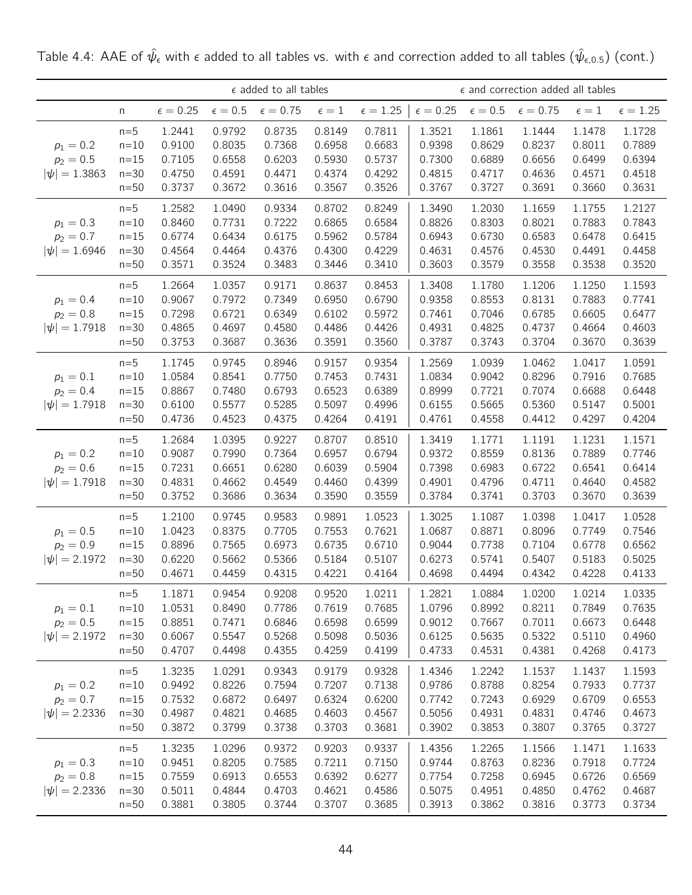|                                                 |                                               |                                                |                                                | $\epsilon$ added to all tables                 |                                                |                                                | $\epsilon$ and correction added all tables     |                                                |                                                |                                                |                                                |
|-------------------------------------------------|-----------------------------------------------|------------------------------------------------|------------------------------------------------|------------------------------------------------|------------------------------------------------|------------------------------------------------|------------------------------------------------|------------------------------------------------|------------------------------------------------|------------------------------------------------|------------------------------------------------|
|                                                 | n                                             | $\epsilon = 0.25$                              | $\epsilon=0.5$                                 | $\epsilon=0.75$                                | $\epsilon=1$                                   | $\epsilon = 1.25$                              | $\epsilon = 0.25$                              | $\epsilon=0.5$                                 | $\epsilon = 0.75$                              | $\epsilon=1$                                   | $\epsilon = 1.25$                              |
| $p_1 = 0.2$<br>$p_2 = 0.5$<br>$ \psi  = 1.3863$ | $n=5$<br>$n=10$<br>$n=15$<br>$n=30$<br>$n=50$ | 1.2441<br>0.9100<br>0.7105<br>0.4750<br>0.3737 | 0.9792<br>0.8035<br>0.6558<br>0.4591<br>0.3672 | 0.8735<br>0.7368<br>0.6203<br>0.4471<br>0.3616 | 0.8149<br>0.6958<br>0.5930<br>0.4374<br>0.3567 | 0.7811<br>0.6683<br>0.5737<br>0.4292<br>0.3526 | 1.3521<br>0.9398<br>0.7300<br>0.4815<br>0.3767 | 1.1861<br>0.8629<br>0.6889<br>0.4717<br>0.3727 | 1.1444<br>0.8237<br>0.6656<br>0.4636<br>0.3691 | 1.1478<br>0.8011<br>0.6499<br>0.4571<br>0.3660 | 1.1728<br>0.7889<br>0.6394<br>0.4518<br>0.3631 |
| $p_1 = 0.3$<br>$p_2 = 0.7$<br>$ \psi  = 1.6946$ | $n=5$<br>$n=10$<br>$n=15$<br>$n=30$<br>$n=50$ | 1.2582<br>0.8460<br>0.6774<br>0.4564<br>0.3571 | 1.0490<br>0.7731<br>0.6434<br>0.4464<br>0.3524 | 0.9334<br>0.7222<br>0.6175<br>0.4376<br>0.3483 | 0.8702<br>0.6865<br>0.5962<br>0.4300<br>0.3446 | 0.8249<br>0.6584<br>0.5784<br>0.4229<br>0.3410 | 1.3490<br>0.8826<br>0.6943<br>0.4631<br>0.3603 | 1.2030<br>0.8303<br>0.6730<br>0.4576<br>0.3579 | 1.1659<br>0.8021<br>0.6583<br>0.4530<br>0.3558 | 1.1755<br>0.7883<br>0.6478<br>0.4491<br>0.3538 | 1.2127<br>0.7843<br>0.6415<br>0.4458<br>0.3520 |
| $p_1 = 0.4$<br>$p_2 = 0.8$<br>$ \psi  = 1.7918$ | $n=5$<br>$n=10$<br>$n=15$<br>$n=30$<br>$n=50$ | 1.2664<br>0.9067<br>0.7298<br>0.4865<br>0.3753 | 1.0357<br>0.7972<br>0.6721<br>0.4697<br>0.3687 | 0.9171<br>0.7349<br>0.6349<br>0.4580<br>0.3636 | 0.8637<br>0.6950<br>0.6102<br>0.4486<br>0.3591 | 0.8453<br>0.6790<br>0.5972<br>0.4426<br>0.3560 | 1.3408<br>0.9358<br>0.7461<br>0.4931<br>0.3787 | 1.1780<br>0.8553<br>0.7046<br>0.4825<br>0.3743 | 1.1206<br>0.8131<br>0.6785<br>0.4737<br>0.3704 | 1.1250<br>0.7883<br>0.6605<br>0.4664<br>0.3670 | 1.1593<br>0.7741<br>0.6477<br>0.4603<br>0.3639 |
| $p_1 = 0.1$<br>$p_2 = 0.4$<br>$ \psi  = 1.7918$ | $n=5$<br>$n=10$<br>$n=15$<br>$n=30$<br>$n=50$ | 1.1745<br>1.0584<br>0.8867<br>0.6100<br>0.4736 | 0.9745<br>0.8541<br>0.7480<br>0.5577<br>0.4523 | 0.8946<br>0.7750<br>0.6793<br>0.5285<br>0.4375 | 0.9157<br>0.7453<br>0.6523<br>0.5097<br>0.4264 | 0.9354<br>0.7431<br>0.6389<br>0.4996<br>0.4191 | 1.2569<br>1.0834<br>0.8999<br>0.6155<br>0.4761 | 1.0939<br>0.9042<br>0.7721<br>0.5665<br>0.4558 | 1.0462<br>0.8296<br>0.7074<br>0.5360<br>0.4412 | 1.0417<br>0.7916<br>0.6688<br>0.5147<br>0.4297 | 1.0591<br>0.7685<br>0.6448<br>0.5001<br>0.4204 |
| $p_1 = 0.2$<br>$p_2 = 0.6$<br>$ \psi  = 1.7918$ | $n=5$<br>$n=10$<br>$n=15$<br>$n=30$<br>$n=50$ | 1.2684<br>0.9087<br>0.7231<br>0.4831<br>0.3752 | 1.0395<br>0.7990<br>0.6651<br>0.4662<br>0.3686 | 0.9227<br>0.7364<br>0.6280<br>0.4549<br>0.3634 | 0.8707<br>0.6957<br>0.6039<br>0.4460<br>0.3590 | 0.8510<br>0.6794<br>0.5904<br>0.4399<br>0.3559 | 1.3419<br>0.9372<br>0.7398<br>0.4901<br>0.3784 | 1.1771<br>0.8559<br>0.6983<br>0.4796<br>0.3741 | 1.1191<br>0.8136<br>0.6722<br>0.4711<br>0.3703 | 1.1231<br>0.7889<br>0.6541<br>0.4640<br>0.3670 | 1.1571<br>0.7746<br>0.6414<br>0.4582<br>0.3639 |
| $p_1 = 0.5$<br>$p_2 = 0.9$<br>$ \psi  = 2.1972$ | $n=5$<br>$n=10$<br>$n=15$<br>$n=30$<br>$n=50$ | 1.2100<br>1.0423<br>0.8896<br>0.6220<br>0.4671 | 0.9745<br>0.8375<br>0.7565<br>0.5662<br>0.4459 | 0.9583<br>0.7705<br>0.6973<br>0.5366<br>0.4315 | 0.9891<br>0.7553<br>0.6735<br>0.5184<br>0.4221 | 1.0523<br>0.7621<br>0.6710<br>0.5107<br>0.4164 | 1.3025<br>1.0687<br>0.9044<br>0.6273<br>0.4698 | 1.1087<br>0.8871<br>0.7738<br>0.5741<br>0.4494 | 1.0398<br>0.8096<br>0.7104<br>0.5407<br>0.4342 | 1.0417<br>0.7749<br>0.6778<br>0.5183<br>0.4228 | 1.0528<br>0.7546<br>0.6562<br>0.5025<br>0.4133 |
| $p_1 = 0.1$<br>$p_2 = 0.5$<br>$ \psi  = 2.1972$ | $n=5$<br>$n=10$<br>$n=15$<br>$n=30$<br>$n=50$ | 1.1871<br>1.0531<br>0.8851<br>0.6067<br>0.4707 | 0.9454<br>0.8490<br>0.7471<br>0.5547<br>0.4498 | 0.9208<br>0.7786<br>0.6846<br>0.5268<br>0.4355 | 0.9520<br>0.7619<br>0.6598<br>0.5098<br>0.4259 | 1.0211<br>0.7685<br>0.6599<br>0.5036<br>0.4199 | 1.2821<br>1.0796<br>0.9012<br>0.6125<br>0.4733 | 1.0884<br>0.8992<br>0.7667<br>0.5635<br>0.4531 | 1.0200<br>0.8211<br>0.7011<br>0.5322<br>0.4381 | 1.0214<br>0.7849<br>0.6673<br>0.5110<br>0.4268 | 1.0335<br>0.7635<br>0.6448<br>0.4960<br>0.4173 |
| $p_1 = 0.2$<br>$p_2 = 0.7$<br>$ \psi  = 2.2336$ | $n=5$<br>$n=10$<br>$n=15$<br>$n=30$<br>$n=50$ | 1.3235<br>0.9492<br>0.7532<br>0.4987<br>0.3872 | 1.0291<br>0.8226<br>0.6872<br>0.4821<br>0.3799 | 0.9343<br>0.7594<br>0.6497<br>0.4685<br>0.3738 | 0.9179<br>0.7207<br>0.6324<br>0.4603<br>0.3703 | 0.9328<br>0.7138<br>0.6200<br>0.4567<br>0.3681 | 1.4346<br>0.9786<br>0.7742<br>0.5056<br>0.3902 | 1.2242<br>0.8788<br>0.7243<br>0.4931<br>0.3853 | 1.1537<br>0.8254<br>0.6929<br>0.4831<br>0.3807 | 1.1437<br>0.7933<br>0.6709<br>0.4746<br>0.3765 | 1.1593<br>0.7737<br>0.6553<br>0.4673<br>0.3727 |
| $p_1 = 0.3$<br>$p_2 = 0.8$<br>$ \psi  = 2.2336$ | $n=5$<br>$n=10$<br>$n=15$<br>$n=30$<br>$n=50$ | 1.3235<br>0.9451<br>0.7559<br>0.5011<br>0.3881 | 1.0296<br>0.8205<br>0.6913<br>0.4844<br>0.3805 | 0.9372<br>0.7585<br>0.6553<br>0.4703<br>0.3744 | 0.9203<br>0.7211<br>0.6392<br>0.4621<br>0.3707 | 0.9337<br>0.7150<br>0.6277<br>0.4586<br>0.3685 | 1.4356<br>0.9744<br>0.7754<br>0.5075<br>0.3913 | 1.2265<br>0.8763<br>0.7258<br>0.4951<br>0.3862 | 1.1566<br>0.8236<br>0.6945<br>0.4850<br>0.3816 | 1.1471<br>0.7918<br>0.6726<br>0.4762<br>0.3773 | 1.1633<br>0.7724<br>0.6569<br>0.4687<br>0.3734 |

Table 4.4: AAE of  $\hat\psi_\epsilon$  with  $\epsilon$  added to all tables vs. with  $\epsilon$  and correction added to all tables  $(\hat\psi_{\epsilon,0.5})$  (cont.)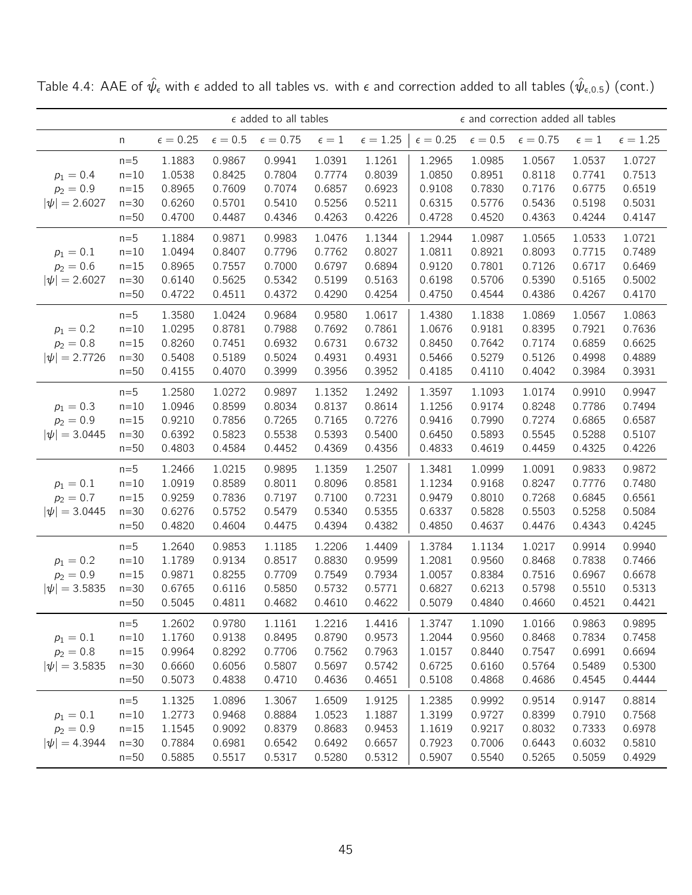|                                                 |                                               |                                                | $\epsilon$ added to all tables                 |                                                | $\epsilon$ and correction added all tables     |                                                |                                                |                                                |                                                |                                                |                                                |
|-------------------------------------------------|-----------------------------------------------|------------------------------------------------|------------------------------------------------|------------------------------------------------|------------------------------------------------|------------------------------------------------|------------------------------------------------|------------------------------------------------|------------------------------------------------|------------------------------------------------|------------------------------------------------|
|                                                 | n                                             | $\epsilon = 0.25$                              | $\epsilon=0.5$                                 | $\epsilon = 0.75$                              | $\epsilon=1$                                   | $\epsilon = 1.25$                              | $\epsilon = 0.25$                              | $\epsilon = 0.5$                               | $\epsilon = 0.75$                              | $\epsilon=1$                                   | $\epsilon = 1.25$                              |
| $p_1 = 0.4$<br>$p_2 = 0.9$<br>$ \psi  = 2.6027$ | $n=5$<br>$n=10$<br>$n=15$<br>$n=30$<br>$n=50$ | 1.1883<br>1.0538<br>0.8965<br>0.6260<br>0.4700 | 0.9867<br>0.8425<br>0.7609<br>0.5701<br>0.4487 | 0.9941<br>0.7804<br>0.7074<br>0.5410<br>0.4346 | 1.0391<br>0.7774<br>0.6857<br>0.5256<br>0.4263 | 1.1261<br>0.8039<br>0.6923<br>0.5211<br>0.4226 | 1.2965<br>1.0850<br>0.9108<br>0.6315<br>0.4728 | 1.0985<br>0.8951<br>0.7830<br>0.5776<br>0.4520 | 1.0567<br>0.8118<br>0.7176<br>0.5436<br>0.4363 | 1.0537<br>0.7741<br>0.6775<br>0.5198<br>0.4244 | 1.0727<br>0.7513<br>0.6519<br>0.5031<br>0.4147 |
| $p_1 = 0.1$<br>$p_2 = 0.6$<br>$ \psi  = 2.6027$ | $n=5$<br>$n=10$<br>$n=15$<br>$n=30$<br>$n=50$ | 1.1884<br>1.0494<br>0.8965<br>0.6140<br>0.4722 | 0.9871<br>0.8407<br>0.7557<br>0.5625<br>0.4511 | 0.9983<br>0.7796<br>0.7000<br>0.5342<br>0.4372 | 1.0476<br>0.7762<br>0.6797<br>0.5199<br>0.4290 | 1.1344<br>0.8027<br>0.6894<br>0.5163<br>0.4254 | 1.2944<br>1.0811<br>0.9120<br>0.6198<br>0.4750 | 1.0987<br>0.8921<br>0.7801<br>0.5706<br>0.4544 | 1.0565<br>0.8093<br>0.7126<br>0.5390<br>0.4386 | 1.0533<br>0.7715<br>0.6717<br>0.5165<br>0.4267 | 1.0721<br>0.7489<br>0.6469<br>0.5002<br>0.4170 |
| $p_1 = 0.2$<br>$p_2 = 0.8$<br>$ \psi  = 2.7726$ | $n=5$<br>$n=10$<br>$n=15$<br>$n=30$<br>$n=50$ | 1.3580<br>1.0295<br>0.8260<br>0.5408<br>0.4155 | 1.0424<br>0.8781<br>0.7451<br>0.5189<br>0.4070 | 0.9684<br>0.7988<br>0.6932<br>0.5024<br>0.3999 | 0.9580<br>0.7692<br>0.6731<br>0.4931<br>0.3956 | 1.0617<br>0.7861<br>0.6732<br>0.4931<br>0.3952 | 1.4380<br>1.0676<br>0.8450<br>0.5466<br>0.4185 | 1.1838<br>0.9181<br>0.7642<br>0.5279<br>0.4110 | 1.0869<br>0.8395<br>0.7174<br>0.5126<br>0.4042 | 1.0567<br>0.7921<br>0.6859<br>0.4998<br>0.3984 | 1.0863<br>0.7636<br>0.6625<br>0.4889<br>0.3931 |
| $p_1 = 0.3$<br>$p_2 = 0.9$<br>$ \psi  = 3.0445$ | $n=5$<br>$n=10$<br>$n=15$<br>$n=30$<br>$n=50$ | 1.2580<br>1.0946<br>0.9210<br>0.6392<br>0.4803 | 1.0272<br>0.8599<br>0.7856<br>0.5823<br>0.4584 | 0.9897<br>0.8034<br>0.7265<br>0.5538<br>0.4452 | 1.1352<br>0.8137<br>0.7165<br>0.5393<br>0.4369 | 1.2492<br>0.8614<br>0.7276<br>0.5400<br>0.4356 | 1.3597<br>1.1256<br>0.9416<br>0.6450<br>0.4833 | 1.1093<br>0.9174<br>0.7990<br>0.5893<br>0.4619 | 1.0174<br>0.8248<br>0.7274<br>0.5545<br>0.4459 | 0.9910<br>0.7786<br>0.6865<br>0.5288<br>0.4325 | 0.9947<br>0.7494<br>0.6587<br>0.5107<br>0.4226 |
| $p_1 = 0.1$<br>$p_2 = 0.7$<br>$ \psi  = 3.0445$ | $n=5$<br>$n=10$<br>$n=15$<br>$n=30$<br>$n=50$ | 1.2466<br>1.0919<br>0.9259<br>0.6276<br>0.4820 | 1.0215<br>0.8589<br>0.7836<br>0.5752<br>0.4604 | 0.9895<br>0.8011<br>0.7197<br>0.5479<br>0.4475 | 1.1359<br>0.8096<br>0.7100<br>0.5340<br>0.4394 | 1.2507<br>0.8581<br>0.7231<br>0.5355<br>0.4382 | 1.3481<br>1.1234<br>0.9479<br>0.6337<br>0.4850 | 1.0999<br>0.9168<br>0.8010<br>0.5828<br>0.4637 | 1.0091<br>0.8247<br>0.7268<br>0.5503<br>0.4476 | 0.9833<br>0.7776<br>0.6845<br>0.5258<br>0.4343 | 0.9872<br>0.7480<br>0.6561<br>0.5084<br>0.4245 |
| $p_1 = 0.2$<br>$p_2 = 0.9$<br>$ \psi  = 3.5835$ | $n=5$<br>$n=10$<br>$n=15$<br>$n=30$<br>$n=50$ | 1.2640<br>1.1789<br>0.9871<br>0.6765<br>0.5045 | 0.9853<br>0.9134<br>0.8255<br>0.6116<br>0.4811 | 1.1185<br>0.8517<br>0.7709<br>0.5850<br>0.4682 | 1.2206<br>0.8830<br>0.7549<br>0.5732<br>0.4610 | 1.4409<br>0.9599<br>0.7934<br>0.5771<br>0.4622 | 1.3784<br>1.2081<br>1.0057<br>0.6827<br>0.5079 | 1.1134<br>0.9560<br>0.8384<br>0.6213<br>0.4840 | 1.0217<br>0.8468<br>0.7516<br>0.5798<br>0.4660 | 0.9914<br>0.7838<br>0.6967<br>0.5510<br>0.4521 | 0.9940<br>0.7466<br>0.6678<br>0.5313<br>0.4421 |
| $p_1 = 0.1$<br>$p_2 = 0.8$<br>$ \psi  = 3.5835$ | $n=5$<br>$n=10$<br>$n=15$<br>$n=30$<br>$n=50$ | 1.2602<br>1.1760<br>0.9964<br>0.6660<br>0.5073 | 0.9780<br>0.9138<br>0.8292<br>0.6056<br>0.4838 | 1.1161<br>0.8495<br>0.7706<br>0.5807<br>0.4710 | 1.2216<br>0.8790<br>0.7562<br>0.5697<br>0.4636 | 1.4416<br>0.9573<br>0.7963<br>0.5742<br>0.4651 | 1.3747<br>1.2044<br>1.0157<br>0.6725<br>0.5108 | 1.1090<br>0.9560<br>0.8440<br>0.6160<br>0.4868 | 1.0166<br>0.8468<br>0.7547<br>0.5764<br>0.4686 | 0.9863<br>0.7834<br>0.6991<br>0.5489<br>0.4545 | 0.9895<br>0.7458<br>0.6694<br>0.5300<br>0.4444 |
| $p_1 = 0.1$<br>$p_2 = 0.9$<br>$ \psi  = 4.3944$ | $n=5$<br>$n=10$<br>$n=15$<br>$n=30$<br>$n=50$ | 1.1325<br>1.2773<br>1.1545<br>0.7884<br>0.5885 | 1.0896<br>0.9468<br>0.9092<br>0.6981<br>0.5517 | 1.3067<br>0.8884<br>0.8379<br>0.6542<br>0.5317 | 1.6509<br>1.0523<br>0.8683<br>0.6492<br>0.5280 | 1.9125<br>1.1887<br>0.9453<br>0.6657<br>0.5312 | 1.2385<br>1.3199<br>1.1619<br>0.7923<br>0.5907 | 0.9992<br>0.9727<br>0.9217<br>0.7006<br>0.5540 | 0.9514<br>0.8399<br>0.8032<br>0.6443<br>0.5265 | 0.9147<br>0.7910<br>0.7333<br>0.6032<br>0.5059 | 0.8814<br>0.7568<br>0.6978<br>0.5810<br>0.4929 |

Table 4.4: AAE of  $\hat\psi_\epsilon$  with  $\epsilon$  added to all tables vs. with  $\epsilon$  and correction added to all tables  $(\hat\psi_{\epsilon,0.5})$  (cont.)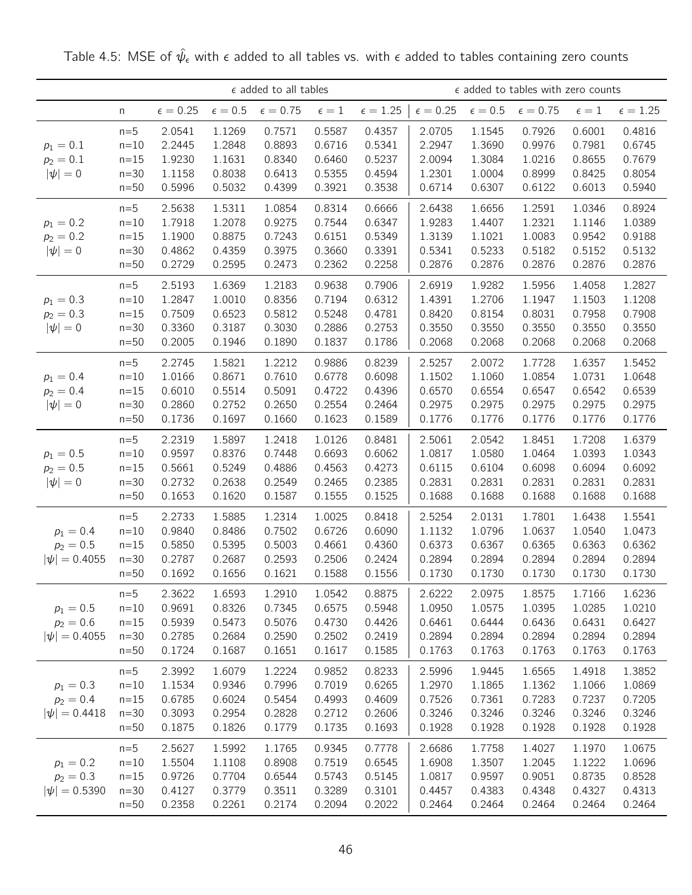|                                                 |                                                 |                                                |                                                | $\epsilon$ added to all tables                 |                                                |                                                | $\epsilon$ added to tables with zero counts    |                                                |                                                |                                                |                                                |
|-------------------------------------------------|-------------------------------------------------|------------------------------------------------|------------------------------------------------|------------------------------------------------|------------------------------------------------|------------------------------------------------|------------------------------------------------|------------------------------------------------|------------------------------------------------|------------------------------------------------|------------------------------------------------|
|                                                 | n                                               | $\epsilon = 0.25$                              | $\epsilon = 0.5$                               | $\epsilon = 0.75$                              | $\epsilon=1$                                   | $\epsilon = 1.25$                              | $\epsilon = 0.25$                              | $\epsilon=0.5$                                 | $\epsilon = 0.75$                              | $\epsilon=1$                                   | $\epsilon = 1.25$                              |
| $p_1 = 0.1$<br>$p_2 = 0.1$<br>$ \psi =0$        | $n=5$<br>$n=10$<br>$n=15$<br>$n=30$<br>$n=50$   | 2.0541<br>2.2445<br>1.9230<br>1.1158<br>0.5996 | 1.1269<br>1.2848<br>1.1631<br>0.8038<br>0.5032 | 0.7571<br>0.8893<br>0.8340<br>0.6413<br>0.4399 | 0.5587<br>0.6716<br>0.6460<br>0.5355<br>0.3921 | 0.4357<br>0.5341<br>0.5237<br>0.4594<br>0.3538 | 2.0705<br>2.2947<br>2.0094<br>1.2301<br>0.6714 | 1.1545<br>1.3690<br>1.3084<br>1.0004<br>0.6307 | 0.7926<br>0.9976<br>1.0216<br>0.8999<br>0.6122 | 0.6001<br>0.7981<br>0.8655<br>0.8425<br>0.6013 | 0.4816<br>0.6745<br>0.7679<br>0.8054<br>0.5940 |
| $p_1 = 0.2$<br>$p_2 = 0.2$<br>$ \psi =0$        | $n=5$<br>$n=10$<br>$n=15$<br>$n=30$<br>$n=50$   | 2.5638<br>1.7918<br>1.1900<br>0.4862<br>0.2729 | 1.5311<br>1.2078<br>0.8875<br>0.4359<br>0.2595 | 1.0854<br>0.9275<br>0.7243<br>0.3975<br>0.2473 | 0.8314<br>0.7544<br>0.6151<br>0.3660<br>0.2362 | 0.6666<br>0.6347<br>0.5349<br>0.3391<br>0.2258 | 2.6438<br>1.9283<br>1.3139<br>0.5341<br>0.2876 | 1.6656<br>1.4407<br>1.1021<br>0.5233<br>0.2876 | 1.2591<br>1.2321<br>1.0083<br>0.5182<br>0.2876 | 1.0346<br>1.1146<br>0.9542<br>0.5152<br>0.2876 | 0.8924<br>1.0389<br>0.9188<br>0.5132<br>0.2876 |
| $p_1 = 0.3$<br>$p_2 = 0.3$<br>$ \psi =0$        | $n=5$<br>$n=10$<br>$n = 15$<br>$n=30$<br>$n=50$ | 2.5193<br>1.2847<br>0.7509<br>0.3360<br>0.2005 | 1.6369<br>1.0010<br>0.6523<br>0.3187<br>0.1946 | 1.2183<br>0.8356<br>0.5812<br>0.3030<br>0.1890 | 0.9638<br>0.7194<br>0.5248<br>0.2886<br>0.1837 | 0.7906<br>0.6312<br>0.4781<br>0.2753<br>0.1786 | 2.6919<br>1.4391<br>0.8420<br>0.3550<br>0.2068 | 1.9282<br>1.2706<br>0.8154<br>0.3550<br>0.2068 | 1.5956<br>1.1947<br>0.8031<br>0.3550<br>0.2068 | 1.4058<br>1.1503<br>0.7958<br>0.3550<br>0.2068 | 1.2827<br>1.1208<br>0.7908<br>0.3550<br>0.2068 |
| $p_1 = 0.4$<br>$p_2 = 0.4$<br>$ \psi =0$        | $n=5$<br>$n=10$<br>$n=15$<br>$n=30$<br>$n=50$   | 2.2745<br>1.0166<br>0.6010<br>0.2860<br>0.1736 | 1.5821<br>0.8671<br>0.5514<br>0.2752<br>0.1697 | 1.2212<br>0.7610<br>0.5091<br>0.2650<br>0.1660 | 0.9886<br>0.6778<br>0.4722<br>0.2554<br>0.1623 | 0.8239<br>0.6098<br>0.4396<br>0.2464<br>0.1589 | 2.5257<br>1.1502<br>0.6570<br>0.2975<br>0.1776 | 2.0072<br>1.1060<br>0.6554<br>0.2975<br>0.1776 | 1.7728<br>1.0854<br>0.6547<br>0.2975<br>0.1776 | 1.6357<br>1.0731<br>0.6542<br>0.2975<br>0.1776 | 1.5452<br>1.0648<br>0.6539<br>0.2975<br>0.1776 |
| $p_1 = 0.5$<br>$p_2 = 0.5$<br>$ \psi =0$        | $n=5$<br>$n=10$<br>$n=15$<br>$n=30$<br>$n=50$   | 2.2319<br>0.9597<br>0.5661<br>0.2732<br>0.1653 | 1.5897<br>0.8376<br>0.5249<br>0.2638<br>0.1620 | 1.2418<br>0.7448<br>0.4886<br>0.2549<br>0.1587 | 1.0126<br>0.6693<br>0.4563<br>0.2465<br>0.1555 | 0.8481<br>0.6062<br>0.4273<br>0.2385<br>0.1525 | 2.5061<br>1.0817<br>0.6115<br>0.2831<br>0.1688 | 2.0542<br>1.0580<br>0.6104<br>0.2831<br>0.1688 | 1.8451<br>1.0464<br>0.6098<br>0.2831<br>0.1688 | 1.7208<br>1.0393<br>0.6094<br>0.2831<br>0.1688 | 1.6379<br>1.0343<br>0.6092<br>0.2831<br>0.1688 |
| $p_1 = 0.4$<br>$p_2 = 0.5$<br>$ \psi  = 0.4055$ | $n=5$<br>$n=10$<br>$n=15$<br>$n=30$<br>$n=50$   | 2.2733<br>0.9840<br>0.5850<br>0.2787<br>0.1692 | 1.5885<br>0.8486<br>0.5395<br>0.2687<br>0.1656 | 1.2314<br>0.7502<br>0.5003<br>0.2593<br>0.1621 | 1.0025<br>0.6726<br>0.4661<br>0.2506<br>0.1588 | 0.8418<br>0.6090<br>0.4360<br>0.2424<br>0.1556 | 2.5254<br>1.1132<br>0.6373<br>0.2894<br>0.1730 | 2.0131<br>1.0796<br>0.6367<br>0.2894<br>0.1730 | 1.7801<br>1.0637<br>0.6365<br>0.2894<br>0.1730 | 1.6438<br>1.0540<br>0.6363<br>0.2894<br>0.1730 | 1.5541<br>1.0473<br>0.6362<br>0.2894<br>0.1730 |
| $p_1 = 0.5$<br>$p_2 = 0.6$<br>$ \psi  = 0.4055$ | $n=5$<br>$n=10$<br>$n=15$<br>$n = 30$<br>$n=50$ | 2.3622<br>0.9691<br>0.5939<br>0.2785<br>0.1724 | 1.6593<br>0.8326<br>0.5473<br>0.2684<br>0.1687 | 1.2910<br>0.7345<br>0.5076<br>0.2590<br>0.1651 | 1.0542<br>0.6575<br>0.4730<br>0.2502<br>0.1617 | 0.8875<br>0.5948<br>0.4426<br>0.2419<br>0.1585 | 2.6222<br>1.0950<br>0.6461<br>0.2894<br>0.1763 | 2.0975<br>1.0575<br>0.6444<br>0.2894<br>0.1763 | 1.8575<br>1.0395<br>0.6436<br>0.2894<br>0.1763 | 1.7166<br>1.0285<br>0.6431<br>0.2894<br>0.1763 | 1.6236<br>1.0210<br>0.6427<br>0.2894<br>0.1763 |
| $p_1 = 0.3$<br>$p_2 = 0.4$<br>$ \psi  = 0.4418$ | $n=5$<br>$n=10$<br>$n=15$<br>$n=30$<br>$n=50$   | 2.3992<br>1.1534<br>0.6785<br>0.3093<br>0.1875 | 1.6079<br>0.9346<br>0.6024<br>0.2954<br>0.1826 | 1.2224<br>0.7996<br>0.5454<br>0.2828<br>0.1779 | 0.9852<br>0.7019<br>0.4993<br>0.2712<br>0.1735 | 0.8233<br>0.6265<br>0.4609<br>0.2606<br>0.1693 | 2.5996<br>1.2970<br>0.7526<br>0.3246<br>0.1928 | 1.9445<br>1.1865<br>0.7361<br>0.3246<br>0.1928 | 1.6565<br>1.1362<br>0.7283<br>0.3246<br>0.1928 | 1.4918<br>1.1066<br>0.7237<br>0.3246<br>0.1928 | 1.3852<br>1.0869<br>0.7205<br>0.3246<br>0.1928 |
| $p_1 = 0.2$<br>$p_2 = 0.3$<br>$ \psi  = 0.5390$ | $n=5$<br>$n=10$<br>$n=15$<br>$n=30$<br>$n=50$   | 2.5627<br>1.5504<br>0.9726<br>0.4127<br>0.2358 | 1.5992<br>1.1108<br>0.7704<br>0.3779<br>0.2261 | 1.1765<br>0.8908<br>0.6544<br>0.3511<br>0.2174 | 0.9345<br>0.7519<br>0.5743<br>0.3289<br>0.2094 | 0.7778<br>0.6545<br>0.5145<br>0.3101<br>0.2022 | 2.6686<br>1.6908<br>1.0817<br>0.4457<br>0.2464 | 1.7758<br>1.3507<br>0.9597<br>0.4383<br>0.2464 | 1.4027<br>1.2045<br>0.9051<br>0.4348<br>0.2464 | 1.1970<br>1.1222<br>0.8735<br>0.4327<br>0.2464 | 1.0675<br>1.0696<br>0.8528<br>0.4313<br>0.2464 |

Table 4.5: MSE of  $\hat{\psi}_{\epsilon}$  with  $\epsilon$  added to all tables vs. with  $\epsilon$  added to tables containing zero counts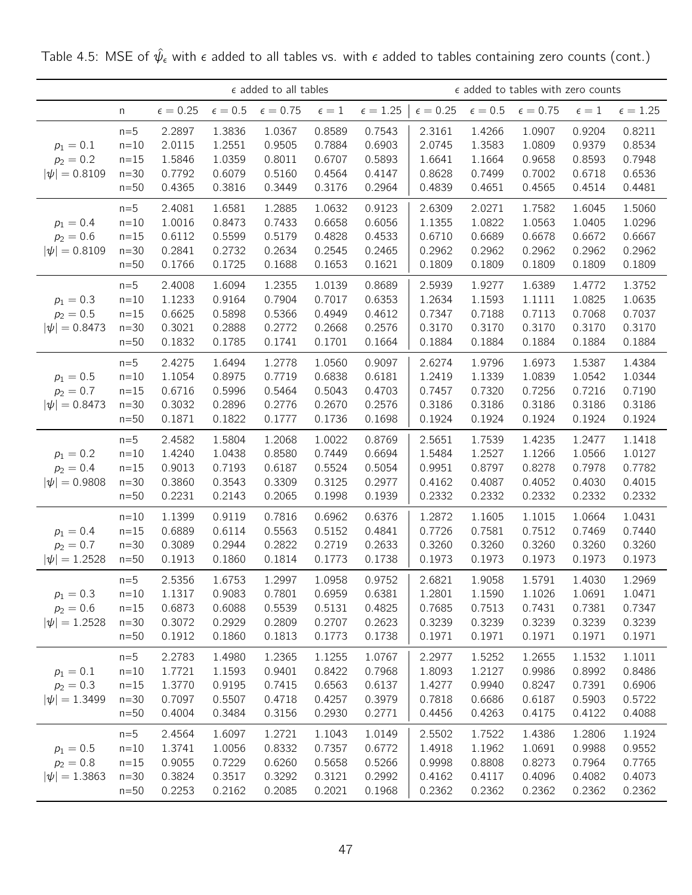|                                                 |                                                 |                                                |                                                | $\epsilon$ added to all tables                 |                                                |                                                | $\epsilon$ added to tables with zero counts    |                                                |                                                |                                                |                                                |
|-------------------------------------------------|-------------------------------------------------|------------------------------------------------|------------------------------------------------|------------------------------------------------|------------------------------------------------|------------------------------------------------|------------------------------------------------|------------------------------------------------|------------------------------------------------|------------------------------------------------|------------------------------------------------|
|                                                 | n                                               | $\epsilon = 0.25$                              | $\epsilon=0.5$                                 | $\epsilon = 0.75$                              | $\epsilon=1$                                   | $\epsilon = 1.25$                              | $\epsilon = 0.25$                              | $\epsilon = 0.5$                               | $\epsilon = 0.75$                              | $\epsilon=1$                                   | $\epsilon = 1.25$                              |
| $p_1 = 0.1$<br>$p_2 = 0.2$<br>$ \psi  = 0.8109$ | $n=5$<br>$n=10$<br>$n=15$<br>$n=30$<br>$n=50$   | 2.2897<br>2.0115<br>1.5846<br>0.7792<br>0.4365 | 1.3836<br>1.2551<br>1.0359<br>0.6079<br>0.3816 | 1.0367<br>0.9505<br>0.8011<br>0.5160<br>0.3449 | 0.8589<br>0.7884<br>0.6707<br>0.4564<br>0.3176 | 0.7543<br>0.6903<br>0.5893<br>0.4147<br>0.2964 | 2.3161<br>2.0745<br>1.6641<br>0.8628<br>0.4839 | 1.4266<br>1.3583<br>1.1664<br>0.7499<br>0.4651 | 1.0907<br>1.0809<br>0.9658<br>0.7002<br>0.4565 | 0.9204<br>0.9379<br>0.8593<br>0.6718<br>0.4514 | 0.8211<br>0.8534<br>0.7948<br>0.6536<br>0.4481 |
| $p_1 = 0.4$<br>$p_2 = 0.6$<br>$ \psi  = 0.8109$ | $n=5$<br>$n=10$<br>$n=15$<br>$n=30$<br>$n=50$   | 2.4081<br>1.0016<br>0.6112<br>0.2841<br>0.1766 | 1.6581<br>0.8473<br>0.5599<br>0.2732<br>0.1725 | 1.2885<br>0.7433<br>0.5179<br>0.2634<br>0.1688 | 1.0632<br>0.6658<br>0.4828<br>0.2545<br>0.1653 | 0.9123<br>0.6056<br>0.4533<br>0.2465<br>0.1621 | 2.6309<br>1.1355<br>0.6710<br>0.2962<br>0.1809 | 2.0271<br>1.0822<br>0.6689<br>0.2962<br>0.1809 | 1.7582<br>1.0563<br>0.6678<br>0.2962<br>0.1809 | 1.6045<br>1.0405<br>0.6672<br>0.2962<br>0.1809 | 1.5060<br>1.0296<br>0.6667<br>0.2962<br>0.1809 |
| $p_1 = 0.3$<br>$p_2 = 0.5$<br>$ \psi  = 0.8473$ | $n=5$<br>$n=10$<br>$n=15$<br>$n=30$<br>$n=50$   | 2.4008<br>1.1233<br>0.6625<br>0.3021<br>0.1832 | 1.6094<br>0.9164<br>0.5898<br>0.2888<br>0.1785 | 1.2355<br>0.7904<br>0.5366<br>0.2772<br>0.1741 | 1.0139<br>0.7017<br>0.4949<br>0.2668<br>0.1701 | 0.8689<br>0.6353<br>0.4612<br>0.2576<br>0.1664 | 2.5939<br>1.2634<br>0.7347<br>0.3170<br>0.1884 | 1.9277<br>1.1593<br>0.7188<br>0.3170<br>0.1884 | 1.6389<br>1.1111<br>0.7113<br>0.3170<br>0.1884 | 1.4772<br>1.0825<br>0.7068<br>0.3170<br>0.1884 | 1.3752<br>1.0635<br>0.7037<br>0.3170<br>0.1884 |
| $p_1 = 0.5$<br>$p_2 = 0.7$<br>$ \psi  = 0.8473$ | $n=5$<br>$n=10$<br>$n=15$<br>$n=30$<br>$n=50$   | 2.4275<br>1.1054<br>0.6716<br>0.3032<br>0.1871 | 1.6494<br>0.8975<br>0.5996<br>0.2896<br>0.1822 | 1.2778<br>0.7719<br>0.5464<br>0.2776<br>0.1777 | 1.0560<br>0.6838<br>0.5043<br>0.2670<br>0.1736 | 0.9097<br>0.6181<br>0.4703<br>0.2576<br>0.1698 | 2.6274<br>1.2419<br>0.7457<br>0.3186<br>0.1924 | 1.9796<br>1.1339<br>0.7320<br>0.3186<br>0.1924 | 1.6973<br>1.0839<br>0.7256<br>0.3186<br>0.1924 | 1.5387<br>1.0542<br>0.7216<br>0.3186<br>0.1924 | 1.4384<br>1.0344<br>0.7190<br>0.3186<br>0.1924 |
| $p_1 = 0.2$<br>$p_2 = 0.4$<br>$ \psi  = 0.9808$ | $n=5$<br>$n=10$<br>$n=15$<br>$n=30$<br>$n=50$   | 2.4582<br>1.4240<br>0.9013<br>0.3860<br>0.2231 | 1.5804<br>1.0438<br>0.7193<br>0.3543<br>0.2143 | 1.2068<br>0.8580<br>0.6187<br>0.3309<br>0.2065 | 1.0022<br>0.7449<br>0.5524<br>0.3125<br>0.1998 | 0.8769<br>0.6694<br>0.5054<br>0.2977<br>0.1939 | 2.5651<br>1.5484<br>0.9951<br>0.4162<br>0.2332 | 1.7539<br>1.2527<br>0.8797<br>0.4087<br>0.2332 | 1.4235<br>1.1266<br>0.8278<br>0.4052<br>0.2332 | 1.2477<br>1.0566<br>0.7978<br>0.4030<br>0.2332 | 1.1418<br>1.0127<br>0.7782<br>0.4015<br>0.2332 |
| $p_1 = 0.4$<br>$p_2 = 0.7$<br>$ \psi  = 1.2528$ | $n=10$<br>$n = 15$<br>$n=30$<br>$n=50$          | 1.1399<br>0.6889<br>0.3089<br>0.1913           | 0.9119<br>0.6114<br>0.2944<br>0.1860           | 0.7816<br>0.5563<br>0.2822<br>0.1814           | 0.6962<br>0.5152<br>0.2719<br>0.1773           | 0.6376<br>0.4841<br>0.2633<br>0.1738           | 1.2872<br>0.7726<br>0.3260<br>0.1973           | 1.1605<br>0.7581<br>0.3260<br>0.1973           | 1.1015<br>0.7512<br>0.3260<br>0.1973           | 1.0664<br>0.7469<br>0.3260<br>0.1973           | 1.0431<br>0.7440<br>0.3260<br>0.1973           |
| $p_1 = 0.3$<br>$p_2 = 0.6$<br>$ \psi  = 1.2528$ | $n=5$<br>$n=10$<br>$n=15$<br>$n=30$<br>$n=50$   | 2.5356<br>1.1317<br>0.6873<br>0.3072<br>0.1912 | 1.6753<br>0.9083<br>0.6088<br>0.2929<br>0.1860 | 1.2997<br>0.7801<br>0.5539<br>0.2809<br>0.1813 | 1.0958<br>0.6959<br>0.5131<br>0.2707<br>0.1773 | 0.9752<br>0.6381<br>0.4825<br>0.2623<br>0.1738 | 2.6821<br>1.2801<br>0.7685<br>0.3239<br>0.1971 | 1.9058<br>1.1590<br>0.7513<br>0.3239<br>0.1971 | 1.5791<br>1.1026<br>0.7431<br>0.3239<br>0.1971 | 1.4030<br>1.0691<br>0.7381<br>0.3239<br>0.1971 | 1.2969<br>1.0471<br>0.7347<br>0.3239<br>0.1971 |
| $p_1 = 0.1$<br>$p_2 = 0.3$<br>$ \psi  = 1.3499$ | $n=5$<br>$n=10$<br>$n = 15$<br>$n=30$<br>$n=50$ | 2.2783<br>1.7721<br>1.3770<br>0.7097<br>0.4004 | 1.4980<br>1.1593<br>0.9195<br>0.5507<br>0.3484 | 1.2365<br>0.9401<br>0.7415<br>0.4718<br>0.3156 | 1.1255<br>0.8422<br>0.6563<br>0.4257<br>0.2930 | 1.0767<br>0.7968<br>0.6137<br>0.3979<br>0.2771 | 2.2977<br>1.8093<br>1.4277<br>0.7818<br>0.4456 | 1.5252<br>1.2127<br>0.9940<br>0.6686<br>0.4263 | 1.2655<br>0.9986<br>0.8247<br>0.6187<br>0.4175 | 1.1532<br>0.8992<br>0.7391<br>0.5903<br>0.4122 | 1.1011<br>0.8486<br>0.6906<br>0.5722<br>0.4088 |
| $p_1 = 0.5$<br>$p_2 = 0.8$<br>$ \psi  = 1.3863$ | $n=5$<br>$n=10$<br>$n=15$<br>$n=30$<br>$n=50$   | 2.4564<br>1.3741<br>0.9055<br>0.3824<br>0.2253 | 1.6097<br>1.0056<br>0.7229<br>0.3517<br>0.2162 | 1.2721<br>0.8332<br>0.6260<br>0.3292<br>0.2085 | 1.1043<br>0.7357<br>0.5658<br>0.3121<br>0.2021 | 1.0149<br>0.6772<br>0.5266<br>0.2992<br>0.1968 | 2.5502<br>1.4918<br>0.9998<br>0.4162<br>0.2362 | 1.7522<br>1.1962<br>0.8808<br>0.4117<br>0.2362 | 1.4386<br>1.0691<br>0.8273<br>0.4096<br>0.2362 | 1.2806<br>0.9988<br>0.7964<br>0.4082<br>0.2362 | 1.1924<br>0.9552<br>0.7765<br>0.4073<br>0.2362 |

Table 4.5: MSE of  $\hat{\psi}_{\epsilon}$  with  $\epsilon$  added to all tables vs. with  $\epsilon$  added to tables containing zero counts (cont.)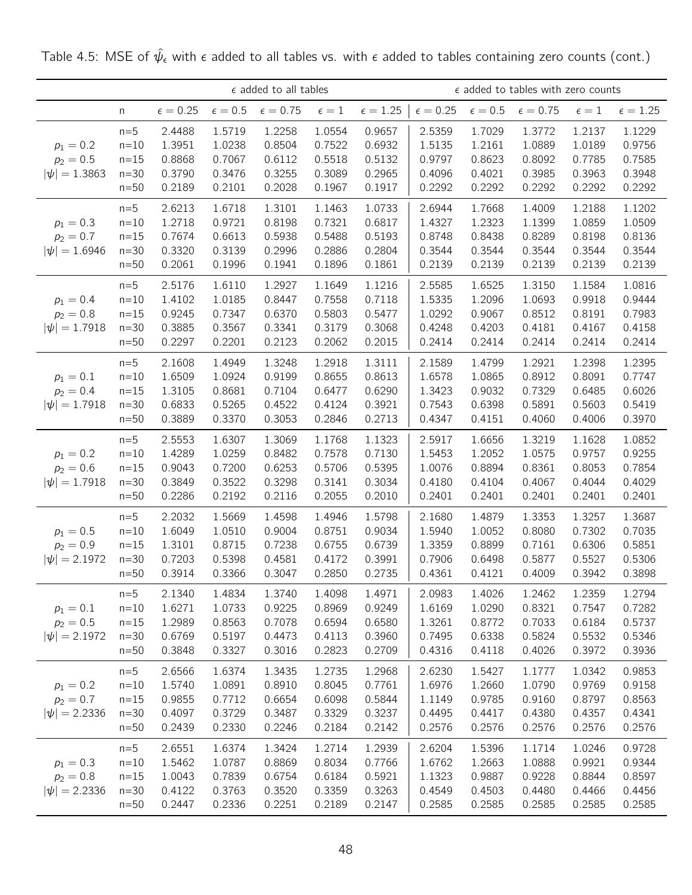|                                                 |                                               |                                                |                                                | $\epsilon$ added to all tables                 |                                                |                                                |                                                |                                                | $\epsilon$ added to tables with zero counts    |                                                |                                                |
|-------------------------------------------------|-----------------------------------------------|------------------------------------------------|------------------------------------------------|------------------------------------------------|------------------------------------------------|------------------------------------------------|------------------------------------------------|------------------------------------------------|------------------------------------------------|------------------------------------------------|------------------------------------------------|
|                                                 | n                                             | $\epsilon = 0.25$                              | $\epsilon=0.5$                                 | $\epsilon=0.75$                                | $\epsilon=1$                                   | $\epsilon = 1.25$                              | $\epsilon = 0.25$                              | $\epsilon=0.5$                                 | $\epsilon = 0.75$                              | $\epsilon=1$                                   | $\epsilon = 1.25$                              |
| $p_1 = 0.2$<br>$p_2 = 0.5$<br>$ \psi  = 1.3863$ | $n=5$<br>$n=10$<br>$n=15$<br>$n=30$<br>$n=50$ | 2.4488<br>1.3951<br>0.8868<br>0.3790<br>0.2189 | 1.5719<br>1.0238<br>0.7067<br>0.3476<br>0.2101 | 1.2258<br>0.8504<br>0.6112<br>0.3255<br>0.2028 | 1.0554<br>0.7522<br>0.5518<br>0.3089<br>0.1967 | 0.9657<br>0.6932<br>0.5132<br>0.2965<br>0.1917 | 2.5359<br>1.5135<br>0.9797<br>0.4096<br>0.2292 | 1.7029<br>1.2161<br>0.8623<br>0.4021<br>0.2292 | 1.3772<br>1.0889<br>0.8092<br>0.3985<br>0.2292 | 1.2137<br>1.0189<br>0.7785<br>0.3963<br>0.2292 | 1.1229<br>0.9756<br>0.7585<br>0.3948<br>0.2292 |
| $p_1 = 0.3$<br>$p_2 = 0.7$<br>$ \psi  = 1.6946$ | $n=5$<br>$n=10$<br>$n=15$<br>$n=30$<br>$n=50$ | 2.6213<br>1.2718<br>0.7674<br>0.3320<br>0.2061 | 1.6718<br>0.9721<br>0.6613<br>0.3139<br>0.1996 | 1.3101<br>0.8198<br>0.5938<br>0.2996<br>0.1941 | 1.1463<br>0.7321<br>0.5488<br>0.2886<br>0.1896 | 1.0733<br>0.6817<br>0.5193<br>0.2804<br>0.1861 | 2.6944<br>1.4327<br>0.8748<br>0.3544<br>0.2139 | 1.7668<br>1.2323<br>0.8438<br>0.3544<br>0.2139 | 1.4009<br>1.1399<br>0.8289<br>0.3544<br>0.2139 | 1.2188<br>1.0859<br>0.8198<br>0.3544<br>0.2139 | 1.1202<br>1.0509<br>0.8136<br>0.3544<br>0.2139 |
| $p_1 = 0.4$<br>$p_2 = 0.8$<br>$ \psi  = 1.7918$ | $n=5$<br>$n=10$<br>$n=15$<br>$n=30$<br>$n=50$ | 2.5176<br>1.4102<br>0.9245<br>0.3885<br>0.2297 | 1.6110<br>1.0185<br>0.7347<br>0.3567<br>0.2201 | 1.2927<br>0.8447<br>0.6370<br>0.3341<br>0.2123 | 1.1649<br>0.7558<br>0.5803<br>0.3179<br>0.2062 | 1.1216<br>0.7118<br>0.5477<br>0.3068<br>0.2015 | 2.5585<br>1.5335<br>1.0292<br>0.4248<br>0.2414 | 1.6525<br>1.2096<br>0.9067<br>0.4203<br>0.2414 | 1.3150<br>1.0693<br>0.8512<br>0.4181<br>0.2414 | 1.1584<br>0.9918<br>0.8191<br>0.4167<br>0.2414 | 1.0816<br>0.9444<br>0.7983<br>0.4158<br>0.2414 |
| $p_1 = 0.1$<br>$p_2 = 0.4$<br>$ \psi  = 1.7918$ | $n=5$<br>$n=10$<br>$n=15$<br>$n=30$<br>$n=50$ | 2.1608<br>1.6509<br>1.3105<br>0.6833<br>0.3889 | 1.4949<br>1.0924<br>0.8681<br>0.5265<br>0.3370 | 1.3248<br>0.9199<br>0.7104<br>0.4522<br>0.3053 | 1.2918<br>0.8655<br>0.6477<br>0.4124<br>0.2846 | 1.3111<br>0.8613<br>0.6290<br>0.3921<br>0.2713 | 2.1589<br>1.6578<br>1.3423<br>0.7543<br>0.4347 | 1.4799<br>1.0865<br>0.9032<br>0.6398<br>0.4151 | 1.2921<br>0.8912<br>0.7329<br>0.5891<br>0.4060 | 1.2398<br>0.8091<br>0.6485<br>0.5603<br>0.4006 | 1.2395<br>0.7747<br>0.6026<br>0.5419<br>0.3970 |
| $p_1 = 0.2$<br>$p_2 = 0.6$<br>$ \psi  = 1.7918$ | $n=5$<br>$n=10$<br>$n=15$<br>$n=30$<br>$n=50$ | 2.5553<br>1.4289<br>0.9043<br>0.3849<br>0.2286 | 1.6307<br>1.0259<br>0.7200<br>0.3522<br>0.2192 | 1.3069<br>0.8482<br>0.6253<br>0.3298<br>0.2116 | 1.1768<br>0.7578<br>0.5706<br>0.3141<br>0.2055 | 1.1323<br>0.7130<br>0.5395<br>0.3034<br>0.2010 | 2.5917<br>1.5453<br>1.0076<br>0.4180<br>0.2401 | 1.6656<br>1.2052<br>0.8894<br>0.4104<br>0.2401 | 1.3219<br>1.0575<br>0.8361<br>0.4067<br>0.2401 | 1.1628<br>0.9757<br>0.8053<br>0.4044<br>0.2401 | 1.0852<br>0.9255<br>0.7854<br>0.4029<br>0.2401 |
| $p_1 = 0.5$<br>$p_2 = 0.9$<br>$ \psi  = 2.1972$ | $n=5$<br>$n=10$<br>$n=15$<br>$n=30$<br>$n=50$ | 2.2032<br>1.6049<br>1.3101<br>0.7203<br>0.3914 | 1.5669<br>1.0510<br>0.8715<br>0.5398<br>0.3366 | 1.4598<br>0.9004<br>0.7238<br>0.4581<br>0.3047 | 1.4946<br>0.8751<br>0.6755<br>0.4172<br>0.2850 | 1.5798<br>0.9034<br>0.6739<br>0.3991<br>0.2735 | 2.1680<br>1.5940<br>1.3359<br>0.7906<br>0.4361 | 1.4879<br>1.0052<br>0.8899<br>0.6498<br>0.4121 | 1.3353<br>0.8080<br>0.7161<br>0.5877<br>0.4009 | 1.3257<br>0.7302<br>0.6306<br>0.5527<br>0.3942 | 1.3687<br>0.7035<br>0.5851<br>0.5306<br>0.3898 |
| $p_1 = 0.1$<br>$p_2 = 0.5$<br>$ \psi  = 2.1972$ | $n=5$<br>$n=10$<br>$n=15$<br>$n=30$<br>$n=50$ | 2.1340<br>1.6271<br>1.2989<br>0.6769<br>0.3848 | 1.4834<br>1.0733<br>0.8563<br>0.5197<br>0.3327 | 1.3740<br>0.9225<br>0.7078<br>0.4473<br>0.3016 | 1.4098<br>0.8969<br>0.6594<br>0.4113<br>0.2823 | 1.4971<br>0.9249<br>0.6580<br>0.3960<br>0.2709 | 2.0983<br>1.6169<br>1.3261<br>0.7495<br>0.4316 | 1.4026<br>1.0290<br>0.8772<br>0.6338<br>0.4118 | 1.2462<br>0.8321<br>0.7033<br>0.5824<br>0.4026 | 1.2359<br>0.7547<br>0.6184<br>0.5532<br>0.3972 | 1.2794<br>0.7282<br>0.5737<br>0.5346<br>0.3936 |
| $p_1 = 0.2$<br>$p_2 = 0.7$<br>$ \psi  = 2.2336$ | $n=5$<br>$n=10$<br>$n=15$<br>$n=30$<br>$n=50$ | 2.6566<br>1.5740<br>0.9855<br>0.4097<br>0.2439 | 1.6374<br>1.0891<br>0.7712<br>0.3729<br>0.2330 | 1.3435<br>0.8910<br>0.6654<br>0.3487<br>0.2246 | 1.2735<br>0.8045<br>0.6098<br>0.3329<br>0.2184 | 1.2968<br>0.7761<br>0.5844<br>0.3237<br>0.2142 | 2.6230<br>1.6976<br>1.1149<br>0.4495<br>0.2576 | 1.5427<br>1.2660<br>0.9785<br>0.4417<br>0.2576 | 1.1777<br>1.0790<br>0.9160<br>0.4380<br>0.2576 | 1.0342<br>0.9769<br>0.8797<br>0.4357<br>0.2576 | 0.9853<br>0.9158<br>0.8563<br>0.4341<br>0.2576 |
| $p_1 = 0.3$<br>$p_2 = 0.8$<br>$ \psi  = 2.2336$ | $n=5$<br>$n=10$<br>$n=15$<br>$n=30$<br>$n=50$ | 2.6551<br>1.5462<br>1.0043<br>0.4122<br>0.2447 | 1.6374<br>1.0787<br>0.7839<br>0.3763<br>0.2336 | 1.3424<br>0.8869<br>0.6754<br>0.3520<br>0.2251 | 1.2714<br>0.8034<br>0.6184<br>0.3359<br>0.2189 | 1.2939<br>0.7766<br>0.5921<br>0.3263<br>0.2147 | 2.6204<br>1.6762<br>1.1323<br>0.4549<br>0.2585 | 1.5396<br>1.2663<br>0.9887<br>0.4503<br>0.2585 | 1.1714<br>1.0888<br>0.9228<br>0.4480<br>0.2585 | 1.0246<br>0.9921<br>0.8844<br>0.4466<br>0.2585 | 0.9728<br>0.9344<br>0.8597<br>0.4456<br>0.2585 |

Table 4.5: MSE of  $\hat{\psi}_{\epsilon}$  with  $\epsilon$  added to all tables vs. with  $\epsilon$  added to tables containing zero counts (cont.)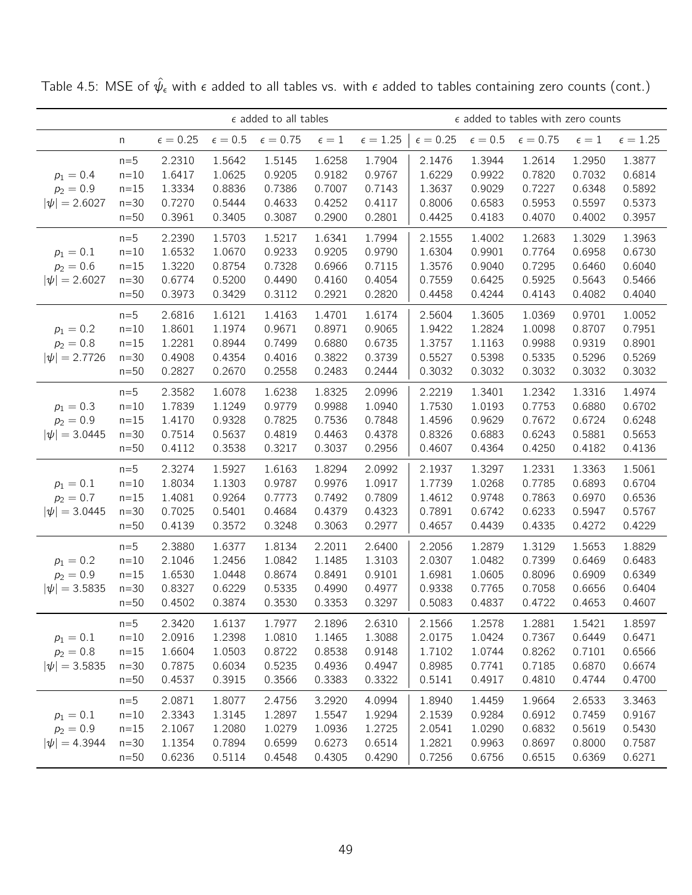|                                                 |                                                 |                                                |                                                | $\epsilon$ added to all tables                 |                                                |                                                |                                                |                                                | $\epsilon$ added to tables with zero counts    |                                                |                                                |
|-------------------------------------------------|-------------------------------------------------|------------------------------------------------|------------------------------------------------|------------------------------------------------|------------------------------------------------|------------------------------------------------|------------------------------------------------|------------------------------------------------|------------------------------------------------|------------------------------------------------|------------------------------------------------|
|                                                 | n                                               | $\epsilon = 0.25$                              | $\epsilon=0.5$                                 | $\epsilon = 0.75$                              | $\epsilon=1$                                   | $\epsilon = 1.25$                              | $\epsilon=0.25$                                | $\epsilon=0.5$                                 | $\epsilon = 0.75$                              | $\epsilon=1$                                   | $\epsilon = 1.25$                              |
| $p_1 = 0.4$<br>$p_2 = 0.9$<br>$ \psi  = 2.6027$ | $n=5$<br>$n=10$<br>$n=15$<br>$n=30$<br>$n=50$   | 2.2310<br>1.6417<br>1.3334<br>0.7270<br>0.3961 | 1.5642<br>1.0625<br>0.8836<br>0.5444<br>0.3405 | 1.5145<br>0.9205<br>0.7386<br>0.4633<br>0.3087 | 1.6258<br>0.9182<br>0.7007<br>0.4252<br>0.2900 | 1.7904<br>0.9767<br>0.7143<br>0.4117<br>0.2801 | 2.1476<br>1.6229<br>1.3637<br>0.8006<br>0.4425 | 1.3944<br>0.9922<br>0.9029<br>0.6583<br>0.4183 | 1.2614<br>0.7820<br>0.7227<br>0.5953<br>0.4070 | 1.2950<br>0.7032<br>0.6348<br>0.5597<br>0.4002 | 1.3877<br>0.6814<br>0.5892<br>0.5373<br>0.3957 |
| $p_1 = 0.1$<br>$p_2 = 0.6$<br>$ \psi  = 2.6027$ | $n=5$<br>$n=10$<br>$n = 15$<br>$n=30$<br>$n=50$ | 2.2390<br>1.6532<br>1.3220<br>0.6774<br>0.3973 | 1.5703<br>1.0670<br>0.8754<br>0.5200<br>0.3429 | 1.5217<br>0.9233<br>0.7328<br>0.4490<br>0.3112 | 1.6341<br>0.9205<br>0.6966<br>0.4160<br>0.2921 | 1.7994<br>0.9790<br>0.7115<br>0.4054<br>0.2820 | 2.1555<br>1.6304<br>1.3576<br>0.7559<br>0.4458 | 1.4002<br>0.9901<br>0.9040<br>0.6425<br>0.4244 | 1.2683<br>0.7764<br>0.7295<br>0.5925<br>0.4143 | 1.3029<br>0.6958<br>0.6460<br>0.5643<br>0.4082 | 1.3963<br>0.6730<br>0.6040<br>0.5466<br>0.4040 |
| $p_1 = 0.2$<br>$p_2 = 0.8$<br>$ \psi  = 2.7726$ | $n=5$<br>$n=10$<br>$n=15$<br>$n=30$<br>$n=50$   | 2.6816<br>1.8601<br>1.2281<br>0.4908<br>0.2827 | 1.6121<br>1.1974<br>0.8944<br>0.4354<br>0.2670 | 1.4163<br>0.9671<br>0.7499<br>0.4016<br>0.2558 | 1.4701<br>0.8971<br>0.6880<br>0.3822<br>0.2483 | 1.6174<br>0.9065<br>0.6735<br>0.3739<br>0.2444 | 2.5604<br>1.9422<br>1.3757<br>0.5527<br>0.3032 | 1.3605<br>1.2824<br>1.1163<br>0.5398<br>0.3032 | 1.0369<br>1.0098<br>0.9988<br>0.5335<br>0.3032 | 0.9701<br>0.8707<br>0.9319<br>0.5296<br>0.3032 | 1.0052<br>0.7951<br>0.8901<br>0.5269<br>0.3032 |
| $p_1 = 0.3$<br>$p_2 = 0.9$<br>$ \psi  = 3.0445$ | $n=5$<br>$n=10$<br>$n = 15$<br>$n=30$<br>$n=50$ | 2.3582<br>1.7839<br>1.4170<br>0.7514<br>0.4112 | 1.6078<br>1.1249<br>0.9328<br>0.5637<br>0.3538 | 1.6238<br>0.9779<br>0.7825<br>0.4819<br>0.3217 | 1.8325<br>0.9988<br>0.7536<br>0.4463<br>0.3037 | 2.0996<br>1.0940<br>0.7848<br>0.4378<br>0.2956 | 2.2219<br>1.7530<br>1.4596<br>0.8326<br>0.4607 | 1.3401<br>1.0193<br>0.9629<br>0.6883<br>0.4364 | 1.2342<br>0.7753<br>0.7672<br>0.6243<br>0.4250 | 1.3316<br>0.6880<br>0.6724<br>0.5881<br>0.4182 | 1.4974<br>0.6702<br>0.6248<br>0.5653<br>0.4136 |
| $p_1 = 0.1$<br>$p_2 = 0.7$<br>$ \psi  = 3.0445$ | $n=5$<br>$n=10$<br>$n=15$<br>$n=30$<br>$n=50$   | 2.3274<br>1.8034<br>1.4081<br>0.7025<br>0.4139 | 1.5927<br>1.1303<br>0.9264<br>0.5401<br>0.3572 | 1.6163<br>0.9787<br>0.7773<br>0.4684<br>0.3248 | 1.8294<br>0.9976<br>0.7492<br>0.4379<br>0.3063 | 2.0992<br>1.0917<br>0.7809<br>0.4323<br>0.2977 | 2.1937<br>1.7739<br>1.4612<br>0.7891<br>0.4657 | 1.3297<br>1.0268<br>0.9748<br>0.6742<br>0.4439 | 1.2331<br>0.7785<br>0.7863<br>0.6233<br>0.4335 | 1.3363<br>0.6893<br>0.6970<br>0.5947<br>0.4272 | 1.5061<br>0.6704<br>0.6536<br>0.5767<br>0.4229 |
| $p_1 = 0.2$<br>$p_2 = 0.9$<br>$ \psi  = 3.5835$ | $n=5$<br>$n=10$<br>$n=15$<br>$n=30$<br>$n=50$   | 2.3880<br>2.1046<br>1.6530<br>0.8327<br>0.4502 | 1.6377<br>1.2456<br>1.0448<br>0.6229<br>0.3874 | 1.8134<br>1.0842<br>0.8674<br>0.5335<br>0.3530 | 2.2011<br>1.1485<br>0.8491<br>0.4990<br>0.3353 | 2.6400<br>1.3103<br>0.9101<br>0.4977<br>0.3297 | 2.2056<br>2.0307<br>1.6981<br>0.9338<br>0.5083 | 1.2879<br>1.0482<br>1.0605<br>0.7765<br>0.4837 | 1.3129<br>0.7399<br>0.8096<br>0.7058<br>0.4722 | 1.5653<br>0.6469<br>0.6909<br>0.6656<br>0.4653 | 1.8829<br>0.6483<br>0.6349<br>0.6404<br>0.4607 |
| $p_1 = 0.1$<br>$p_2 = 0.8$<br>$ \psi  = 3.5835$ | $n=5$<br>$n=10$<br>$n=15$<br>$n=30$<br>$n=50$   | 2.3420<br>2.0916<br>1.6604<br>0.7875<br>0.4537 | 1.6137<br>1.2398<br>1.0503<br>0.6034<br>0.3915 | 1.7977<br>1.0810<br>0.8722<br>0.5235<br>0.3566 | 2.1896<br>1.1465<br>0.8538<br>0.4936<br>0.3383 | 2.6310<br>1.3088<br>0.9148<br>0.4947<br>0.3322 | 2.1566<br>2.0175<br>1.7102<br>0.8985<br>0.5141 | 1.2578<br>1.0424<br>1.0744<br>0.7741<br>0.4917 | 1.2881<br>0.7367<br>0.8262<br>0.7185<br>0.4810 | 1.5421<br>0.6449<br>0.7101<br>0.6870<br>0.4744 | 1.8597<br>0.6471<br>0.6566<br>0.6674<br>0.4700 |
| $p_1 = 0.1$<br>$p_2 = 0.9$<br>$ \psi  = 4.3944$ | $n=5$<br>$n=10$<br>$n=15$<br>$n=30$<br>$n=50$   | 2.0871<br>2.3343<br>2.1067<br>1.1354<br>0.6236 | 1.8077<br>1.3145<br>1.2080<br>0.7894<br>0.5114 | 2.4756<br>1.2897<br>1.0279<br>0.6599<br>0.4548 | 3.2920<br>1.5547<br>1.0936<br>0.6273<br>0.4305 | 4.0994<br>1.9294<br>1.2725<br>0.6514<br>0.4290 | 1.8940<br>2.1539<br>2.0541<br>1.2821<br>0.7256 | 1.4459<br>0.9284<br>1.0290<br>0.9963<br>0.6756 | 1.9664<br>0.6912<br>0.6832<br>0.8697<br>0.6515 | 2.6533<br>0.7459<br>0.5619<br>0.8000<br>0.6369 | 3.3463<br>0.9167<br>0.5430<br>0.7587<br>0.6271 |

Table 4.5: MSE of  $\hat{\psi}_{\epsilon}$  with  $\epsilon$  added to all tables vs. with  $\epsilon$  added to tables containing zero counts (cont.)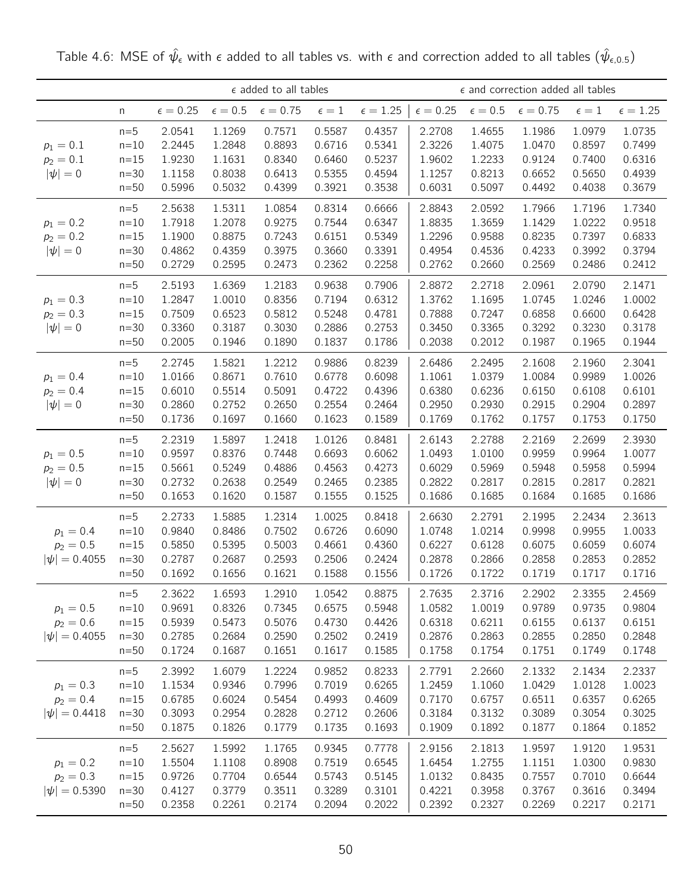|                                                 |                                                 |                                                |                                                | $\epsilon$ added to all tables                 |                                                |                                                | $\epsilon$ and correction added all tables     |                                                |                                                |                                                |                                                |
|-------------------------------------------------|-------------------------------------------------|------------------------------------------------|------------------------------------------------|------------------------------------------------|------------------------------------------------|------------------------------------------------|------------------------------------------------|------------------------------------------------|------------------------------------------------|------------------------------------------------|------------------------------------------------|
|                                                 | n                                               | $\epsilon = 0.25$                              | $\epsilon=0.5$                                 | $\epsilon=0.75$                                | $\epsilon=1$                                   | $\epsilon = 1.25$                              | $\epsilon = 0.25$                              | $\epsilon=0.5$                                 | $\epsilon=0.75$                                | $\epsilon=1$                                   | $\epsilon = 1.25$                              |
| $p_1 = 0.1$<br>$p_2 = 0.1$<br>$ \psi =0$        | $n=5$<br>$n=10$<br>$n = 15$<br>$n=30$<br>$n=50$ | 2.0541<br>2.2445<br>1.9230<br>1.1158<br>0.5996 | 1.1269<br>1.2848<br>1.1631<br>0.8038<br>0.5032 | 0.7571<br>0.8893<br>0.8340<br>0.6413<br>0.4399 | 0.5587<br>0.6716<br>0.6460<br>0.5355<br>0.3921 | 0.4357<br>0.5341<br>0.5237<br>0.4594<br>0.3538 | 2.2708<br>2.3226<br>1.9602<br>1.1257<br>0.6031 | 1.4655<br>1.4075<br>1.2233<br>0.8213<br>0.5097 | 1.1986<br>1.0470<br>0.9124<br>0.6652<br>0.4492 | 1.0979<br>0.8597<br>0.7400<br>0.5650<br>0.4038 | 1.0735<br>0.7499<br>0.6316<br>0.4939<br>0.3679 |
| $p_1 = 0.2$<br>$p_2 = 0.2$<br>$ \psi =0$        | $n=5$<br>$n=10$<br>$n=15$<br>$n=30$<br>$n=50$   | 2.5638<br>1.7918<br>1.1900<br>0.4862<br>0.2729 | 1.5311<br>1.2078<br>0.8875<br>0.4359<br>0.2595 | 1.0854<br>0.9275<br>0.7243<br>0.3975<br>0.2473 | 0.8314<br>0.7544<br>0.6151<br>0.3660<br>0.2362 | 0.6666<br>0.6347<br>0.5349<br>0.3391<br>0.2258 | 2.8843<br>1.8835<br>1.2296<br>0.4954<br>0.2762 | 2.0592<br>1.3659<br>0.9588<br>0.4536<br>0.2660 | 1.7966<br>1.1429<br>0.8235<br>0.4233<br>0.2569 | 1.7196<br>1.0222<br>0.7397<br>0.3992<br>0.2486 | 1.7340<br>0.9518<br>0.6833<br>0.3794<br>0.2412 |
| $p_1 = 0.3$<br>$p_2 = 0.3$<br>$ \psi =0$        | $n=5$<br>$n=10$<br>$n = 15$<br>$n=30$<br>$n=50$ | 2.5193<br>1.2847<br>0.7509<br>0.3360<br>0.2005 | 1.6369<br>1.0010<br>0.6523<br>0.3187<br>0.1946 | 1.2183<br>0.8356<br>0.5812<br>0.3030<br>0.1890 | 0.9638<br>0.7194<br>0.5248<br>0.2886<br>0.1837 | 0.7906<br>0.6312<br>0.4781<br>0.2753<br>0.1786 | 2.8872<br>1.3762<br>0.7888<br>0.3450<br>0.2038 | 2.2718<br>1.1695<br>0.7247<br>0.3365<br>0.2012 | 2.0961<br>1.0745<br>0.6858<br>0.3292<br>0.1987 | 2.0790<br>1.0246<br>0.6600<br>0.3230<br>0.1965 | 2.1471<br>1.0002<br>0.6428<br>0.3178<br>0.1944 |
| $p_1 = 0.4$<br>$p_2 = 0.4$<br>$ \psi =0$        | $n=5$<br>$n=10$<br>$n=15$<br>$n=30$<br>$n=50$   | 2.2745<br>1.0166<br>0.6010<br>0.2860<br>0.1736 | 1.5821<br>0.8671<br>0.5514<br>0.2752<br>0.1697 | 1.2212<br>0.7610<br>0.5091<br>0.2650<br>0.1660 | 0.9886<br>0.6778<br>0.4722<br>0.2554<br>0.1623 | 0.8239<br>0.6098<br>0.4396<br>0.2464<br>0.1589 | 2.6486<br>1.1061<br>0.6380<br>0.2950<br>0.1769 | 2.2495<br>1.0379<br>0.6236<br>0.2930<br>0.1762 | 2.1608<br>1.0084<br>0.6150<br>0.2915<br>0.1757 | 2.1960<br>0.9989<br>0.6108<br>0.2904<br>0.1753 | 2.3041<br>1.0026<br>0.6101<br>0.2897<br>0.1750 |
| $p_1 = 0.5$<br>$p_2 = 0.5$<br>$ \psi =0$        | $n=5$<br>$n=10$<br>$n=15$<br>$n=30$<br>$n=50$   | 2.2319<br>0.9597<br>0.5661<br>0.2732<br>0.1653 | 1.5897<br>0.8376<br>0.5249<br>0.2638<br>0.1620 | 1.2418<br>0.7448<br>0.4886<br>0.2549<br>0.1587 | 1.0126<br>0.6693<br>0.4563<br>0.2465<br>0.1555 | 0.8481<br>0.6062<br>0.4273<br>0.2385<br>0.1525 | 2.6143<br>1.0493<br>0.6029<br>0.2822<br>0.1686 | 2.2788<br>1.0100<br>0.5969<br>0.2817<br>0.1685 | 2.2169<br>0.9959<br>0.5948<br>0.2815<br>0.1684 | 2.2699<br>0.9964<br>0.5958<br>0.2817<br>0.1685 | 2.3930<br>1.0077<br>0.5994<br>0.2821<br>0.1686 |
| $p_1 = 0.4$<br>$p_2 = 0.5$<br>$ \psi  = 0.4055$ | $n=5$<br>$n=10$<br>$n=15$<br>$n=30$<br>$n=50$   | 2.2733<br>0.9840<br>0.5850<br>0.2787<br>0.1692 | 1.5885<br>0.8486<br>0.5395<br>0.2687<br>0.1656 | 1.2314<br>0.7502<br>0.5003<br>0.2593<br>0.1621 | 1.0025<br>0.6726<br>0.4661<br>0.2506<br>0.1588 | 0.8418<br>0.6090<br>0.4360<br>0.2424<br>0.1556 | 2.6630<br>1.0748<br>0.6227<br>0.2878<br>0.1726 | 2.2791<br>1.0214<br>0.6128<br>0.2866<br>0.1722 | 2.1995<br>0.9998<br>0.6075<br>0.2858<br>0.1719 | 2.2434<br>0.9955<br>0.6059<br>0.2853<br>0.1717 | 2.3613<br>1.0033<br>0.6074<br>0.2852<br>0.1716 |
| $p_1 = 0.5$<br>$p_2 = 0.6$<br>$ \psi  = 0.4055$ | $n=5$<br>$n=10$<br>$n=15$<br>$n=30$<br>$n=50$   | 2.3622<br>0.9691<br>0.5939<br>0.2785<br>0.1724 | 1.6593<br>0.8326<br>0.5473<br>0.2684<br>0.1687 | 1.2910<br>0.7345<br>0.5076<br>0.2590<br>0.1651 | 1.0542<br>0.6575<br>0.4730<br>0.2502<br>0.1617 | 0.8875<br>0.5948<br>0.4426<br>0.2419<br>0.1585 | 2.7635<br>1.0582<br>0.6318<br>0.2876<br>0.1758 | 2.3716<br>1.0019<br>0.6211<br>0.2863<br>0.1754 | 2.2902<br>0.9789<br>0.6155<br>0.2855<br>0.1751 | 2.3355<br>0.9735<br>0.6137<br>0.2850<br>0.1749 | 2.4569<br>0.9804<br>0.6151<br>0.2848<br>0.1748 |
| $p_1 = 0.3$<br>$p_2 = 0.4$<br>$ \psi  = 0.4418$ | $n=5$<br>$n=10$<br>$n=15$<br>$n=30$<br>$n=50$   | 2.3992<br>1.1534<br>0.6785<br>0.3093<br>0.1875 | 1.6079<br>0.9346<br>0.6024<br>0.2954<br>0.1826 | 1.2224<br>0.7996<br>0.5454<br>0.2828<br>0.1779 | 0.9852<br>0.7019<br>0.4993<br>0.2712<br>0.1735 | 0.8233<br>0.6265<br>0.4609<br>0.2606<br>0.1693 | 2.7791<br>1.2459<br>0.7170<br>0.3184<br>0.1909 | 2.2660<br>1.1060<br>0.6757<br>0.3132<br>0.1892 | 2.1332<br>1.0429<br>0.6511<br>0.3089<br>0.1877 | 2.1434<br>1.0128<br>0.6357<br>0.3054<br>0.1864 | 2.2337<br>1.0023<br>0.6265<br>0.3025<br>0.1852 |
| $p_1 = 0.2$<br>$p_2 = 0.3$<br>$ \psi  = 0.5390$ | $n=5$<br>$n=10$<br>$n=15$<br>$n=30$<br>$n=50$   | 2.5627<br>1.5504<br>0.9726<br>0.4127<br>0.2358 | 1.5992<br>1.1108<br>0.7704<br>0.3779<br>0.2261 | 1.1765<br>0.8908<br>0.6544<br>0.3511<br>0.2174 | 0.9345<br>0.7519<br>0.5743<br>0.3289<br>0.2094 | 0.7778<br>0.6545<br>0.5145<br>0.3101<br>0.2022 | 2.9156<br>1.6454<br>1.0132<br>0.4221<br>0.2392 | 2.1813<br>1.2755<br>0.8435<br>0.3958<br>0.2327 | 1.9597<br>1.1151<br>0.7557<br>0.3767<br>0.2269 | 1.9120<br>1.0300<br>0.7010<br>0.3616<br>0.2217 | 1.9531<br>0.9830<br>0.6644<br>0.3494<br>0.2171 |

Table 4.6: MSE of  $\hat{\psi}_{\epsilon}$  with  $\epsilon$  added to all tables vs. with  $\epsilon$  and correction added to all tables  $(\hat{\psi}_{\epsilon,0.5})$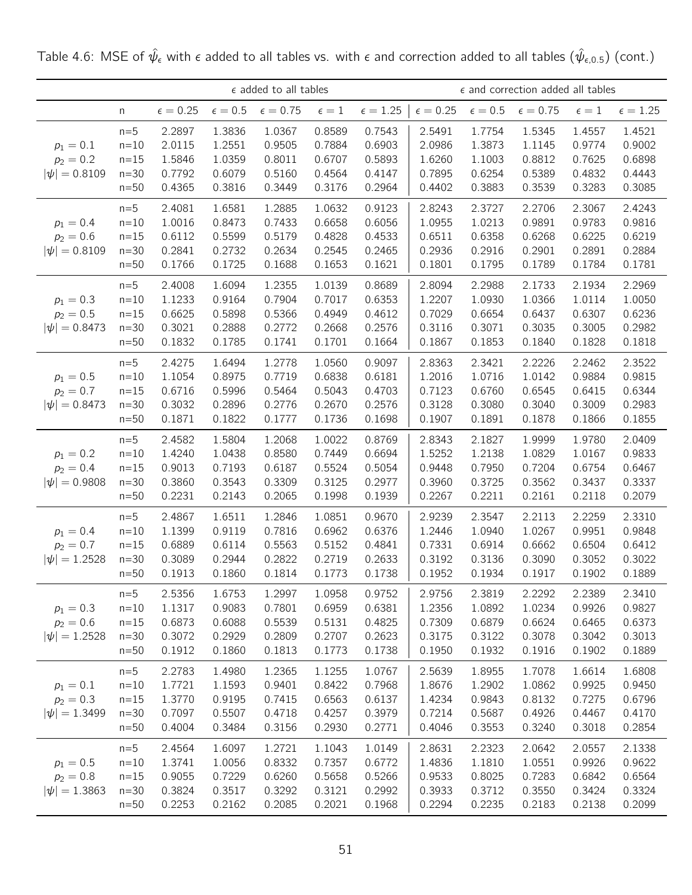|                                                 |                                                 |                                                |                                                | $\epsilon$ added to all tables                 |                                                |                                                |                                                |                                                | $\epsilon$ and correction added all tables     |                                                |                                                |
|-------------------------------------------------|-------------------------------------------------|------------------------------------------------|------------------------------------------------|------------------------------------------------|------------------------------------------------|------------------------------------------------|------------------------------------------------|------------------------------------------------|------------------------------------------------|------------------------------------------------|------------------------------------------------|
|                                                 | n                                               | $\epsilon = 0.25$                              | $\epsilon=0.5$                                 | $\epsilon=0.75$                                | $\epsilon=1$                                   | $\epsilon = 1.25$                              | $\epsilon = 0.25$                              | $\epsilon=0.5$                                 | $\epsilon=0.75$                                | $\epsilon=1$                                   | $\epsilon=1.25$                                |
| $p_1 = 0.1$<br>$p_2 = 0.2$<br>$ \psi  = 0.8109$ | $n=5$<br>$n=10$<br>$n = 15$<br>$n=30$<br>$n=50$ | 2.2897<br>2.0115<br>1.5846<br>0.7792<br>0.4365 | 1.3836<br>1.2551<br>1.0359<br>0.6079<br>0.3816 | 1.0367<br>0.9505<br>0.8011<br>0.5160<br>0.3449 | 0.8589<br>0.7884<br>0.6707<br>0.4564<br>0.3176 | 0.7543<br>0.6903<br>0.5893<br>0.4147<br>0.2964 | 2.5491<br>2.0986<br>1.6260<br>0.7895<br>0.4402 | 1.7754<br>1.3873<br>1.1003<br>0.6254<br>0.3883 | 1.5345<br>1.1145<br>0.8812<br>0.5389<br>0.3539 | 1.4557<br>0.9774<br>0.7625<br>0.4832<br>0.3283 | 1.4521<br>0.9002<br>0.6898<br>0.4443<br>0.3085 |
| $p_1 = 0.4$<br>$p_2 = 0.6$<br>$ \psi  = 0.8109$ | $n=5$<br>$n=10$<br>$n=15$<br>$n=30$<br>$n=50$   | 2.4081<br>1.0016<br>0.6112<br>0.2841<br>0.1766 | 1.6581<br>0.8473<br>0.5599<br>0.2732<br>0.1725 | 1.2885<br>0.7433<br>0.5179<br>0.2634<br>0.1688 | 1.0632<br>0.6658<br>0.4828<br>0.2545<br>0.1653 | 0.9123<br>0.6056<br>0.4533<br>0.2465<br>0.1621 | 2.8243<br>1.0955<br>0.6511<br>0.2936<br>0.1801 | 2.3727<br>1.0213<br>0.6358<br>0.2916<br>0.1795 | 2.2706<br>0.9891<br>0.6268<br>0.2901<br>0.1789 | 2.3067<br>0.9783<br>0.6225<br>0.2891<br>0.1784 | 2.4243<br>0.9816<br>0.6219<br>0.2884<br>0.1781 |
| $p_1 = 0.3$<br>$p_2 = 0.5$<br>$ \psi  = 0.8473$ | $n=5$<br>$n=10$<br>$n = 15$<br>$n=30$<br>$n=50$ | 2.4008<br>1.1233<br>0.6625<br>0.3021<br>0.1832 | 1.6094<br>0.9164<br>0.5898<br>0.2888<br>0.1785 | 1.2355<br>0.7904<br>0.5366<br>0.2772<br>0.1741 | 1.0139<br>0.7017<br>0.4949<br>0.2668<br>0.1701 | 0.8689<br>0.6353<br>0.4612<br>0.2576<br>0.1664 | 2.8094<br>1.2207<br>0.7029<br>0.3116<br>0.1867 | 2.2988<br>1.0930<br>0.6654<br>0.3071<br>0.1853 | 2.1733<br>1.0366<br>0.6437<br>0.3035<br>0.1840 | 2.1934<br>1.0114<br>0.6307<br>0.3005<br>0.1828 | 2.2969<br>1.0050<br>0.6236<br>0.2982<br>0.1818 |
| $p_1 = 0.5$<br>$p_2 = 0.7$<br>$ \psi  = 0.8473$ | $n=5$<br>$n=10$<br>$n=15$<br>$n=30$<br>$n=50$   | 2.4275<br>1.1054<br>0.6716<br>0.3032<br>0.1871 | 1.6494<br>0.8975<br>0.5996<br>0.2896<br>0.1822 | 1.2778<br>0.7719<br>0.5464<br>0.2776<br>0.1777 | 1.0560<br>0.6838<br>0.5043<br>0.2670<br>0.1736 | 0.9097<br>0.6181<br>0.4703<br>0.2576<br>0.1698 | 2.8363<br>1.2016<br>0.7123<br>0.3128<br>0.1907 | 2.3421<br>1.0716<br>0.6760<br>0.3080<br>0.1891 | 2.2226<br>1.0142<br>0.6545<br>0.3040<br>0.1878 | 2.2462<br>0.9884<br>0.6415<br>0.3009<br>0.1866 | 2.3522<br>0.9815<br>0.6344<br>0.2983<br>0.1855 |
| $p_1 = 0.2$<br>$p_2 = 0.4$<br>$ \psi  = 0.9808$ | $n=5$<br>$n=10$<br>$n=15$<br>$n=30$<br>$n=50$   | 2.4582<br>1.4240<br>0.9013<br>0.3860<br>0.2231 | 1.5804<br>1.0438<br>0.7193<br>0.3543<br>0.2143 | 1.2068<br>0.8580<br>0.6187<br>0.3309<br>0.2065 | 1.0022<br>0.7449<br>0.5524<br>0.3125<br>0.1998 | 0.8769<br>0.6694<br>0.5054<br>0.2977<br>0.1939 | 2.8343<br>1.5252<br>0.9448<br>0.3960<br>0.2267 | 2.1827<br>1.2138<br>0.7950<br>0.3725<br>0.2211 | 1.9999<br>1.0829<br>0.7204<br>0.3562<br>0.2161 | 1.9780<br>1.0167<br>0.6754<br>0.3437<br>0.2118 | 2.0409<br>0.9833<br>0.6467<br>0.3337<br>0.2079 |
| $p_1 = 0.4$<br>$p_2 = 0.7$<br>$ \psi  = 1.2528$ | $n=5$<br>$n=10$<br>$n=15$<br>$n=30$<br>$n=50$   | 2.4867<br>1.1399<br>0.6889<br>0.3089<br>0.1913 | 1.6511<br>0.9119<br>0.6114<br>0.2944<br>0.1860 | 1.2846<br>0.7816<br>0.5563<br>0.2822<br>0.1814 | 1.0851<br>0.6962<br>0.5152<br>0.2719<br>0.1773 | 0.9670<br>0.6376<br>0.4841<br>0.2633<br>0.1738 | 2.9239<br>1.2446<br>0.7331<br>0.3192<br>0.1952 | 2.3547<br>1.0940<br>0.6914<br>0.3136<br>0.1934 | 2.2113<br>1.0267<br>0.6662<br>0.3090<br>0.1917 | 2.2259<br>0.9951<br>0.6504<br>0.3052<br>0.1902 | 2.3310<br>0.9848<br>0.6412<br>0.3022<br>0.1889 |
| $p_1 = 0.3$<br>$p_2 = 0.6$<br>$ \psi  = 1.2528$ | $n=5$<br>$n=10$<br>$n=15$<br>$n=30$<br>$n=50$   | 2.5356<br>1.1317<br>0.6873<br>0.3072<br>0.1912 | 1.6753<br>0.9083<br>0.6088<br>0.2929<br>0.1860 | 1.2997<br>0.7801<br>0.5539<br>0.2809<br>0.1813 | 1.0958<br>0.6959<br>0.5131<br>0.2707<br>0.1773 | 0.9752<br>0.6381<br>0.4825<br>0.2623<br>0.1738 | 2.9756<br>1.2356<br>0.7309<br>0.3175<br>0.1950 | 2.3819<br>1.0892<br>0.6879<br>0.3122<br>0.1932 | 2.2292<br>1.0234<br>0.6624<br>0.3078<br>0.1916 | 2.2389<br>0.9926<br>0.6465<br>0.3042<br>0.1902 | 2.3410<br>0.9827<br>0.6373<br>0.3013<br>0.1889 |
| $p_1 = 0.1$<br>$p_2 = 0.3$<br>$ \psi  = 1.3499$ | $n=5$<br>$n=10$<br>$n=15$<br>$n=30$<br>$n=50$   | 2.2783<br>1.7721<br>1.3770<br>0.7097<br>0.4004 | 1.4980<br>1.1593<br>0.9195<br>0.5507<br>0.3484 | 1.2365<br>0.9401<br>0.7415<br>0.4718<br>0.3156 | 1.1255<br>0.8422<br>0.6563<br>0.4257<br>0.2930 | 1.0767<br>0.7968<br>0.6137<br>0.3979<br>0.2771 | 2.5639<br>1.8676<br>1.4234<br>0.7214<br>0.4046 | 1.8955<br>1.2902<br>0.9843<br>0.5687<br>0.3553 | 1.7078<br>1.0862<br>0.8132<br>0.4926<br>0.3240 | 1.6614<br>0.9925<br>0.7275<br>0.4467<br>0.3018 | 1.6808<br>0.9450<br>0.6796<br>0.4170<br>0.2854 |
| $p_1 = 0.5$<br>$p_2 = 0.8$<br>$ \psi  = 1.3863$ | $n=5$<br>$n=10$<br>$n=15$<br>$n = 30$<br>$n=50$ | 2.4564<br>1.3741<br>0.9055<br>0.3824<br>0.2253 | 1.6097<br>1.0056<br>0.7229<br>0.3517<br>0.2162 | 1.2721<br>0.8332<br>0.6260<br>0.3292<br>0.2085 | 1.1043<br>0.7357<br>0.5658<br>0.3121<br>0.2021 | 1.0149<br>0.6772<br>0.5266<br>0.2992<br>0.1968 | 2.8631<br>1.4836<br>0.9533<br>0.3933<br>0.2294 | 2.2323<br>1.1810<br>0.8025<br>0.3712<br>0.2235 | 2.0642<br>1.0551<br>0.7283<br>0.3550<br>0.2183 | 2.0557<br>0.9926<br>0.6842<br>0.3424<br>0.2138 | 2.1338<br>0.9622<br>0.6564<br>0.3324<br>0.2099 |

Table 4.6: MSE of  $\hat\psi_\epsilon$  with  $\epsilon$  added to all tables vs. with  $\epsilon$  and correction added to all tables  $(\hat\psi_{\epsilon,0.5})$  (cont.)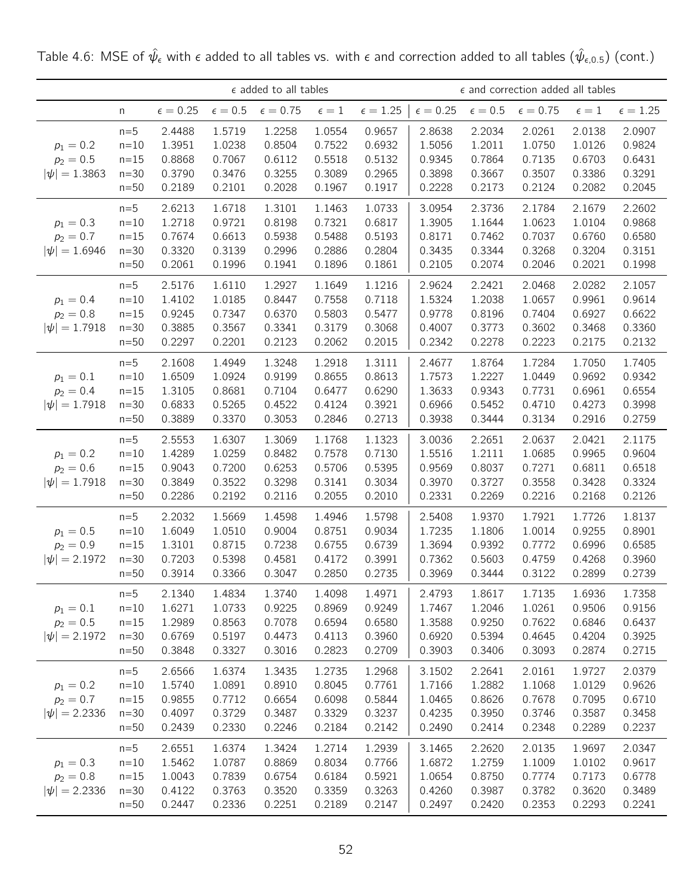|                                                 |                                                 |                                                |                                                | $\epsilon$ added to all tables                 |                                                |                                                | $\epsilon$ and correction added all tables     |                                                |                                                |                                                |                                                |
|-------------------------------------------------|-------------------------------------------------|------------------------------------------------|------------------------------------------------|------------------------------------------------|------------------------------------------------|------------------------------------------------|------------------------------------------------|------------------------------------------------|------------------------------------------------|------------------------------------------------|------------------------------------------------|
|                                                 | n                                               | $\epsilon = 0.25$                              | $\epsilon=0.5$                                 | $\epsilon=0.75$                                | $\epsilon=1$                                   | $\epsilon = 1.25$                              | $\epsilon = 0.25$                              | $\epsilon=0.5$                                 | $\epsilon = 0.75$                              | $\epsilon=1$                                   | $\epsilon = 1.25$                              |
| $p_1 = 0.2$<br>$p_2 = 0.5$<br>$ \psi  = 1.3863$ | $n=5$<br>$n=10$<br>$n=15$<br>$n=30$<br>$n=50$   | 2.4488<br>1.3951<br>0.8868<br>0.3790<br>0.2189 | 1.5719<br>1.0238<br>0.7067<br>0.3476<br>0.2101 | 1.2258<br>0.8504<br>0.6112<br>0.3255<br>0.2028 | 1.0554<br>0.7522<br>0.5518<br>0.3089<br>0.1967 | 0.9657<br>0.6932<br>0.5132<br>0.2965<br>0.1917 | 2.8638<br>1.5056<br>0.9345<br>0.3898<br>0.2228 | 2.2034<br>1.2011<br>0.7864<br>0.3667<br>0.2173 | 2.0261<br>1.0750<br>0.7135<br>0.3507<br>0.2124 | 2.0138<br>1.0126<br>0.6703<br>0.3386<br>0.2082 | 2.0907<br>0.9824<br>0.6431<br>0.3291<br>0.2045 |
| $p_1 = 0.3$<br>$p_2 = 0.7$<br>$ \psi  = 1.6946$ | $n=5$<br>$n=10$<br>$n=15$<br>$n=30$<br>$n=50$   | 2.6213<br>1.2718<br>0.7674<br>0.3320<br>0.2061 | 1.6718<br>0.9721<br>0.6613<br>0.3139<br>0.1996 | 1.3101<br>0.8198<br>0.5938<br>0.2996<br>0.1941 | 1.1463<br>0.7321<br>0.5488<br>0.2886<br>0.1896 | 1.0733<br>0.6817<br>0.5193<br>0.2804<br>0.1861 | 3.0954<br>1.3905<br>0.8171<br>0.3435<br>0.2105 | 2.3736<br>1.1644<br>0.7462<br>0.3344<br>0.2074 | 2.1784<br>1.0623<br>0.7037<br>0.3268<br>0.2046 | 2.1679<br>1.0104<br>0.6760<br>0.3204<br>0.2021 | 2.2602<br>0.9868<br>0.6580<br>0.3151<br>0.1998 |
| $p_1 = 0.4$<br>$p_2 = 0.8$<br>$ \psi  = 1.7918$ | $n=5$<br>$n=10$<br>$n = 15$<br>$n=30$<br>$n=50$ | 2.5176<br>1.4102<br>0.9245<br>0.3885<br>0.2297 | 1.6110<br>1.0185<br>0.7347<br>0.3567<br>0.2201 | 1.2927<br>0.8447<br>0.6370<br>0.3341<br>0.2123 | 1.1649<br>0.7558<br>0.5803<br>0.3179<br>0.2062 | 1.1216<br>0.7118<br>0.5477<br>0.3068<br>0.2015 | 2.9624<br>1.5324<br>0.9778<br>0.4007<br>0.2342 | 2.2421<br>1.2038<br>0.8196<br>0.3773<br>0.2278 | 2.0468<br>1.0657<br>0.7404<br>0.3602<br>0.2223 | 2.0282<br>0.9961<br>0.6927<br>0.3468<br>0.2175 | 2.1057<br>0.9614<br>0.6622<br>0.3360<br>0.2132 |
| $p_1 = 0.1$<br>$p_2 = 0.4$<br>$ \psi  = 1.7918$ | $n=5$<br>$n=10$<br>$n=15$<br>$n=30$<br>$n=50$   | 2.1608<br>1.6509<br>1.3105<br>0.6833<br>0.3889 | 1.4949<br>1.0924<br>0.8681<br>0.5265<br>0.3370 | 1.3248<br>0.9199<br>0.7104<br>0.4522<br>0.3053 | 1.2918<br>0.8655<br>0.6477<br>0.4124<br>0.2846 | 1.3111<br>0.8613<br>0.6290<br>0.3921<br>0.2713 | 2.4677<br>1.7573<br>1.3633<br>0.6966<br>0.3938 | 1.8764<br>1.2227<br>0.9343<br>0.5452<br>0.3444 | 1.7284<br>1.0449<br>0.7731<br>0.4710<br>0.3134 | 1.7050<br>0.9692<br>0.6961<br>0.4273<br>0.2916 | 1.7405<br>0.9342<br>0.6554<br>0.3998<br>0.2759 |
| $p_1 = 0.2$<br>$p_2 = 0.6$<br>$ \psi  = 1.7918$ | $n=5$<br>$n=10$<br>$n=15$<br>$n=30$<br>$n=50$   | 2.5553<br>1.4289<br>0.9043<br>0.3849<br>0.2286 | 1.6307<br>1.0259<br>0.7200<br>0.3522<br>0.2192 | 1.3069<br>0.8482<br>0.6253<br>0.3298<br>0.2116 | 1.1768<br>0.7578<br>0.5706<br>0.3141<br>0.2055 | 1.1323<br>0.7130<br>0.5395<br>0.3034<br>0.2010 | 3.0036<br>1.5516<br>0.9569<br>0.3970<br>0.2331 | 2.2651<br>1.2111<br>0.8037<br>0.3727<br>0.2269 | 2.0637<br>1.0685<br>0.7271<br>0.3558<br>0.2216 | 2.0421<br>0.9965<br>0.6811<br>0.3428<br>0.2168 | 2.1175<br>0.9604<br>0.6518<br>0.3324<br>0.2126 |
| $p_1 = 0.5$<br>$p_2 = 0.9$<br>$ \psi  = 2.1972$ | $n=5$<br>$n=10$<br>$n=15$<br>$n=30$<br>$n=50$   | 2.2032<br>1.6049<br>1.3101<br>0.7203<br>0.3914 | 1.5669<br>1.0510<br>0.8715<br>0.5398<br>0.3366 | 1.4598<br>0.9004<br>0.7238<br>0.4581<br>0.3047 | 1.4946<br>0.8751<br>0.6755<br>0.4172<br>0.2850 | 1.5798<br>0.9034<br>0.6739<br>0.3991<br>0.2735 | 2.5408<br>1.7235<br>1.3694<br>0.7362<br>0.3969 | 1.9370<br>1.1806<br>0.9392<br>0.5603<br>0.3444 | 1.7921<br>1.0014<br>0.7772<br>0.4759<br>0.3122 | 1.7726<br>0.9255<br>0.6996<br>0.4268<br>0.2899 | 1.8137<br>0.8901<br>0.6585<br>0.3960<br>0.2739 |
| $p_1 = 0.1$<br>$p_2 = 0.5$<br>$ \psi  = 2.1972$ | $n=5$<br>$n=10$<br>$n=15$<br>$n=30$<br>$n=50$   | 2.1340<br>1.6271<br>1.2989<br>0.6769<br>0.3848 | 1.4834<br>1.0733<br>0.8563<br>0.5197<br>0.3327 | 1.3740<br>0.9225<br>0.7078<br>0.4473<br>0.3016 | 1.4098<br>0.8969<br>0.6594<br>0.4113<br>0.2823 | 1.4971<br>0.9249<br>0.6580<br>0.3960<br>0.2709 | 2.4793<br>1.7467<br>1.3588<br>0.6920<br>0.3903 | 1.8617<br>1.2046<br>0.9250<br>0.5394<br>0.3406 | 1.7135<br>1.0261<br>0.7622<br>0.4645<br>0.3093 | 1.6936<br>0.9506<br>0.6846<br>0.4204<br>0.2874 | 1.7358<br>0.9156<br>0.6437<br>0.3925<br>0.2715 |
| $p_1 = 0.2$<br>$p_2 = 0.7$<br>$ \psi  = 2.2336$ | $n=5$<br>$n=10$<br>$n = 15$<br>$n=30$<br>$n=50$ | 2.6566<br>1.5740<br>0.9855<br>0.4097<br>0.2439 | 1.6374<br>1.0891<br>0.7712<br>0.3729<br>0.2330 | 1.3435<br>0.8910<br>0.6654<br>0.3487<br>0.2246 | 1.2735<br>0.8045<br>0.6098<br>0.3329<br>0.2184 | 1.2968<br>0.7761<br>0.5844<br>0.3237<br>0.2142 | 3.1502<br>1.7166<br>1.0465<br>0.4235<br>0.2490 | 2.2641<br>1.2882<br>0.8626<br>0.3950<br>0.2414 | 2.0161<br>1.1068<br>0.7678<br>0.3746<br>0.2348 | 1.9727<br>1.0129<br>0.7095<br>0.3587<br>0.2289 | 2.0379<br>0.9626<br>0.6710<br>0.3458<br>0.2237 |
| $p_1 = 0.3$<br>$p_2 = 0.8$<br>$ \psi  = 2.2336$ | $n=5$<br>$n=10$<br>$n=15$<br>$n = 30$<br>$n=50$ | 2.6551<br>1.5462<br>1.0043<br>0.4122<br>0.2447 | 1.6374<br>1.0787<br>0.7839<br>0.3763<br>0.2336 | 1.3424<br>0.8869<br>0.6754<br>0.3520<br>0.2251 | 1.2714<br>0.8034<br>0.6184<br>0.3359<br>0.2189 | 1.2939<br>0.7766<br>0.5921<br>0.3263<br>0.2147 | 3.1465<br>1.6872<br>1.0654<br>0.4260<br>0.2497 | 2.2620<br>1.2759<br>0.8750<br>0.3987<br>0.2420 | 2.0135<br>1.1009<br>0.7774<br>0.3782<br>0.2353 | 1.9697<br>1.0102<br>0.7173<br>0.3620<br>0.2293 | 2.0347<br>0.9617<br>0.6778<br>0.3489<br>0.2241 |

Table 4.6: MSE of  $\hat\psi_\epsilon$  with  $\epsilon$  added to all tables vs. with  $\epsilon$  and correction added to all tables  $(\hat\psi_{\epsilon,0.5})$  (cont.)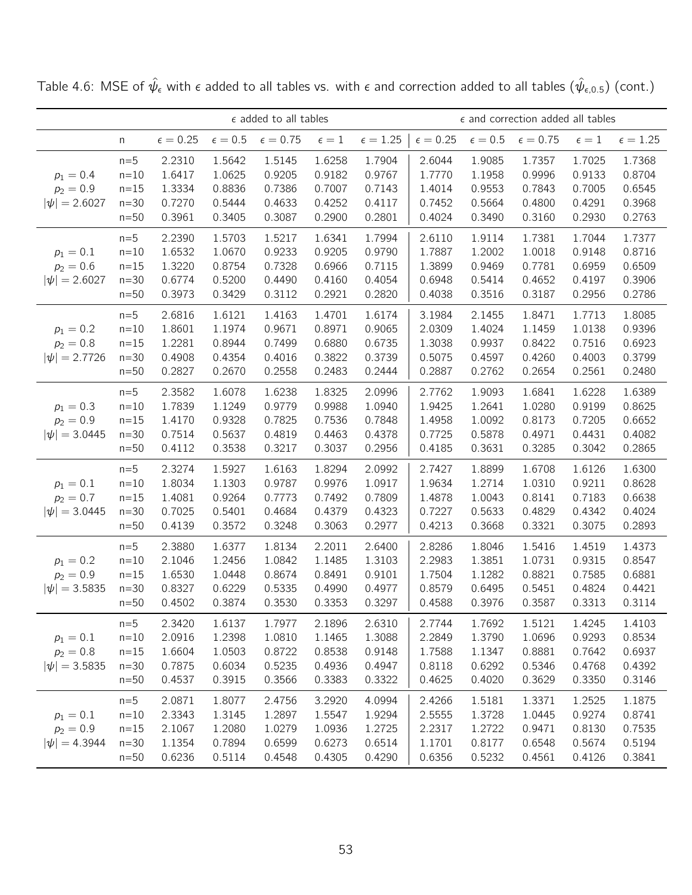|                                                 |                                               |                                                | $\epsilon$ added to all tables                 |                                                | $\epsilon$ and correction added all tables     |                                                |                                                |                                                |                                                |                                                |                                                |
|-------------------------------------------------|-----------------------------------------------|------------------------------------------------|------------------------------------------------|------------------------------------------------|------------------------------------------------|------------------------------------------------|------------------------------------------------|------------------------------------------------|------------------------------------------------|------------------------------------------------|------------------------------------------------|
|                                                 | n                                             | $\epsilon = 0.25$                              | $\epsilon=0.5$                                 | $\epsilon = 0.75$                              | $\epsilon=1$                                   | $\epsilon = 1.25$                              | $\epsilon = 0.25$                              | $\epsilon=0.5$                                 | $\epsilon = 0.75$                              | $\epsilon=1$                                   | $\epsilon = 1.25$                              |
| $p_1 = 0.4$<br>$p_2 = 0.9$<br>$ \psi  = 2.6027$ | $n=5$<br>$n=10$<br>$n=15$<br>$n=30$<br>$n=50$ | 2.2310<br>1.6417<br>1.3334<br>0.7270<br>0.3961 | 1.5642<br>1.0625<br>0.8836<br>0.5444<br>0.3405 | 1.5145<br>0.9205<br>0.7386<br>0.4633<br>0.3087 | 1.6258<br>0.9182<br>0.7007<br>0.4252<br>0.2900 | 1.7904<br>0.9767<br>0.7143<br>0.4117<br>0.2801 | 2.6044<br>1.7770<br>1.4014<br>0.7452<br>0.4024 | 1.9085<br>1.1958<br>0.9553<br>0.5664<br>0.3490 | 1.7357<br>0.9996<br>0.7843<br>0.4800<br>0.3160 | 1.7025<br>0.9133<br>0.7005<br>0.4291<br>0.2930 | 1.7368<br>0.8704<br>0.6545<br>0.3968<br>0.2763 |
| $p_1 = 0.1$<br>$p_2 = 0.6$<br>$ \psi  = 2.6027$ | $n=5$<br>$n=10$<br>$n=15$<br>$n=30$<br>$n=50$ | 2.2390<br>1.6532<br>1.3220<br>0.6774<br>0.3973 | 1.5703<br>1.0670<br>0.8754<br>0.5200<br>0.3429 | 1.5217<br>0.9233<br>0.7328<br>0.4490<br>0.3112 | 1.6341<br>0.9205<br>0.6966<br>0.4160<br>0.2921 | 1.7994<br>0.9790<br>0.7115<br>0.4054<br>0.2820 | 2.6110<br>1.7887<br>1.3899<br>0.6948<br>0.4038 | 1.9114<br>1.2002<br>0.9469<br>0.5414<br>0.3516 | 1.7381<br>1.0018<br>0.7781<br>0.4652<br>0.3187 | 1.7044<br>0.9148<br>0.6959<br>0.4197<br>0.2956 | 1.7377<br>0.8716<br>0.6509<br>0.3906<br>0.2786 |
| $p_1 = 0.2$<br>$p_2 = 0.8$<br>$ \psi  = 2.7726$ | $n=5$<br>$n=10$<br>$n=15$<br>$n=30$<br>$n=50$ | 2.6816<br>1.8601<br>1.2281<br>0.4908<br>0.2827 | 1.6121<br>1.1974<br>0.8944<br>0.4354<br>0.2670 | 1.4163<br>0.9671<br>0.7499<br>0.4016<br>0.2558 | 1.4701<br>0.8971<br>0.6880<br>0.3822<br>0.2483 | 1.6174<br>0.9065<br>0.6735<br>0.3739<br>0.2444 | 3.1984<br>2.0309<br>1.3038<br>0.5075<br>0.2887 | 2.1455<br>1.4024<br>0.9937<br>0.4597<br>0.2762 | 1.8471<br>1.1459<br>0.8422<br>0.4260<br>0.2654 | 1.7713<br>1.0138<br>0.7516<br>0.4003<br>0.2561 | 1.8085<br>0.9396<br>0.6923<br>0.3799<br>0.2480 |
| $p_1 = 0.3$<br>$p_2 = 0.9$<br>$ \psi  = 3.0445$ | $n=5$<br>$n=10$<br>$n=15$<br>$n=30$<br>$n=50$ | 2.3582<br>1.7839<br>1.4170<br>0.7514<br>0.4112 | 1.6078<br>1.1249<br>0.9328<br>0.5637<br>0.3538 | 1.6238<br>0.9779<br>0.7825<br>0.4819<br>0.3217 | 1.8325<br>0.9988<br>0.7536<br>0.4463<br>0.3037 | 2.0996<br>1.0940<br>0.7848<br>0.4378<br>0.2956 | 2.7762<br>1.9425<br>1.4958<br>0.7725<br>0.4185 | 1.9093<br>1.2641<br>1.0092<br>0.5878<br>0.3631 | 1.6841<br>1.0280<br>0.8173<br>0.4971<br>0.3285 | 1.6228<br>0.9199<br>0.7205<br>0.4431<br>0.3042 | 1.6389<br>0.8625<br>0.6652<br>0.4082<br>0.2865 |
| $p_1 = 0.1$<br>$p_2 = 0.7$<br>$ \psi  = 3.0445$ | $n=5$<br>$n=10$<br>$n=15$<br>$n=30$<br>$n=50$ | 2.3274<br>1.8034<br>1.4081<br>0.7025<br>0.4139 | 1.5927<br>1.1303<br>0.9264<br>0.5401<br>0.3572 | 1.6163<br>0.9787<br>0.7773<br>0.4684<br>0.3248 | 1.8294<br>0.9976<br>0.7492<br>0.4379<br>0.3063 | 2.0992<br>1.0917<br>0.7809<br>0.4323<br>0.2977 | 2.7427<br>1.9634<br>1.4878<br>0.7227<br>0.4213 | 1.8899<br>1.2714<br>1.0043<br>0.5633<br>0.3668 | 1.6708<br>1.0310<br>0.8141<br>0.4829<br>0.3321 | 1.6126<br>0.9211<br>0.7183<br>0.4342<br>0.3075 | 1.6300<br>0.8628<br>0.6638<br>0.4024<br>0.2893 |
| $p_1 = 0.2$<br>$p_2 = 0.9$<br>$ \psi  = 3.5835$ | $n=5$<br>$n=10$<br>$n=15$<br>$n=30$<br>$n=50$ | 2.3880<br>2.1046<br>1.6530<br>0.8327<br>0.4502 | 1.6377<br>1.2456<br>1.0448<br>0.6229<br>0.3874 | 1.8134<br>1.0842<br>0.8674<br>0.5335<br>0.3530 | 2.2011<br>1.1485<br>0.8491<br>0.4990<br>0.3353 | 2.6400<br>1.3103<br>0.9101<br>0.4977<br>0.3297 | 2.8286<br>2.2983<br>1.7504<br>0.8579<br>0.4588 | 1.8046<br>1.3851<br>1.1282<br>0.6495<br>0.3976 | 1.5416<br>1.0731<br>0.8821<br>0.5451<br>0.3587 | 1.4519<br>0.9315<br>0.7585<br>0.4824<br>0.3313 | 1.4373<br>0.8547<br>0.6881<br>0.4421<br>0.3114 |
| $p_1 = 0.1$<br>$p_2 = 0.8$<br>$ \psi  = 3.5835$ | $n=5$<br>$n=10$<br>$n=15$<br>$n=30$<br>$n=50$ | 2.3420<br>2.0916<br>1.6604<br>0.7875<br>0.4537 | 1.6137<br>1.2398<br>1.0503<br>0.6034<br>0.3915 | 1.7977<br>1.0810<br>0.8722<br>0.5235<br>0.3566 | 2.1896<br>1.1465<br>0.8538<br>0.4936<br>0.3383 | 2.6310<br>1.3088<br>0.9148<br>0.4947<br>0.3322 | 2.7744<br>2.2849<br>1.7588<br>0.8118<br>0.4625 | 1.7692<br>1.3790<br>1.1347<br>0.6292<br>0.4020 | 1.5121<br>1.0696<br>0.8881<br>0.5346<br>0.3629 | 1.4245<br>0.9293<br>0.7642<br>0.4768<br>0.3350 | 1.4103<br>0.8534<br>0.6937<br>0.4392<br>0.3146 |
| $p_1 = 0.1$<br>$p_2 = 0.9$<br>$ \psi  = 4.3944$ | $n=5$<br>$n=10$<br>$n=15$<br>$n=30$<br>$n=50$ | 2.0871<br>2.3343<br>2.1067<br>1.1354<br>0.6236 | 1.8077<br>1.3145<br>1.2080<br>0.7894<br>0.5114 | 2.4756<br>1.2897<br>1.0279<br>0.6599<br>0.4548 | 3.2920<br>1.5547<br>1.0936<br>0.6273<br>0.4305 | 4.0994<br>1.9294<br>1.2725<br>0.6514<br>0.4290 | 2.4266<br>2.5555<br>2.2317<br>1.1701<br>0.6356 | 1.5181<br>1.3728<br>1.2722<br>0.8177<br>0.5232 | 1.3371<br>1.0445<br>0.9471<br>0.6548<br>0.4561 | 1.2525<br>0.9274<br>0.8130<br>0.5674<br>0.4126 | 1.1875<br>0.8741<br>0.7535<br>0.5194<br>0.3841 |

Table 4.6: MSE of  $\hat\psi_\epsilon$  with  $\epsilon$  added to all tables vs. with  $\epsilon$  and correction added to all tables  $(\hat\psi_{\epsilon,0.5})$  (cont.)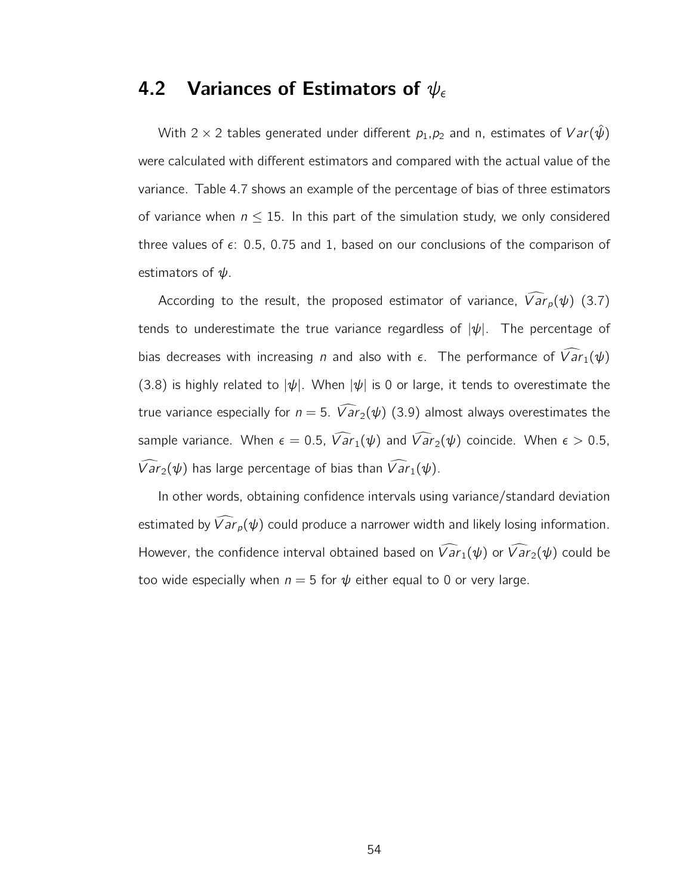#### 4.2 Variances of Estimators of  $\psi_\epsilon$

With 2 × 2 tables generated under different  $p_1, p_2$  and n, estimates of  $Var(\hat{\psi})$ were calculated with different estimators and compared with the actual value of the variance. Table 4.7 shows an example of the percentage of bias of three estimators of variance when  $n \leq 15$ . In this part of the simulation study, we only considered three values of  $\epsilon$ : 0.5, 0.75 and 1, based on our conclusions of the comparison of estimators of  $\psi$ .

According to the result, the proposed estimator of variance,  $\widehat{Var}_p(\psi)$  (3.7) tends to underestimate the true variance regardless of  $|\psi|$ . The percentage of bias decreases with increasing *n* and also with  $\epsilon$ . The performance of  $\widehat{Var}_1(\psi)$ (3.8) is highly related to  $|\psi|$ . When  $|\psi|$  is 0 or large, it tends to overestimate the true variance especially for  $n = 5$ .  $\widehat{Var}_2(\psi)$  (3.9) almost always overestimates the sample variance. When  $\epsilon = 0.5$ ,  $\widehat{Var}_1(\psi)$  and  $\widehat{Var}_2(\psi)$  coincide. When  $\epsilon > 0.5$ ,  $\widehat{Var}_2(\psi)$  has large percentage of bias than  $\widehat{Var}_1(\psi)$ .

In other words, obtaining confidence intervals using variance/standard deviation estimated by  $\widehat{Var}_p(\psi)$  could produce a narrower width and likely losing information. However, the confidence interval obtained based on  $\widehat{Var}_1(\psi)$  or  $\widehat{Var}_2(\psi)$  could be too wide especially when  $n = 5$  for  $\psi$  either equal to 0 or very large.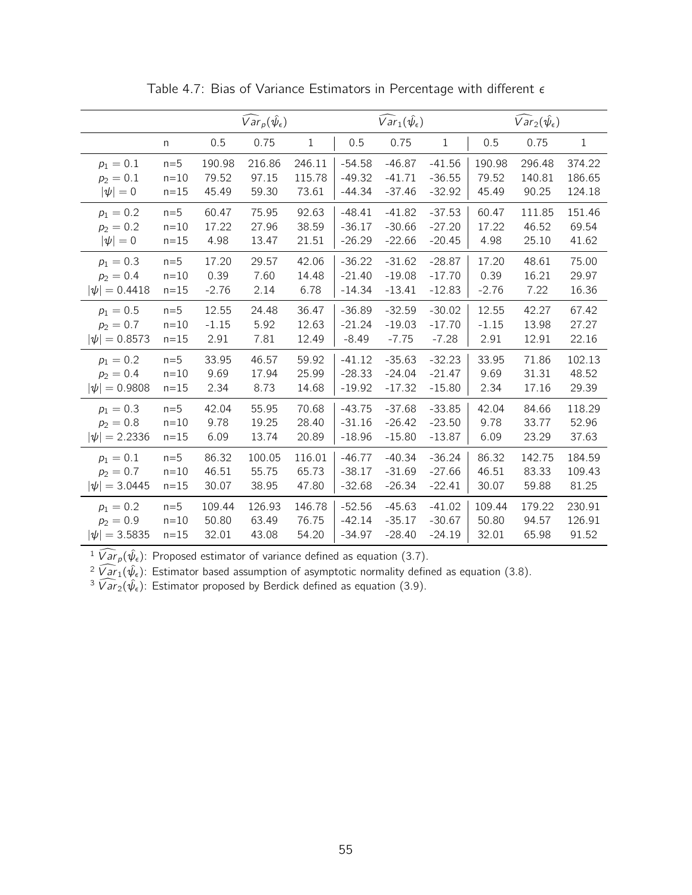|                   |              |         | $\widehat{Var}_p(\hat{\psi}_\epsilon)$ |              |          | $\widehat{Var}_1(\hat{\psi}_{\epsilon})$ |              | $\widehat{Var}_2(\hat{\psi}_\epsilon)$ |        |              |
|-------------------|--------------|---------|----------------------------------------|--------------|----------|------------------------------------------|--------------|----------------------------------------|--------|--------------|
|                   | $\mathsf{n}$ | 0.5     | 0.75                                   | $\mathbf{1}$ | 0.5      | 0.75                                     | $\mathbf{1}$ | 0.5                                    | 0.75   | $\mathbf{1}$ |
| $p_1 = 0.1$       | $n=5$        | 190.98  | 216.86                                 | 246.11       | $-54.58$ | $-46.87$                                 | $-41.56$     | 190.98                                 | 296.48 | 374.22       |
| $p_2 = 0.1$       | $n=10$       | 79.52   | 97.15                                  | 115.78       | $-49.32$ | $-41.71$                                 | $-36.55$     | 79.52                                  | 140.81 | 186.65       |
| $ \psi =0$        | $n=15$       | 45.49   | 59.30                                  | 73.61        | $-44.34$ | $-37.46$                                 | $-32.92$     | 45.49                                  | 90.25  | 124.18       |
| $p_1 = 0.2$       | $n=5$        | 60.47   | 75.95                                  | 92.63        | $-48.41$ | $-41.82$                                 | $-37.53$     | 60.47                                  | 111.85 | 151.46       |
| $p_2 = 0.2$       | $n = 10$     | 17.22   | 27.96                                  | 38.59        | $-36.17$ | $-30.66$                                 | $-27.20$     | 17.22                                  | 46.52  | 69.54        |
| $ \psi =0$        | $n=15$       | 4.98    | 13.47                                  | 21.51        | $-26.29$ | $-22.66$                                 | $-20.45$     | 4.98                                   | 25.10  | 41.62        |
| $p_1 = 0.3$       | $n=5$        | 17.20   | 29.57                                  | 42.06        | $-36.22$ | $-31.62$                                 | $-28.87$     | 17.20                                  | 48.61  | 75.00        |
| $p_2 = 0.4$       | $n=10$       | 0.39    | 7.60                                   | 14.48        | $-21.40$ | $-19.08$                                 | $-17.70$     | 0.39                                   | 16.21  | 29.97        |
| $ \psi  = 0.4418$ | $n=15$       | $-2.76$ | 2.14                                   | 6.78         | $-14.34$ | $-13.41$                                 | $-12.83$     | $-2.76$                                | 7.22   | 16.36        |
| $p_1 = 0.5$       | $n=5$        | 12.55   | 24.48                                  | 36.47        | $-36.89$ | $-32.59$                                 | $-30.02$     | 12.55                                  | 42.27  | 67.42        |
| $p_2 = 0.7$       | $n=10$       | $-1.15$ | 5.92                                   | 12.63        | $-21.24$ | $-19.03$                                 | $-17.70$     | $-1.15$                                | 13.98  | 27.27        |
| $ \psi  = 0.8573$ | $n=15$       | 2.91    | 7.81                                   | 12.49        | $-8.49$  | $-7.75$                                  | $-7.28$      | 2.91                                   | 12.91  | 22.16        |
| $p_1 = 0.2$       | $n=5$        | 33.95   | 46.57                                  | 59.92        | $-41.12$ | $-35.63$                                 | $-32.23$     | 33.95                                  | 71.86  | 102.13       |
| $p_2 = 0.4$       | $n=10$       | 9.69    | 17.94                                  | 25.99        | $-28.33$ | $-24.04$                                 | $-21.47$     | 9.69                                   | 31.31  | 48.52        |
| $ \psi  = 0.9808$ | $n=15$       | 2.34    | 8.73                                   | 14.68        | $-19.92$ | $-17.32$                                 | $-15.80$     | 2.34                                   | 17.16  | 29.39        |
| $p_1 = 0.3$       | $n=5$        | 42.04   | 55.95                                  | 70.68        | $-43.75$ | $-37.68$                                 | $-33.85$     | 42.04                                  | 84.66  | 118.29       |
| $p_2 = 0.8$       | $n=10$       | 9.78    | 19.25                                  | 28.40        | $-31.16$ | $-26.42$                                 | $-23.50$     | 9.78                                   | 33.77  | 52.96        |
| $ \psi  = 2.2336$ | $n = 15$     | 6.09    | 13.74                                  | 20.89        | $-18.96$ | $-15.80$                                 | $-13.87$     | 6.09                                   | 23.29  | 37.63        |
| $p_1 = 0.1$       | $n=5$        | 86.32   | 100.05                                 | 116.01       | $-46.77$ | $-40.34$                                 | $-36.24$     | 86.32                                  | 142.75 | 184.59       |
| $p_2 = 0.7$       | $n = 10$     | 46.51   | 55.75                                  | 65.73        | $-38.17$ | $-31.69$                                 | $-27.66$     | 46.51                                  | 83.33  | 109.43       |
| $ \psi  = 3.0445$ | $n=15$       | 30.07   | 38.95                                  | 47.80        | $-32.68$ | $-26.34$                                 | $-22.41$     | 30.07                                  | 59.88  | 81.25        |
| $p_1 = 0.2$       | $n=5$        | 109.44  | 126.93                                 | 146.78       | $-52.56$ | $-45.63$                                 | $-41.02$     | 109.44                                 | 179.22 | 230.91       |
| $p_2 = 0.9$       | $n = 10$     | 50.80   | 63.49                                  | 76.75        | $-42.14$ | $-35.17$                                 | $-30.67$     | 50.80                                  | 94.57  | 126.91       |
| $ \psi  = 3.5835$ | $n=15$       | 32.01   | 43.08                                  | 54.20        | $-34.97$ | $-28.40$                                 | $-24.19$     | 32.01                                  | 65.98  | 91.52        |

Table 4.7: Bias of Variance Estimators in Percentage with different  $\epsilon$ 

 $\sqrt[1]{ar_p(\hat{\psi}_\epsilon)}$ : Proposed estimator of variance defined as equation (3.7).

 $\sqrt[2]{a}r_1(\hat{\psi}_{\epsilon})$ : Estimator based assumption of asymptotic normality defined as equation (3.8).

<sup>3</sup>  $\widehat{Var}_2(\hat{\psi}_\epsilon)$ : Estimator proposed by Berdick defined as equation (3.9).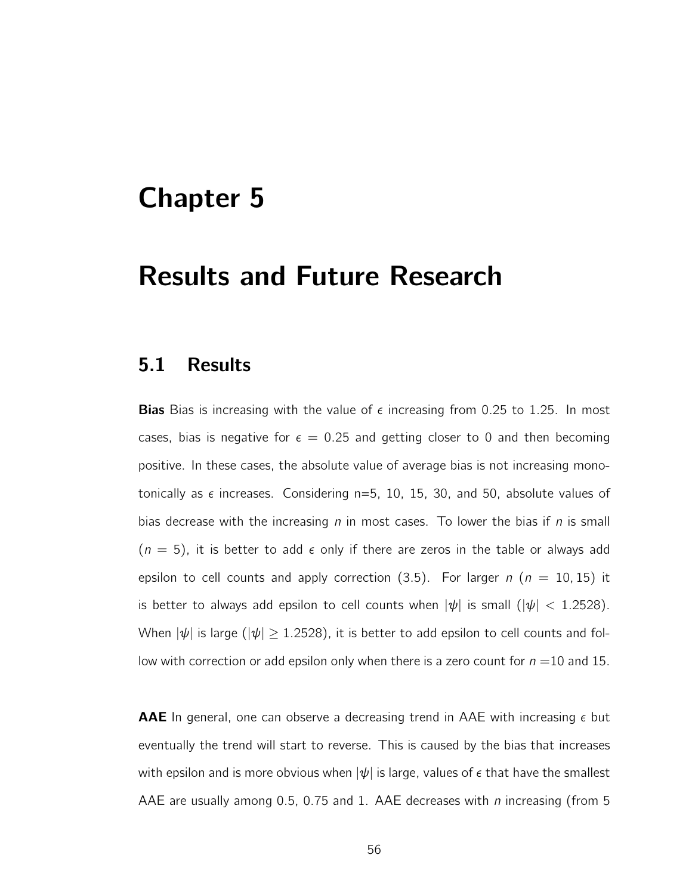## Chapter 5

### Results and Future Research

#### 5.1 Results

**Bias** Bias is increasing with the value of  $\epsilon$  increasing from 0.25 to 1.25. In most cases, bias is negative for  $\epsilon = 0.25$  and getting closer to 0 and then becoming positive. In these cases, the absolute value of average bias is not increasing monotonically as  $\epsilon$  increases. Considering n=5, 10, 15, 30, and 50, absolute values of bias decrease with the increasing  $n$  in most cases. To lower the bias if  $n$  is small  $(n = 5)$ , it is better to add  $\epsilon$  only if there are zeros in the table or always add epsilon to cell counts and apply correction (3.5). For larger  $n$  ( $n = 10, 15$ ) it is better to always add epsilon to cell counts when  $|\psi|$  is small  $(|\psi| < 1.2528)$ . When  $|\psi|$  is large ( $|\psi| \geq 1.2528$ ), it is better to add epsilon to cell counts and follow with correction or add epsilon only when there is a zero count for  $n = 10$  and 15.

AAE In general, one can observe a decreasing trend in AAE with increasing  $\epsilon$  but eventually the trend will start to reverse. This is caused by the bias that increases with epsilon and is more obvious when  $|\psi|$  is large, values of  $\epsilon$  that have the smallest AAE are usually among 0.5, 0.75 and 1. AAE decreases with  $n$  increasing (from 5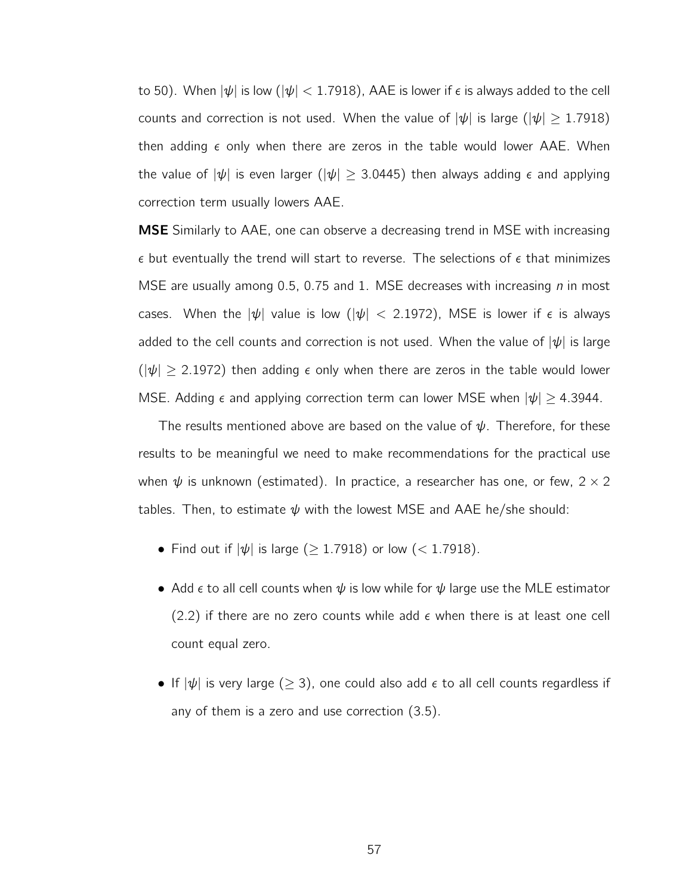to 50). When  $|\psi|$  is low  $(|\psi| < 1.7918)$ , AAE is lower if  $\epsilon$  is always added to the cell counts and correction is not used. When the value of  $|\psi|$  is large ( $|\psi| \ge 1.7918$ ) then adding  $\epsilon$  only when there are zeros in the table would lower AAE. When the value of  $|\psi|$  is even larger ( $|\psi| > 3.0445$ ) then always adding  $\epsilon$  and applying correction term usually lowers AAE.

MSE Similarly to AAE, one can observe a decreasing trend in MSE with increasing  $\epsilon$  but eventually the trend will start to reverse. The selections of  $\epsilon$  that minimizes MSE are usually among 0.5, 0.75 and 1. MSE decreases with increasing  $n$  in most cases. When the  $|\psi|$  value is low ( $|\psi|$  < 2.1972), MSE is lower if  $\epsilon$  is always added to the cell counts and correction is not used. When the value of  $|\psi|$  is large  $(|\psi| \geq 2.1972)$  then adding  $\epsilon$  only when there are zeros in the table would lower MSE. Adding  $\epsilon$  and applying correction term can lower MSE when  $|\psi| \geq 4.3944$ .

The results mentioned above are based on the value of  $\psi$ . Therefore, for these results to be meaningful we need to make recommendations for the practical use when  $\psi$  is unknown (estimated). In practice, a researcher has one, or few, 2  $\times$  2 tables. Then, to estimate  $\psi$  with the lowest MSE and AAE he/she should:

- Find out if  $|\psi|$  is large ( $\geq$  1.7918) or low (< 1.7918).
- Add  $\epsilon$  to all cell counts when  $\psi$  is low while for  $\psi$  large use the MLE estimator  $(2.2)$  if there are no zero counts while add  $\epsilon$  when there is at least one cell count equal zero.
- If  $|\psi|$  is very large ( $\geq$  3), one could also add  $\epsilon$  to all cell counts regardless if any of them is a zero and use correction (3.5).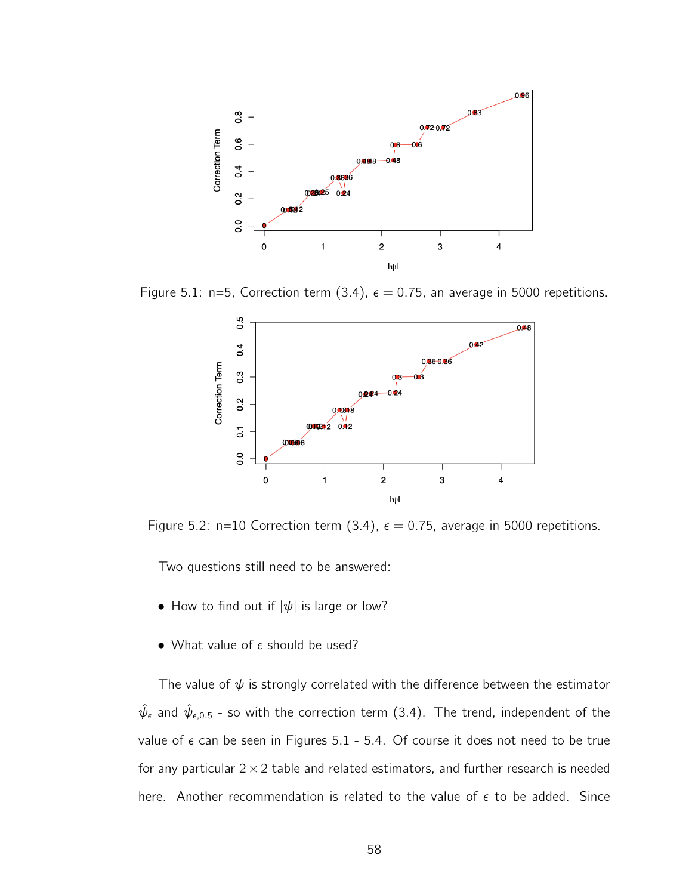

Figure 5.1: n=5, Correction term (3.4),  $\epsilon = 0.75$ , an average in 5000 repetitions.



Figure 5.2: n=10 Correction term (3.4),  $\epsilon = 0.75$ , average in 5000 repetitions.

Two questions still need to be answered:

- How to find out if  $|\psi|$  is large or low?
- What value of  $\epsilon$  should be used?

The value of  $\psi$  is strongly correlated with the difference between the estimator  $\hat{\psi}_{\epsilon}$  and  $\hat{\psi}_{\epsilon,0.5}$  - so with the correction term (3.4). The trend, independent of the value of  $\epsilon$  can be seen in Figures 5.1 - 5.4. Of course it does not need to be true for any particular  $2 \times 2$  table and related estimators, and further research is needed here. Another recommendation is related to the value of  $\epsilon$  to be added. Since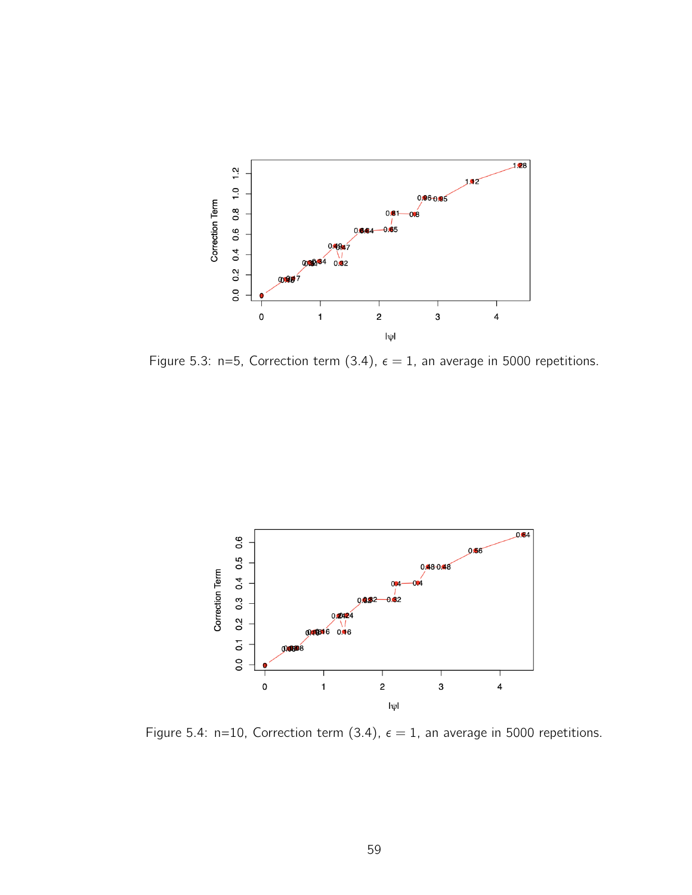

Figure 5.3: n=5, Correction term (3.4),  $\epsilon = 1$ , an average in 5000 repetitions.



Figure 5.4: n=10, Correction term (3.4),  $\epsilon = 1$ , an average in 5000 repetitions.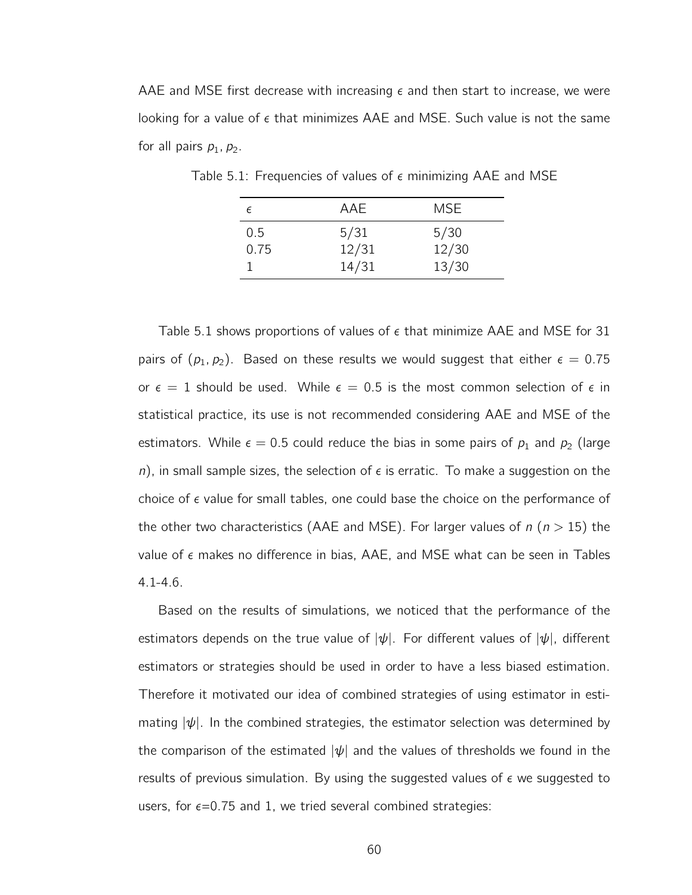AAE and MSE first decrease with increasing  $\epsilon$  and then start to increase, we were looking for a value of  $\epsilon$  that minimizes AAE and MSE. Such value is not the same for all pairs  $p_1$ ,  $p_2$ .

| E    | AAE   | <b>MSE</b> |
|------|-------|------------|
| 0.5  | 5/31  | 5/30       |
| 0.75 | 12/31 | 12/30      |
|      | 14/31 | 13/30      |

Table 5.1: Frequencies of values of  $\epsilon$  minimizing AAE and MSE

Table 5.1 shows proportions of values of  $\epsilon$  that minimize AAE and MSE for 31 pairs of  $(p_1, p_2)$ . Based on these results we would suggest that either  $\epsilon = 0.75$ or  $\epsilon = 1$  should be used. While  $\epsilon = 0.5$  is the most common selection of  $\epsilon$  in statistical practice, its use is not recommended considering AAE and MSE of the estimators. While  $\epsilon = 0.5$  could reduce the bias in some pairs of  $p_1$  and  $p_2$  (large n), in small sample sizes, the selection of  $\epsilon$  is erratic. To make a suggestion on the choice of  $\epsilon$  value for small tables, one could base the choice on the performance of the other two characteristics (AAE and MSE). For larger values of  $n (n > 15)$  the value of  $\epsilon$  makes no difference in bias, AAE, and MSE what can be seen in Tables 4.1-4.6.

Based on the results of simulations, we noticed that the performance of the estimators depends on the true value of  $|\psi|$ . For different values of  $|\psi|$ , different estimators or strategies should be used in order to have a less biased estimation. Therefore it motivated our idea of combined strategies of using estimator in estimating  $|\psi|$ . In the combined strategies, the estimator selection was determined by the comparison of the estimated  $|\psi|$  and the values of thresholds we found in the results of previous simulation. By using the suggested values of  $\epsilon$  we suggested to users, for  $\epsilon$ =0.75 and 1, we tried several combined strategies: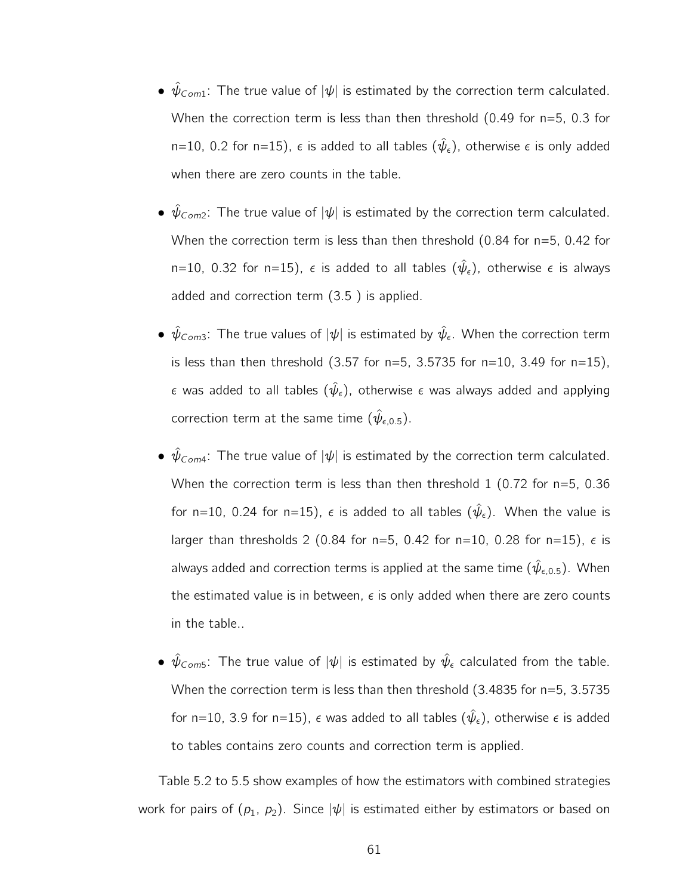- $\hat{\psi}_{Com1}$ : The true value of  $|\psi|$  is estimated by the correction term calculated. When the correction term is less than then threshold  $(0.49$  for  $n=5, 0.3$  for n=10, 0.2 for n=15),  $\epsilon$  is added to all tables  $(\hat{\psi}_{\epsilon})$ , otherwise  $\epsilon$  is only added when there are zero counts in the table.
- $\hat{\psi}_{\text{Com2}}$ : The true value of  $|\psi|$  is estimated by the correction term calculated. When the correction term is less than then threshold (0.84 for n=5, 0.42 for n=10, 0.32 for n=15),  $\epsilon$  is added to all tables  $(\hat{\psi}_{\epsilon})$ , otherwise  $\epsilon$  is always added and correction term (3.5 ) is applied.
- $\hat{\psi}_{\text{Com3}}$ : The true values of  $|\psi|$  is estimated by  $\hat{\psi}_{\epsilon}$ . When the correction term is less than then threshold  $(3.57$  for  $n=5$ ,  $3.5735$  for  $n=10$ ,  $3.49$  for  $n=15$ ),  $\epsilon$  was added to all tables  $(\hat{\psi}_{\epsilon})$ , otherwise  $\epsilon$  was always added and applying correction term at the same time  $(\hat{\psi}_{\epsilon,0.5})$ .
- $\hat{\psi}_{Com4}$ : The true value of  $|\psi|$  is estimated by the correction term calculated. When the correction term is less than then threshold 1 (0.72 for n=5, 0.36 for n=10, 0.24 for n=15),  $\epsilon$  is added to all tables  $(\hat{\psi}_{\epsilon})$ . When the value is larger than thresholds 2 (0.84 for n=5, 0.42 for n=10, 0.28 for n=15),  $\epsilon$  is always added and correction terms is applied at the same time  $(\hat{\psi}_{\epsilon,0.5})$ . When the estimated value is in between,  $\epsilon$  is only added when there are zero counts in the table..
- $\hat\psi_{\mathsf{Com5}}$ : The true value of  $|\psi|$  is estimated by  $\hat\psi_\epsilon$  calculated from the table. When the correction term is less than then threshold (3.4835 for n=5, 3.5735 for n=10, 3.9 for n=15),  $\epsilon$  was added to all tables  $(\hat{\psi}_{\epsilon})$ , otherwise  $\epsilon$  is added to tables contains zero counts and correction term is applied.

Table 5.2 to 5.5 show examples of how the estimators with combined strategies work for pairs of  $(p_1, p_2)$ . Since  $|\psi|$  is estimated either by estimators or based on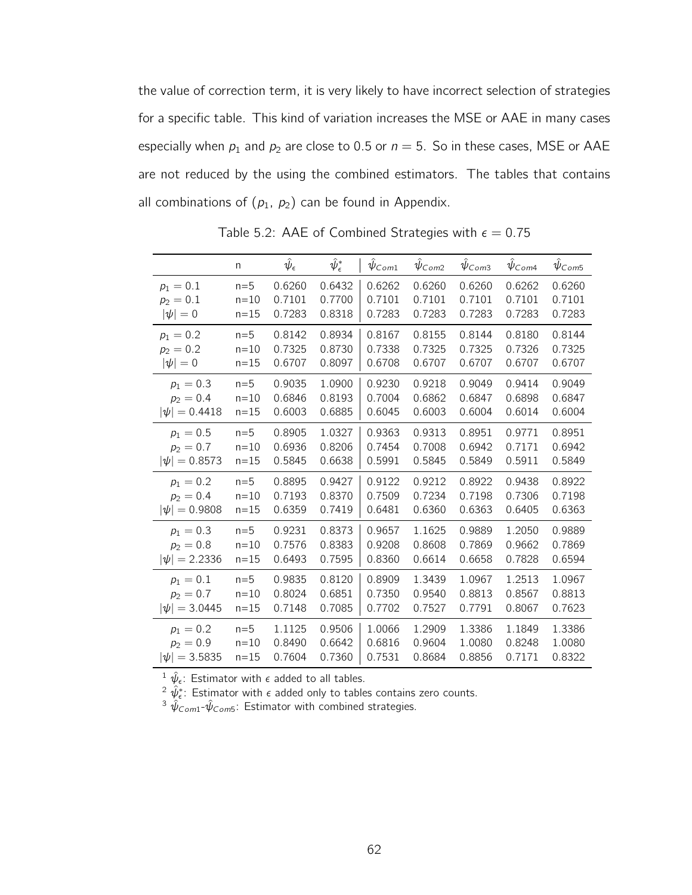the value of correction term, it is very likely to have incorrect selection of strategies for a specific table. This kind of variation increases the MSE or AAE in many cases especially when  $p_1$  and  $p_2$  are close to 0.5 or  $n = 5$ . So in these cases, MSE or AAE are not reduced by the using the combined estimators. The tables that contains all combinations of  $(p_1, p_2)$  can be found in Appendix.

|                   | n        | $\hat{\psi}_{\epsilon}$ | $\hat{\psi}^*_\epsilon$ | $\psi_{Com1}$ | $\psi_{Com2}$ | $\hat{\psi}_{\text{Com3}}$ | $\psi_{Com4}$ | $\psi$ Com5 |
|-------------------|----------|-------------------------|-------------------------|---------------|---------------|----------------------------|---------------|-------------|
| $p_1 = 0.1$       | $n=5$    | 0.6260                  | 0.6432                  | 0.6262        | 0.6260        | 0.6260                     | 0.6262        | 0.6260      |
| $p_2 = 0.1$       | $n = 10$ | 0.7101                  | 0.7700                  | 0.7101        | 0.7101        | 0.7101                     | 0.7101        | 0.7101      |
| $ \psi =0$        | $n=15$   | 0.7283                  | 0.8318                  | 0.7283        | 0.7283        | 0.7283                     | 0.7283        | 0.7283      |
| $p_1 = 0.2$       | $n=5$    | 0.8142                  | 0.8934                  | 0.8167        | 0.8155        | 0.8144                     | 0.8180        | 0.8144      |
| $p_2 = 0.2$       | $n=10$   | 0.7325                  | 0.8730                  | 0.7338        | 0.7325        | 0.7325                     | 0.7326        | 0.7325      |
| $ \psi =0$        | $n = 15$ | 0.6707                  | 0.8097                  | 0.6708        | 0.6707        | 0.6707                     | 0.6707        | 0.6707      |
| $p_1 = 0.3$       | $n=5$    | 0.9035                  | 1.0900                  | 0.9230        | 0.9218        | 0.9049                     | 0.9414        | 0.9049      |
| $p_2 = 0.4$       | $n = 10$ | 0.6846                  | 0.8193                  | 0.7004        | 0.6862        | 0.6847                     | 0.6898        | 0.6847      |
| $ \psi  = 0.4418$ | $n=15$   | 0.6003                  | 0.6885                  | 0.6045        | 0.6003        | 0.6004                     | 0.6014        | 0.6004      |
| $p_1 = 0.5$       | $n=5$    | 0.8905                  | 1.0327                  | 0.9363        | 0.9313        | 0.8951                     | 0.9771        | 0.8951      |
| $p_2 = 0.7$       | $n=10$   | 0.6936                  | 0.8206                  | 0.7454        | 0.7008        | 0.6942                     | 0.7171        | 0.6942      |
| $ \psi  = 0.8573$ | $n = 15$ | 0.5845                  | 0.6638                  | 0.5991        | 0.5845        | 0.5849                     | 0.5911        | 0.5849      |
| $p_1 = 0.2$       | $n=5$    | 0.8895                  | 0.9427                  | 0.9122        | 0.9212        | 0.8922                     | 0.9438        | 0.8922      |
| $p_2 = 0.4$       | $n=10$   | 0.7193                  | 0.8370                  | 0.7509        | 0.7234        | 0.7198                     | 0.7306        | 0.7198      |
| $ \psi  = 0.9808$ | $n=15$   | 0.6359                  | 0.7419                  | 0.6481        | 0.6360        | 0.6363                     | 0.6405        | 0.6363      |
| $p_1 = 0.3$       | $n=5$    | 0.9231                  | 0.8373                  | 0.9657        | 1.1625        | 0.9889                     | 1.2050        | 0.9889      |
| $p_2 = 0.8$       | $n=10$   | 0.7576                  | 0.8383                  | 0.9208        | 0.8608        | 0.7869                     | 0.9662        | 0.7869      |
| $ \psi  = 2.2336$ | $n=15$   | 0.6493                  | 0.7595                  | 0.8360        | 0.6614        | 0.6658                     | 0.7828        | 0.6594      |
| $p_1 = 0.1$       | $n=5$    | 0.9835                  | 0.8120                  | 0.8909        | 1.3439        | 1.0967                     | 1.2513        | 1.0967      |
| $p_2 = 0.7$       | $n=10$   | 0.8024                  | 0.6851                  | 0.7350        | 0.9540        | 0.8813                     | 0.8567        | 0.8813      |
| $ \psi  = 3.0445$ | $n = 15$ | 0.7148                  | 0.7085                  | 0.7702        | 0.7527        | 0.7791                     | 0.8067        | 0.7623      |
| $p_1 = 0.2$       | $n=5$    | 1.1125                  | 0.9506                  | 1.0066        | 1.2909        | 1.3386                     | 1.1849        | 1.3386      |
| $p_2 = 0.9$       | $n=10$   | 0.8490                  | 0.6642                  | 0.6816        | 0.9604        | 1.0080                     | 0.8248        | 1.0080      |
| $ \psi  = 3.5835$ | $n = 15$ | 0.7604                  | 0.7360                  | 0.7531        | 0.8684        | 0.8856                     | 0.7171        | 0.8322      |

Table 5.2: AAE of Combined Strategies with  $\epsilon = 0.75$ 

<sup>1</sup>  $\hat{\psi}_{\epsilon}$ : Estimator with  $\epsilon$  added to all tables.

 $^2$   $\hat \psi_\epsilon^*$ : Estimator with  $\epsilon$  added only to tables contains zero counts.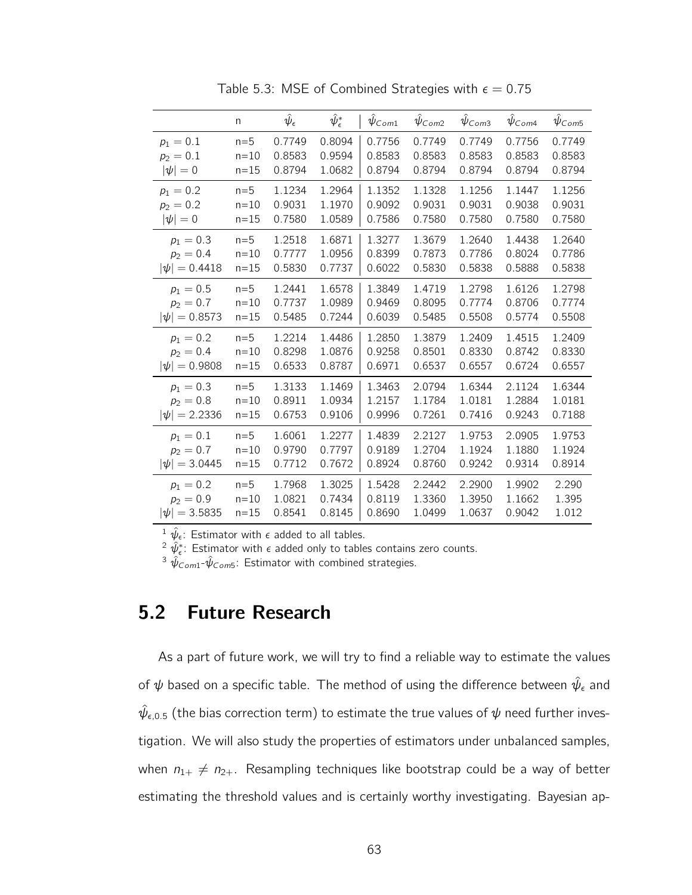|                   | n        | $\hat\psi_\epsilon$ | $\hat\psi_\epsilon^*$ | $\psi_{Com1}$ | $\psi_{Com2}$ | $\psi$ Com3 | $\psi_{Com4}$ | $\psi$ Com5 |
|-------------------|----------|---------------------|-----------------------|---------------|---------------|-------------|---------------|-------------|
| $p_1 = 0.1$       | $n=5$    | 0.7749              | 0.8094                | 0.7756        | 0.7749        | 0.7749      | 0.7756        | 0.7749      |
| $p_2 = 0.1$       | $n=10$   | 0.8583              | 0.9594                | 0.8583        | 0.8583        | 0.8583      | 0.8583        | 0.8583      |
| $ \psi =0$        | $n = 15$ | 0.8794              | 1.0682                | 0.8794        | 0.8794        | 0.8794      | 0.8794        | 0.8794      |
| $p_1 = 0.2$       | $n=5$    | 1.1234              | 1.2964                | 1.1352        | 1.1328        | 1.1256      | 1.1447        | 1.1256      |
| $p_2 = 0.2$       | $n=10$   | 0.9031              | 1.1970                | 0.9092        | 0.9031        | 0.9031      | 0.9038        | 0.9031      |
| $ \psi =0$        | $n = 15$ | 0.7580              | 1.0589                | 0.7586        | 0.7580        | 0.7580      | 0.7580        | 0.7580      |
| $p_1 = 0.3$       | $n=5$    | 1.2518              | 1.6871                | 1.3277        | 1.3679        | 1.2640      | 1.4438        | 1.2640      |
| $p_2 = 0.4$       | $n = 10$ | 0.7777              | 1.0956                | 0.8399        | 0.7873        | 0.7786      | 0.8024        | 0.7786      |
| $ \psi  = 0.4418$ | $n = 15$ | 0.5830              | 0.7737                | 0.6022        | 0.5830        | 0.5838      | 0.5888        | 0.5838      |
| $p_1 = 0.5$       | $n=5$    | 1.2441              | 1.6578                | 1.3849        | 1.4719        | 1.2798      | 1.6126        | 1.2798      |
| $p_2 = 0.7$       | $n=10$   | 0.7737              | 1.0989                | 0.9469        | 0.8095        | 0.7774      | 0.8706        | 0.7774      |
| $ \psi  = 0.8573$ | $n = 15$ | 0.5485              | 0.7244                | 0.6039        | 0.5485        | 0.5508      | 0.5774        | 0.5508      |
| $p_1 = 0.2$       | $n=5$    | 1.2214              | 1.4486                | 1.2850        | 1.3879        | 1.2409      | 1.4515        | 1.2409      |
| $p_2 = 0.4$       | $n=10$   | 0.8298              | 1.0876                | 0.9258        | 0.8501        | 0.8330      | 0.8742        | 0.8330      |
| $ \psi  = 0.9808$ | $n = 15$ | 0.6533              | 0.8787                | 0.6971        | 0.6537        | 0.6557      | 0.6724        | 0.6557      |
| $p_1 = 0.3$       | $n=5$    | 1.3133              | 1.1469                | 1.3463        | 2.0794        | 1.6344      | 2.1124        | 1.6344      |
| $p_2 = 0.8$       | $n=10$   | 0.8911              | 1.0934                | 1.2157        | 1.1784        | 1.0181      | 1.2884        | 1.0181      |
| $ \psi  = 2.2336$ | $n=15$   | 0.6753              | 0.9106                | 0.9996        | 0.7261        | 0.7416      | 0.9243        | 0.7188      |
| $p_1 = 0.1$       | $n=5$    | 1.6061              | 1.2277                | 1.4839        | 2.2127        | 1.9753      | 2.0905        | 1.9753      |
| $p_2 = 0.7$       | $n=10$   | 0.9790              | 0.7797                | 0.9189        | 1.2704        | 1.1924      | 1.1880        | 1.1924      |
| $ \psi  = 3.0445$ | $n = 15$ | 0.7712              | 0.7672                | 0.8924        | 0.8760        | 0.9242      | 0.9314        | 0.8914      |
| $p_1 = 0.2$       | $n=5$    | 1.7968              | 1.3025                | 1.5428        | 2.2442        | 2.2900      | 1.9902        | 2.290       |
| $p_2 = 0.9$       | $n=10$   | 1.0821              | 0.7434                | 0.8119        | 1.3360        | 1.3950      | 1.1662        | 1.395       |
| $ \psi  = 3.5835$ | $n = 15$ | 0.8541              | 0.8145                | 0.8690        | 1.0499        | 1.0637      | 0.9042        | 1.012       |

Table 5.3: MSE of Combined Strategies with  $\epsilon = 0.75$ 

 $^2$   $\hat \psi_\epsilon^*$ : Estimator with  $\epsilon$  added only to tables contains zero counts.

 $^3$   $\hat{\psi}_{Com1}$ - $\hat{\psi}_{Com5}$ : Estimator with combined strategies.

#### 5.2 Future Research

As a part of future work, we will try to find a reliable way to estimate the values of  $\psi$  based on a specific table. The method of using the difference between  $\hat{\psi}_{\epsilon}$  and  $\hat\psi_{\epsilon,0.5}$  (the bias correction term) to estimate the true values of  $\psi$  need further investigation. We will also study the properties of estimators under unbalanced samples, when  $n_{1+} \neq n_{2+}$ . Resampling techniques like bootstrap could be a way of better estimating the threshold values and is certainly worthy investigating. Bayesian ap-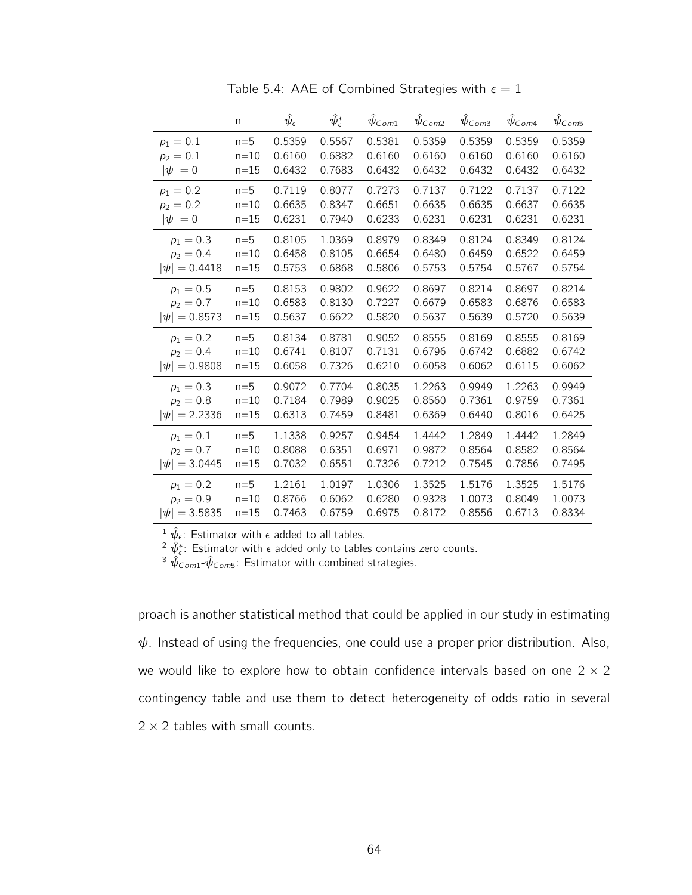|                   | n        | $\hat{\psi}_{\epsilon}$ | $\hat\psi_\epsilon^*$ | $\psi_{Com1}$ | $\psi_{Com2}$ | $\psi$ Com <sub>3</sub> | $\psi_{Com4}$ | $\hat{\psi}_{\textit{Com5}}$ |
|-------------------|----------|-------------------------|-----------------------|---------------|---------------|-------------------------|---------------|------------------------------|
| $p_1 = 0.1$       | $n=5$    | 0.5359                  | 0.5567                | 0.5381        | 0.5359        | 0.5359                  | 0.5359        | 0.5359                       |
| $p_2 = 0.1$       | $n=10$   | 0.6160                  | 0.6882                | 0.6160        | 0.6160        | 0.6160                  | 0.6160        | 0.6160                       |
| $ \psi =0$        | $n = 15$ | 0.6432                  | 0.7683                | 0.6432        | 0.6432        | 0.6432                  | 0.6432        | 0.6432                       |
| $p_1 = 0.2$       | $n=5$    | 0.7119                  | 0.8077                | 0.7273        | 0.7137        | 0.7122                  | 0.7137        | 0.7122                       |
| $p_2 = 0.2$       | $n = 10$ | 0.6635                  | 0.8347                | 0.6651        | 0.6635        | 0.6635                  | 0.6637        | 0.6635                       |
| $ \psi =0$        | $n = 15$ | 0.6231                  | 0.7940                | 0.6233        | 0.6231        | 0.6231                  | 0.6231        | 0.6231                       |
| $p_1 = 0.3$       | $n=5$    | 0.8105                  | 1.0369                | 0.8979        | 0.8349        | 0.8124                  | 0.8349        | 0.8124                       |
| $p_2 = 0.4$       | $n = 10$ | 0.6458                  | 0.8105                | 0.6654        | 0.6480        | 0.6459                  | 0.6522        | 0.6459                       |
| $ \psi  = 0.4418$ | $n = 15$ | 0.5753                  | 0.6868                | 0.5806        | 0.5753        | 0.5754                  | 0.5767        | 0.5754                       |
| $p_1 = 0.5$       | $n=5$    | 0.8153                  | 0.9802                | 0.9622        | 0.8697        | 0.8214                  | 0.8697        | 0.8214                       |
| $p_2 = 0.7$       | $n = 10$ | 0.6583                  | 0.8130                | 0.7227        | 0.6679        | 0.6583                  | 0.6876        | 0.6583                       |
| $ \psi  = 0.8573$ | $n = 15$ | 0.5637                  | 0.6622                | 0.5820        | 0.5637        | 0.5639                  | 0.5720        | 0.5639                       |
| $p_1 = 0.2$       | $n=5$    | 0.8134                  | 0.8781                | 0.9052        | 0.8555        | 0.8169                  | 0.8555        | 0.8169                       |
| $p_2 = 0.4$       | $n=10$   | 0.6741                  | 0.8107                | 0.7131        | 0.6796        | 0.6742                  | 0.6882        | 0.6742                       |
| $ \psi  = 0.9808$ | $n = 15$ | 0.6058                  | 0.7326                | 0.6210        | 0.6058        | 0.6062                  | 0.6115        | 0.6062                       |
| $p_1 = 0.3$       | $n=5$    | 0.9072                  | 0.7704                | 0.8035        | 1.2263        | 0.9949                  | 1.2263        | 0.9949                       |
| $p_2 = 0.8$       | $n = 10$ | 0.7184                  | 0.7989                | 0.9025        | 0.8560        | 0.7361                  | 0.9759        | 0.7361                       |
| $ \psi  = 2.2336$ | $n = 15$ | 0.6313                  | 0.7459                | 0.8481        | 0.6369        | 0.6440                  | 0.8016        | 0.6425                       |
| $p_1 = 0.1$       | $n=5$    | 1.1338                  | 0.9257                | 0.9454        | 1.4442        | 1.2849                  | 1.4442        | 1.2849                       |
| $p_2 = 0.7$       | $n = 10$ | 0.8088                  | 0.6351                | 0.6971        | 0.9872        | 0.8564                  | 0.8582        | 0.8564                       |
| $ \psi  = 3.0445$ | $n = 15$ | 0.7032                  | 0.6551                | 0.7326        | 0.7212        | 0.7545                  | 0.7856        | 0.7495                       |
| $p_1 = 0.2$       | $n=5$    | 1.2161                  | 1.0197                | 1.0306        | 1.3525        | 1.5176                  | 1.3525        | 1.5176                       |
| $p_2 = 0.9$       | $n = 10$ | 0.8766                  | 0.6062                | 0.6280        | 0.9328        | 1.0073                  | 0.8049        | 1.0073                       |
| $ \psi  = 3.5835$ | $n = 15$ | 0.7463                  | 0.6759                | 0.6975        | 0.8172        | 0.8556                  | 0.6713        | 0.8334                       |

Table 5.4: AAE of Combined Strategies with  $\epsilon = 1$ 

 $^2$   $\hat \psi_\epsilon^*$ : Estimator with  $\epsilon$  added only to tables contains zero counts.

 $^3$   $\hat{\psi}_{Com1}$ - $\hat{\psi}_{Com5}$ : Estimator with combined strategies.

proach is another statistical method that could be applied in our study in estimating  $\psi$ . Instead of using the frequencies, one could use a proper prior distribution. Also, we would like to explore how to obtain confidence intervals based on one  $2 \times 2$ contingency table and use them to detect heterogeneity of odds ratio in several  $2 \times 2$  tables with small counts.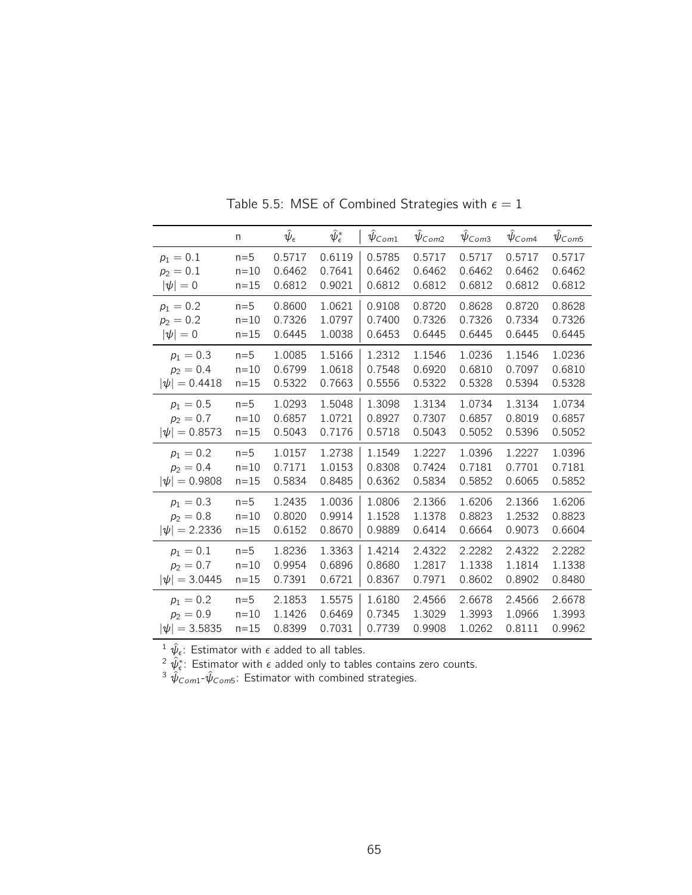|                   | n        | $\hat\psi_\epsilon$ | $\hat\psi_\epsilon^*$ | $\psi_{Com1}$ | $\bar{\psi}_{Com2}$ | $\hat{\psi}_{\textit{Com3}}$ | $\hat{\psi}_{\mathsf{Com4}}$ | $\hat{\psi}_{\textit{Com5}}$ |
|-------------------|----------|---------------------|-----------------------|---------------|---------------------|------------------------------|------------------------------|------------------------------|
| $p_1 = 0.1$       | $n=5$    | 0.5717              | 0.6119                | 0.5785        | 0.5717              | 0.5717                       | 0.5717                       | 0.5717                       |
| $p_2 = 0.1$       | $n=10$   | 0.6462              | 0.7641                | 0.6462        | 0.6462              | 0.6462                       | 0.6462                       | 0.6462                       |
| $ \psi =0$        | $n = 15$ | 0.6812              | 0.9021                | 0.6812        | 0.6812              | 0.6812                       | 0.6812                       | 0.6812                       |
| $p_1 = 0.2$       | $n=5$    | 0.8600              | 1.0621                | 0.9108        | 0.8720              | 0.8628                       | 0.8720                       | 0.8628                       |
| $p_2 = 0.2$       | $n=10$   | 0.7326              | 1.0797                | 0.7400        | 0.7326              | 0.7326                       | 0.7334                       | 0.7326                       |
| $ \psi =0$        | $n = 15$ | 0.6445              | 1.0038                | 0.6453        | 0.6445              | 0.6445                       | 0.6445                       | 0.6445                       |
| $p_1 = 0.3$       | $n=5$    | 1.0085              | 1.5166                | 1.2312        | 1.1546              | 1.0236                       | 1.1546                       | 1.0236                       |
| $p_2 = 0.4$       | $n = 10$ | 0.6799              | 1.0618                | 0.7548        | 0.6920              | 0.6810                       | 0.7097                       | 0.6810                       |
| $ \psi  = 0.4418$ | $n=15$   | 0.5322              | 0.7663                | 0.5556        | 0.5322              | 0.5328                       | 0.5394                       | 0.5328                       |
| $p_1 = 0.5$       | $n=5$    | 1.0293              | 1.5048                | 1.3098        | 1.3134              | 1.0734                       | 1.3134                       | 1.0734                       |
| $p_2 = 0.7$       | $n=10$   | 0.6857              | 1.0721                | 0.8927        | 0.7307              | 0.6857                       | 0.8019                       | 0.6857                       |
| $ \psi  = 0.8573$ | $n=15$   | 0.5043              | 0.7176                | 0.5718        | 0.5043              | 0.5052                       | 0.5396                       | 0.5052                       |
| $p_1 = 0.2$       | $n=5$    | 1.0157              | 1.2738                | 1.1549        | 1.2227              | 1.0396                       | 1.2227                       | 1.0396                       |
| $p_2 = 0.4$       | $n=10$   | 0.7171              | 1.0153                | 0.8308        | 0.7424              | 0.7181                       | 0.7701                       | 0.7181                       |
| $ \psi  = 0.9808$ | $n = 15$ | 0.5834              | 0.8485                | 0.6362        | 0.5834              | 0.5852                       | 0.6065                       | 0.5852                       |
| $p_1 = 0.3$       | $n=5$    | 1.2435              | 1.0036                | 1.0806        | 2.1366              | 1.6206                       | 2.1366                       | 1.6206                       |
| $p_2 = 0.8$       | $n=10$   | 0.8020              | 0.9914                | 1.1528        | 1.1378              | 0.8823                       | 1.2532                       | 0.8823                       |
| $ \psi  = 2.2336$ | $n=15$   | 0.6152              | 0.8670                | 0.9889        | 0.6414              | 0.6664                       | 0.9073                       | 0.6604                       |
| $p_1 = 0.1$       | $n=5$    | 1.8236              | 1.3363                | 1.4214        | 2.4322              | 2.2282                       | 2.4322                       | 2.2282                       |
| $p_2 = 0.7$       | $n=10$   | 0.9954              | 0.6896                | 0.8680        | 1.2817              | 1.1338                       | 1.1814                       | 1.1338                       |
| $ \psi  = 3.0445$ | $n = 15$ | 0.7391              | 0.6721                | 0.8367        | 0.7971              | 0.8602                       | 0.8902                       | 0.8480                       |
| $p_1 = 0.2$       | $n=5$    | 2.1853              | 1.5575                | 1.6180        | 2.4566              | 2.6678                       | 2.4566                       | 2.6678                       |
| $p_2 = 0.9$       | $n=10$   | 1.1426              | 0.6469                | 0.7345        | 1.3029              | 1.3993                       | 1.0966                       | 1.3993                       |
| $ \psi  = 3.5835$ | $n = 15$ | 0.8399              | 0.7031                | 0.7739        | 0.9908              | 1.0262                       | 0.8111                       | 0.9962                       |

Table 5.5: MSE of Combined Strategies with  $\epsilon = 1$ 

 $^2$   $\hat \psi_\epsilon^*$ : Estimator with  $\epsilon$  added only to tables contains zero counts.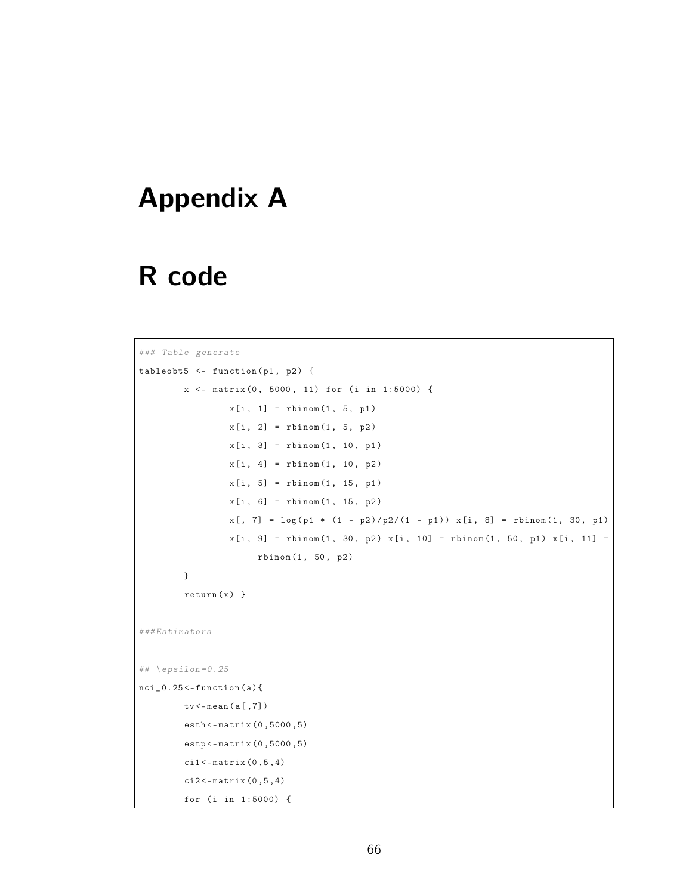#### Appendix A

### R code

```
### Table generate
tableobt5 <- function (p1, p2) {
        x <- matrix (0, 5000, 11) for (i in 1:5000) {
                 x[i, 1] = rbinom(1, 5, p1)x[i, 2] = rbinom(1, 5, p2)x[i, 3] = \text{rbinom}(1, 10, p1)x[i, 4] = rbinom (1, 10, p2)x[i, 5] = \text{rbinom}(1, 15, p1)x[i, 6] = \text{rbinom}(1, 15, p2)x[, 7] = \log(p1 * (1 - p2)/p2/(1 - p1)) x[i, 8] = rbinom(1, 30, p1)
                  x[i, 9] = rbinom (1, 30, p2) x[i, 10] = rbinom (1, 50, p1) x[i, 11] =rbinom (1 , 50 , p2 )
         }
         return(x)}
### Estimators
## \left\{ \text{epsilon} = 0.25 \right.nci_0.25 < - function (a) {
        tv <- mean ( a [ ,7])
         esth <- matrix (0 ,5000 ,5)
         estp <- matrix (0 ,5000 ,5)
         ci1 <- matrix (0 ,5 ,4)
         ci2 < -matrix (0, 5, 4)for (i in 1:5000) {
```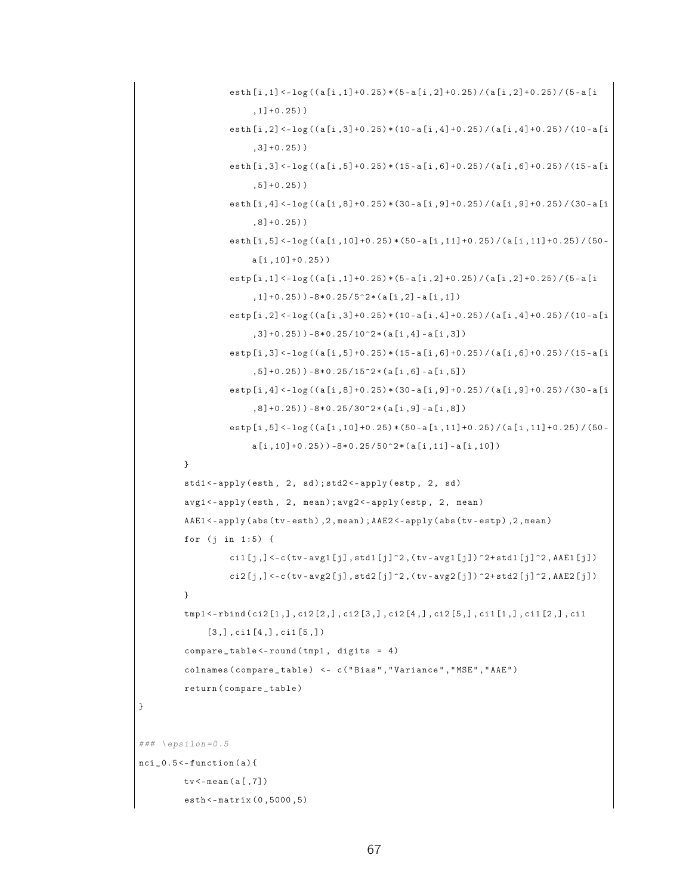```
esth [i ,1] <- log (( a [i ,1]+0.25) * (5 - a [i ,2]+0.25) / ( a [i ,2]+0.25) / (5 - a [i
                          , 1] + 0.25))
                    esth [i ,2] <- log (( a [i ,3]+0.25) * (10 - a [i ,4]+0.25) / ( a [i ,4]+0.25) / (10 - a [i
                          ,3]+0.25) )
                     esth [i ,3] <- log (( a [i ,5]+0.25) * (15 - a [i ,6]+0.25) / ( a [i ,6]+0.25) / (15 - a [i
                          ,5]+0.25) )
                    esth [i ,4] <- log (( a [i ,8]+0.25) * (30 - a [i ,9]+0.25) / ( a [i ,9]+0.25) / (30 - a [i
                          ,8]+0.25) )
                    esth [i, 5] <-1og ((a[i, 10] +0.25) * (50 - a[i, 11] +0.25) / (a[i, 11] +0.25) / (50 -
                          a[i,10]+0.25))
                    estp [i ,1] <- log (( a [i ,1]+0.25) * (5 - a [i ,2]+0.25) / ( a [i ,2]+0.25) / (5 - a [i
                          ,1]+0.25)) -8*0.25/5^2*(a[i,2] -a[i,1])
                    estp [i ,2] <- log (( a [i ,3]+0.25) * (10 - a [i ,4]+0.25) / ( a [i ,4]+0.25) / (10 - a [i
                          ,3]+0.25)) -8*0.25/10^2*(a[i,4] -a[i,3])
                    estp [i ,3] <- log (( a [i ,5]+0.25) * (15 - a [i ,6]+0.25) / ( a [i ,6]+0.25) / (15 - a [i
                          , 5]+0.25)) -8*0.25/15^2*(a[i, 6] -a[i,5])
                    estp [i ,4] <- log (( a [i ,8]+0.25) * (30 - a [i ,9]+0.25) / ( a [i ,9]+0.25) / (30 - a [i
                          ,8] + 0.25) ) -8*0.25/30^2*(a[i,9] - a[i,8])
                    estp [i, 5] <- log ((a[i, 10] +0.25) * (50 - a[i, 11] +0.25) / (a[i, 11] +0.25) / (50 -
                          a[i,10]+0.25)) -8*0.25/50^2*(a[i,11] -a[i,10])
          }
          std1<-apply(esth, 2, sd); std2<-apply(estp, 2, sd)
          avg1 <- apply (esth, 2, mean); avg2 <- apply (estp, 2, mean)
          AAE1 <- apply (abs (tv - esth), 2, mean); AAE2 <- apply (abs (tv - estp), 2, mean)
          for (j in 1:5) {
                    cil[j, ] < -c (tv - avg1 [j], std1 [j] \hat{2}, (tv - avg1 [j]) \hat{2}+std1 [j]\hat{2}, AAE1 [j])
                    \text{ci2}[j, ] \leftarrow c (tv - avg2[j], std2[j] \text{2}, (tv - avg2[j]) \text{2+std2}[j] \text{2}, AAE2[j])
          }
          tmp1 <- rbind ( ci2 [1 ,] , ci2 [2 ,] , ci2 [3 ,] , ci2 [4 ,] , ci2 [5 ,] , ci1 [1 ,] , ci1 [2 ,] , ci1
                [3,], \text{ci1}[4,], \text{ci1}[5,])compare_table < -round(tmp1, digits = 4)colnames ( compare _ table ) <- c ( " Bias " ," Variance " ," MSE " ," AAE " )
          return ( compare _ table )
\# \# \neq \text{epsilon}nci_0.5 < - function (a) {
          tv < -mean(a[, 7])esth <- matrix (0 ,5000 ,5)
```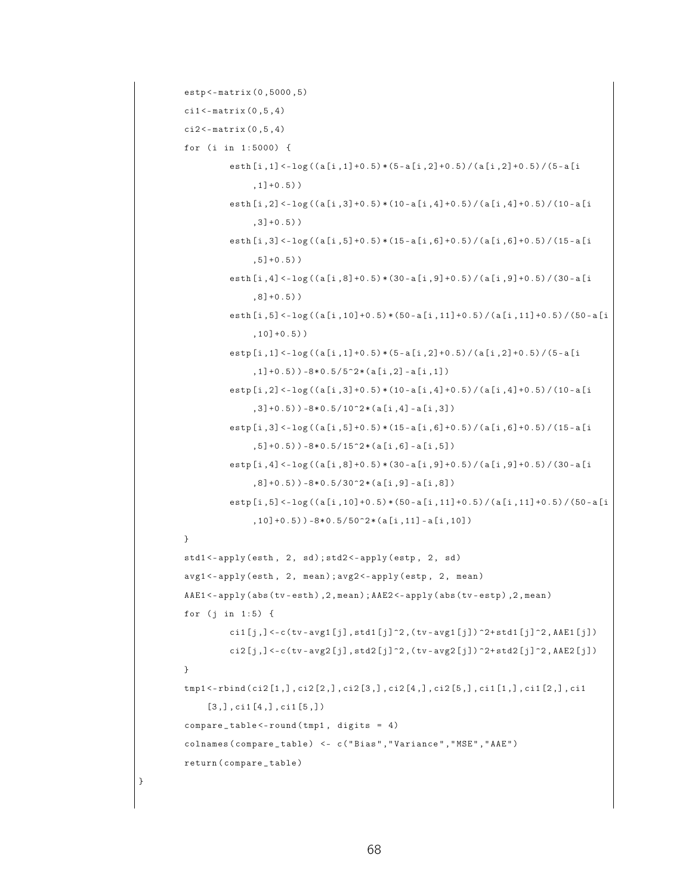```
estp <- matrix (0 ,5000 ,5)
cil < -matrix (0, 5, 4)ci2 < -matrix (0, 5, 4)for (i in 1:5000) {
          esth [i ,1] <- log (( a [i ,1]+0.5) * (5 - a [i ,2]+0.5) / ( a [i ,2]+0.5) / (5 - a [i
                , 1] + 0.5))
          esth [i ,2] <- log (( a [i ,3]+0.5) * (10 - a [i ,4]+0.5) / ( a [i ,4]+0.5) / (10 - a [i
                , 3] + 0.5)esth [i ,3] <- log (( a [i ,5]+0.5) * (15 - a [i ,6]+0.5) / ( a [i ,6]+0.5) / (15 - a [i
                , 5] + 0.5)esth [i ,4] <- log (( a [i ,8]+0.5) * (30 - a [i ,9]+0.5) / ( a [i ,9]+0.5) / (30 - a [i
                ,8]+0.5) )
          esth [i ,5] <- log (( a [i ,10]+0.5) * (50 - a [i ,11]+0.5) / ( a [i ,11]+0.5) / (50 - a [i
                ,10]+0.5) )
          estp [i ,1] <- log (( a [i ,1]+0.5) * (5 - a [i ,2]+0.5) / ( a [i ,2]+0.5) / (5 - a [i
                ,1]+0.5) ) -8*0.5/5^2*(a[i,2] - a[i,1])estp [i ,2] <- log (( a [i ,3]+0.5) * (10 - a [i ,4]+0.5) / ( a [i ,4]+0.5) / (10 - a [i
                ,3]+0.5)) -8*0.5/10^2*(a[i,4] -a[i,3])
          estp [i ,3] <- log (( a [i ,5]+0.5) * (15 - a [i ,6]+0.5) / ( a [i ,6]+0.5) / (15 - a [i
                , 5] + 0.5)) -8*0.5/15^2*(a[i,6] -a[i,5])
          estp [i ,4] <- log (( a [i ,8]+0.5) * (30 - a [i ,9]+0.5) / ( a [i ,9]+0.5) / (30 - a [i
                , 8] + 0.5)) -8*0.5/30^2*(a[i,9] -a[i,8])
          estp [i ,5] <- log (( a [i ,10]+0.5) * (50 - a [i ,11]+0.5) / ( a [i ,11]+0.5) / (50 - a [i
                ,10] + 0.5) ) -8 * 0.5 / 50^2 * (a[i,11] - a[i,10])}
std1<-apply(esth, 2, sd); std2<-apply(estp, 2, sd)
avg1 <- apply (esth, 2, mean); avg2 <- apply (estp, 2, mean)
AAE1<-apply(abs(tv-esth), 2, mean); AAE2<-apply(abs(tv-estp), 2, mean)
for (j \in 1:5) {
          ci1 [j, ] < -c (tv - avg1 [j], std1 [j] ^2, (tv - avg1 [j]) ^2+ std1 [j] ^2, AAE1 [j])
          ci2[j, ] < -c (tv - avg2 [j], std2 [j] \gamma2, (tv - avg2 [j]) \gamma2+ std2 [j]\gamma2, AAE2 [j])
}
tmp1 <- rbind ( ci2 [1 ,] , ci2 [2 ,] , ci2 [3 ,] , ci2 [4 ,] , ci2 [5 ,] , ci1 [1 ,] , ci1 [2 ,] , ci1
     [3,], \text{ci1}[4,], \text{ci1}[5,])compare_table < -round(tmp1, digits = 4)colnames ( compare _ table ) <- c ( " Bias " ," Variance " ," MSE " ," AAE " )
return ( compare _ table )
```

```
68
```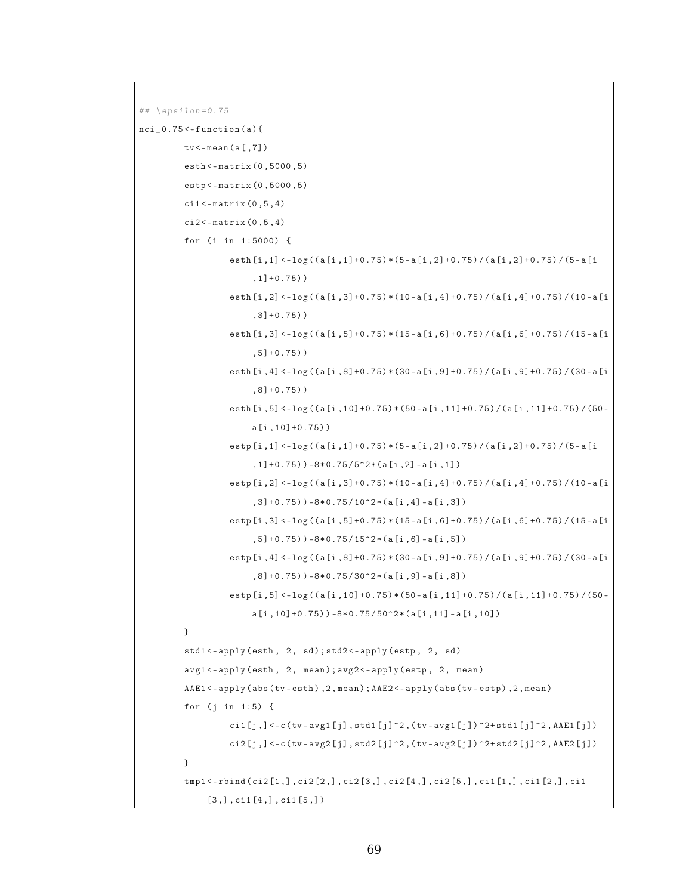```
## \epsilon \epsilon=0.75
nci_0.75 < -function(a){
          tv <- mean ( a [ ,7])
          esth <- matrix (0 ,5000 ,5)
          estp <- matrix (0 ,5000 ,5)
          cil < -matrix (0, 5, 4)ci2 < -matrix (0, 5, 4)for (i in 1:5000) {
                    esth [i ,1] <- log (( a [i ,1]+0.75) * (5 - a [i ,2]+0.75) / ( a [i ,2]+0.75) / (5 - a [i
                         ,1]+0.75) )
                    esth [i ,2] <- log (( a [i ,3]+0.75) * (10 - a [i ,4]+0.75) / ( a [i ,4]+0.75) / (10 - a [i
                         ,3]+0.75) )
                    esth [i ,3] <- log (( a [i ,5]+0.75) * (15 - a [i ,6]+0.75) / ( a [i ,6]+0.75) / (15 - a [i
                         ,5]+0.75) )
                    esth [i ,4] <- log (( a [i ,8]+0.75) * (30 - a [i ,9]+0.75) / ( a [i ,9]+0.75) / (30 - a [i
                         ,8]+0.75) )
                    esth[i, 5] < -log((a[i, 10]+0.75)*(50-a[i, 11]+0.75)/(a[i, 11]+0.75)/(50-a [i ,10]+0.75) )
                    estp [i ,1] <- log (( a [i ,1]+0.75) * (5 - a [i ,2]+0.75) / ( a [i ,2]+0.75) / (5 - a [i
                         ,1]+0.75)) -8*0.75/5^2*(a[i,2] - a[i,1])
                    estp [i ,2] <- log (( a [i ,3]+0.75) * (10 - a [i ,4]+0.75) / ( a [i ,4]+0.75) / (10 - a [i
                         ,3]+0.75)) -8*0.75/10^2*(a[i,4] -a[i,3])
                    estp [i ,3] <- log (( a [i ,5]+0.75) * (15 - a [i ,6]+0.75) / ( a [i ,6]+0.75) / (15 - a [i
                         , 5] + 0.75)) -8*0.75/15^2*(a[i, 6] -a[i,5])
                    estp [i ,4] <- log (( a [i ,8]+0.75) * (30 - a [i ,9]+0.75) / ( a [i ,9]+0.75) / (30 - a [i
                         ,8] + 0.75) ) -8*0.75/30^2*(a[i,9] - a[i,8])
                    estp [i, 5] <- log ((a[i, 10] +0.75) * (50 - a[i, 11] +0.75) / (a[i, 11] +0.75) / (50 -
                         a[i,10]+0.75)) -8*0.75/50^2*(a[i,11] -a[i,10])
          }
          std1<-apply(esth, 2, sd); std2<-apply(estp, 2, sd)
          avg1 <- apply (esth, 2, mean); avg2 <- apply (estp, 2, mean)
          AAE1 <- apply (abs (tv - esth), 2, mean); AAE2 <- apply (abs (tv - estp), 2, mean)
          for (j \in 1:5) {
                    ci1 [j, ] < -c (tv - avg1 [j], std1 [j] ^2, (tv - avg1 [j]) ^2+ std1 [j] ^2, AAE1 [j])
                    c12[j,] <-c (tv-avg2[j], std2[j]^2,(tv-avg2[j]) ^2+ std2[j]^2, AAE2 [j])
          }
          tmp1 <- rbind ( ci2 [1 ,] , ci2 [2 ,] , ci2 [3 ,] , ci2 [4 ,] , ci2 [5 ,] , ci1 [1 ,] , ci1 [2 ,] , ci1
               [3,], \text{ci1}[4,], \text{ci1}[5,])
```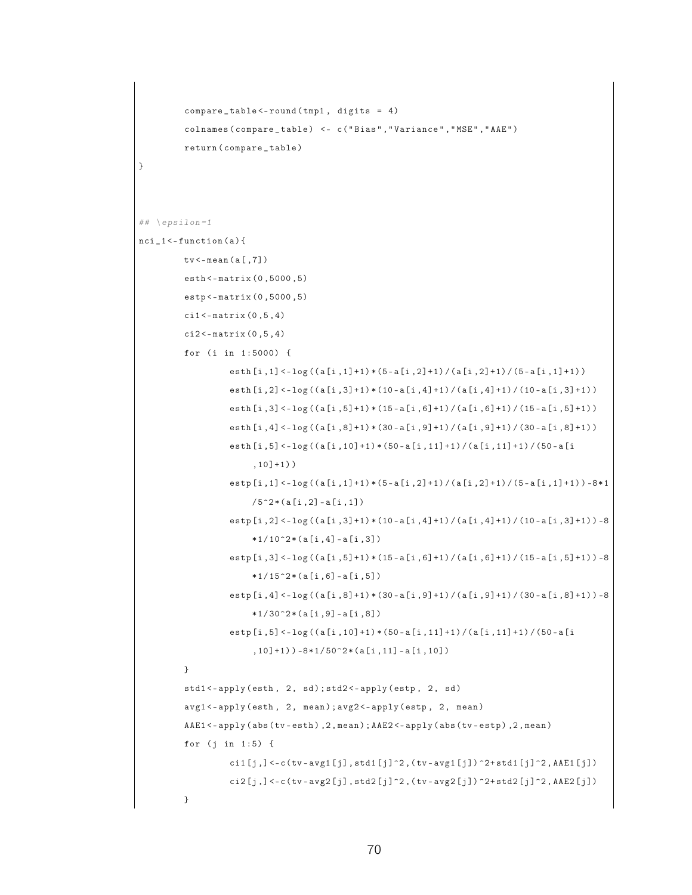```
compare _ table <- round ( tmp1 , digits = 4)
          colnames ( compare _ table ) <- c ( " Bias " ," Variance " ," MSE " ," AAE " )
          return ( compare _ table )
}
## \left\{ \text{epsilon1} - 1 \right\}nci_1 < - function (a) {
         tv <- mean ( a [ ,7])
         esth <- matrix (0 ,5000 ,5)
         estp <- matrix (0 ,5000 ,5)
          cil < -matrix (0, 5, 4)ci2 < -matrix (0, 5, 4)for (i in 1:5000) {
                    esth[i,1]<-log((a[i,1]+1)*(5-a[i,2]+1)/(a[i,2]+1)/(5-a[i,1]+1))esth[i,2] < -log((a[i,3]+1)*(10-a[i,4]+1)/(a[i,4]+1)/(10-a[i,3]+1))esth [i, 3] < -log((a[i, 5]+1) * (15-a[i, 6]+1) / (a[i, 6]+1) / (15-a[i, 5]+1))esth [i, 4] < -log((a[i, 8]+1) * (30 - a[i, 9]+1) / (a[i, 9]+1) / (30 - a[i, 8]+1))esth [i ,5] <- log (( a [i ,10]+1) * (50 - a [i ,11]+1) / ( a [i ,11]+1) / (50 - a [i
                         ,10]+1) )
                    estp [i, 1] <- log ((a[i, 1] +1) * (5 - a[i, 2] +1) / (a[i, 2] +1) / (5 - a[i, 1] +1)) -8*1
                         /5<sup>2</sup> * (a [i, 2] - a [i, 1])
                    estp [i, 2] < -log((a[i, 3]+1) * (10-a[i, 4]+1) / (a[i, 4]+1) / (10-a[i, 3]+1)) -8*1/10^2 * (a[i,4] - a[i,3])estp [i, 3] < -log((a[i, 5]+1) * (15-a[i, 6]+1) / (a[i, 6]+1) / (15-a[i, 5]+1)) -8*1/15^2 * (a[i, 6] - a[i,5])estp [i, 4] < -log((a[i, 8]+1) * (30 - a[i, 9]+1) / (a[i, 9]+1) / (30 - a[i, 8]+1)) -8*1/30^2 * (a[i,9] - a[i,8])estp [i ,5] <- log (( a [i ,10]+1) * (50 - a [i ,11]+1) / ( a [i ,11]+1) / (50 - a [i
                         (10]+1)) -8*1/50^2*(a[i,11]-a[i,10])}
         std1<-apply(esth, 2, sd); std2<-apply(estp, 2, sd)
          avg1 <- apply (esth, 2, mean); avg2 <- apply (estp, 2, mean)
         AAE1 <- apply (abs (tv - esth), 2, mean); AAE2 <- apply (abs (tv - estp), 2, mean)
         for (j \in 1:5) {
                   ci1 [j, ] < -c (tv - avg1 [j], std1 [j] ^2, (tv - avg1 [j]) ^2+ std1 [j] ^2, AAE1 [j])
                    ci2[j, ] < -c (tv - avg2 [j], std2 [j] \gamma2, (tv - avg2 [j]) \gamma2+ std2 [j]\gamma2, AAE2 [j])
         }
```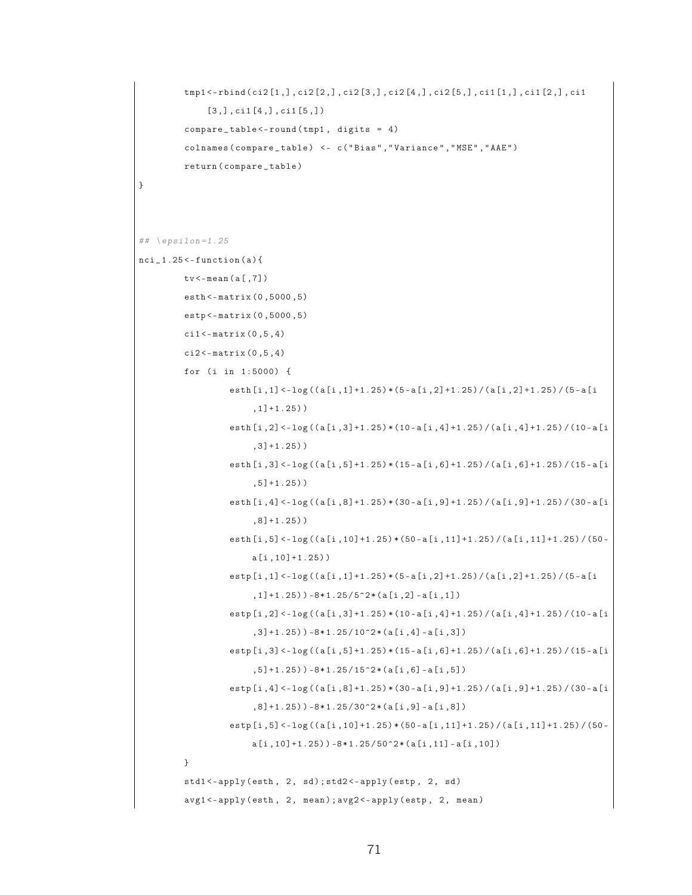```
tmp1 <- rbind ( ci2 [1 ,] , ci2 [2 ,] , ci2 [3 ,] , ci2 [4 ,] , ci2 [5 ,] , ci1 [1 ,] , ci1 [2 ,] , ci1
               [3,], \text{ci1}[4,], \text{ci1}[5,])compare _ table <- round ( tmp1 , digits = 4)
          colnames ( compare _ table ) <- c ( " Bias " ," Variance " ," MSE " ," AAE " )
          return ( compare _ table )
}
## \left\{ \text{epsilon1} . 25 \right\}nci_1.25 < -function(a){
         tv < - mean (a[, 7])esth <- matrix (0 ,5000 ,5)
          estp <- matrix (0 ,5000 ,5)
          cil < -matrix (0, 5, 4)ci2 < -matrix (0, 5, 4)for (i in 1:5000) {
                    esth [i, 1] <-1og((a[i, 1]+1.25)*(5-a[i, 2]+1.25)/(a[i, 2]+1.25)/(5-a[i, 2]+1.25),1]+1.25) )
                    esth [i ,2] <- log (( a [i ,3]+1.25) * (10 - a [i ,4]+1.25) / ( a [i ,4]+1.25) / (10 - a [i
                          ,3]+1.25) )
                    esth [i ,3] <- log (( a [i ,5]+1.25) * (15 - a [i ,6]+1.25) / ( a [i ,6]+1.25) / (15 - a [i
                          ,5]+1.25) )
                    esth [i ,4] <- log (( a [i ,8]+1.25) * (30 - a [i ,9]+1.25) / ( a [i ,9]+1.25) / (30 - a [i
                          ,8]+1.25) )
                    esth [i, 5] <- log ((a[i, 10] +1.25) * (50 - a[i, 11] +1.25) / (a[i, 11] +1.25) / (50 -
                         a [i ,10]+1.25) )
                    estp [i ,1] <- log (( a [i ,1]+1.25) * (5 - a [i ,2]+1.25) / ( a [i ,2]+1.25) / (5 - a [i
                          ,1]+1.25)) -8*1.25/5^2*(a[i,2] -a[i,1])
                    \exp[i, 2] < -\log((a[i, 3]+1.25) * (10-a[i, 4]+1.25) / (a[i, 4]+1.25) / (10-a[i, 4]+1.25),3]+1.25)) -8*1.25/10^2*(a[i,4] - a[i,3])
                    estp[i,3] < -log((a[i,5]+1.25)*(15-a[i,6]+1.25)/(a[i,6]+1.25)/(15-a[i, 5] + 1.25)) -8 * 1.25 / 15<sup>\text{2}</sup> * (a [i,6] - a [i,5])
                    estp [i ,4] <- log (( a [i ,8]+1.25) * (30 - a [i ,9]+1.25) / ( a [i ,9]+1.25) / (30 - a [i
                          , 8] + 1.25) ) -8 * 1.25 / 30^2 * (a[i, 9] - a[i, 8])estp[i,5] < -log((a[i,10]+1.25)*(50-a[i,11]+1.25)/(a[i,11]+1.25)/(50-a[i,10]+1.25) ) -8*1.25/50^2*(a[i,11]-a[i,10])}
          std1<-apply(esth, 2, sd); std2<-apply(estp, 2, sd)
          avg1 <- apply (esth, 2, mean); avg2 <- apply (estp, 2, mean)
```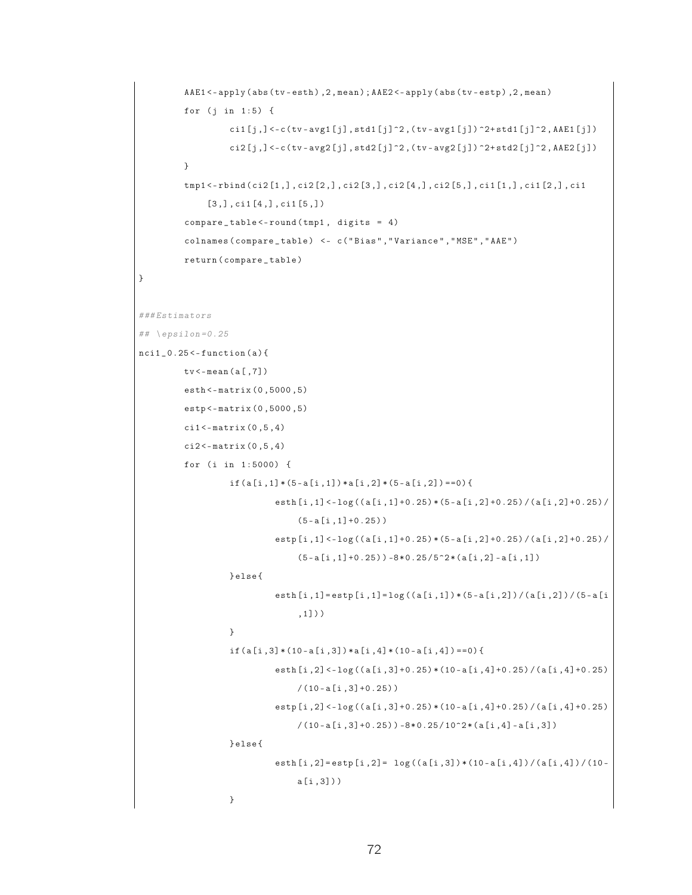```
AAE1 <- apply (abs (tv - esth), 2, mean); AAE2 <- apply (abs (tv - estp), 2, mean)
          for (j in 1:5) {
                     \text{ci1}[j, ] \leftarrow c (tv - avg1[j], std1[j] \supseteq, (tv - avg1[j]) \supseteq + std1[j]\supseteq, AAE1[j])
                     c12[j, ] < -c (tv - avg2 [j], std2 [j] \hat{2}, (tv - avg2 [j]) \hat{2} + std2 [j] \hat{2}, AAE2 [j])
          }
          tmp1 <- rbind ( ci2 [1 ,] , ci2 [2 ,] , ci2 [3 ,] , ci2 [4 ,] , ci2 [5 ,] , ci1 [1 ,] , ci1 [2 ,] , ci1
                [3,], \text{ci1}[4,], \text{ci1}[5,])compare _ table <- round ( tmp1 , digits = 4)
           colnames ( compare _ table ) <- c ( " Bias " ," Variance " ," MSE " ," AAE " )
          return ( compare _ table )
### Estimators
## \left\{ \text{epsilon} = 0.25 \right.nci1_0.25 < - function (a) {
          tv <- mean ( a [ ,7])
          esth <- matrix (0 ,5000 ,5)
          estp <- matrix (0 ,5000 ,5)
          c11 < - matrix (0, 5, 4)ci2 < -matrix (0, 5, 4)for (i in 1:5000) {
                     if (a[i,1] * (5-a[i,1]) * a[i,2] * (5-a[i,2]) == 0)esth [i ,1] <- log (( a [i ,1]+0.25) * (5 - a [i ,2]+0.25) / ( a [i ,2]+0.25) /
                                     (5 - a[i], 1] + 0.25) )
                                estp [i ,1] <- log (( a [i ,1]+0.25) * (5 - a [i ,2]+0.25) / ( a [i ,2]+0.25) /
                                      (5 - a[i, 1] + 0.25) ) -8 * 0.25 / 5^2 * (a[i, 2] - a[i, 1])} else {
                                esth [i ,1]= estp [i ,1]= log (( a [i ,1]) * (5 - a [i ,2]) / ( a [i ,2]) / (5 - a [i
                                      ,1]) )
                     }
                     if (a[i,3] * (10-a[i,3]) * a[i,4] * (10-a[i,4]) == 0)esth[i,2]<-log((a[i,3]+0.25)*(10-a[i,4]+0.25)/(a[i,4]+0.25)/(10 - a[i, 3] + 0.25))\exp[i, 2] \leq -\log((a[i, 3] + 0.25) * (10 - a[i, 4] + 0.25) / (a[i, 4] + 0.25)/(10 - a[i, 3] + 0.25) - 8 * 0.25 / 10^2 * (a[i, 4] - a[i, 3])} else {
                                esth [i, 2]= estp [i, 2]= log((a[i, 3]) * (10 - a[i, 4]) / (a[i, 4]) / (10 -a [i ,3]) )
                     }
```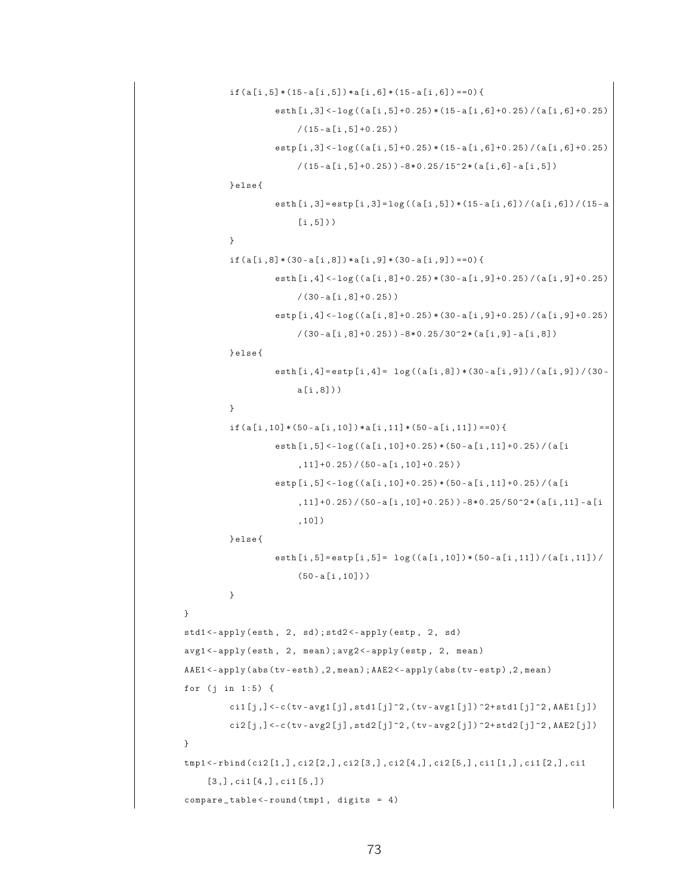```
if ( a[i, 5] * (15 - a[i, 5]) * a[i, 6] * (15 - a[i, 6]) == 0 )esth[i,3] < -log((a[i,5]+0.25)*(15-a[i,6]+0.25)/(a[i,6]+0.25)/(15 - a[i, 5] + 0.25)estp [i ,3] <- log (( a [i ,5]+0.25) * (15 - a [i ,6]+0.25) / ( a [i ,6]+0.25)
                         /(15 - a[i, 5] + 0.25) - 8 * 0.25 / 15^2 * (a[i, 6] - a[i, 5])} else {
                    esth [i ,3]= estp [i ,3]= log (( a [i ,5]) * (15 - a [i ,6]) / ( a [i ,6]) / (15 - a
                         [i, 5])}
          if (a[i,8)*(30-a[i,8])*a[i,9)*(30-a[i,9])==0){
                    esth [i ,4] <- log (( a [i ,8]+0.25) * (30 - a [i ,9]+0.25) / ( a [i ,9]+0.25)
                         /(30 - a[i, 8] + 0.25))estp [i ,4] <- log (( a [i ,8]+0.25) * (30 - a [i ,9]+0.25) / ( a [i ,9]+0.25)
                         /(30 - a[i, 8] + 0.25) - 8 * 0.25 / 30^2 * (a[i, 9] - a[i, 8])} else {
                    esth [i, 4] = estp [i, 4] = log((a[i, 8]) * (30 - a[i, 9])/ (a[i, 9])/a [i ,8]) )
          }
          if ( a [i,10] * (50 - a [i,10]) * a [i,11] * (50 - a [i,11]) = 0 )esth [i ,5] <- log (( a [i ,10]+0.25) * (50 - a [i ,11]+0.25) / ( a [i
                         ,11]+0.25 / (50 - a [i, 10] +0.25) )
                    estp [i ,5] <- log (( a [i ,10]+0.25) * (50 - a [i ,11]+0.25) / ( a [i
                         ,11]+0.25 ) / (50 - a[i, 10]+0.25) ) -8*0.25/50^2*(a[i, 11]-a[i,11]),10])
         } else {
                    esth[i, 5] = estp[i, 5] = log((a[i, 10]) * (50 - a[i, 11])/ (a[i, 11])/(50 - a[i, 10])}
}
std1<-apply(esth, 2, sd); std2<-apply(estp, 2, sd)
avg1 <- apply (esth, 2, mean); avg2 <- apply (estp, 2, mean)
AAE1 <- apply (abs (tv - esth), 2, mean); AAE2 <- apply (abs (tv - estp), 2, mean)
for (j \in 1:5) {
         ci1 [j, ] < -c (tv - avg1 [j], std1 [j] ^2, (tv - avg1 [j]) ^2+ std1 [j] ^2, AAE1 [j])
         c12[j,] <-c (tv-avg2[j], std2[j]^2,(tv-avg2[j]) ^2+ std2[j]^2, AAE2 [j])
}
tmp1 <- rbind ( ci2 [1 ,] , ci2 [2 ,] , ci2 [3 ,] , ci2 [4 ,] , ci2 [5 ,] , ci1 [1 ,] , ci1 [2 ,] , ci1
     [3,], \text{ci1}[4,], \text{ci1}[5,])compare_table < -round(tmp1, digits = 4)
```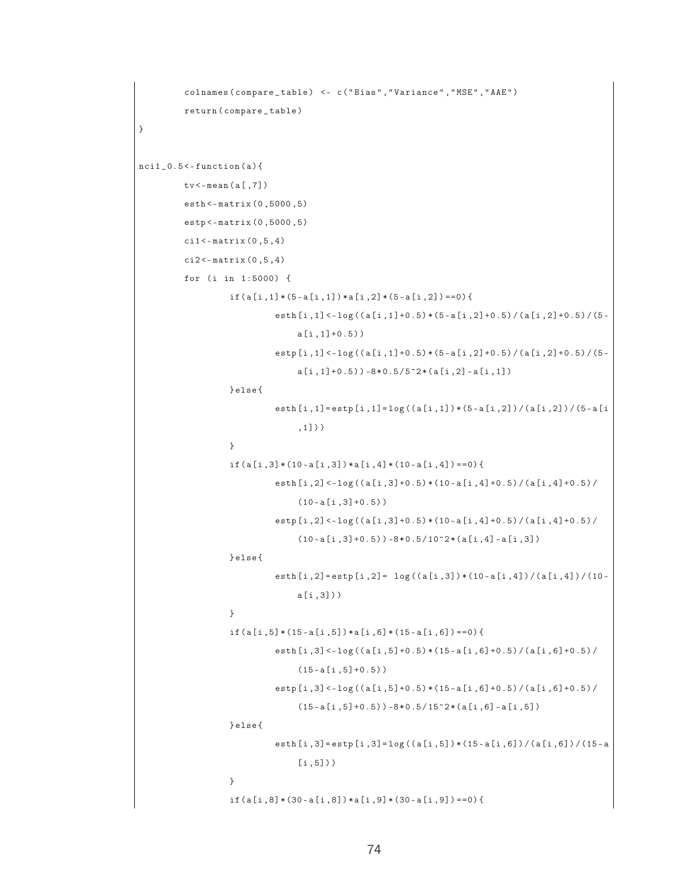```
colnames ( compare _ table ) <- c ( " Bias " ," Variance " ," MSE " ," AAE " )
         return ( compare _ table )
}
nci1_0.5 < - function (a) {
         tv <- mean ( a [ ,7])
         esth <- matrix (0 ,5000 ,5)
         estp <- matrix (0 ,5000 ,5)
         \text{ci1} < - matrix (0, 5, 4)ci2 < -matrix (0, 5, 4)for (i in 1:5000) {
                   if (a[i,1] * (5-a[i,1]) * a[i,2] * (5-a[i,2]) == 0)esth [i, 1] < -log((a[i, 1]+0.5) * (5-a[i, 2]+0.5) / (a[i, 2]+0.5) / (5-a[i,1]+0.5))
                             \exp[i,1] < -\log((a[i,1]+0.5)*(5-a[i,2]+0.5)/(a[i,2]+0.5)/(5-a[i,1]+0.5)) -8*0.5/5^2*(a[i,2] - a[i,1])
                   } else {
                             esth [i ,1]= estp [i ,1]= log (( a [i ,1]) * (5 - a [i ,2]) / ( a [i ,2]) / (5 - a [i
                                   ,1]) )
                   }
                   if ( a[i,3] * (10-a[i,3]) * a[i,4] * (10-a[i,4]) == 0 )esth [i, 2] < -log((a[i, 3]+0.5) * (10-a[i, 4]+0.5) / (a[i, 4]+0.5) /(10 - a[i, 3] + 0.5)\exp[i, 2] \leq -\log((a[i, 3] + 0.5) * (10 - a[i, 4] + 0.5) / (a[i, 4] + 0.5) /(10 - a[i, 3] + 0.5) ) -8 * 0.5 / 10^2 * (a[i, 4] - a[i, 3])} else {
                             esth [i, 2]= estp [i, 2]= log((a[i, 3]) * (10 - a[i, 4]) / (a[i, 4]) / (10 -a [i ,3]) )
                   }
                   if ( a[i, 5] * (15 - a[i, 5]) * a[i, 6] * (15 - a[i, 6]) = 0 )esth[i,3] < -log((a[i,5]+0.5)*(15-a[i,6]+0.5)/(a[i,6]+0.5)/(15 - a[i, 5] + 0.5)estp[i,3]<-log((a[i,5]+0.5)*(15-a[i,6]+0.5)/ (a[i,6]+0.5)/(15 - a[i, 5] + 0.5) ) -8 * 0.5 / 15^2 * (a[i, 6] - a[i, 5])} else {
                             esth [i, 3] = estp [i, 3] = log((a[i, 5]) * (15 - a[i, 6]) / (a[i, 6]) / (15 - a[i, 5])}
                   if (a[i,8] * (30-a[i,8]) * a[i,9] * (30-a[i,9]) == 0)
```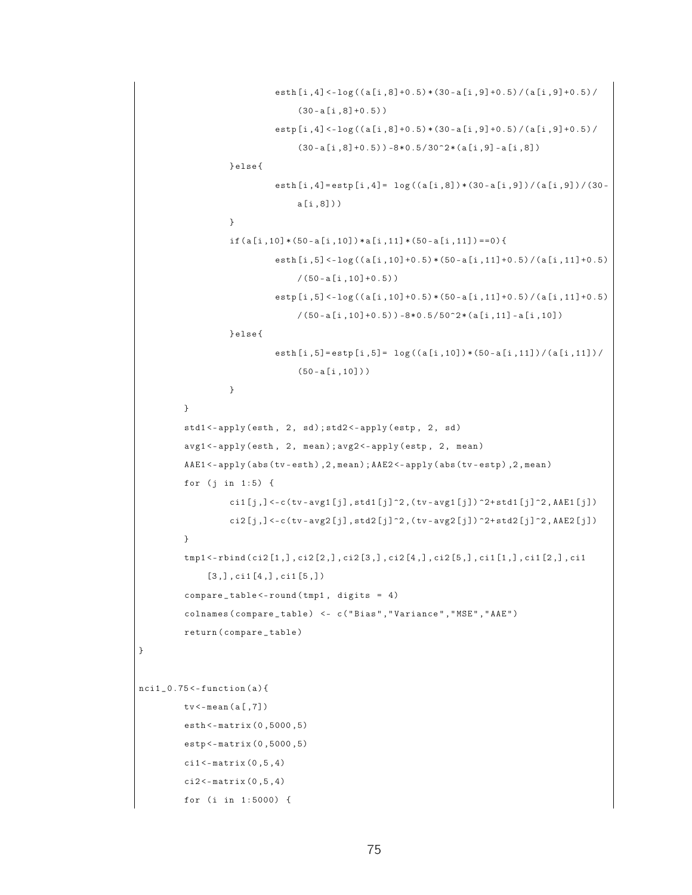```
esth[i,4]<-log((a[i,8]+0.5)*(30-a[i,9]+0.5)/(a[i,9]+0.5)/(30 - a[i, 8] + 0.5)estp[i,4] < -log((a[i,8]+0.5)*(30-a[i,9]+0.5)/(a[i,9]+0.5)/(30 - a[i, 8] + 0.5) ) -8 * 0.5 / 30^2 * (a[i, 9] - a[i, 8])} else {
                             esth [i, 4] = estp [i, 4] = log((a[i, 8]) * (30 - a[i, 9]) / (a[i, 9]) / (30 -a [i ,8]) )
                   }
                   if ( a [i,10] * (50 - a [i,10]) * a [i,11] * (50 - a [i,11]) = 0)esth [i ,5] <- log (( a [i ,10]+0.5) * (50 - a [i ,11]+0.5) / ( a [i ,11]+0.5)
                                  /(50 - a[i, 10] + 0.5)\exp[i, 5] < -\log((a[i, 10] + 0.5) * (50 - a[i, 11] + 0.5) / (a[i, 11] + 0.5)/(50 - a[i, 10] + 0.5) ) -8 * 0.5 / 50^2 * (a[i, 11] - a[i, 10])} else {
                             esth[i, 5] = estp[i, 5] = log((a[i, 10]) * (50 - a[i, 11])/ (a[i, 11])/(50 - a[i, 10])}
         }
         std1<-apply(esth, 2, sd); std2<-apply(estp, 2, sd)
         avg1 <- apply (esth, 2, mean); avg2 <- apply (estp, 2, mean)
         AAE1<-apply(abs(tv-esth), 2, mean); AAE2<-apply(abs(tv-estp), 2, mean)
         for (j in 1:5) {
                   ci1 [j,] <-c(tv-avg1 [j],std1 [j]^2,(tv-avg1 [j]) ^2+ std1 [j]^2,AAE1 [j])
                   ci2[j, ] < -c (tv - avg2 [j], std2 [j]\hat{ } 2, (tv - avg2 [j]) \hat{ } 2+ std2 [j]\hat{ } 2, AAE2 [j])
         }
         tmp1 <- rbind ( ci2 [1 ,] , ci2 [2 ,] , ci2 [3 ,] , ci2 [4 ,] , ci2 [5 ,] , ci1 [1 ,] , ci1 [2 ,] , ci1
              [3,], ci1[4,], ci1[5,])
          compare _ table <- round ( tmp1 , digits = 4)
          colnames ( compare _ table ) <- c ( " Bias " ," Variance " ," MSE " ," AAE " )
          return ( compare _ table )
}
nci1_0.75 < - function (a) {
         tv < -mean(a[, 7])esth <- matrix (0 ,5000 ,5)
         estp <- matrix (0 ,5000 ,5)
         c11 < - matrix (0, 5, 4)ci2 < -matrix (0, 5, 4)for (i in 1:5000) {
```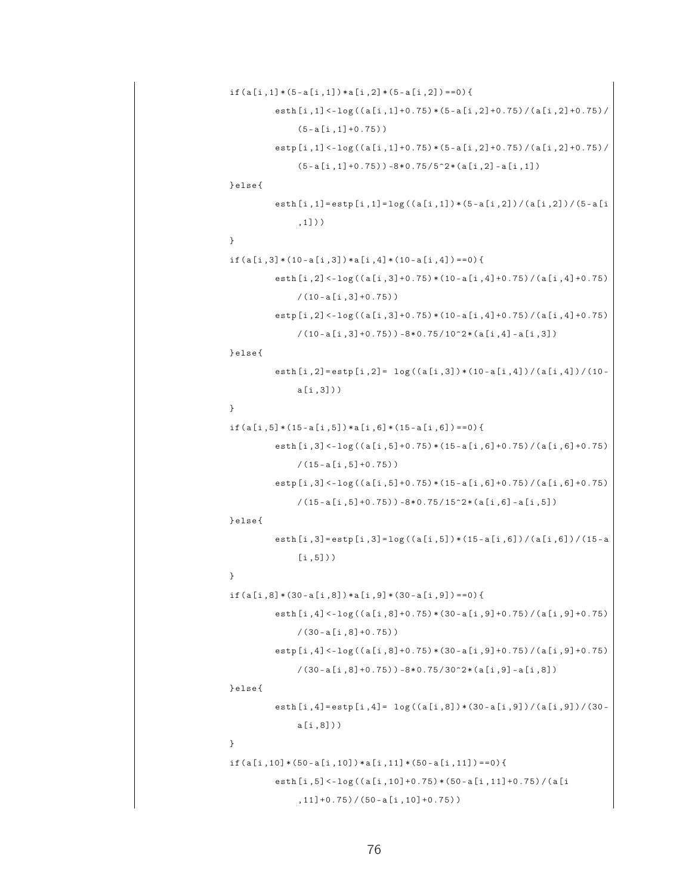```
if ( a[i,1] * (5-a[i,1]) * a[i,2] * (5-a[i,2]) == 0 )esth [i ,1] <- log (( a [i ,1]+0.75) * (5 - a [i ,2]+0.75) / ( a [i ,2]+0.75) /
               (5 - a[i, 1] + 0.75)estp[i,1]<-log((a[i,1]+0.75)*(5-a[i,2]+0.75)/(a[i,2]+0.75)/(5 - a[i, 1] + 0.75) ) -8 * 0.75 / 5^2 * (a[i, 2] - a[i, 1])} else {
          esth [i,1] = estp [i,1] = \log ((a[i,1]) * (5-a[i,2]) / (a[i,2]) / (5-a[i,2]),1]) )
}
if (a[i,3] * (10-a[i,3]) * a[i,4] * (10-a[i,4]) == 0)esth [i ,2] <- log (( a [i ,3]+0.75) * (10 - a [i ,4]+0.75) / ( a [i ,4]+0.75)
               /(10 - a[i, 3] + 0.75)estp [i ,2] <- log (( a [i ,3]+0.75) * (10 - a [i ,4]+0.75) / ( a [i ,4]+0.75)
               /(10 - a[i, 3] + 0.75) -8 * 0.75 / 10^2 * (a[i, 4] - a[i, 3])} else {
          esth [i, 2]= estp [i, 2]= log((a[i, 3]) * (10 - a[i, 4]) / (a[i, 4]) / (10 -a [i ,3]) )
}
if ( a [i, 5] * (15 - a [i, 5]) * a [i, 6] * (15 - a [i, 6]) == 0)esth [i ,3] <- log (( a [i ,5]+0.75) * (15 - a [i ,6]+0.75) / ( a [i ,6]+0.75)
               /(15 - a[i, 5] + 0.75))estp [i ,3] <- log (( a [i ,5]+0.75) * (15 - a [i ,6]+0.75) / ( a [i ,6]+0.75)
               /(15 - a[i, 5] + 0.75)) - 8 * 0.75 / 15^2 * (a[i, 6] - a[i, 5])} else {
          esth [i ,3]= estp [i ,3]= log (( a [i ,5]) * (15 - a [i ,6]) / ( a [i ,6]) / (15 - a
                [i, 5])}
if ( a [i,8] * (30 - a [i,8]) * a [i,9] * (30 - a [i,9]) == 0 )esth [i ,4] <- log (( a [i ,8]+0.75) * (30 - a [i ,9]+0.75) / ( a [i ,9]+0.75)
               / (30 - a [i ,8]+0.75) )
          estp[i, 4] < -log((a[i, 8]+0.75) * (30-a[i, 9]+0.75) / (a[i, 9]+0.75)/(30 - a[i, 8] + 0.75) - 8 * 0.75 / 30^2 * (a[i, 9] - a[i, 8])} else {
          esth [i, 4]= estp [i, 4]= log((a[i, 8]) * (30 - a[i, 9])/ (a[i, 9])/a [i ,8]) )
}
if ( a [i,10] * (50 - a [i,10]) * a [i,11] * (50 - a [i,11]) = 0 )esth [i ,5] <- log (( a [i ,10]+0.75) * (50 - a [i ,11]+0.75) / ( a [i
                ,11]+0.75 / (50 - a [i, 10] +0.75) )
```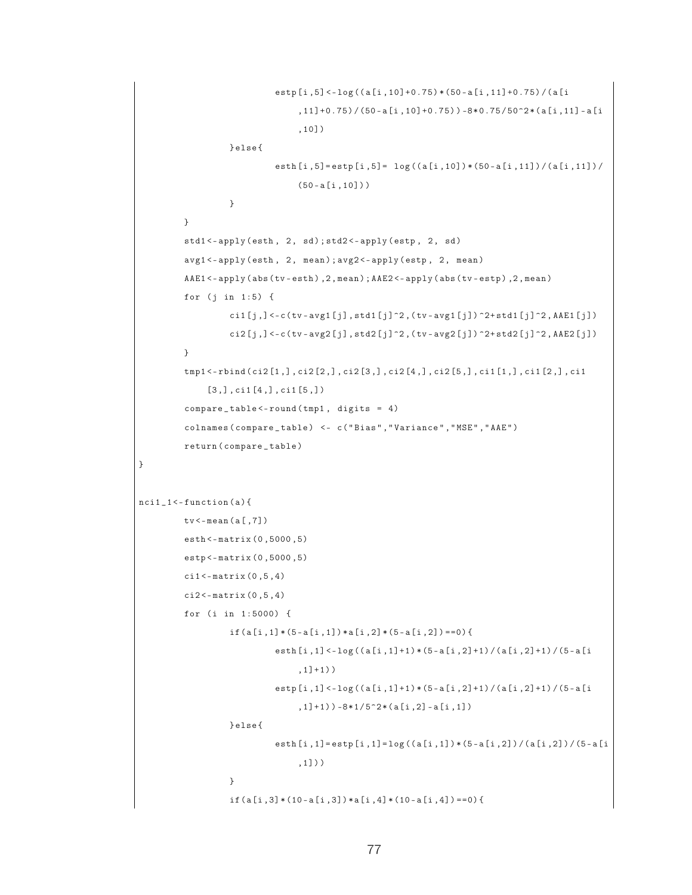```
estp [i ,5] <- log (( a [i ,10]+0.75) * (50 - a [i ,11]+0.75) / ( a [i
                                   ,11]+0.75 ) / (50-a[i,10]+0.75) ) -8*0.75/50^2*(a[i,11]-a[i,11]),10])
                   } else {
                              esth[i, 5] = estp[i, 5] = log((a[i, 10]) * (50 - a[i, 11])/ (a[i, 11])/(50 - a[i, 10])}
         }
         std1<-apply(esth, 2, sd); std2<-apply(estp, 2, sd)
         avg1 <- apply (esth, 2, mean); avg2 <- apply (estp, 2, mean)
         AAE1<-apply(abs(tv-esth), 2, mean); AAE2<-apply(abs(tv-estp), 2, mean)
         for (j in 1:5) {
                    cil[j], \leq c (tv - avg1 [j], std1 [j] \supset 2, (tv - avg1 [j]) \supset 2+ std1 [j] \supset 2, AAE1 [j])
                   ci2[j, ] < -c (tv - avg2 [j], std2 [j]\hat{ } 2, (tv - avg2 [j]) \hat{ } 2+ std2 [j]\hat{ } 2, AAE2 [j])
         }
         tmp1 <- rbind ( ci2 [1 ,] , ci2 [2 ,] , ci2 [3 ,] , ci2 [4 ,] , ci2 [5 ,] , ci1 [1 ,] , ci1 [2 ,] , ci1
               [3,], ci1[4,], ci1[5,])compare _ table <- round ( tmp1 , digits = 4)
          colnames ( compare _ table ) <- c ( " Bias " ," Variance " ," MSE " ," AAE " )
          return ( compare _ table )
}
nci1_1 < - function (a) {
         tv <- mean ( a [ ,7])
         esth <- matrix (0 ,5000 ,5)
         estp <- matrix (0 ,5000 ,5)
         c11 < - matrix (0, 5, 4)ci2 < -matrix (0, 5, 4)for (i in 1:5000) {
                   if (a[i,1] * (5-a[i,1]) * a[i,2] * (5-a[i,2]) == 0)esth[i,1] < -log((a[i,1]+1)*(5-a[i,2]+1)/(a[i,2]+1)/(5-a[i, 1] + 1))
                              estp[i,1]<-log((a[i,1]+1)*(5-a[i,2]+1)/(a[i,2]+1)/(5-a[i,2]+1),1]+1)) -8*1/5<sup>^</sup>2* (a [i,2] - a [i,1])
                   } else {
                              esth [i,1]= estp [i,1]= \log ((a[i,1]) * (5-a[i,2]) / (a[i,2]) / (5-a[i,1]) )
                    }
                    if (a[i,3] * (10-a[i,3]) * a[i,4] * (10-a[i,4]) == 0)
```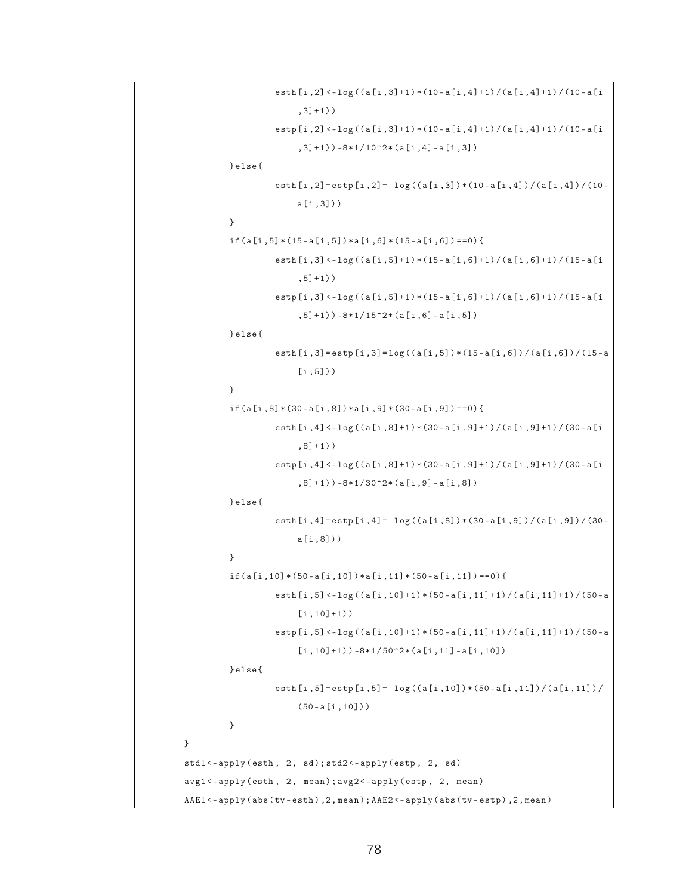```
esth [i ,2] <- log (( a [i ,3]+1) * (10 - a [i ,4]+1) / ( a [i ,4]+1) / (10 - a [i
                          , 3] + 1))
                     estp [i ,2] <- log (( a [i ,3]+1) * (10 - a [i ,4]+1) / ( a [i ,4]+1) / (10 - a [i
                          ,3]+1)) -8*1/10^2*(a[i,4] - a[i,3])
          } else {
                     esth [i, 2]= estp [i, 2]= log((a[i, 3]) * (10 - a[i, 4]) / (a[i, 4]) / (10 -a [i ,3]) )
          }
          if ( a [i, 5] * (15 - a [i, 5]) * a [i, 6] * (15 - a [i, 6]) == 0 )esth [i ,3] <- log (( a [i ,5]+1) * (15 - a [i ,6]+1) / ( a [i ,6]+1) / (15 - a [i
                          , 5] + 1))
                     estp [i ,3] <- log (( a [i ,5]+1) * (15 - a [i ,6]+1) / ( a [i ,6]+1) / (15 - a [i
                          , 5] + 1)) -8*1/15^2*(a[i,6] -a[i,5])
          } else {
                     esth [i ,3]= estp [i ,3]= log (( a [i ,5]) * (15 - a [i ,6]) / ( a [i ,6]) / (15 - a
                          [i, 5])}
          if (a[i, 8] * (30 - a[i, 8]) * a[i, 9] * (30 - a[i, 9]) == 0)esth [i ,4] <- log (( a [i ,8]+1) * (30 - a [i ,9]+1) / ( a [i ,9]+1) / (30 - a [i
                          , 8] + 1)estp [i ,4] <- log (( a [i ,8]+1) * (30 - a [i ,9]+1) / ( a [i ,9]+1) / (30 - a [i
                          , 8] + 1)) -8*1/30^2*(a[i,9] - a[i,8])
          } else {
                     esth [i, 4] = estp [i, 4] = log((a[i, 8]) * (30 - a[i, 9])/ (a[i, 9])/a [i ,8]) )
          }
          if ( a [i,10] * (50 - a [i,10]) * a [i,11] * (50 - a [i,11]) == 0)esth [i ,5] <- log (( a [i ,10]+1) * (50 - a [i ,11]+1) / ( a [i ,11]+1) / (50 - a
                          [i, 10]+1))
                     estp [i ,5] <- log (( a [i ,10]+1) * (50 - a [i ,11]+1) / ( a [i ,11]+1) / (50 - a
                          [i, 10]+1) ) -8*1/50^2*(a[i,11]-a[i,10])} else {
                     esth[i, 5] = estp[i, 5] = log((a[i, 10]) * (50 - a[i, 11])/a[i, 11])/(50 - a[i, 10]))}
}
std1<-apply(esth, 2, sd); std2<-apply(estp, 2, sd)
avg1 <- apply (esth, 2, mean); avg2 <- apply (estp, 2, mean)
AAE1 <- apply (abs (tv - esth), 2, mean); AAE2 <- apply (abs (tv - estp), 2, mean)
```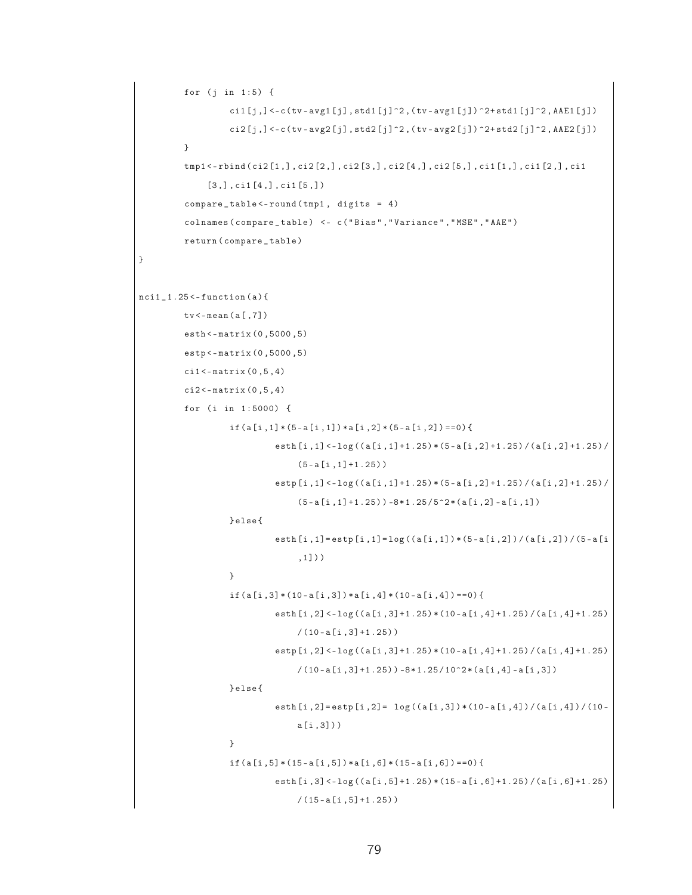```
for (j in 1:5) {
                    cil[j], \leq c (tv - avg1 [j], std1 [j] \geq, (tv - avg1 [j]) \geq + std1 [j] \geq, AAE1 [j])
                    c12[j, ] < -c (tv - avg2 [j], std2 [j] \hat{2}, (tv - avg2 [j]) \hat{2} + std2 [j] \hat{2}, AAE2 [j])
          }
          tmp1 <- rbind ( ci2 [1 ,] , ci2 [2 ,] , ci2 [3 ,] , ci2 [4 ,] , ci2 [5 ,] , ci1 [1 ,] , ci1 [2 ,] , ci1
               [3,], \text{ci1}[4,], \text{ci1}[5,])compare _ table <- round ( tmp1 , digits = 4)
          colnames ( compare _ table ) <- c ( " Bias " ," Variance " ," MSE " ," AAE " )
          return ( compare _ table )
}
nci1_1.25 < -function(a){
          tv <- mean ( a [ ,7])
          esth <- matrix (0 ,5000 ,5)
          estp <- matrix (0 ,5000 ,5)
          cil < -matrix (0, 5, 4)ci2 < -matrix (0, 5, 4)for (i in 1:5000) {
                    if ( a[i,1] * (5-a[i,1]) * a[i,2] * (5-a[i,2]) == 0 ){
                              esth [i ,1] <- log (( a [i ,1]+1.25) * (5 - a [i ,2]+1.25) / ( a [i ,2]+1.25) /
                                    (5 - a[i, 1] + 1.25))
                               estp [i ,1] <- log (( a [i ,1]+1.25) * (5 - a [i ,2]+1.25) / ( a [i ,2]+1.25) /
                                    (5 - a[i, 1]+1.25) ) -8 * 1.25 / 5^2 * (a[i, 2] - a[i, 1])} else {
                               esth [i ,1]= estp [i ,1]= log (( a [i ,1]) * (5 - a [i ,2]) / ( a [i ,2]) / (5 - a [i
                                    ,1]) )
                    }
                    if ( a[i,3] * (10-a[i,3]) * a[i,4] * (10-a[i,4]) == 0 ){
                              esth[i,2]<-log((a[i,3]+1.25)*(10-a[i,4]+1.25)/(a[i,4]+1.25)/(10 - a[i, 3] + 1.25))estp[i,2] < -log((a[i,3]+1.25)*(10-a[i,4]+1.25)/(a[i,4]+1.25)/(10 - a[i, 3]+1.25) -8*1.25/10^2*(a[i, 4] - a[i,3])} else {
                              esth [i, 2]= estp [i, 2]= log((a[i, 3]) * (10 - a[i, 4]) / (a[i, 4]) / (10 -a [i ,3]) )
                    }
                    if ( a[i, 5] * (15 - a[i, 5]) * a[i, 6] * (15 - a[i, 6]) == 0 )esth[i,3] < -log((a[i,5]+1.25)*(15-a[i,6]+1.25)/(a[i,6]+1.25)/(15 - a[i, 5] + 1.25))
```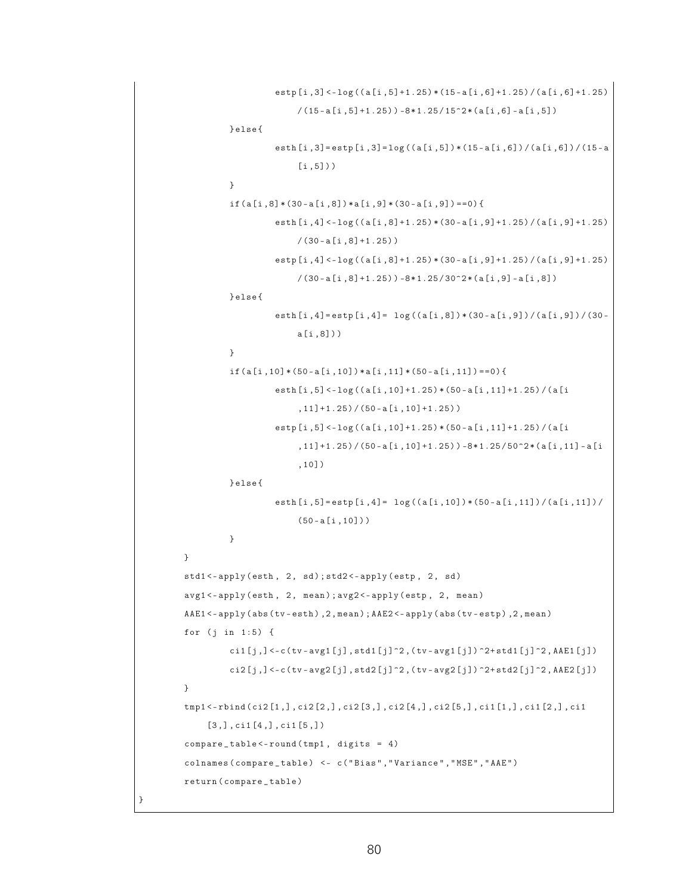```
estp[i,3]<-log((a[i,5]+1.25)*(15-a[i,6]+1.25)/(a[i,6]+1.25)/(15 - a[i, 5]+1.25) -8*1.25/15^2 * (a[i, 6] - a[i, 5])} else {
                    esth [i ,3]= estp [i ,3]= log (( a [i ,5]) * (15 - a [i ,6]) / ( a [i ,6]) / (15 - a
                         [i, 5])}
          if (a[i,8)*(30-a[i,8])*a[i,9)*(30-a[i,9]) == 0)esth [i ,4] <- log (( a [i ,8]+1.25) * (30 - a [i ,9]+1.25) / ( a [i ,9]+1.25)
                         /(30 - a[i, 8] + 1.25))estp [i ,4] <- log (( a [i ,8]+1.25) * (30 - a [i ,9]+1.25) / ( a [i ,9]+1.25)
                         /(30 - a[i, 8]+1.25) -8*1.25/30^2*(a[i, 9]-a[i, 8])} else {
                    esth [i, 4] = estp [i, 4] = log((a[i, 8]) * (30 - a[i, 9]) / (a[i, 9]) / (30 -a [i ,8]) )
          }
          if ( a [i,10] * (50 - a [i,10]) * a [i,11] * (50 - a [i,11]) = 0 )esth [i ,5] <- log (( a [i ,10]+1.25) * (50 - a [i ,11]+1.25) / ( a [i
                         ,11]+1.25 / (50 - a [i, 10] +1.25) )
                    estp [i ,5] <- log (( a [i ,10]+1.25) * (50 - a [i ,11]+1.25) / ( a [i
                         ,11]+1.25) / (50 - a[i, 10] + 1.25) ) -8 * 1.25 / 50^2 * (a[i, 11] - a[i],10])
         } else {
                    esth[i, 5] = estp[i, 4] = log((a[i, 10]) * (50 - a[i, 11])/ (a[i, 11])/(50 - a[i, 10]))
         }
}
std1<-apply(esth, 2, sd); std2<-apply(estp, 2, sd)
avg1 <- apply (esth, 2, mean); avg2 <- apply (estp, 2, mean)
AAE1 <- apply (abs (tv - esth), 2, mean); AAE2 <- apply (abs (tv - estp), 2, mean)
for (j in 1:5) {
          ci1 [j, ] < -c (tv - avg1 [j], std1 [j] ^2, (tv - avg1 [j]) ^2+ std1 [j] ^2, AAE1 [j])
         c12[j,] <-c (tv-avg2[j], std2[j]^2,(tv-avg2[j]) ^2+ std2[j]^2, AAE2 [j])
}
tmp1 <- rbind ( ci2 [1 ,] , ci2 [2 ,] , ci2 [3 ,] , ci2 [4 ,] , ci2 [5 ,] , ci1 [1 ,] , ci1 [2 ,] , ci1
     [3,], \text{ci1}[4,], \text{ci1}[5,])compare_table < -round(tmp1, digits = 4)colnames ( compare _ table ) <- c ( " Bias " ," Variance " ," MSE " ," AAE " )
return ( compare _ table )
```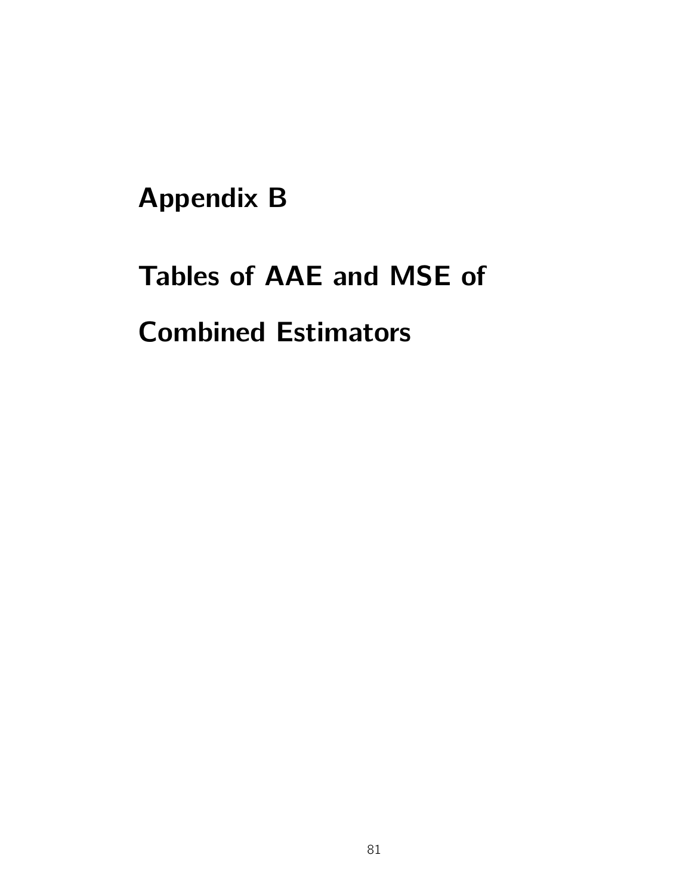## Appendix B

# Tables of AAE and MSE of Combined Estimators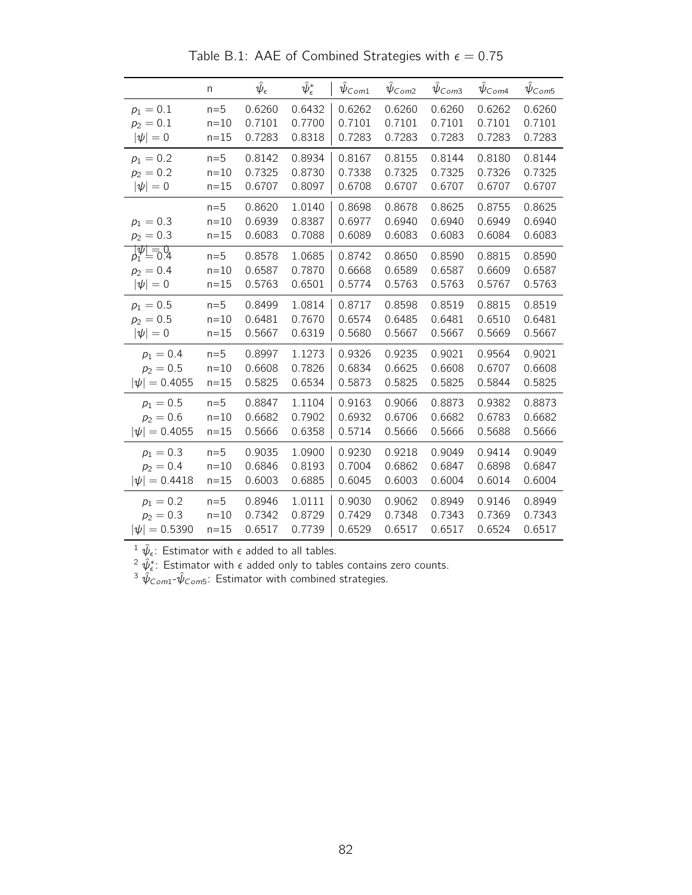|                                               | n                             | $\hat{\psi}_{\epsilon}$    | $\hat\psi_\epsilon^*$      | $\psi_{Com1}$              | $\hat{\psi}_{\textit{Com2}}$ | $\psi$ Com <sub>3</sub>    | $\psi_{Com4}$              | $\hat{\psi}_{\mathsf{Com5}}$ |
|-----------------------------------------------|-------------------------------|----------------------------|----------------------------|----------------------------|------------------------------|----------------------------|----------------------------|------------------------------|
| $p_1 = 0.1$                                   | $n=5$                         | 0.6260                     | 0.6432                     | 0.6262                     | 0.6260                       | 0.6260                     | 0.6262                     | 0.6260                       |
| $p_2 = 0.1$                                   | $n=10$                        | 0.7101                     | 0.7700                     | 0.7101                     | 0.7101                       | 0.7101                     | 0.7101                     | 0.7101                       |
| $ \psi =0$                                    | $n = 15$                      | 0.7283                     | 0.8318                     | 0.7283                     | 0.7283                       | 0.7283                     | 0.7283                     | 0.7283                       |
| $p_1 = 0.2$                                   | $n=5$                         | 0.8142                     | 0.8934                     | 0.8167                     | 0.8155                       | 0.8144                     | 0.8180                     | 0.8144                       |
| $p_2 = 0.2$                                   | $n = 10$                      | 0.7325                     | 0.8730                     | 0.7338                     | 0.7325                       | 0.7325                     | 0.7326                     | 0.7325                       |
| $ \psi =0$                                    | $n = 15$                      | 0.6707                     | 0.8097                     | 0.6708                     | 0.6707                       | 0.6707                     | 0.6707                     | 0.6707                       |
| $p_1 = 0.3$<br>$p_2 = 0.3$                    | $n=5$<br>$n = 10$<br>$n = 15$ | 0.8620<br>0.6939<br>0.6083 | 1.0140<br>0.8387<br>0.7088 | 0.8698<br>0.6977<br>0.6089 | 0.8678<br>0.6940<br>0.6083   | 0.8625<br>0.6940<br>0.6083 | 0.8755<br>0.6949<br>0.6084 | 0.8625<br>0.6940<br>0.6083   |
| $\frac{1}{2} \frac{\overline{\psi}}{1} = 0.4$ | $n=5$                         | 0.8578                     | 1.0685                     | 0.8742                     | 0.8650                       | 0.8590                     | 0.8815                     | 0.8590                       |
| $p_2 = 0.4$                                   | $n = 10$                      | 0.6587                     | 0.7870                     | 0.6668                     | 0.6589                       | 0.6587                     | 0.6609                     | 0.6587                       |
| $ \psi =0$                                    | $n = 15$                      | 0.5763                     | 0.6501                     | 0.5774                     | 0.5763                       | 0.5763                     | 0.5767                     | 0.5763                       |
| $p_1 = 0.5$                                   | $n=5$                         | 0.8499                     | 1.0814                     | 0.8717                     | 0.8598                       | 0.8519                     | 0.8815                     | 0.8519                       |
| $p_2 = 0.5$                                   | $n = 10$                      | 0.6481                     | 0.7670                     | 0.6574                     | 0.6485                       | 0.6481                     | 0.6510                     | 0.6481                       |
| $ \psi =0$                                    | $n=15$                        | 0.5667                     | 0.6319                     | 0.5680                     | 0.5667                       | 0.5667                     | 0.5669                     | 0.5667                       |
| $p_1 = 0.4$                                   | $n=5$                         | 0.8997                     | 1.1273                     | 0.9326                     | 0.9235                       | 0.9021                     | 0.9564                     | 0.9021                       |
| $p_2 = 0.5$                                   | $n=10$                        | 0.6608                     | 0.7826                     | 0.6834                     | 0.6625                       | 0.6608                     | 0.6707                     | 0.6608                       |
| $ \psi  = 0.4055$                             | $n = 15$                      | 0.5825                     | 0.6534                     | 0.5873                     | 0.5825                       | 0.5825                     | 0.5844                     | 0.5825                       |
| $p_1 = 0.5$                                   | $n=5$                         | 0.8847                     | 1.1104                     | 0.9163                     | 0.9066                       | 0.8873                     | 0.9382                     | 0.8873                       |
| $p_2 = 0.6$                                   | $n=10$                        | 0.6682                     | 0.7902                     | 0.6932                     | 0.6706                       | 0.6682                     | 0.6783                     | 0.6682                       |
| $ \psi  = 0.4055$                             | $n = 15$                      | 0.5666                     | 0.6358                     | 0.5714                     | 0.5666                       | 0.5666                     | 0.5688                     | 0.5666                       |
| $p_1 = 0.3$                                   | $n=5$                         | 0.9035                     | 1.0900                     | 0.9230                     | 0.9218                       | 0.9049                     | 0.9414                     | 0.9049                       |
| $p_2 = 0.4$                                   | $n=10$                        | 0.6846                     | 0.8193                     | 0.7004                     | 0.6862                       | 0.6847                     | 0.6898                     | 0.6847                       |
| $ \psi  = 0.4418$                             | $n = 15$                      | 0.6003                     | 0.6885                     | 0.6045                     | 0.6003                       | 0.6004                     | 0.6014                     | 0.6004                       |
| $p_1 = 0.2$                                   | $n=5$                         | 0.8946                     | 1.0111                     | 0.9030                     | 0.9062                       | 0.8949                     | 0.9146                     | 0.8949                       |
| $p_2 = 0.3$                                   | $n=10$                        | 0.7342                     | 0.8729                     | 0.7429                     | 0.7348                       | 0.7343                     | 0.7369                     | 0.7343                       |
| $ \psi  = 0.5390$                             | $n = 15$                      | 0.6517                     | 0.7739                     | 0.6529                     | 0.6517                       | 0.6517                     | 0.6524                     | 0.6517                       |

Table B.1: AAE of Combined Strategies with  $\epsilon = 0.75$ 

<sup>2</sup>  $\hat{\psi}_{\epsilon}^*$ : Estimator with  $\epsilon$  added only to tables contains zero counts.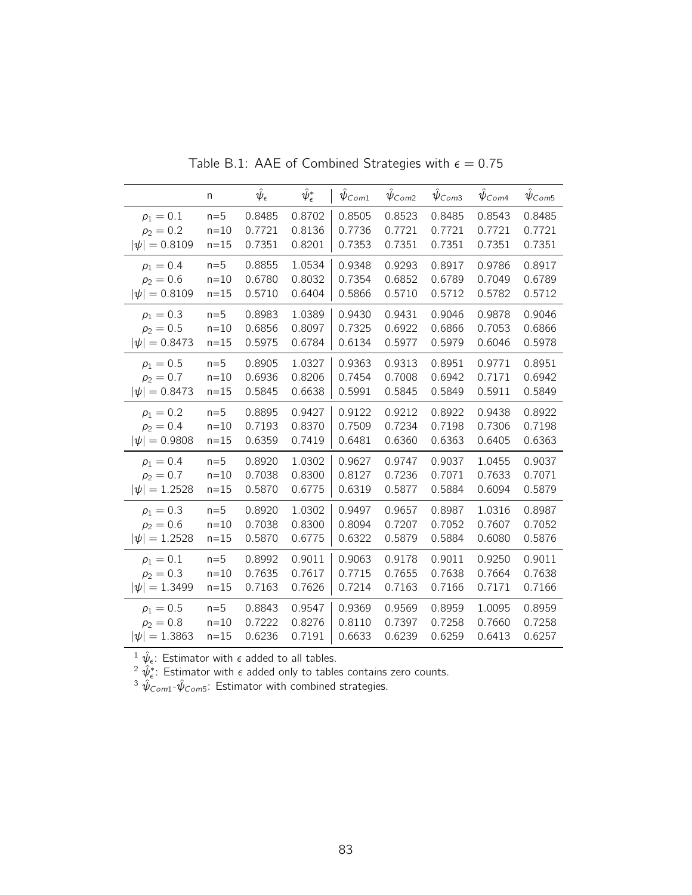|                   | n        | $\hat{\psi}_{\epsilon}$ | $\hat\psi_\epsilon^*$ | $\psi_{Com1}$ | $\hat{\psi}_{Com2}$ | $\hat{\psi}_{\textit{Com3}}$ | $\hat\psi_{\mathsf{Com4}}$ | $\hat{\psi}_{\textit{Com5}}$ |
|-------------------|----------|-------------------------|-----------------------|---------------|---------------------|------------------------------|----------------------------|------------------------------|
| $p_1 = 0.1$       | $n=5$    | 0.8485                  | 0.8702                | 0.8505        | 0.8523              | 0.8485                       | 0.8543                     | 0.8485                       |
| $p_2 = 0.2$       | $n=10$   | 0.7721                  | 0.8136                | 0.7736        | 0.7721              | 0.7721                       | 0.7721                     | 0.7721                       |
| $ \psi  = 0.8109$ | $n = 15$ | 0.7351                  | 0.8201                | 0.7353        | 0.7351              | 0.7351                       | 0.7351                     | 0.7351                       |
| $p_1 = 0.4$       | $n=5$    | 0.8855                  | 1.0534                | 0.9348        | 0.9293              | 0.8917                       | 0.9786                     | 0.8917                       |
| $p_2 = 0.6$       | $n=10$   | 0.6780                  | 0.8032                | 0.7354        | 0.6852              | 0.6789                       | 0.7049                     | 0.6789                       |
| $ \psi  = 0.8109$ | $n = 15$ | 0.5710                  | 0.6404                | 0.5866        | 0.5710              | 0.5712                       | 0.5782                     | 0.5712                       |
| $p_1 = 0.3$       | $n=5$    | 0.8983                  | 1.0389                | 0.9430        | 0.9431              | 0.9046                       | 0.9878                     | 0.9046                       |
| $p_2 = 0.5$       | $n = 10$ | 0.6856                  | 0.8097                | 0.7325        | 0.6922              | 0.6866                       | 0.7053                     | 0.6866                       |
| $ \psi  = 0.8473$ | $n = 15$ | 0.5975                  | 0.6784                | 0.6134        | 0.5977              | 0.5979                       | 0.6046                     | 0.5978                       |
| $p_1 = 0.5$       | $n=5$    | 0.8905                  | 1.0327                | 0.9363        | 0.9313              | 0.8951                       | 0.9771                     | 0.8951                       |
| $p_2 = 0.7$       | $n = 10$ | 0.6936                  | 0.8206                | 0.7454        | 0.7008              | 0.6942                       | 0.7171                     | 0.6942                       |
| $ \psi  = 0.8473$ | $n=15$   | 0.5845                  | 0.6638                | 0.5991        | 0.5845              | 0.5849                       | 0.5911                     | 0.5849                       |
| $p_1 = 0.2$       | $n=5$    | 0.8895                  | 0.9427                | 0.9122        | 0.9212              | 0.8922                       | 0.9438                     | 0.8922                       |
| $p_2 = 0.4$       | $n = 10$ | 0.7193                  | 0.8370                | 0.7509        | 0.7234              | 0.7198                       | 0.7306                     | 0.7198                       |
| $ \psi  = 0.9808$ | $n = 15$ | 0.6359                  | 0.7419                | 0.6481        | 0.6360              | 0.6363                       | 0.6405                     | 0.6363                       |
| $p_1 = 0.4$       | $n=5$    | 0.8920                  | 1.0302                | 0.9627        | 0.9747              | 0.9037                       | 1.0455                     | 0.9037                       |
| $p_2 = 0.7$       | $n = 10$ | 0.7038                  | 0.8300                | 0.8127        | 0.7236              | 0.7071                       | 0.7633                     | 0.7071                       |
| $ \psi  = 1.2528$ | $n = 15$ | 0.5870                  | 0.6775                | 0.6319        | 0.5877              | 0.5884                       | 0.6094                     | 0.5879                       |
| $p_1 = 0.3$       | $n=5$    | 0.8920                  | 1.0302                | 0.9497        | 0.9657              | 0.8987                       | 1.0316                     | 0.8987                       |
| $p_2 = 0.6$       | $n = 10$ | 0.7038                  | 0.8300                | 0.8094        | 0.7207              | 0.7052                       | 0.7607                     | 0.7052                       |
| $ \psi  = 1.2528$ | $n = 15$ | 0.5870                  | 0.6775                | 0.6322        | 0.5879              | 0.5884                       | 0.6080                     | 0.5876                       |
| $p_1 = 0.1$       | $n=5$    | 0.8992                  | 0.9011                | 0.9063        | 0.9178              | 0.9011                       | 0.9250                     | 0.9011                       |
| $p_2 = 0.3$       | $n=10$   | 0.7635                  | 0.7617                | 0.7715        | 0.7655              | 0.7638                       | 0.7664                     | 0.7638                       |
| $ \psi  = 1.3499$ | $n = 15$ | 0.7163                  | 0.7626                | 0.7214        | 0.7163              | 0.7166                       | 0.7171                     | 0.7166                       |
| $p_1 = 0.5$       | $n=5$    | 0.8843                  | 0.9547                | 0.9369        | 0.9569              | 0.8959                       | 1.0095                     | 0.8959                       |
| $p_2 = 0.8$       | $n=10$   | 0.7222                  | 0.8276                | 0.8110        | 0.7397              | 0.7258                       | 0.7660                     | 0.7258                       |
| $ \psi  = 1.3863$ | $n = 15$ | 0.6236                  | 0.7191                | 0.6633        | 0.6239              | 0.6259                       | 0.6413                     | 0.6257                       |

Table B.1: AAE of Combined Strategies with  $\epsilon = 0.75$ 

 $^{2} \hat{\psi}_{\epsilon}^*$ : Estimator with  $\epsilon$  added only to tables contains zero counts.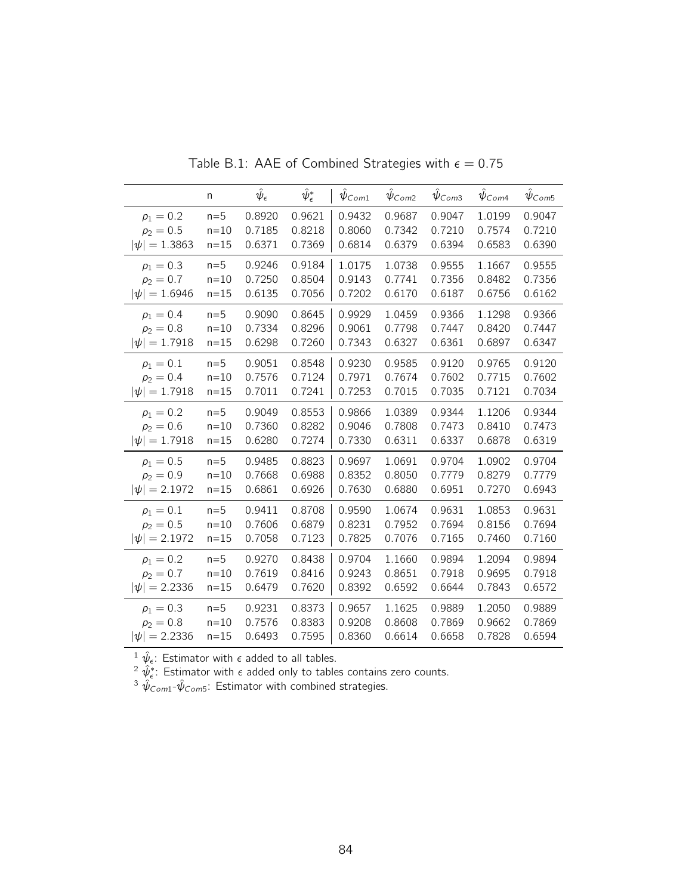|                   | n        | $\hat{\psi}_{\epsilon}$ | $\hat\psi_\epsilon^*$ | $\hat{\psi}_{\mathsf{Com1}}$ | $\hat{\psi}_{Com2}$ | $\hat{\psi}_{\textit{Com3}}$ | $\hat\psi_{\mathsf{Com4}}$ | $\hat{\psi}_{\textit{Com5}}$ |
|-------------------|----------|-------------------------|-----------------------|------------------------------|---------------------|------------------------------|----------------------------|------------------------------|
| $p_1 = 0.2$       | $n=5$    | 0.8920                  | 0.9621                | 0.9432                       | 0.9687              | 0.9047                       | 1.0199                     | 0.9047                       |
| $p_2 = 0.5$       | $n=10$   | 0.7185                  | 0.8218                | 0.8060                       | 0.7342              | 0.7210                       | 0.7574                     | 0.7210                       |
| $ \psi  = 1.3863$ | $n = 15$ | 0.6371                  | 0.7369                | 0.6814                       | 0.6379              | 0.6394                       | 0.6583                     | 0.6390                       |
| $p_1 = 0.3$       | $n=5$    | 0.9246                  | 0.9184                | 1.0175                       | 1.0738              | 0.9555                       | 1.1667                     | 0.9555                       |
| $p_2 = 0.7$       | $n=10$   | 0.7250                  | 0.8504                | 0.9143                       | 0.7741              | 0.7356                       | 0.8482                     | 0.7356                       |
| $ \psi  = 1.6946$ | $n = 15$ | 0.6135                  | 0.7056                | 0.7202                       | 0.6170              | 0.6187                       | 0.6756                     | 0.6162                       |
| $p_1 = 0.4$       | $n=5$    | 0.9090                  | 0.8645                | 0.9929                       | 1.0459              | 0.9366                       | 1.1298                     | 0.9366                       |
| $p_2 = 0.8$       | $n = 10$ | 0.7334                  | 0.8296                | 0.9061                       | 0.7798              | 0.7447                       | 0.8420                     | 0.7447                       |
| $ \psi  = 1.7918$ | $n = 15$ | 0.6298                  | 0.7260                | 0.7343                       | 0.6327              | 0.6361                       | 0.6897                     | 0.6347                       |
| $p_1 = 0.1$       | $n=5$    | 0.9051                  | 0.8548                | 0.9230                       | 0.9585              | 0.9120                       | 0.9765                     | 0.9120                       |
| $p_2 = 0.4$       | $n = 10$ | 0.7576                  | 0.7124                | 0.7971                       | 0.7674              | 0.7602                       | 0.7715                     | 0.7602                       |
| $ \psi  = 1.7918$ | $n=15$   | 0.7011                  | 0.7241                | 0.7253                       | 0.7015              | 0.7035                       | 0.7121                     | 0.7034                       |
| $p_1 = 0.2$       | $n=5$    | 0.9049                  | 0.8553                | 0.9866                       | 1.0389              | 0.9344                       | 1.1206                     | 0.9344                       |
| $p_2 = 0.6$       | $n = 10$ | 0.7360                  | 0.8282                | 0.9046                       | 0.7808              | 0.7473                       | 0.8410                     | 0.7473                       |
| $ \psi  = 1.7918$ | $n = 15$ | 0.6280                  | 0.7274                | 0.7330                       | 0.6311              | 0.6337                       | 0.6878                     | 0.6319                       |
| $p_1 = 0.5$       | $n=5$    | 0.9485                  | 0.8823                | 0.9697                       | 1.0691              | 0.9704                       | 1.0902                     | 0.9704                       |
| $p_2 = 0.9$       | $n = 10$ | 0.7668                  | 0.6988                | 0.8352                       | 0.8050              | 0.7779                       | 0.8279                     | 0.7779                       |
| $ \psi  = 2.1972$ | $n = 15$ | 0.6861                  | 0.6926                | 0.7630                       | 0.6880              | 0.6951                       | 0.7270                     | 0.6943                       |
| $p_1 = 0.1$       | $n=5$    | 0.9411                  | 0.8708                | 0.9590                       | 1.0674              | 0.9631                       | 1.0853                     | 0.9631                       |
| $p_2 = 0.5$       | $n = 10$ | 0.7606                  | 0.6879                | 0.8231                       | 0.7952              | 0.7694                       | 0.8156                     | 0.7694                       |
| $ \psi  = 2.1972$ | $n = 15$ | 0.7058                  | 0.7123                | 0.7825                       | 0.7076              | 0.7165                       | 0.7460                     | 0.7160                       |
| $p_1 = 0.2$       | $n=5$    | 0.9270                  | 0.8438                | 0.9704                       | 1.1660              | 0.9894                       | 1.2094                     | 0.9894                       |
| $p_2 = 0.7$       | $n=10$   | 0.7619                  | 0.8416                | 0.9243                       | 0.8651              | 0.7918                       | 0.9695                     | 0.7918                       |
| $ \psi  = 2.2336$ | $n = 15$ | 0.6479                  | 0.7620                | 0.8392                       | 0.6592              | 0.6644                       | 0.7843                     | 0.6572                       |
| $p_1 = 0.3$       | $n=5$    | 0.9231                  | 0.8373                | 0.9657                       | 1.1625              | 0.9889                       | 1.2050                     | 0.9889                       |
| $p_2 = 0.8$       | $n=10$   | 0.7576                  | 0.8383                | 0.9208                       | 0.8608              | 0.7869                       | 0.9662                     | 0.7869                       |
| $ \psi  = 2.2336$ | $n = 15$ | 0.6493                  | 0.7595                | 0.8360                       | 0.6614              | 0.6658                       | 0.7828                     | 0.6594                       |

Table B.1: AAE of Combined Strategies with  $\epsilon = 0.75$ 

 $^{2} \hat{\psi}_{\epsilon}^*$ : Estimator with  $\epsilon$  added only to tables contains zero counts.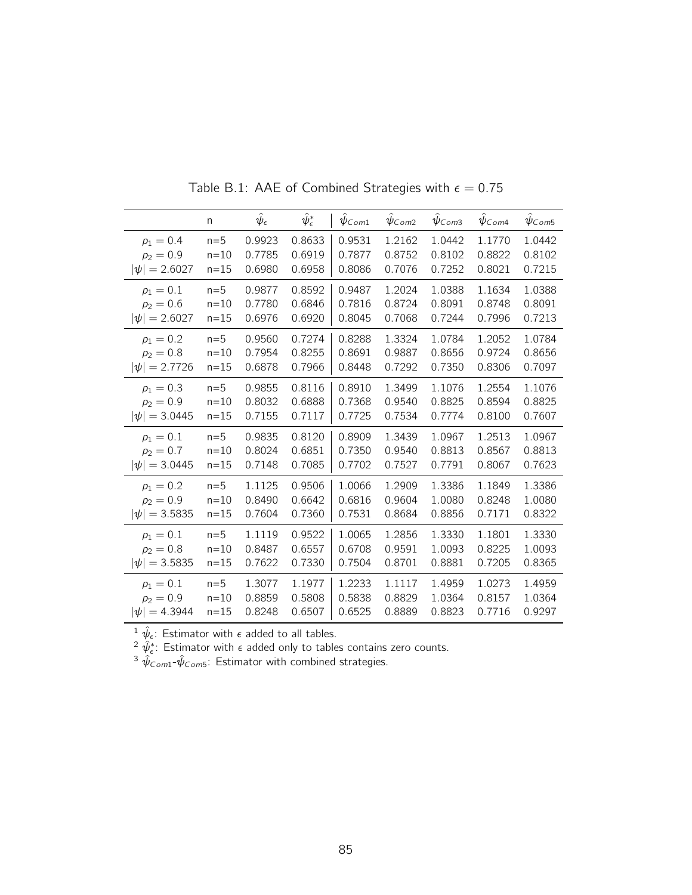|                   | n        | $\hat{\psi}_{\epsilon}$ | $\hat\psi_\epsilon^*$ | $\psi_{Com1}$ | $\hat{\psi}_{\textit{Com2}}$ | $\hat{\psi}_{\textit{Com3}}$ | $\hat{\psi}_{\mathsf{Com4}}$ | $\hat{\psi}_{\textit{Com5}}$ |
|-------------------|----------|-------------------------|-----------------------|---------------|------------------------------|------------------------------|------------------------------|------------------------------|
| $p_1 = 0.4$       | $n=5$    | 0.9923                  | 0.8633                | 0.9531        | 1.2162                       | 1.0442                       | 1.1770                       | 1.0442                       |
| $p_2 = 0.9$       | $n=10$   | 0.7785                  | 0.6919                | 0.7877        | 0.8752                       | 0.8102                       | 0.8822                       | 0.8102                       |
| $ \psi  = 2.6027$ | $n=15$   | 0.6980                  | 0.6958                | 0.8086        | 0.7076                       | 0.7252                       | 0.8021                       | 0.7215                       |
| $p_1 = 0.1$       | $n=5$    | 0.9877                  | 0.8592                | 0.9487        | 1.2024                       | 1.0388                       | 1.1634                       | 1.0388                       |
| $p_2 = 0.6$       | $n=10$   | 0.7780                  | 0.6846                | 0.7816        | 0.8724                       | 0.8091                       | 0.8748                       | 0.8091                       |
| $ \psi  = 2.6027$ | $n=15$   | 0.6976                  | 0.6920                | 0.8045        | 0.7068                       | 0.7244                       | 0.7996                       | 0.7213                       |
| $p_1 = 0.2$       | $n=5$    | 0.9560                  | 0.7274                | 0.8288        | 1.3324                       | 1.0784                       | 1.2052                       | 1.0784                       |
| $p_2 = 0.8$       | $n=10$   | 0.7954                  | 0.8255                | 0.8691        | 0.9887                       | 0.8656                       | 0.9724                       | 0.8656                       |
| $ \psi  = 2.7726$ | $n = 15$ | 0.6878                  | 0.7966                | 0.8448        | 0.7292                       | 0.7350                       | 0.8306                       | 0.7097                       |
| $p_1 = 0.3$       | $n=5$    | 0.9855                  | 0.8116                | 0.8910        | 1.3499                       | 1.1076                       | 1.2554                       | 1.1076                       |
| $p_2 = 0.9$       | $n = 10$ | 0.8032                  | 0.6888                | 0.7368        | 0.9540                       | 0.8825                       | 0.8594                       | 0.8825                       |
| $ \psi  = 3.0445$ | $n=15$   | 0.7155                  | 0.7117                | 0.7725        | 0.7534                       | 0.7774                       | 0.8100                       | 0.7607                       |
| $p_1 = 0.1$       | $n=5$    | 0.9835                  | 0.8120                | 0.8909        | 1.3439                       | 1.0967                       | 1.2513                       | 1.0967                       |
| $p_2 = 0.7$       | $n=10$   | 0.8024                  | 0.6851                | 0.7350        | 0.9540                       | 0.8813                       | 0.8567                       | 0.8813                       |
| $ \psi  = 3.0445$ | $n=15$   | 0.7148                  | 0.7085                | 0.7702        | 0.7527                       | 0.7791                       | 0.8067                       | 0.7623                       |
| $p_1 = 0.2$       | $n=5$    | 1.1125                  | 0.9506                | 1.0066        | 1.2909                       | 1.3386                       | 1.1849                       | 1.3386                       |
| $p_2 = 0.9$       | $n=10$   | 0.8490                  | 0.6642                | 0.6816        | 0.9604                       | 1.0080                       | 0.8248                       | 1.0080                       |
| $ \psi  = 3.5835$ | $n=15$   | 0.7604                  | 0.7360                | 0.7531        | 0.8684                       | 0.8856                       | 0.7171                       | 0.8322                       |
| $p_1 = 0.1$       | $n=5$    | 1.1119                  | 0.9522                | 1.0065        | 1.2856                       | 1.3330                       | 1.1801                       | 1.3330                       |
| $p_2 = 0.8$       | $n=10$   | 0.8487                  | 0.6557                | 0.6708        | 0.9591                       | 1.0093                       | 0.8225                       | 1.0093                       |
| $ \psi  = 3.5835$ | $n=15$   | 0.7622                  | 0.7330                | 0.7504        | 0.8701                       | 0.8881                       | 0.7205                       | 0.8365                       |
| $p_1 = 0.1$       | $n=5$    | 1.3077                  | 1.1977                | 1.2233        | 1.1117                       | 1.4959                       | 1.0273                       | 1.4959                       |
| $p_2 = 0.9$       | $n = 10$ | 0.8859                  | 0.5808                | 0.5838        | 0.8829                       | 1.0364                       | 0.8157                       | 1.0364                       |
| $ \psi  = 4.3944$ | $n = 15$ | 0.8248                  | 0.6507                | 0.6525        | 0.8889                       | 0.8823                       | 0.7716                       | 0.9297                       |

Table B.1: AAE of Combined Strategies with  $\epsilon = 0.75$ 

<sup>2</sup>  $\hat{\psi}_{\epsilon}^*$ : Estimator with  $\epsilon$  added only to tables contains zero counts.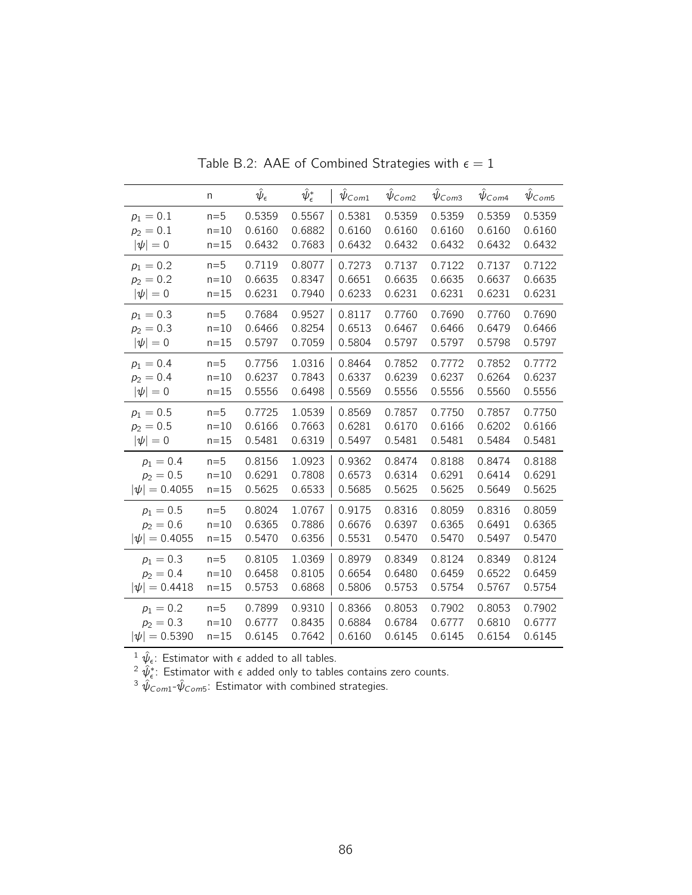|                   | n        | $\hat{\psi}_{\epsilon}$ | $\hat\psi_\epsilon^*$ | $\psi_{Com1}$ | $\psi_{Com2}$ | $\psi$ Com <sub>3</sub> | $\hat{\psi}_{\textit{Com4}}$ | $\hat{\psi}_{\textit{Com5}}$ |
|-------------------|----------|-------------------------|-----------------------|---------------|---------------|-------------------------|------------------------------|------------------------------|
| $p_1 = 0.1$       | $n=5$    | 0.5359                  | 0.5567                | 0.5381        | 0.5359        | 0.5359                  | 0.5359                       | 0.5359                       |
| $p_2 = 0.1$       | $n = 10$ | 0.6160                  | 0.6882                | 0.6160        | 0.6160        | 0.6160                  | 0.6160                       | 0.6160                       |
| $ \psi =0$        | $n=15$   | 0.6432                  | 0.7683                | 0.6432        | 0.6432        | 0.6432                  | 0.6432                       | 0.6432                       |
| $p_1 = 0.2$       | $n=5$    | 0.7119                  | 0.8077                | 0.7273        | 0.7137        | 0.7122                  | 0.7137                       | 0.7122                       |
| $p_2 = 0.2$       | $n=10$   | 0.6635                  | 0.8347                | 0.6651        | 0.6635        | 0.6635                  | 0.6637                       | 0.6635                       |
| $ \psi =0$        | $n=15$   | 0.6231                  | 0.7940                | 0.6233        | 0.6231        | 0.6231                  | 0.6231                       | 0.6231                       |
| $p_1 = 0.3$       | $n=5$    | 0.7684                  | 0.9527                | 0.8117        | 0.7760        | 0.7690                  | 0.7760                       | 0.7690                       |
| $p_2 = 0.3$       | $n = 10$ | 0.6466                  | 0.8254                | 0.6513        | 0.6467        | 0.6466                  | 0.6479                       | 0.6466                       |
| $ \psi =0$        | $n = 15$ | 0.5797                  | 0.7059                | 0.5804        | 0.5797        | 0.5797                  | 0.5798                       | 0.5797                       |
| $p_1 = 0.4$       | $n=5$    | 0.7756                  | 1.0316                | 0.8464        | 0.7852        | 0.7772                  | 0.7852                       | 0.7772                       |
| $p_2 = 0.4$       | $n=10$   | 0.6237                  | 0.7843                | 0.6337        | 0.6239        | 0.6237                  | 0.6264                       | 0.6237                       |
| $ \psi =0$        | $n=15$   | 0.5556                  | 0.6498                | 0.5569        | 0.5556        | 0.5556                  | 0.5560                       | 0.5556                       |
| $p_1 = 0.5$       | $n=5$    | 0.7725                  | 1.0539                | 0.8569        | 0.7857        | 0.7750                  | 0.7857                       | 0.7750                       |
| $p_2 = 0.5$       | $n=10$   | 0.6166                  | 0.7663                | 0.6281        | 0.6170        | 0.6166                  | 0.6202                       | 0.6166                       |
| $ \psi =0$        | $n = 15$ | 0.5481                  | 0.6319                | 0.5497        | 0.5481        | 0.5481                  | 0.5484                       | 0.5481                       |
| $p_1 = 0.4$       | $n=5$    | 0.8156                  | 1.0923                | 0.9362        | 0.8474        | 0.8188                  | 0.8474                       | 0.8188                       |
| $p_2 = 0.5$       | $n=10$   | 0.6291                  | 0.7808                | 0.6573        | 0.6314        | 0.6291                  | 0.6414                       | 0.6291                       |
| $ \psi  = 0.4055$ | $n=15$   | 0.5625                  | 0.6533                | 0.5685        | 0.5625        | 0.5625                  | 0.5649                       | 0.5625                       |
| $p_1 = 0.5$       | $n=5$    | 0.8024                  | 1.0767                | 0.9175        | 0.8316        | 0.8059                  | 0.8316                       | 0.8059                       |
| $p_2 = 0.6$       | $n=10$   | 0.6365                  | 0.7886                | 0.6676        | 0.6397        | 0.6365                  | 0.6491                       | 0.6365                       |
| $ \psi  = 0.4055$ | $n=15$   | 0.5470                  | 0.6356                | 0.5531        | 0.5470        | 0.5470                  | 0.5497                       | 0.5470                       |
| $p_1 = 0.3$       | $n=5$    | 0.8105                  | 1.0369                | 0.8979        | 0.8349        | 0.8124                  | 0.8349                       | 0.8124                       |
| $p_2 = 0.4$       | $n=10$   | 0.6458                  | 0.8105                | 0.6654        | 0.6480        | 0.6459                  | 0.6522                       | 0.6459                       |
| $ \psi  = 0.4418$ | $n=15$   | 0.5753                  | 0.6868                | 0.5806        | 0.5753        | 0.5754                  | 0.5767                       | 0.5754                       |
| $p_1 = 0.2$       | $n=5$    | 0.7899                  | 0.9310                | 0.8366        | 0.8053        | 0.7902                  | 0.8053                       | 0.7902                       |
| $p_2 = 0.3$       | $n=10$   | 0.6777                  | 0.8435                | 0.6884        | 0.6784        | 0.6777                  | 0.6810                       | 0.6777                       |
| $ \psi  = 0.5390$ | $n = 15$ | 0.6145                  | 0.7642                | 0.6160        | 0.6145        | 0.6145                  | 0.6154                       | 0.6145                       |

Table B.2: AAE of Combined Strategies with  $\epsilon = 1$ 

 $^{2} \hat{\psi}_{\epsilon}^*$ : Estimator with  $\epsilon$  added only to tables contains zero counts.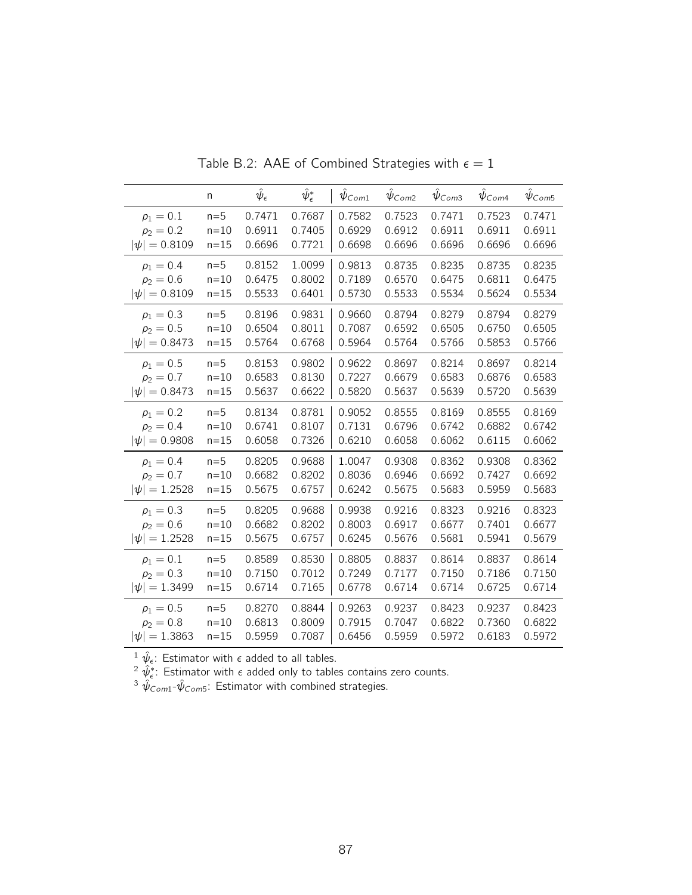|                   | n        | $\hat{\psi}_{\epsilon}$ | $\hat\psi_\epsilon^*$ | $\psi_{Com1}$ | $\hat{\psi}_{\text{Com2}}$ | $\hat{\psi}_{\textit{Com3}}$ | $\hat{\psi}_{\mathsf{Com4}}$ | $\hat{\psi}_{\text{Com5}}$ |
|-------------------|----------|-------------------------|-----------------------|---------------|----------------------------|------------------------------|------------------------------|----------------------------|
| $p_1 = 0.1$       | $n=5$    | 0.7471                  | 0.7687                | 0.7582        | 0.7523                     | 0.7471                       | 0.7523                       | 0.7471                     |
| $p_2 = 0.2$       | $n=10$   | 0.6911                  | 0.7405                | 0.6929        | 0.6912                     | 0.6911                       | 0.6911                       | 0.6911                     |
| $ \psi  = 0.8109$ | $n = 15$ | 0.6696                  | 0.7721                | 0.6698        | 0.6696                     | 0.6696                       | 0.6696                       | 0.6696                     |
| $p_1 = 0.4$       | $n=5$    | 0.8152                  | 1.0099                | 0.9813        | 0.8735                     | 0.8235                       | 0.8735                       | 0.8235                     |
| $p_2 = 0.6$       | $n = 10$ | 0.6475                  | 0.8002                | 0.7189        | 0.6570                     | 0.6475                       | 0.6811                       | 0.6475                     |
| $ \psi  = 0.8109$ | $n=15$   | 0.5533                  | 0.6401                | 0.5730        | 0.5533                     | 0.5534                       | 0.5624                       | 0.5534                     |
| $p_1 = 0.3$       | $n=5$    | 0.8196                  | 0.9831                | 0.9660        | 0.8794                     | 0.8279                       | 0.8794                       | 0.8279                     |
| $p_2 = 0.5$       | $n=10$   | 0.6504                  | 0.8011                | 0.7087        | 0.6592                     | 0.6505                       | 0.6750                       | 0.6505                     |
| $ \psi  = 0.8473$ | $n = 15$ | 0.5764                  | 0.6768                | 0.5964        | 0.5764                     | 0.5766                       | 0.5853                       | 0.5766                     |
| $p_1 = 0.5$       | $n=5$    | 0.8153                  | 0.9802                | 0.9622        | 0.8697                     | 0.8214                       | 0.8697                       | 0.8214                     |
| $p_2 = 0.7$       | $n = 10$ | 0.6583                  | 0.8130                | 0.7227        | 0.6679                     | 0.6583                       | 0.6876                       | 0.6583                     |
| $ \psi  = 0.8473$ | $n = 15$ | 0.5637                  | 0.6622                | 0.5820        | 0.5637                     | 0.5639                       | 0.5720                       | 0.5639                     |
| $p_1 = 0.2$       | $n=5$    | 0.8134                  | 0.8781                | 0.9052        | 0.8555                     | 0.8169                       | 0.8555                       | 0.8169                     |
| $p_2 = 0.4$       | $n = 10$ | 0.6741                  | 0.8107                | 0.7131        | 0.6796                     | 0.6742                       | 0.6882                       | 0.6742                     |
| $ \psi  = 0.9808$ | $n = 15$ | 0.6058                  | 0.7326                | 0.6210        | 0.6058                     | 0.6062                       | 0.6115                       | 0.6062                     |
| $p_1 = 0.4$       | $n=5$    | 0.8205                  | 0.9688                | 1.0047        | 0.9308                     | 0.8362                       | 0.9308                       | 0.8362                     |
| $p_2 = 0.7$       | $n = 10$ | 0.6682                  | 0.8202                | 0.8036        | 0.6946                     | 0.6692                       | 0.7427                       | 0.6692                     |
| $ \psi  = 1.2528$ | $n = 15$ | 0.5675                  | 0.6757                | 0.6242        | 0.5675                     | 0.5683                       | 0.5959                       | 0.5683                     |
| $p_1 = 0.3$       | $n=5$    | 0.8205                  | 0.9688                | 0.9938        | 0.9216                     | 0.8323                       | 0.9216                       | 0.8323                     |
| $p_2 = 0.6$       | $n=10$   | 0.6682                  | 0.8202                | 0.8003        | 0.6917                     | 0.6677                       | 0.7401                       | 0.6677                     |
| $ \psi  = 1.2528$ | $n = 15$ | 0.5675                  | 0.6757                | 0.6245        | 0.5676                     | 0.5681                       | 0.5941                       | 0.5679                     |
| $p_1 = 0.1$       | $n=5$    | 0.8589                  | 0.8530                | 0.8805        | 0.8837                     | 0.8614                       | 0.8837                       | 0.8614                     |
| $p_2 = 0.3$       | $n = 10$ | 0.7150                  | 0.7012                | 0.7249        | 0.7177                     | 0.7150                       | 0.7186                       | 0.7150                     |
| $ \psi  = 1.3499$ | $n = 15$ | 0.6714                  | 0.7165                | 0.6778        | 0.6714                     | 0.6714                       | 0.6725                       | 0.6714                     |
| $p_1 = 0.5$       | $n=5$    | 0.8270                  | 0.8844                | 0.9263        | 0.9237                     | 0.8423                       | 0.9237                       | 0.8423                     |
| $p_2 = 0.8$       | $n=10$   | 0.6813                  | 0.8009                | 0.7915        | 0.7047                     | 0.6822                       | 0.7360                       | 0.6822                     |
| $ \psi  = 1.3863$ | $n = 15$ | 0.5959                  | 0.7087                | 0.6456        | 0.5959                     | 0.5972                       | 0.6183                       | 0.5972                     |

Table B.2: AAE of Combined Strategies with  $\epsilon = 1$ 

 $^{2} \hat{\psi}_{\epsilon}^*$ : Estimator with  $\epsilon$  added only to tables contains zero counts.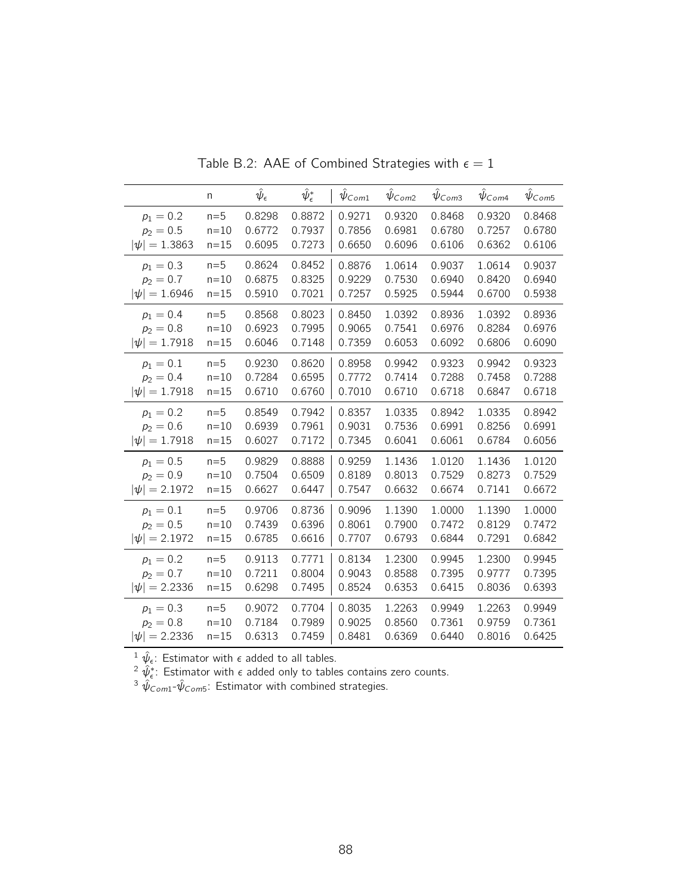|                   | n        | $\hat{\psi}_{\epsilon}$ | $\hat\psi_\epsilon^*$ | $\psi_{Com1}$ | $\hat{\psi}_{\text{Com2}}$ | $\hat{\psi}_{\textit{Com3}}$ | $\hat{\psi}_{\mathsf{Com4}}$ | $\hat{\psi}_{\mathsf{Com5}}$ |
|-------------------|----------|-------------------------|-----------------------|---------------|----------------------------|------------------------------|------------------------------|------------------------------|
| $p_1 = 0.2$       | $n=5$    | 0.8298                  | 0.8872                | 0.9271        | 0.9320                     | 0.8468                       | 0.9320                       | 0.8468                       |
| $p_2 = 0.5$       | $n=10$   | 0.6772                  | 0.7937                | 0.7856        | 0.6981                     | 0.6780                       | 0.7257                       | 0.6780                       |
| $ \psi  = 1.3863$ | $n=15$   | 0.6095                  | 0.7273                | 0.6650        | 0.6096                     | 0.6106                       | 0.6362                       | 0.6106                       |
| $p_1 = 0.3$       | $n=5$    | 0.8624                  | 0.8452                | 0.8876        | 1.0614                     | 0.9037                       | 1.0614                       | 0.9037                       |
| $p_2 = 0.7$       | $n = 10$ | 0.6875                  | 0.8325                | 0.9229        | 0.7530                     | 0.6940                       | 0.8420                       | 0.6940                       |
| $ \psi  = 1.6946$ | $n=15$   | 0.5910                  | 0.7021                | 0.7257        | 0.5925                     | 0.5944                       | 0.6700                       | 0.5938                       |
| $p_1 = 0.4$       | $n=5$    | 0.8568                  | 0.8023                | 0.8450        | 1.0392                     | 0.8936                       | 1.0392                       | 0.8936                       |
| $p_2 = 0.8$       | $n=10$   | 0.6923                  | 0.7995                | 0.9065        | 0.7541                     | 0.6976                       | 0.8284                       | 0.6976                       |
| $ \psi  = 1.7918$ | $n=15$   | 0.6046                  | 0.7148                | 0.7359        | 0.6053                     | 0.6092                       | 0.6806                       | 0.6090                       |
| $p_1 = 0.1$       | $n=5$    | 0.9230                  | 0.8620                | 0.8958        | 0.9942                     | 0.9323                       | 0.9942                       | 0.9323                       |
| $p_2 = 0.4$       | $n = 10$ | 0.7284                  | 0.6595                | 0.7772        | 0.7414                     | 0.7288                       | 0.7458                       | 0.7288                       |
| $ \psi  = 1.7918$ | $n=15$   | 0.6710                  | 0.6760                | 0.7010        | 0.6710                     | 0.6718                       | 0.6847                       | 0.6718                       |
| $p_1 = 0.2$       | $n=5$    | 0.8549                  | 0.7942                | 0.8357        | 1.0335                     | 0.8942                       | 1.0335                       | 0.8942                       |
| $p_2 = 0.6$       | $n=10$   | 0.6939                  | 0.7961                | 0.9031        | 0.7536                     | 0.6991                       | 0.8256                       | 0.6991                       |
| $ \psi  = 1.7918$ | $n=15$   | 0.6027                  | 0.7172                | 0.7345        | 0.6041                     | 0.6061                       | 0.6784                       | 0.6056                       |
| $p_1 = 0.5$       | $n=5$    | 0.9829                  | 0.8888                | 0.9259        | 1.1436                     | 1.0120                       | 1.1436                       | 1.0120                       |
| $p_2 = 0.9$       | $n=10$   | 0.7504                  | 0.6509                | 0.8189        | 0.8013                     | 0.7529                       | 0.8273                       | 0.7529                       |
| $ \psi  = 2.1972$ | $n=15$   | 0.6627                  | 0.6447                | 0.7547        | 0.6632                     | 0.6674                       | 0.7141                       | 0.6672                       |
| $p_1 = 0.1$       | $n=5$    | 0.9706                  | 0.8736                | 0.9096        | 1.1390                     | 1.0000                       | 1.1390                       | 1.0000                       |
| $p_2 = 0.5$       | $n=10$   | 0.7439                  | 0.6396                | 0.8061        | 0.7900                     | 0.7472                       | 0.8129                       | 0.7472                       |
| $ \psi  = 2.1972$ | $n=15$   | 0.6785                  | 0.6616                | 0.7707        | 0.6793                     | 0.6844                       | 0.7291                       | 0.6842                       |
| $p_1 = 0.2$       | $n=5$    | 0.9113                  | 0.7771                | 0.8134        | 1.2300                     | 0.9945                       | 1.2300                       | 0.9945                       |
| $p_2 = 0.7$       | $n=10$   | 0.7211                  | 0.8004                | 0.9043        | 0.8588                     | 0.7395                       | 0.9777                       | 0.7395                       |
| $ \psi  = 2.2336$ | $n=15$   | 0.6298                  | 0.7495                | 0.8524        | 0.6353                     | 0.6415                       | 0.8036                       | 0.6393                       |
| $p_1 = 0.3$       | $n=5$    | 0.9072                  | 0.7704                | 0.8035        | 1.2263                     | 0.9949                       | 1.2263                       | 0.9949                       |
| $p_2 = 0.8$       | $n=10$   | 0.7184                  | 0.7989                | 0.9025        | 0.8560                     | 0.7361                       | 0.9759                       | 0.7361                       |
| $ \psi  = 2.2336$ | $n=15$   | 0.6313                  | 0.7459                | 0.8481        | 0.6369                     | 0.6440                       | 0.8016                       | 0.6425                       |

Table B.2: AAE of Combined Strategies with  $\epsilon = 1$ 

 $^{2} \hat{\psi}_{\epsilon}^*$ : Estimator with  $\epsilon$  added only to tables contains zero counts.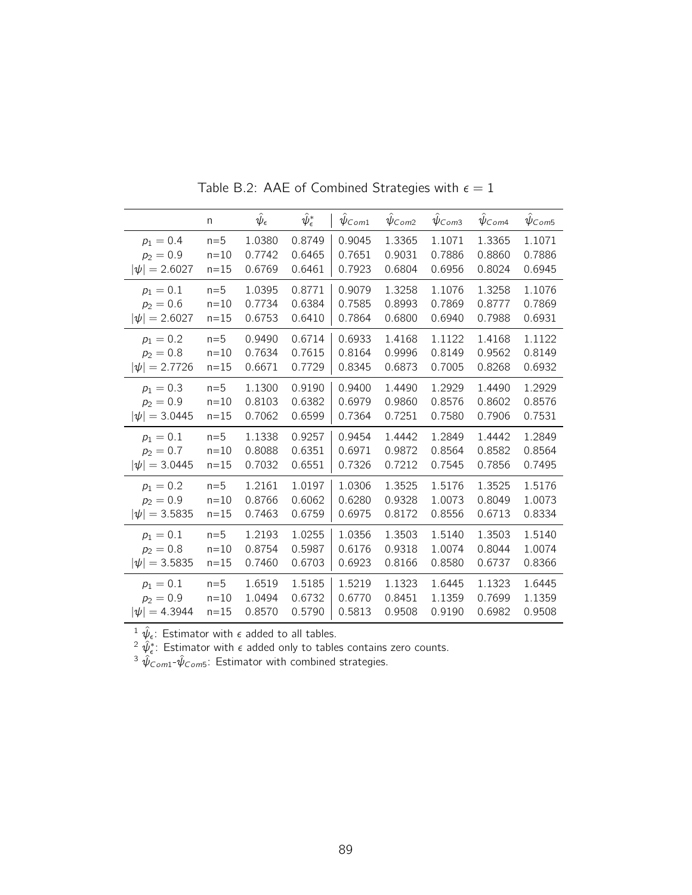|                   | n        | $\hat{\psi}_{\epsilon}$ | $\hat\psi_\epsilon^*$ | $\psi_{Com1}$ | $\psi_{Com2}$ | $\hat{\psi}_{\text{Com3}}$ | $\psi_{Com4}$ | $\hat{\psi}_{\textit{Com5}}$ |
|-------------------|----------|-------------------------|-----------------------|---------------|---------------|----------------------------|---------------|------------------------------|
| $p_1 = 0.4$       | $n=5$    | 1.0380                  | 0.8749                | 0.9045        | 1.3365        | 1.1071                     | 1.3365        | 1.1071                       |
| $p_2 = 0.9$       | $n=10$   | 0.7742                  | 0.6465                | 0.7651        | 0.9031        | 0.7886                     | 0.8860        | 0.7886                       |
| $ \psi  = 2.6027$ | $n=15$   | 0.6769                  | 0.6461                | 0.7923        | 0.6804        | 0.6956                     | 0.8024        | 0.6945                       |
| $p_1 = 0.1$       | $n=5$    | 1.0395                  | 0.8771                | 0.9079        | 1.3258        | 1.1076                     | 1.3258        | 1.1076                       |
| $p_2 = 0.6$       | $n=10$   | 0.7734                  | 0.6384                | 0.7585        | 0.8993        | 0.7869                     | 0.8777        | 0.7869                       |
| $ \psi  = 2.6027$ | $n=15$   | 0.6753                  | 0.6410                | 0.7864        | 0.6800        | 0.6940                     | 0.7988        | 0.6931                       |
| $p_1 = 0.2$       | $n=5$    | 0.9490                  | 0.6714                | 0.6933        | 1.4168        | 1.1122                     | 1.4168        | 1.1122                       |
| $p_2 = 0.8$       | $n=10$   | 0.7634                  | 0.7615                | 0.8164        | 0.9996        | 0.8149                     | 0.9562        | 0.8149                       |
| $ \psi  = 2.7726$ | $n=15$   | 0.6671                  | 0.7729                | 0.8345        | 0.6873        | 0.7005                     | 0.8268        | 0.6932                       |
| $p_1 = 0.3$       | $n=5$    | 1.1300                  | 0.9190                | 0.9400        | 1.4490        | 1.2929                     | 1.4490        | 1.2929                       |
| $p_2 = 0.9$       | $n = 10$ | 0.8103                  | 0.6382                | 0.6979        | 0.9860        | 0.8576                     | 0.8602        | 0.8576                       |
| $ \psi  = 3.0445$ | $n=15$   | 0.7062                  | 0.6599                | 0.7364        | 0.7251        | 0.7580                     | 0.7906        | 0.7531                       |
| $p_1 = 0.1$       | $n=5$    | 1.1338                  | 0.9257                | 0.9454        | 1.4442        | 1.2849                     | 1.4442        | 1.2849                       |
| $p_2 = 0.7$       | $n=10$   | 0.8088                  | 0.6351                | 0.6971        | 0.9872        | 0.8564                     | 0.8582        | 0.8564                       |
| $ \psi  = 3.0445$ | $n=15$   | 0.7032                  | 0.6551                | 0.7326        | 0.7212        | 0.7545                     | 0.7856        | 0.7495                       |
| $p_1 = 0.2$       | $n=5$    | 1.2161                  | 1.0197                | 1.0306        | 1.3525        | 1.5176                     | 1.3525        | 1.5176                       |
| $p_2 = 0.9$       | $n=10$   | 0.8766                  | 0.6062                | 0.6280        | 0.9328        | 1.0073                     | 0.8049        | 1.0073                       |
| $ \psi  = 3.5835$ | $n=15$   | 0.7463                  | 0.6759                | 0.6975        | 0.8172        | 0.8556                     | 0.6713        | 0.8334                       |
| $p_1 = 0.1$       | $n=5$    | 1.2193                  | 1.0255                | 1.0356        | 1.3503        | 1.5140                     | 1.3503        | 1.5140                       |
| $p_2 = 0.8$       | $n=10$   | 0.8754                  | 0.5987                | 0.6176        | 0.9318        | 1.0074                     | 0.8044        | 1.0074                       |
| $ \psi  = 3.5835$ | $n=15$   | 0.7460                  | 0.6703                | 0.6923        | 0.8166        | 0.8580                     | 0.6737        | 0.8366                       |
| $p_1 = 0.1$       | $n=5$    | 1.6519                  | 1.5185                | 1.5219        | 1.1323        | 1.6445                     | 1.1323        | 1.6445                       |
| $p_2 = 0.9$       | $n = 10$ | 1.0494                  | 0.6732                | 0.6770        | 0.8451        | 1.1359                     | 0.7699        | 1.1359                       |
| $ \psi  = 4.3944$ | $n = 15$ | 0.8570                  | 0.5790                | 0.5813        | 0.9508        | 0.9190                     | 0.6982        | 0.9508                       |

Table B.2: AAE of Combined Strategies with  $\epsilon = 1$ 

<sup>2</sup>  $\hat{\psi}_{\epsilon}^*$ : Estimator with  $\epsilon$  added only to tables contains zero counts.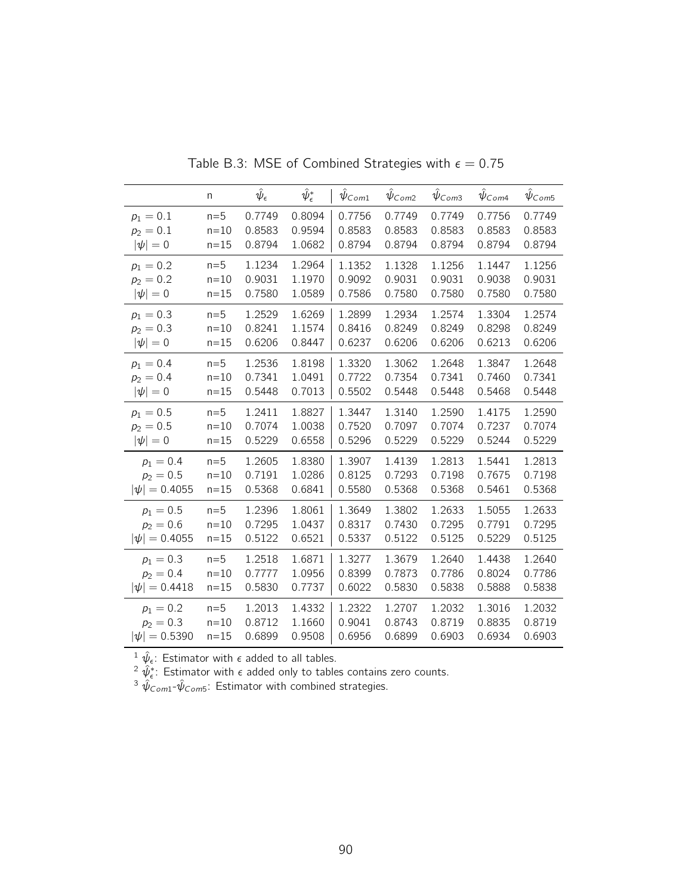|                   | n        | $\hat{\psi}_{\epsilon}$ | $\hat\psi_\epsilon^*$ | $\psi_{Com1}$ | $\hat{\psi}_{\textit{Com2}}$ | $\hat{\psi}_{\mathsf{Com3}}$ | $\hat{\psi}_{Com4}$ | $\hat{\psi}_{\textit{Com5}}$ |
|-------------------|----------|-------------------------|-----------------------|---------------|------------------------------|------------------------------|---------------------|------------------------------|
| $p_1 = 0.1$       | $n=5$    | 0.7749                  | 0.8094                | 0.7756        | 0.7749                       | 0.7749                       | 0.7756              | 0.7749                       |
| $p_2 = 0.1$       | $n=10$   | 0.8583                  | 0.9594                | 0.8583        | 0.8583                       | 0.8583                       | 0.8583              | 0.8583                       |
| $ \psi =0$        | $n = 15$ | 0.8794                  | 1.0682                | 0.8794        | 0.8794                       | 0.8794                       | 0.8794              | 0.8794                       |
| $p_1 = 0.2$       | $n=5$    | 1.1234                  | 1.2964                | 1.1352        | 1.1328                       | 1.1256                       | 1.1447              | 1.1256                       |
| $p_2 = 0.2$       | $n = 10$ | 0.9031                  | 1.1970                | 0.9092        | 0.9031                       | 0.9031                       | 0.9038              | 0.9031                       |
| $ \psi =0$        | $n = 15$ | 0.7580                  | 1.0589                | 0.7586        | 0.7580                       | 0.7580                       | 0.7580              | 0.7580                       |
| $p_1 = 0.3$       | $n=5$    | 1.2529                  | 1.6269                | 1.2899        | 1.2934                       | 1.2574                       | 1.3304              | 1.2574                       |
| $p_2 = 0.3$       | $n = 10$ | 0.8241                  | 1.1574                | 0.8416        | 0.8249                       | 0.8249                       | 0.8298              | 0.8249                       |
| $ \psi =0$        | $n = 15$ | 0.6206                  | 0.8447                | 0.6237        | 0.6206                       | 0.6206                       | 0.6213              | 0.6206                       |
| $p_1 = 0.4$       | $n=5$    | 1.2536                  | 1.8198                | 1.3320        | 1.3062                       | 1.2648                       | 1.3847              | 1.2648                       |
| $p_2 = 0.4$       | $n=10$   | 0.7341                  | 1.0491                | 0.7722        | 0.7354                       | 0.7341                       | 0.7460              | 0.7341                       |
| $ \psi =0$        | $n = 15$ | 0.5448                  | 0.7013                | 0.5502        | 0.5448                       | 0.5448                       | 0.5468              | 0.5448                       |
| $p_1 = 0.5$       | $n=5$    | 1.2411                  | 1.8827                | 1.3447        | 1.3140                       | 1.2590                       | 1.4175              | 1.2590                       |
| $p_2 = 0.5$       | $n=10$   | 0.7074                  | 1.0038                | 0.7520        | 0.7097                       | 0.7074                       | 0.7237              | 0.7074                       |
| $ \psi =0$        | $n = 15$ | 0.5229                  | 0.6558                | 0.5296        | 0.5229                       | 0.5229                       | 0.5244              | 0.5229                       |
| $p_1 = 0.4$       | $n=5$    | 1.2605                  | 1.8380                | 1.3907        | 1.4139                       | 1.2813                       | 1.5441              | 1.2813                       |
| $p_2 = 0.5$       | $n=10$   | 0.7191                  | 1.0286                | 0.8125        | 0.7293                       | 0.7198                       | 0.7675              | 0.7198                       |
| $ \psi  = 0.4055$ | $n=15$   | 0.5368                  | 0.6841                | 0.5580        | 0.5368                       | 0.5368                       | 0.5461              | 0.5368                       |
| $p_1 = 0.5$       | $n=5$    | 1.2396                  | 1.8061                | 1.3649        | 1.3802                       | 1.2633                       | 1.5055              | 1.2633                       |
| $p_2 = 0.6$       | $n=10$   | 0.7295                  | 1.0437                | 0.8317        | 0.7430                       | 0.7295                       | 0.7791              | 0.7295                       |
| $ \psi  = 0.4055$ | $n=15$   | 0.5122                  | 0.6521                | 0.5337        | 0.5122                       | 0.5125                       | 0.5229              | 0.5125                       |
| $p_1 = 0.3$       | $n=5$    | 1.2518                  | 1.6871                | 1.3277        | 1.3679                       | 1.2640                       | 1.4438              | 1.2640                       |
| $p_2 = 0.4$       | $n=10$   | 0.7777                  | 1.0956                | 0.8399        | 0.7873                       | 0.7786                       | 0.8024              | 0.7786                       |
| $ \psi  = 0.4418$ | $n=15$   | 0.5830                  | 0.7737                | 0.6022        | 0.5830                       | 0.5838                       | 0.5888              | 0.5838                       |
| $p_1 = 0.2$       | $n=5$    | 1.2013                  | 1.4332                | 1.2322        | 1.2707                       | 1.2032                       | 1.3016              | 1.2032                       |
| $p_2 = 0.3$       | $n=10$   | 0.8712                  | 1.1660                | 0.9041        | 0.8743                       | 0.8719                       | 0.8835              | 0.8719                       |
| $ \psi  = 0.5390$ | $n=15$   | 0.6899                  | 0.9508                | 0.6956        | 0.6899                       | 0.6903                       | 0.6934              | 0.6903                       |

Table B.3: MSE of Combined Strategies with  $\epsilon = 0.75$ 

 $^{2} \hat{\psi}_{\epsilon}^*$ : Estimator with  $\epsilon$  added only to tables contains zero counts.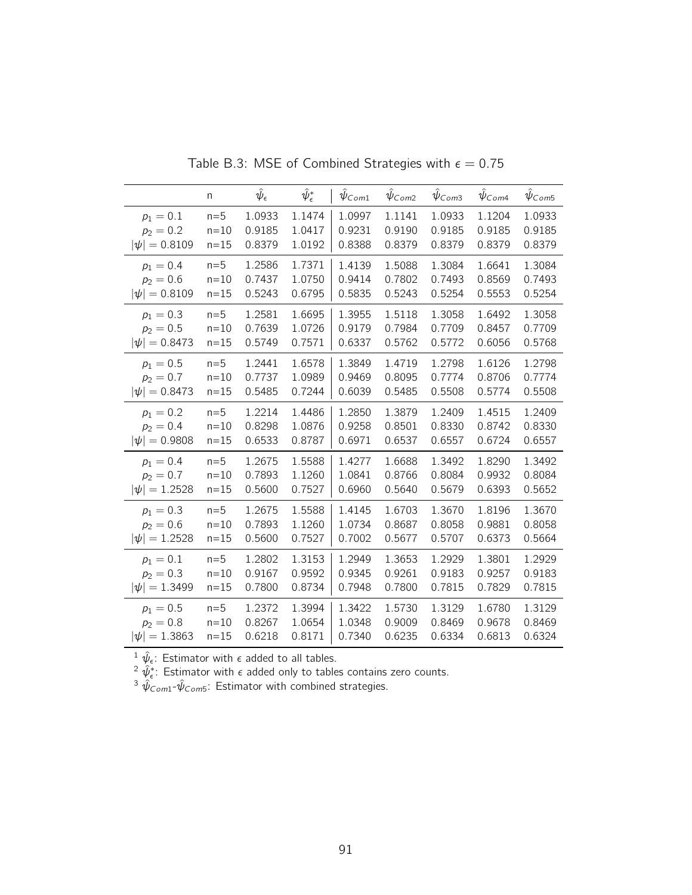|                   | n        | $\hat{\psi}_{\epsilon}$ | $\hat{\psi}^*_\epsilon$ | $\psi_{Com1}$ | $\psi_{Com2}$ | $\psi$ Com <sub>3</sub> | $\psi_{Com4}$ | $\psi$ Com5 |
|-------------------|----------|-------------------------|-------------------------|---------------|---------------|-------------------------|---------------|-------------|
| $p_1 = 0.1$       | $n=5$    | 1.0933                  | 1.1474                  | 1.0997        | 1.1141        | 1.0933                  | 1.1204        | 1.0933      |
| $p_2 = 0.2$       | $n=10$   | 0.9185                  | 1.0417                  | 0.9231        | 0.9190        | 0.9185                  | 0.9185        | 0.9185      |
| $ \psi  = 0.8109$ | $n=15$   | 0.8379                  | 1.0192                  | 0.8388        | 0.8379        | 0.8379                  | 0.8379        | 0.8379      |
| $p_1 = 0.4$       | $n=5$    | 1.2586                  | 1.7371                  | 1.4139        | 1.5088        | 1.3084                  | 1.6641        | 1.3084      |
| $p_2 = 0.6$       | $n=10$   | 0.7437                  | 1.0750                  | 0.9414        | 0.7802        | 0.7493                  | 0.8569        | 0.7493      |
| $ \psi  = 0.8109$ | $n=15$   | 0.5243                  | 0.6795                  | 0.5835        | 0.5243        | 0.5254                  | 0.5553        | 0.5254      |
| $p_1 = 0.3$       | $n=5$    | 1.2581                  | 1.6695                  | 1.3955        | 1.5118        | 1.3058                  | 1.6492        | 1.3058      |
| $p_2 = 0.5$       | $n=10$   | 0.7639                  | 1.0726                  | 0.9179        | 0.7984        | 0.7709                  | 0.8457        | 0.7709      |
| $ \psi  = 0.8473$ | $n=15$   | 0.5749                  | 0.7571                  | 0.6337        | 0.5762        | 0.5772                  | 0.6056        | 0.5768      |
| $p_1 = 0.5$       | $n=5$    | 1.2441                  | 1.6578                  | 1.3849        | 1.4719        | 1.2798                  | 1.6126        | 1.2798      |
| $p_2 = 0.7$       | $n=10$   | 0.7737                  | 1.0989                  | 0.9469        | 0.8095        | 0.7774                  | 0.8706        | 0.7774      |
| $ \psi  = 0.8473$ | $n=15$   | 0.5485                  | 0.7244                  | 0.6039        | 0.5485        | 0.5508                  | 0.5774        | 0.5508      |
| $p_1 = 0.2$       | $n=5$    | 1.2214                  | 1.4486                  | 1.2850        | 1.3879        | 1.2409                  | 1.4515        | 1.2409      |
| $p_2 = 0.4$       | $n=10$   | 0.8298                  | 1.0876                  | 0.9258        | 0.8501        | 0.8330                  | 0.8742        | 0.8330      |
| $ \psi  = 0.9808$ | $n=15$   | 0.6533                  | 0.8787                  | 0.6971        | 0.6537        | 0.6557                  | 0.6724        | 0.6557      |
| $p_1 = 0.4$       | $n=5$    | 1.2675                  | 1.5588                  | 1.4277        | 1.6688        | 1.3492                  | 1.8290        | 1.3492      |
| $p_2 = 0.7$       | $n=10$   | 0.7893                  | 1.1260                  | 1.0841        | 0.8766        | 0.8084                  | 0.9932        | 0.8084      |
| $ \psi  = 1.2528$ | $n=15$   | 0.5600                  | 0.7527                  | 0.6960        | 0.5640        | 0.5679                  | 0.6393        | 0.5652      |
| $p_1 = 0.3$       | $n=5$    | 1.2675                  | 1.5588                  | 1.4145        | 1.6703        | 1.3670                  | 1.8196        | 1.3670      |
| $p_2 = 0.6$       | $n=10$   | 0.7893                  | 1.1260                  | 1.0734        | 0.8687        | 0.8058                  | 0.9881        | 0.8058      |
| $ \psi  = 1.2528$ | $n=15$   | 0.5600                  | 0.7527                  | 0.7002        | 0.5677        | 0.5707                  | 0.6373        | 0.5664      |
| $p_1 = 0.1$       | $n=5$    | 1.2802                  | 1.3153                  | 1.2949        | 1.3653        | 1.2929                  | 1.3801        | 1.2929      |
| $p_2 = 0.3$       | $n=10$   | 0.9167                  | 0.9592                  | 0.9345        | 0.9261        | 0.9183                  | 0.9257        | 0.9183      |
| $ \psi  = 1.3499$ | $n=15$   | 0.7800                  | 0.8734                  | 0.7948        | 0.7800        | 0.7815                  | 0.7829        | 0.7815      |
| $p_1 = 0.5$       | $n=5$    | 1.2372                  | 1.3994                  | 1.3422        | 1.5730        | 1.3129                  | 1.6780        | 1.3129      |
| $p_2 = 0.8$       | $n=10$   | 0.8267                  | 1.0654                  | 1.0348        | 0.9009        | 0.8469                  | 0.9678        | 0.8469      |
| $ \psi  = 1.3863$ | $n = 15$ | 0.6218                  | 0.8171                  | 0.7340        | 0.6235        | 0.6334                  | 0.6813        | 0.6324      |

Table B.3: MSE of Combined Strategies with  $\epsilon = 0.75$ 

 $^{2} \hat{\psi}_{\epsilon}^*$ : Estimator with  $\epsilon$  added only to tables contains zero counts.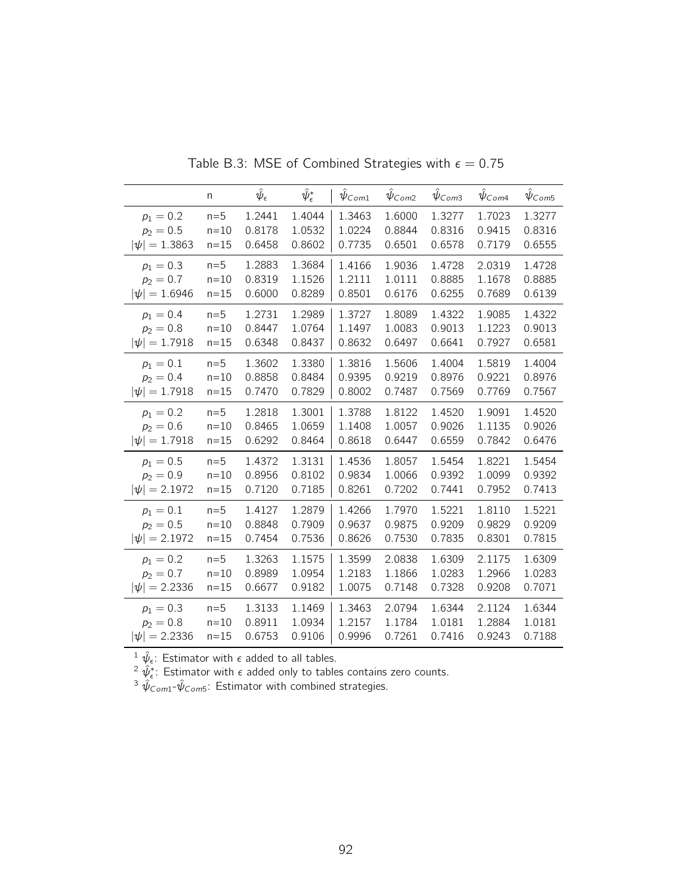|                   | n        | $\hat{\psi}_{\epsilon}$ | $\hat{\psi}^*_\epsilon$ | $\psi_{Com1}$ | $\psi_{Com2}$ | $\hat{\psi}_{\textit{Com3}}$ | $\psi_{Com4}$ | $\hat{\psi}_{\textit{Com5}}$ |
|-------------------|----------|-------------------------|-------------------------|---------------|---------------|------------------------------|---------------|------------------------------|
| $p_1 = 0.2$       | $n=5$    | 1.2441                  | 1.4044                  | 1.3463        | 1.6000        | 1.3277                       | 1.7023        | 1.3277                       |
| $p_2 = 0.5$       | $n=10$   | 0.8178                  | 1.0532                  | 1.0224        | 0.8844        | 0.8316                       | 0.9415        | 0.8316                       |
| $ \psi  = 1.3863$ | $n=15$   | 0.6458                  | 0.8602                  | 0.7735        | 0.6501        | 0.6578                       | 0.7179        | 0.6555                       |
| $p_1 = 0.3$       | $n=5$    | 1.2883                  | 1.3684                  | 1.4166        | 1.9036        | 1.4728                       | 2.0319        | 1.4728                       |
| $p_2 = 0.7$       | $n=10$   | 0.8319                  | 1.1526                  | 1.2111        | 1.0111        | 0.8885                       | 1.1678        | 0.8885                       |
| $ \psi  = 1.6946$ | $n=15$   | 0.6000                  | 0.8289                  | 0.8501        | 0.6176        | 0.6255                       | 0.7689        | 0.6139                       |
| $p_1 = 0.4$       | $n=5$    | 1.2731                  | 1.2989                  | 1.3727        | 1.8089        | 1.4322                       | 1.9085        | 1.4322                       |
| $p_2 = 0.8$       | $n=10$   | 0.8447                  | 1.0764                  | 1.1497        | 1.0083        | 0.9013                       | 1.1223        | 0.9013                       |
| $ \psi  = 1.7918$ | $n=15$   | 0.6348                  | 0.8437                  | 0.8632        | 0.6497        | 0.6641                       | 0.7927        | 0.6581                       |
| $p_1 = 0.1$       | $n=5$    | 1.3602                  | 1.3380                  | 1.3816        | 1.5606        | 1.4004                       | 1.5819        | 1.4004                       |
| $p_2 = 0.4$       | $n=10$   | 0.8858                  | 0.8484                  | 0.9395        | 0.9219        | 0.8976                       | 0.9221        | 0.8976                       |
| $ \psi  = 1.7918$ | $n=15$   | 0.7470                  | 0.7829                  | 0.8002        | 0.7487        | 0.7569                       | 0.7769        | 0.7567                       |
| $p_1 = 0.2$       | $n=5$    | 1.2818                  | 1.3001                  | 1.3788        | 1.8122        | 1.4520                       | 1.9091        | 1.4520                       |
| $p_2 = 0.6$       | $n=10$   | 0.8465                  | 1.0659                  | 1.1408        | 1.0057        | 0.9026                       | 1.1135        | 0.9026                       |
| $ \psi  = 1.7918$ | $n=15$   | 0.6292                  | 0.8464                  | 0.8618        | 0.6447        | 0.6559                       | 0.7842        | 0.6476                       |
| $p_1 = 0.5$       | $n=5$    | 1.4372                  | 1.3131                  | 1.4536        | 1.8057        | 1.5454                       | 1.8221        | 1.5454                       |
| $p_2 = 0.9$       | $n=10$   | 0.8956                  | 0.8102                  | 0.9834        | 1.0066        | 0.9392                       | 1.0099        | 0.9392                       |
| $ \psi  = 2.1972$ | $n=15$   | 0.7120                  | 0.7185                  | 0.8261        | 0.7202        | 0.7441                       | 0.7952        | 0.7413                       |
| $p_1 = 0.1$       | $n=5$    | 1.4127                  | 1.2879                  | 1.4266        | 1.7970        | 1.5221                       | 1.8110        | 1.5221                       |
| $p_2 = 0.5$       | $n=10$   | 0.8848                  | 0.7909                  | 0.9637        | 0.9875        | 0.9209                       | 0.9829        | 0.9209                       |
| $ \psi  = 2.1972$ | $n=15$   | 0.7454                  | 0.7536                  | 0.8626        | 0.7530        | 0.7835                       | 0.8301        | 0.7815                       |
| $p_1 = 0.2$       | $n=5$    | 1.3263                  | 1.1575                  | 1.3599        | 2.0838        | 1.6309                       | 2.1175        | 1.6309                       |
| $p_2 = 0.7$       | $n=10$   | 0.8989                  | 1.0954                  | 1.2183        | 1.1866        | 1.0283                       | 1.2966        | 1.0283                       |
| $ \psi  = 2.2336$ | $n=15$   | 0.6677                  | 0.9182                  | 1.0075        | 0.7148        | 0.7328                       | 0.9208        | 0.7071                       |
| $p_1 = 0.3$       | $n=5$    | 1.3133                  | 1.1469                  | 1.3463        | 2.0794        | 1.6344                       | 2.1124        | 1.6344                       |
| $p_2 = 0.8$       | $n=10$   | 0.8911                  | 1.0934                  | 1.2157        | 1.1784        | 1.0181                       | 1.2884        | 1.0181                       |
| $ \psi  = 2.2336$ | $n = 15$ | 0.6753                  | 0.9106                  | 0.9996        | 0.7261        | 0.7416                       | 0.9243        | 0.7188                       |

Table B.3: MSE of Combined Strategies with  $\epsilon = 0.75$ 

 $^{2} \hat{\psi}_{\epsilon}^*$ : Estimator with  $\epsilon$  added only to tables contains zero counts.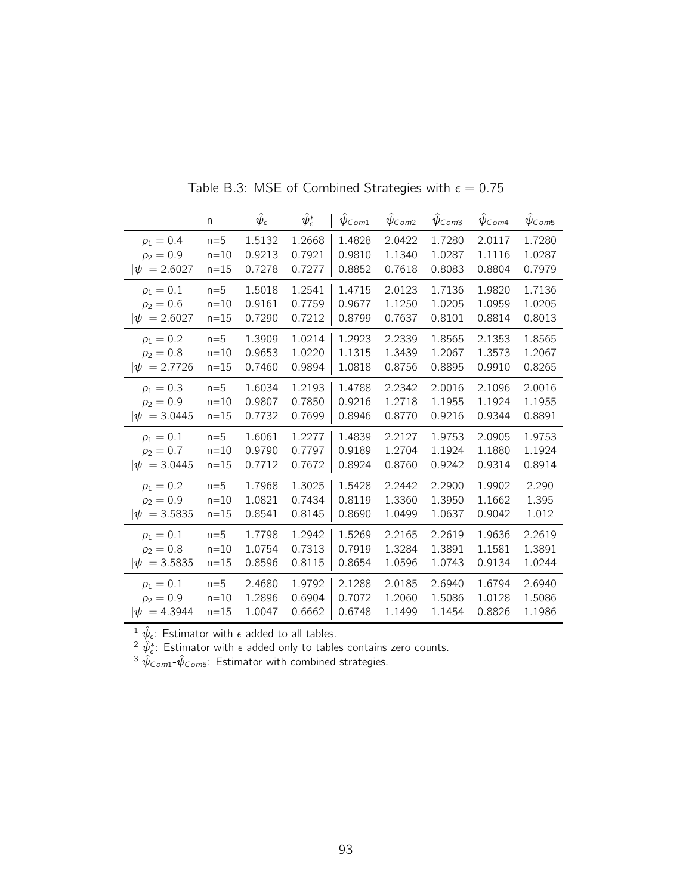|                   | n        | $\hat{\psi}_{\epsilon}$ | $\hat\psi_\epsilon^*$ | $\psi_{Com1}$ | $\psi_{Com2}$ | $\hat{\psi}_{\textit{Com3}}$ | $\hat{\psi}_{\text{Com4}}$ | $\hat{\psi}_{\textit{Com5}}$ |
|-------------------|----------|-------------------------|-----------------------|---------------|---------------|------------------------------|----------------------------|------------------------------|
| $p_1 = 0.4$       | $n=5$    | 1.5132                  | 1.2668                | 1.4828        | 2.0422        | 1.7280                       | 2.0117                     | 1.7280                       |
| $p_2 = 0.9$       | $n=10$   | 0.9213                  | 0.7921                | 0.9810        | 1.1340        | 1.0287                       | 1.1116                     | 1.0287                       |
| $ \psi  = 2.6027$ | $n=15$   | 0.7278                  | 0.7277                | 0.8852        | 0.7618        | 0.8083                       | 0.8804                     | 0.7979                       |
| $p_1 = 0.1$       | $n=5$    | 1.5018                  | 1.2541                | 1.4715        | 2.0123        | 1.7136                       | 1.9820                     | 1.7136                       |
| $p_2 = 0.6$       | $n=10$   | 0.9161                  | 0.7759                | 0.9677        | 1.1250        | 1.0205                       | 1.0959                     | 1.0205                       |
| $ \psi  = 2.6027$ | $n=15$   | 0.7290                  | 0.7212                | 0.8799        | 0.7637        | 0.8101                       | 0.8814                     | 0.8013                       |
| $p_1 = 0.2$       | $n=5$    | 1.3909                  | 1.0214                | 1.2923        | 2.2339        | 1.8565                       | 2.1353                     | 1.8565                       |
| $p_2 = 0.8$       | $n = 10$ | 0.9653                  | 1.0220                | 1.1315        | 1.3439        | 1.2067                       | 1.3573                     | 1.2067                       |
| $ \psi  = 2.7726$ | $n=15$   | 0.7460                  | 0.9894                | 1.0818        | 0.8756        | 0.8895                       | 0.9910                     | 0.8265                       |
| $p_1 = 0.3$       | $n=5$    | 1.6034                  | 1.2193                | 1.4788        | 2.2342        | 2.0016                       | 2.1096                     | 2.0016                       |
| $p_2 = 0.9$       | $n=10$   | 0.9807                  | 0.7850                | 0.9216        | 1.2718        | 1.1955                       | 1.1924                     | 1.1955                       |
| $ \psi  = 3.0445$ | $n=15$   | 0.7732                  | 0.7699                | 0.8946        | 0.8770        | 0.9216                       | 0.9344                     | 0.8891                       |
| $p_1 = 0.1$       | $n=5$    | 1.6061                  | 1.2277                | 1.4839        | 2.2127        | 1.9753                       | 2.0905                     | 1.9753                       |
| $p_2 = 0.7$       | $n=10$   | 0.9790                  | 0.7797                | 0.9189        | 1.2704        | 1.1924                       | 1.1880                     | 1.1924                       |
| $ \psi  = 3.0445$ | $n=15$   | 0.7712                  | 0.7672                | 0.8924        | 0.8760        | 0.9242                       | 0.9314                     | 0.8914                       |
| $p_1 = 0.2$       | $n=5$    | 1.7968                  | 1.3025                | 1.5428        | 2.2442        | 2.2900                       | 1.9902                     | 2.290                        |
| $p_2 = 0.9$       | $n=10$   | 1.0821                  | 0.7434                | 0.8119        | 1.3360        | 1.3950                       | 1.1662                     | 1.395                        |
| $ \psi  = 3.5835$ | $n=15$   | 0.8541                  | 0.8145                | 0.8690        | 1.0499        | 1.0637                       | 0.9042                     | 1.012                        |
| $p_1 = 0.1$       | $n=5$    | 1.7798                  | 1.2942                | 1.5269        | 2.2165        | 2.2619                       | 1.9636                     | 2.2619                       |
| $p_2 = 0.8$       | $n=10$   | 1.0754                  | 0.7313                | 0.7919        | 1.3284        | 1.3891                       | 1.1581                     | 1.3891                       |
| $ \psi  = 3.5835$ | $n=15$   | 0.8596                  | 0.8115                | 0.8654        | 1.0596        | 1.0743                       | 0.9134                     | 1.0244                       |
| $p_1 = 0.1$       | $n=5$    | 2.4680                  | 1.9792                | 2.1288        | 2.0185        | 2.6940                       | 1.6794                     | 2.6940                       |
| $p_2 = 0.9$       | $n = 10$ | 1.2896                  | 0.6904                | 0.7072        | 1.2060        | 1.5086                       | 1.0128                     | 1.5086                       |
| $ \psi  = 4.3944$ | $n = 15$ | 1.0047                  | 0.6662                | 0.6748        | 1.1499        | 1.1454                       | 0.8826                     | 1.1986                       |

Table B.3: MSE of Combined Strategies with  $\epsilon = 0.75$ 

<sup>2</sup>  $\hat{\psi}_{\epsilon}^*$ : Estimator with  $\epsilon$  added only to tables contains zero counts.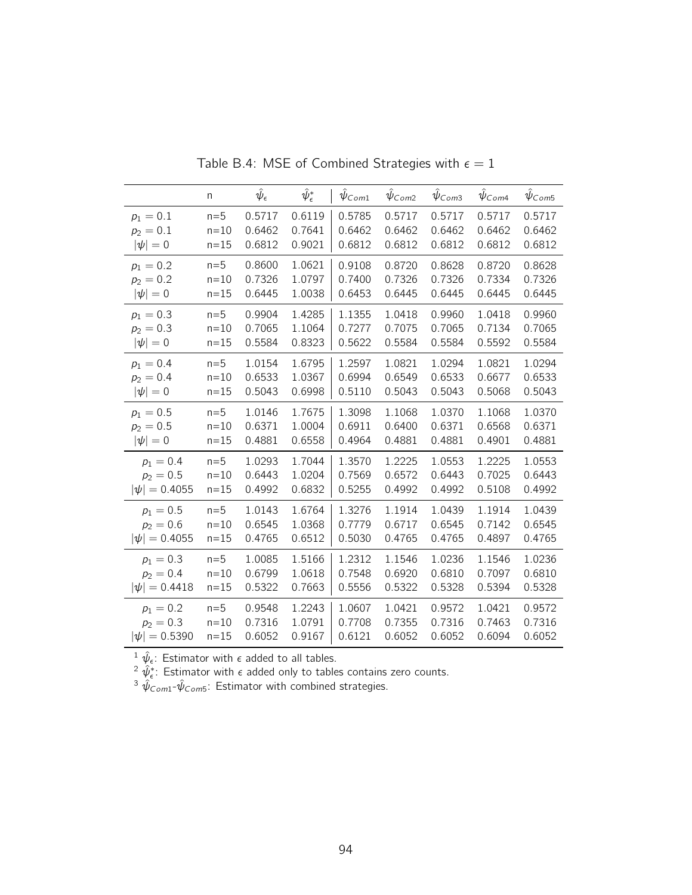|                   | n        | $\hat{\psi}_{\epsilon}$ | $\hat\psi_\epsilon^*$ | $\psi_{Com1}$ | $\hat{\psi}_{\text{Com2}}$ | $\hat{\psi}_{\textit{Com3}}$ | $\hat{\psi}_{\mathsf{Com4}}$ | $\hat{\psi}_{\textit{Com5}}$ |
|-------------------|----------|-------------------------|-----------------------|---------------|----------------------------|------------------------------|------------------------------|------------------------------|
| $p_1 = 0.1$       | $n=5$    | 0.5717                  | 0.6119                | 0.5785        | 0.5717                     | 0.5717                       | 0.5717                       | 0.5717                       |
| $p_2 = 0.1$       | $n = 10$ | 0.6462                  | 0.7641                | 0.6462        | 0.6462                     | 0.6462                       | 0.6462                       | 0.6462                       |
| $ \psi =0$        | $n = 15$ | 0.6812                  | 0.9021                | 0.6812        | 0.6812                     | 0.6812                       | 0.6812                       | 0.6812                       |
| $p_1 = 0.2$       | $n=5$    | 0.8600                  | 1.0621                | 0.9108        | 0.8720                     | 0.8628                       | 0.8720                       | 0.8628                       |
| $p_2 = 0.2$       | $n=10$   | 0.7326                  | 1.0797                | 0.7400        | 0.7326                     | 0.7326                       | 0.7334                       | 0.7326                       |
| $ \psi =0$        | $n = 15$ | 0.6445                  | 1.0038                | 0.6453        | 0.6445                     | 0.6445                       | 0.6445                       | 0.6445                       |
| $p_1 = 0.3$       | $n=5$    | 0.9904                  | 1.4285                | 1.1355        | 1.0418                     | 0.9960                       | 1.0418                       | 0.9960                       |
| $p_2 = 0.3$       | $n = 10$ | 0.7065                  | 1.1064                | 0.7277        | 0.7075                     | 0.7065                       | 0.7134                       | 0.7065                       |
| $ \psi =0$        | $n = 15$ | 0.5584                  | 0.8323                | 0.5622        | 0.5584                     | 0.5584                       | 0.5592                       | 0.5584                       |
| $p_1 = 0.4$       | $n=5$    | 1.0154                  | 1.6795                | 1.2597        | 1.0821                     | 1.0294                       | 1.0821                       | 1.0294                       |
| $p_2 = 0.4$       | $n = 10$ | 0.6533                  | 1.0367                | 0.6994        | 0.6549                     | 0.6533                       | 0.6677                       | 0.6533                       |
| $ \psi =0$        | $n = 15$ | 0.5043                  | 0.6998                | 0.5110        | 0.5043                     | 0.5043                       | 0.5068                       | 0.5043                       |
| $p_1 = 0.5$       | $n=5$    | 1.0146                  | 1.7675                | 1.3098        | 1.1068                     | 1.0370                       | 1.1068                       | 1.0370                       |
| $p_2 = 0.5$       | $n = 10$ | 0.6371                  | 1.0004                | 0.6911        | 0.6400                     | 0.6371                       | 0.6568                       | 0.6371                       |
| $ \psi =0$        | $n = 15$ | 0.4881                  | 0.6558                | 0.4964        | 0.4881                     | 0.4881                       | 0.4901                       | 0.4881                       |
| $p_1 = 0.4$       | $n=5$    | 1.0293                  | 1.7044                | 1.3570        | 1.2225                     | 1.0553                       | 1.2225                       | 1.0553                       |
| $p_2 = 0.5$       | $n=10$   | 0.6443                  | 1.0204                | 0.7569        | 0.6572                     | 0.6443                       | 0.7025                       | 0.6443                       |
| $ \psi  = 0.4055$ | $n=15$   | 0.4992                  | 0.6832                | 0.5255        | 0.4992                     | 0.4992                       | 0.5108                       | 0.4992                       |
| $p_1 = 0.5$       | $n=5$    | 1.0143                  | 1.6764                | 1.3276        | 1.1914                     | 1.0439                       | 1.1914                       | 1.0439                       |
| $p_2 = 0.6$       | $n=10$   | 0.6545                  | 1.0368                | 0.7779        | 0.6717                     | 0.6545                       | 0.7142                       | 0.6545                       |
| $ \psi  = 0.4055$ | $n=15$   | 0.4765                  | 0.6512                | 0.5030        | 0.4765                     | 0.4765                       | 0.4897                       | 0.4765                       |
| $p_1 = 0.3$       | $n=5$    | 1.0085                  | 1.5166                | 1.2312        | 1.1546                     | 1.0236                       | 1.1546                       | 1.0236                       |
| $p_2 = 0.4$       | $n=10$   | 0.6799                  | 1.0618                | 0.7548        | 0.6920                     | 0.6810                       | 0.7097                       | 0.6810                       |
| $ \psi  = 0.4418$ | $n = 15$ | 0.5322                  | 0.7663                | 0.5556        | 0.5322                     | 0.5328                       | 0.5394                       | 0.5328                       |
| $p_1 = 0.2$       | $n=5$    | 0.9548                  | 1.2243                | 1.0607        | 1.0421                     | 0.9572                       | 1.0421                       | 0.9572                       |
| $p_2 = 0.3$       | $n=10$   | 0.7316                  | 1.0791                | 0.7708        | 0.7355                     | 0.7316                       | 0.7463                       | 0.7316                       |
| $ \psi  = 0.5390$ | $n = 15$ | 0.6052                  | 0.9167                | 0.6121        | 0.6052                     | 0.6052                       | 0.6094                       | 0.6052                       |

Table B.4: MSE of Combined Strategies with  $\epsilon = 1$ 

 $^{2} \hat{\psi}_{\epsilon}^*$ : Estimator with  $\epsilon$  added only to tables contains zero counts.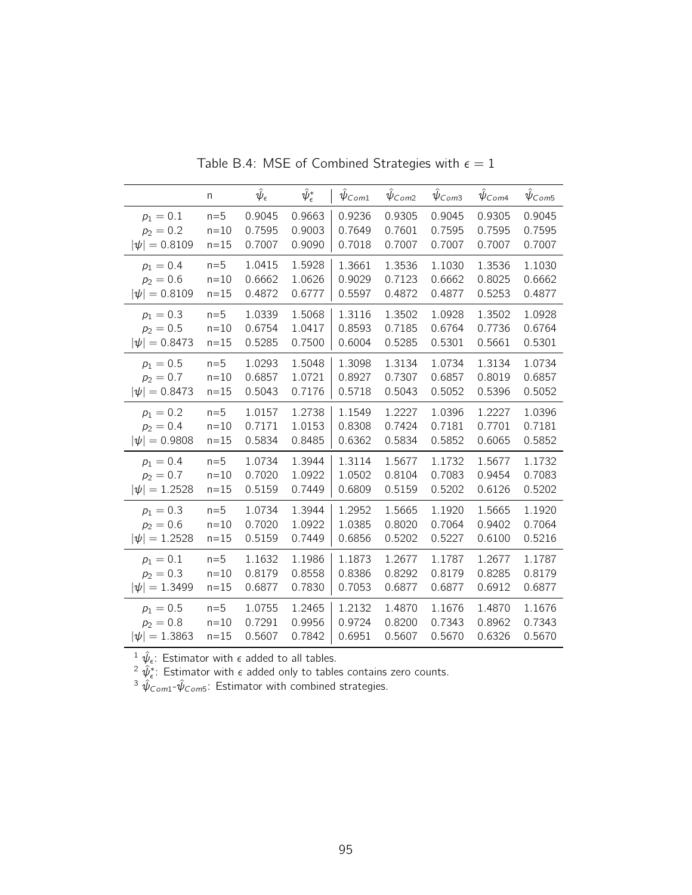|                   | n        | $\hat{\psi}_{\epsilon}$ | $\hat\psi_\epsilon^*$ | $\psi_{Com1}$ | $\hat{\psi}_{\text{Com2}}$ | $\hat{\psi}_{\mathsf{Com3}}$ | $\hat{\psi}_{\mathsf{Com4}}$ | $\hat{\psi}_{\textit{Com5}}$ |
|-------------------|----------|-------------------------|-----------------------|---------------|----------------------------|------------------------------|------------------------------|------------------------------|
| $p_1 = 0.1$       | $n=5$    | 0.9045                  | 0.9663                | 0.9236        | 0.9305                     | 0.9045                       | 0.9305                       | 0.9045                       |
| $p_2 = 0.2$       | $n=10$   | 0.7595                  | 0.9003                | 0.7649        | 0.7601                     | 0.7595                       | 0.7595                       | 0.7595                       |
| $ \psi  = 0.8109$ | $n=15$   | 0.7007                  | 0.9090                | 0.7018        | 0.7007                     | 0.7007                       | 0.7007                       | 0.7007                       |
| $p_1 = 0.4$       | $n=5$    | 1.0415                  | 1.5928                | 1.3661        | 1.3536                     | 1.1030                       | 1.3536                       | 1.1030                       |
| $p_2 = 0.6$       | $n = 10$ | 0.6662                  | 1.0626                | 0.9029        | 0.7123                     | 0.6662                       | 0.8025                       | 0.6662                       |
| $ \psi  = 0.8109$ | $n=15$   | 0.4872                  | 0.6777                | 0.5597        | 0.4872                     | 0.4877                       | 0.5253                       | 0.4877                       |
| $p_1 = 0.3$       | $n=5$    | 1.0339                  | 1.5068                | 1.3116        | 1.3502                     | 1.0928                       | 1.3502                       | 1.0928                       |
| $p_2 = 0.5$       | $n=10$   | 0.6754                  | 1.0417                | 0.8593        | 0.7185                     | 0.6764                       | 0.7736                       | 0.6764                       |
| $ \psi  = 0.8473$ | $n=15$   | 0.5285                  | 0.7500                | 0.6004        | 0.5285                     | 0.5301                       | 0.5661                       | 0.5301                       |
| $p_1 = 0.5$       | $n=5$    | 1.0293                  | 1.5048                | 1.3098        | 1.3134                     | 1.0734                       | 1.3134                       | 1.0734                       |
| $p_2 = 0.7$       | $n = 10$ | 0.6857                  | 1.0721                | 0.8927        | 0.7307                     | 0.6857                       | 0.8019                       | 0.6857                       |
| $ \psi  = 0.8473$ | $n=15$   | 0.5043                  | 0.7176                | 0.5718        | 0.5043                     | 0.5052                       | 0.5396                       | 0.5052                       |
| $p_1 = 0.2$       | $n=5$    | 1.0157                  | 1.2738                | 1.1549        | 1.2227                     | 1.0396                       | 1.2227                       | 1.0396                       |
| $p_2 = 0.4$       | $n = 10$ | 0.7171                  | 1.0153                | 0.8308        | 0.7424                     | 0.7181                       | 0.7701                       | 0.7181                       |
| $ \psi  = 0.9808$ | $n=15$   | 0.5834                  | 0.8485                | 0.6362        | 0.5834                     | 0.5852                       | 0.6065                       | 0.5852                       |
| $p_1 = 0.4$       | $n=5$    | 1.0734                  | 1.3944                | 1.3114        | 1.5677                     | 1.1732                       | 1.5677                       | 1.1732                       |
| $p_2 = 0.7$       | $n = 10$ | 0.7020                  | 1.0922                | 1.0502        | 0.8104                     | 0.7083                       | 0.9454                       | 0.7083                       |
| $ \psi  = 1.2528$ | $n=15$   | 0.5159                  | 0.7449                | 0.6809        | 0.5159                     | 0.5202                       | 0.6126                       | 0.5202                       |
| $p_1 = 0.3$       | $n=5$    | 1.0734                  | 1.3944                | 1.2952        | 1.5665                     | 1.1920                       | 1.5665                       | 1.1920                       |
| $p_2 = 0.6$       | $n=10$   | 0.7020                  | 1.0922                | 1.0385        | 0.8020                     | 0.7064                       | 0.9402                       | 0.7064                       |
| $ \psi  = 1.2528$ | $n=15$   | 0.5159                  | 0.7449                | 0.6856        | 0.5202                     | 0.5227                       | 0.6100                       | 0.5216                       |
| $p_1 = 0.1$       | $n=5$    | 1.1632                  | 1.1986                | 1.1873        | 1.2677                     | 1.1787                       | 1.2677                       | 1.1787                       |
| $p_2 = 0.3$       | $n = 10$ | 0.8179                  | 0.8558                | 0.8386        | 0.8292                     | 0.8179                       | 0.8285                       | 0.8179                       |
| $ \psi  = 1.3499$ | $n=15$   | 0.6877                  | 0.7830                | 0.7053        | 0.6877                     | 0.6877                       | 0.6912                       | 0.6877                       |
| $p_1 = 0.5$       | $n=5$    | 1.0755                  | 1.2465                | 1.2132        | 1.4870                     | 1.1676                       | 1.4870                       | 1.1676                       |
| $p_2 = 0.8$       | $n=10$   | 0.7291                  | 0.9956                | 0.9724        | 0.8200                     | 0.7343                       | 0.8962                       | 0.7343                       |
| $ \psi  = 1.3863$ | $n=15$   | 0.5607                  | 0.7842                | 0.6951        | 0.5607                     | 0.5670                       | 0.6326                       | 0.5670                       |

Table B.4: MSE of Combined Strategies with  $\epsilon = 1$ 

 $^{2} \hat{\psi}_{\epsilon}^*$ : Estimator with  $\epsilon$  added only to tables contains zero counts.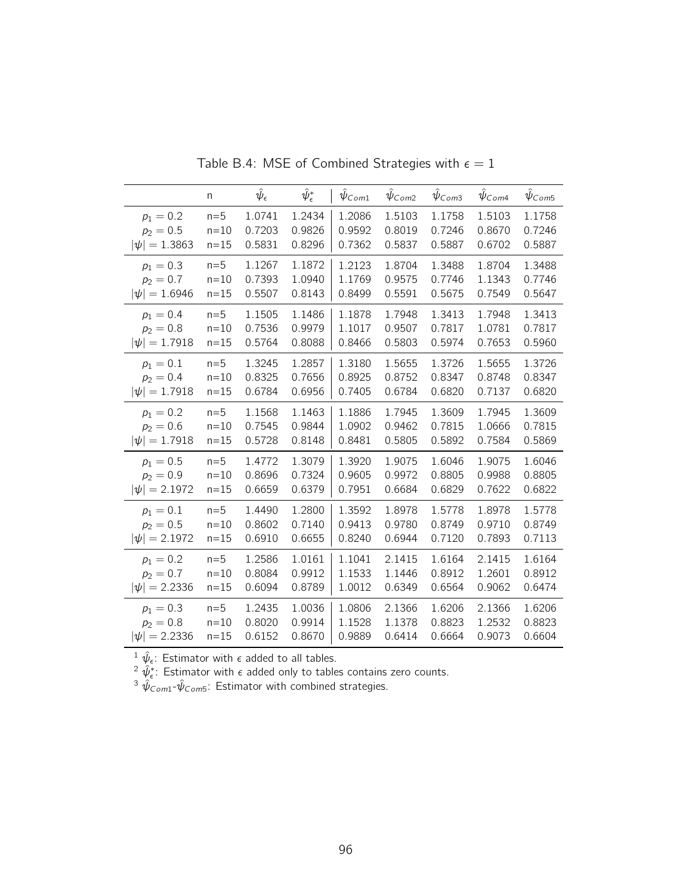|                   | n        | $\hat{\psi}_{\epsilon}$ | $\hat\psi_\epsilon^*$ | $\psi_{Com1}$ | $\hat{\psi}_{Com2}$ | $\hat{\psi}_{\text{Com3}}$ | $\hat{\psi}_{\mathsf{Com4}}$ | $\hat{\psi}_{\textit{Com5}}$ |
|-------------------|----------|-------------------------|-----------------------|---------------|---------------------|----------------------------|------------------------------|------------------------------|
| $p_1 = 0.2$       | $n=5$    | 1.0741                  | 1.2434                | 1.2086        | 1.5103              | 1.1758                     | 1.5103                       | 1.1758                       |
| $p_2 = 0.5$       | $n = 10$ | 0.7203                  | 0.9826                | 0.9592        | 0.8019              | 0.7246                     | 0.8670                       | 0.7246                       |
| $ \psi  = 1.3863$ | $n=15$   | 0.5831                  | 0.8296                | 0.7362        | 0.5837              | 0.5887                     | 0.6702                       | 0.5887                       |
| $p_1 = 0.3$       | $n=5$    | 1.1267                  | 1.1872                | 1.2123        | 1.8704              | 1.3488                     | 1.8704                       | 1.3488                       |
| $p_2 = 0.7$       | $n=10$   | 0.7393                  | 1.0940                | 1.1769        | 0.9575              | 0.7746                     | 1.1343                       | 0.7746                       |
| $ \psi  = 1.6946$ | $n = 15$ | 0.5507                  | 0.8143                | 0.8499        | 0.5591              | 0.5675                     | 0.7549                       | 0.5647                       |
| $p_1 = 0.4$       | $n=5$    | 1.1505                  | 1.1486                | 1.1878        | 1.7948              | 1.3413                     | 1.7948                       | 1.3413                       |
| $p_2 = 0.8$       | $n = 10$ | 0.7536                  | 0.9979                | 1.1017        | 0.9507              | 0.7817                     | 1.0781                       | 0.7817                       |
| $ \psi  = 1.7918$ | $n=15$   | 0.5764                  | 0.8088                | 0.8466        | 0.5803              | 0.5974                     | 0.7653                       | 0.5960                       |
| $p_1 = 0.1$       | $n=5$    | 1.3245                  | 1.2857                | 1.3180        | 1.5655              | 1.3726                     | 1.5655                       | 1.3726                       |
| $p_2 = 0.4$       | $n=10$   | 0.8325                  | 0.7656                | 0.8925        | 0.8752              | 0.8347                     | 0.8748                       | 0.8347                       |
| $ \psi  = 1.7918$ | $n=15$   | 0.6784                  | 0.6956                | 0.7405        | 0.6784              | 0.6820                     | 0.7137                       | 0.6820                       |
| $p_1 = 0.2$       | $n=5$    | 1.1568                  | 1.1463                | 1.1886        | 1.7945              | 1.3609                     | 1.7945                       | 1.3609                       |
| $p_2 = 0.6$       | $n=10$   | 0.7545                  | 0.9844                | 1.0902        | 0.9462              | 0.7815                     | 1.0666                       | 0.7815                       |
| $ \psi  = 1.7918$ | $n=15$   | 0.5728                  | 0.8148                | 0.8481        | 0.5805              | 0.5892                     | 0.7584                       | 0.5869                       |
| $p_1 = 0.5$       | $n=5$    | 1.4772                  | 1.3079                | 1.3920        | 1.9075              | 1.6046                     | 1.9075                       | 1.6046                       |
| $p_2 = 0.9$       | $n=10$   | 0.8696                  | 0.7324                | 0.9605        | 0.9972              | 0.8805                     | 0.9988                       | 0.8805                       |
| $ \psi  = 2.1972$ | $n = 15$ | 0.6659                  | 0.6379                | 0.7951        | 0.6684              | 0.6829                     | 0.7622                       | 0.6822                       |
| $p_1 = 0.1$       | $n=5$    | 1.4490                  | 1.2800                | 1.3592        | 1.8978              | 1.5778                     | 1.8978                       | 1.5778                       |
| $p_2 = 0.5$       | $n = 10$ | 0.8602                  | 0.7140                | 0.9413        | 0.9780              | 0.8749                     | 0.9710                       | 0.8749                       |
| $ \psi  = 2.1972$ | $n = 15$ | 0.6910                  | 0.6655                | 0.8240        | 0.6944              | 0.7120                     | 0.7893                       | 0.7113                       |
| $p_1 = 0.2$       | $n=5$    | 1.2586                  | 1.0161                | 1.1041        | 2.1415              | 1.6164                     | 2.1415                       | 1.6164                       |
| $p_2 = 0.7$       | $n=10$   | 0.8084                  | 0.9912                | 1.1533        | 1.1446              | 0.8912                     | 1.2601                       | 0.8912                       |
| $ \psi  = 2.2336$ | $n=15$   | 0.6094                  | 0.8789                | 1.0012        | 0.6349              | 0.6564                     | 0.9062                       | 0.6474                       |
| $p_1 = 0.3$       | $n=5$    | 1.2435                  | 1.0036                | 1.0806        | 2.1366              | 1.6206                     | 2.1366                       | 1.6206                       |
| $p_2 = 0.8$       | $n=10$   | 0.8020                  | 0.9914                | 1.1528        | 1.1378              | 0.8823                     | 1.2532                       | 0.8823                       |
| $ \psi  = 2.2336$ | $n = 15$ | 0.6152                  | 0.8670                | 0.9889        | 0.6414              | 0.6664                     | 0.9073                       | 0.6604                       |

Table B.4: MSE of Combined Strategies with  $\epsilon = 1$ 

 $^{2} \hat{\psi}_{\epsilon}^*$ : Estimator with  $\epsilon$  added only to tables contains zero counts.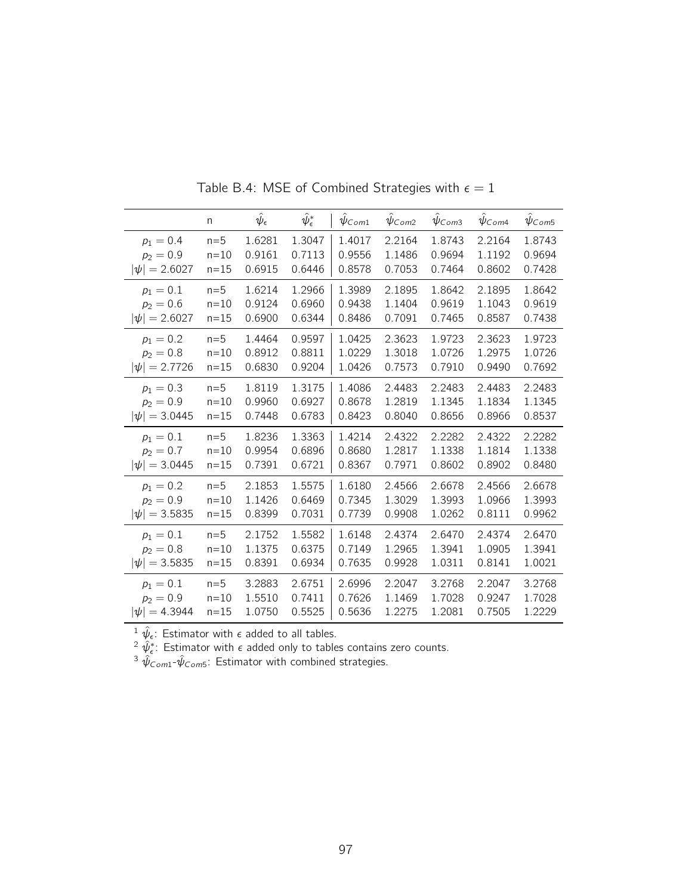|                   | n        | $\hat{\psi}_{\epsilon}$ | $\hat{\psi}^*_\epsilon$ | $\psi_{Com1}$ | $\psi_{Com2}$ | $\hat{\psi}_{\textit{Com3}}$ | $\psi_{Com4}$ | $\hat{\psi}_{\textit{Com5}}$ |
|-------------------|----------|-------------------------|-------------------------|---------------|---------------|------------------------------|---------------|------------------------------|
| $p_1 = 0.4$       | $n=5$    | 1.6281                  | 1.3047                  | 1.4017        | 2.2164        | 1.8743                       | 2.2164        | 1.8743                       |
| $p_2 = 0.9$       | $n=10$   | 0.9161                  | 0.7113                  | 0.9556        | 1.1486        | 0.9694                       | 1.1192        | 0.9694                       |
| $ \psi  = 2.6027$ | $n=15$   | 0.6915                  | 0.6446                  | 0.8578        | 0.7053        | 0.7464                       | 0.8602        | 0.7428                       |
| $p_1 = 0.1$       | $n=5$    | 1.6214                  | 1.2966                  | 1.3989        | 2.1895        | 1.8642                       | 2.1895        | 1.8642                       |
| $p_2 = 0.6$       | $n=10$   | 0.9124                  | 0.6960                  | 0.9438        | 1.1404        | 0.9619                       | 1.1043        | 0.9619                       |
| $ \psi  = 2.6027$ | $n=15$   | 0.6900                  | 0.6344                  | 0.8486        | 0.7091        | 0.7465                       | 0.8587        | 0.7438                       |
| $p_1 = 0.2$       | $n=5$    | 1.4464                  | 0.9597                  | 1.0425        | 2.3623        | 1.9723                       | 2.3623        | 1.9723                       |
| $p_2 = 0.8$       | $n=10$   | 0.8912                  | 0.8811                  | 1.0229        | 1.3018        | 1.0726                       | 1.2975        | 1.0726                       |
| $ \psi  = 2.7726$ | $n = 15$ | 0.6830                  | 0.9204                  | 1.0426        | 0.7573        | 0.7910                       | 0.9490        | 0.7692                       |
| $p_1 = 0.3$       | $n=5$    | 1.8119                  | 1.3175                  | 1.4086        | 2.4483        | 2.2483                       | 2.4483        | 2.2483                       |
| $p_2 = 0.9$       | $n=10$   | 0.9960                  | 0.6927                  | 0.8678        | 1.2819        | 1.1345                       | 1.1834        | 1.1345                       |
| $ \psi  = 3.0445$ | $n=15$   | 0.7448                  | 0.6783                  | 0.8423        | 0.8040        | 0.8656                       | 0.8966        | 0.8537                       |
| $p_1 = 0.1$       | $n=5$    | 1.8236                  | 1.3363                  | 1.4214        | 2.4322        | 2.2282                       | 2.4322        | 2.2282                       |
| $p_2 = 0.7$       | $n=10$   | 0.9954                  | 0.6896                  | 0.8680        | 1.2817        | 1.1338                       | 1.1814        | 1.1338                       |
| $ \psi  = 3.0445$ | $n=15$   | 0.7391                  | 0.6721                  | 0.8367        | 0.7971        | 0.8602                       | 0.8902        | 0.8480                       |
| $p_1 = 0.2$       | $n=5$    | 2.1853                  | 1.5575                  | 1.6180        | 2.4566        | 2.6678                       | 2.4566        | 2.6678                       |
| $p_2 = 0.9$       | $n=10$   | 1.1426                  | 0.6469                  | 0.7345        | 1.3029        | 1.3993                       | 1.0966        | 1.3993                       |
| $ \psi  = 3.5835$ | $n=15$   | 0.8399                  | 0.7031                  | 0.7739        | 0.9908        | 1.0262                       | 0.8111        | 0.9962                       |
| $p_1 = 0.1$       | $n=5$    | 2.1752                  | 1.5582                  | 1.6148        | 2.4374        | 2.6470                       | 2.4374        | 2.6470                       |
| $p_2 = 0.8$       | $n=10$   | 1.1375                  | 0.6375                  | 0.7149        | 1.2965        | 1.3941                       | 1.0905        | 1.3941                       |
| $ \psi  = 3.5835$ | $n=15$   | 0.8391                  | 0.6934                  | 0.7635        | 0.9928        | 1.0311                       | 0.8141        | 1.0021                       |
| $p_1 = 0.1$       | $n=5$    | 3.2883                  | 2.6751                  | 2.6996        | 2.2047        | 3.2768                       | 2.2047        | 3.2768                       |
| $p_2 = 0.9$       | $n = 10$ | 1.5510                  | 0.7411                  | 0.7626        | 1.1469        | 1.7028                       | 0.9247        | 1.7028                       |
| $ \psi  = 4.3944$ | $n = 15$ | 1.0750                  | 0.5525                  | 0.5636        | 1.2275        | 1.2081                       | 0.7505        | 1.2229                       |

Table B.4: MSE of Combined Strategies with  $\epsilon = 1$ 

<sup>2</sup>  $\hat{\psi}_{\epsilon}^*$ : Estimator with  $\epsilon$  added only to tables contains zero counts.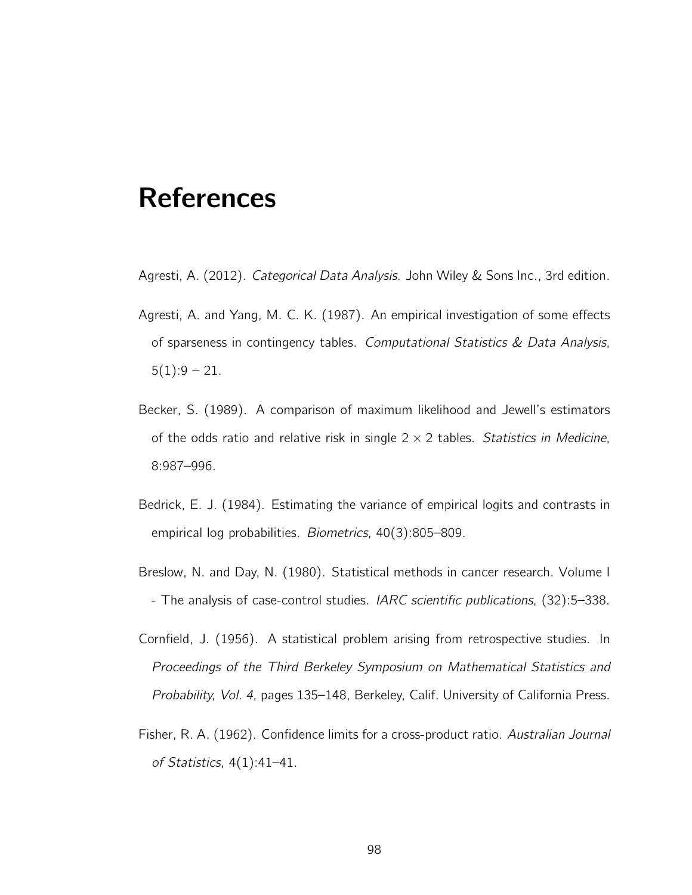## References

- Agresti, A. (2012). Categorical Data Analysis. John Wiley & Sons Inc., 3rd edition.
- Agresti, A. and Yang, M. C. K. (1987). An empirical investigation of some effects of sparseness in contingency tables. Computational Statistics  $\&$  Data Analysis,  $5(1):9-21.$
- Becker, S. (1989). A comparison of maximum likelihood and Jewell's estimators of the odds ratio and relative risk in single  $2 \times 2$  tables. Statistics in Medicine, 8:987–996.
- Bedrick, E. J. (1984). Estimating the variance of empirical logits and contrasts in empirical log probabilities. Biometrics, 40(3):805–809.
- Breslow, N. and Day, N. (1980). Statistical methods in cancer research. Volume I - The analysis of case-control studies. IARC scientific publications, (32):5–338.
- Cornfield, J. (1956). A statistical problem arising from retrospective studies. In Proceedings of the Third Berkeley Symposium on Mathematical Statistics and Probability, Vol. 4, pages 135–148, Berkeley, Calif. University of California Press.
- Fisher, R. A. (1962). Confidence limits for a cross-product ratio. Australian Journal of Statistics, 4(1):41–41.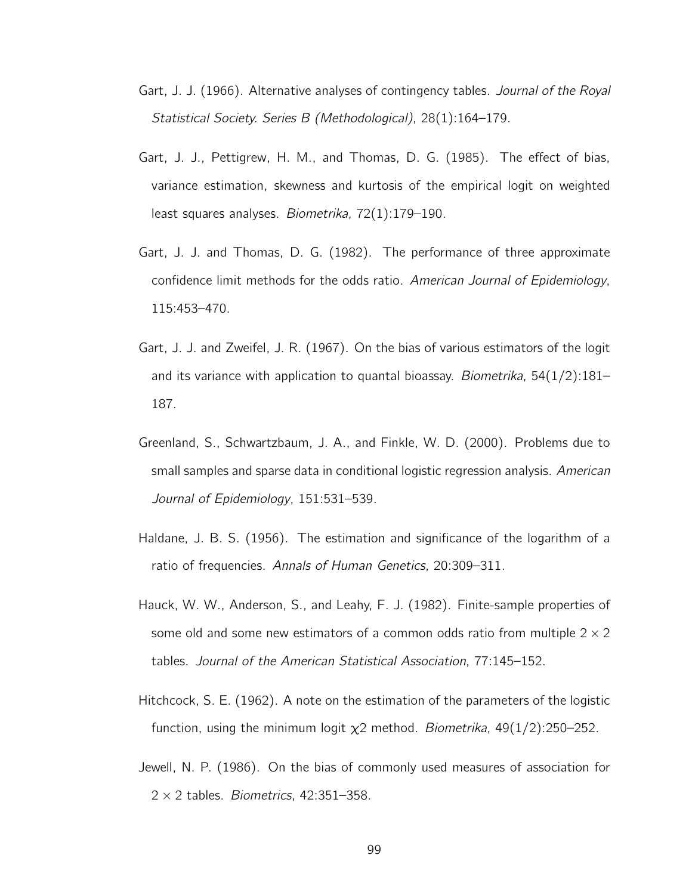- Gart, J. J. (1966). Alternative analyses of contingency tables. Journal of the Royal Statistical Society. Series B (Methodological), 28(1):164–179.
- Gart, J. J., Pettigrew, H. M., and Thomas, D. G. (1985). The effect of bias, variance estimation, skewness and kurtosis of the empirical logit on weighted least squares analyses. Biometrika, 72(1):179–190.
- Gart, J. J. and Thomas, D. G. (1982). The performance of three approximate confidence limit methods for the odds ratio. American Journal of Epidemiology, 115:453–470.
- Gart, J. J. and Zweifel, J. R. (1967). On the bias of various estimators of the logit and its variance with application to quantal bioassay. *Biometrika*,  $54(1/2)$ :181– 187.
- Greenland, S., Schwartzbaum, J. A., and Finkle, W. D. (2000). Problems due to small samples and sparse data in conditional logistic regression analysis. American Journal of Epidemiology, 151:531–539.
- Haldane, J. B. S. (1956). The estimation and significance of the logarithm of a ratio of frequencies. Annals of Human Genetics, 20:309–311.
- Hauck, W. W., Anderson, S., and Leahy, F. J. (1982). Finite-sample properties of some old and some new estimators of a common odds ratio from multiple  $2 \times 2$ tables. Journal of the American Statistical Association, 77:145–152.
- Hitchcock, S. E. (1962). A note on the estimation of the parameters of the logistic function, using the minimum logit  $\chi$ 2 method. *Biometrika*, 49(1/2):250–252.
- Jewell, N. P. (1986). On the bias of commonly used measures of association for  $2 \times 2$  tables. Biometrics, 42:351-358.